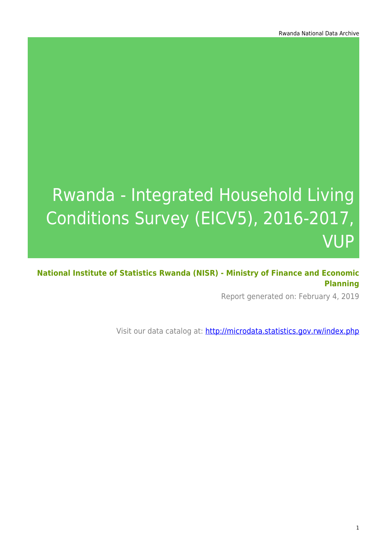# Rwanda - Integrated Household Living Conditions Survey (EICV5), 2016-2017, VUP

#### **National Institute of Statistics Rwanda (NISR) - Ministry of Finance and Economic Planning**

Report generated on: February 4, 2019

Visit our data catalog at: http://microdata.statistics.gov.rw/index.php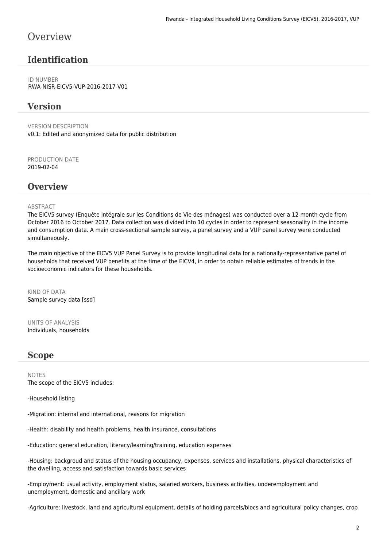### **Overview**

### **Identification**

ID NUMBER RWA-NISR-EICV5-VUP-2016-2017-V01

#### **Version**

VERSION DESCRIPTION v0.1: Edited and anonymized data for public distribution

PRODUCTION DATE 2019-02-04

#### **Overview**

#### ABSTRACT

The EICV5 survey (Enquête Intégrale sur les Conditions de Vie des ménages) was conducted over a 12-month cycle from October 2016 to October 2017. Data collection was divided into 10 cycles in order to represent seasonality in the income and consumption data. A main cross-sectional sample survey, a panel survey and a VUP panel survey were conducted simultaneously.

The main objective of the EICV5 VUP Panel Survey is to provide longitudinal data for a nationally-representative panel of households that received VUP benefits at the time of the EICV4, in order to obtain reliable estimates of trends in the socioeconomic indicators for these households.

KIND OF DATA Sample survey data [ssd]

UNITS OF ANALYSIS Individuals, households

#### **Scope**

**NOTES** The scope of the EICV5 includes:

-Household listing

-Migration: internal and international, reasons for migration

-Health: disability and health problems, health insurance, consultations

-Education: general education, literacy/learning/training, education expenses

-Housing: backgroud and status of the housing occupancy, expenses, services and installations, physical characteristics of the dwelling, access and satisfaction towards basic services

-Employment: usual activity, employment status, salaried workers, business activities, underemployment and unemployment, domestic and ancillary work

-Agriculture: livestock, land and agricultural equipment, details of holding parcels/blocs and agricultural policy changes, crop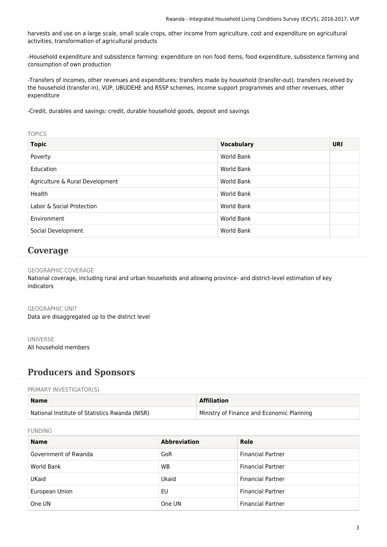harvests and use on a large scale, small scale crops, other income from agriculture, cost and expenditure on agricultural activities, transformation of agricultural products

-Household expenditure and subsistence farming: expenditure on non food items, food expenditure, subsistence farming and consumption of own production

-Transfers of incomes, other revenues and expenditures: transfers made by household (transfer-out), transfers received by the household (transfer-in), VUP, UBUDEHE and RSSP schemes, income support programmes and other revenues, other expenditure

-Credit, durables and savings: credit, durable household goods, deposit and savings

#### TOPICS

| <b>Topic</b>                    | <b>Vocabulary</b> | <b>URI</b> |
|---------------------------------|-------------------|------------|
| Poverty                         | World Bank        |            |
| Education                       | World Bank        |            |
| Agriculture & Rural Development | World Bank        |            |
| Health                          | World Bank        |            |
| Labor & Social Protection       | World Bank        |            |
| Environment                     | World Bank        |            |
| Social Development              | World Bank        |            |

#### **Coverage**

#### GEOGRAPHIC COVERAGE

National coverage, including rural and urban households and allowing province- and district-level estimation of key indicators

#### GEOGRAPHIC UNIT

Data are disaggregated up to the district level

UNIVERSE All household members

#### **Producers and Sponsors**

#### PRIMARY INVESTIGATOR(S)

| <b>Name</b>                                    | <b>Affiliation</b>                        |
|------------------------------------------------|-------------------------------------------|
| National Institute of Statistics Rwanda (NISR) | Ministry of Finance and Economic Planning |

#### FUNDING

| <b>Name</b>          | <b>Abbreviation</b> | Role                     |
|----------------------|---------------------|--------------------------|
| Government of Rwanda | GoR                 | <b>Financial Partner</b> |
| World Bank           | <b>WB</b>           | <b>Financial Partner</b> |
| <b>UKaid</b>         | Ukaid               | <b>Financial Partner</b> |
| European Union       | EU                  | <b>Financial Partner</b> |
| One UN               | One UN              | <b>Financial Partner</b> |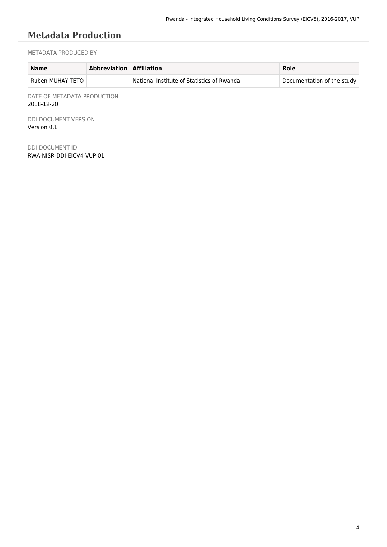### **Metadata Production**

#### METADATA PRODUCED BY

| <b>Name</b>      | Abbreviation Affiliation |                                            | Role                       |
|------------------|--------------------------|--------------------------------------------|----------------------------|
| Ruben MUHAYITETO |                          | National Institute of Statistics of Rwanda | Documentation of the study |

DATE OF METADATA PRODUCTION 2018-12-20

DDI DOCUMENT VERSION Version 0.1

DDI DOCUMENT ID RWA-NISR-DDI-EICV4-VUP-01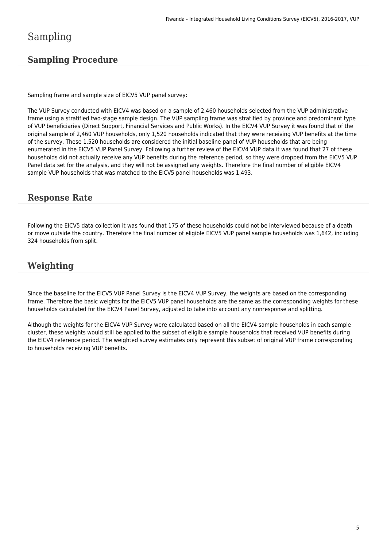# Sampling

### **Sampling Procedure**

Sampling frame and sample size of EICV5 VUP panel survey:

The VUP Survey conducted with EICV4 was based on a sample of 2,460 households selected from the VUP administrative frame using a stratified two-stage sample design. The VUP sampling frame was stratified by province and predominant type of VUP beneficiaries (Direct Support, Financial Services and Public Works). In the EICV4 VUP Survey it was found that of the original sample of 2,460 VUP households, only 1,520 households indicated that they were receiving VUP benefits at the time of the survey. These 1,520 households are considered the initial baseline panel of VUP households that are being enumerated in the EICV5 VUP Panel Survey. Following a further review of the EICV4 VUP data it was found that 27 of these households did not actually receive any VUP benefits during the reference period, so they were dropped from the EICV5 VUP Panel data set for the analysis, and they will not be assigned any weights. Therefore the final number of eligible EICV4 sample VUP households that was matched to the EICV5 panel households was 1,493.

#### **Response Rate**

Following the EICV5 data collection it was found that 175 of these households could not be interviewed because of a death or move outside the country. Therefore the final number of eligible EICV5 VUP panel sample households was 1,642, including 324 households from split.

### **Weighting**

Since the baseline for the EICV5 VUP Panel Survey is the EICV4 VUP Survey, the weights are based on the corresponding frame. Therefore the basic weights for the EICV5 VUP panel households are the same as the corresponding weights for these households calculated for the EICV4 Panel Survey, adjusted to take into account any nonresponse and splitting.

Although the weights for the EICV4 VUP Survey were calculated based on all the EICV4 sample households in each sample cluster, these weights would still be applied to the subset of eligible sample households that received VUP benefits during the EICV4 reference period. The weighted survey estimates only represent this subset of original VUP frame corresponding to households receiving VUP benefits.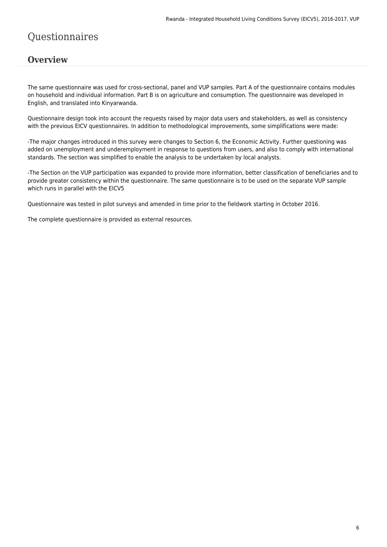# Questionnaires

### **Overview**

The same questionnaire was used for cross-sectional, panel and VUP samples. Part A of the questionnaire contains modules on household and individual information. Part B is on agriculture and consumption. The questionnaire was developed in English, and translated into Kinyarwanda.

Questionnaire design took into account the requests raised by major data users and stakeholders, as well as consistency with the previous EICV questionnaires. In addition to methodological improvements, some simplifications were made:

-The major changes introduced in this survey were changes to Section 6, the Economic Activity. Further questioning was added on unemployment and underemployment in response to questions from users, and also to comply with international standards. The section was simplified to enable the analysis to be undertaken by local analysts.

-The Section on the VUP participation was expanded to provide more information, better classification of beneficiaries and to provide greater consistency within the questionnaire. The same questionnaire is to be used on the separate VUP sample which runs in parallel with the EICV5

Questionnaire was tested in pilot surveys and amended in time prior to the fieldwork starting in October 2016.

The complete questionnaire is provided as external resources.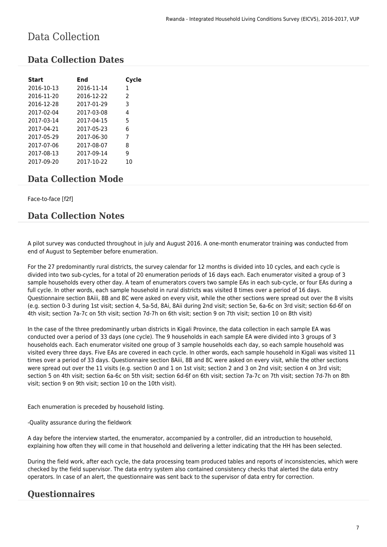# Data Collection

### **Data Collection Dates**

| End        | Cycle         |
|------------|---------------|
| 2016-11-14 | 1             |
| 2016-12-22 | $\mathcal{P}$ |
| 2017-01-29 | 3             |
| 2017-03-08 | 4             |
| 2017-04-15 | 5             |
| 2017-05-23 | 6             |
| 2017-06-30 | 7             |
| 2017-08-07 | 8             |
| 2017-09-14 | 9             |
| 2017-10-22 | 10            |
|            |               |

# **Data Collection Mode**

#### Face-to-face [f2f]

#### **Data Collection Notes**

A pilot survey was conducted throughout in july and August 2016. A one-month enumerator training was conducted from end of August to September before enumeration.

For the 27 predominantly rural districts, the survey calendar for 12 months is divided into 10 cycles, and each cycle is divided into two sub-cycles, for a total of 20 enumeration periods of 16 days each. Each enumerator visited a group of 3 sample households every other day. A team of enumerators covers two sample EAs in each sub-cycle, or four EAs during a full cycle. In other words, each sample household in rural districts was visited 8 times over a period of 16 days. Questionnaire section 8Aiii, 8B and 8C were asked on every visit, while the other sections were spread out over the 8 visits (e.g. section 0-3 during 1st visit; section 4, 5a-5d, 8Ai, 8Aii during 2nd visit; section 5e, 6a-6c on 3rd visit; section 6d-6f on 4th visit; section 7a-7c on 5th visit; section 7d-7h on 6th visit; section 9 on 7th visit; section 10 on 8th visit)

In the case of the three predominantly urban districts in Kigali Province, the data collection in each sample EA was conducted over a period of 33 days (one cycle). The 9 households in each sample EA were divided into 3 groups of 3 households each. Each enumerator visited one group of 3 sample households each day, so each sample household was visited every three days. Five EAs are covered in each cycle. In other words, each sample household in Kigali was visited 11 times over a period of 33 days. Questionnaire section 8Aiii, 8B and 8C were asked on every visit, while the other sections were spread out over the 11 visits (e.g. section 0 and 1 on 1st visit; section 2 and 3 on 2nd visit; section 4 on 3rd visit; section 5 on 4th visit; section 6a-6c on 5th visit; section 6d-6f on 6th visit; section 7a-7c on 7th visit; section 7d-7h on 8th visit; section 9 on 9th visit; section 10 on the 10th visit).

Each enumeration is preceded by household listing.

-Quality assurance during the fieldwork

A day before the interview started, the enumerator, accompanied by a controller, did an introduction to household, explaining how often they will come in that household and delivering a letter indicating that the HH has been selected.

During the field work, after each cycle, the data processing team produced tables and reports of inconsistencies, which were checked by the field supervisor. The data entry system also contained consistency checks that alerted the data entry operators. In case of an alert, the questionnaire was sent back to the supervisor of data entry for correction.

### **Questionnaires**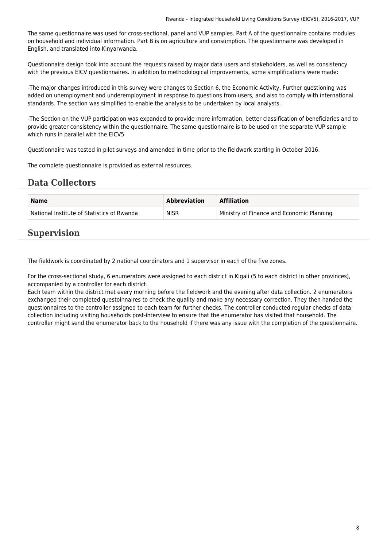The same questionnaire was used for cross-sectional, panel and VUP samples. Part A of the questionnaire contains modules on household and individual information. Part B is on agriculture and consumption. The questionnaire was developed in English, and translated into Kinyarwanda.

Questionnaire design took into account the requests raised by major data users and stakeholders, as well as consistency with the previous EICV questionnaires. In addition to methodological improvements, some simplifications were made:

-The major changes introduced in this survey were changes to Section 6, the Economic Activity. Further questioning was added on unemployment and underemployment in response to questions from users, and also to comply with international standards. The section was simplified to enable the analysis to be undertaken by local analysts.

-The Section on the VUP participation was expanded to provide more information, better classification of beneficiaries and to provide greater consistency within the questionnaire. The same questionnaire is to be used on the separate VUP sample which runs in parallel with the EICV5

Questionnaire was tested in pilot surveys and amended in time prior to the fieldwork starting in October 2016.

The complete questionnaire is provided as external resources.

#### **Data Collectors**

| <b>Name</b>                                | Abbreviation | <b>Affiliation</b>                        |
|--------------------------------------------|--------------|-------------------------------------------|
| National Institute of Statistics of Rwanda | <b>NISR</b>  | Ministry of Finance and Economic Planning |

### **Supervision**

The fieldwork is coordinated by 2 national coordinators and 1 supervisor in each of the five zones.

For the cross-sectional study, 6 enumerators were assigned to each district in Kigali (5 to each district in other provinces), accompanied by a controller for each district.

Each team within the district met every morning before the fieldwork and the evening after data collection. 2 enumerators exchanged their completed questoinnaires to check the quality and make any necessary correction. They then handed the questionnaires to the controller assigned to each team for further checks. The controller conducted regular checks of data collection including visiting households post-interview to ensure that the enumerator has visited that household. The controller might send the enumerator back to the household if there was any issue with the completion of the questionnaire.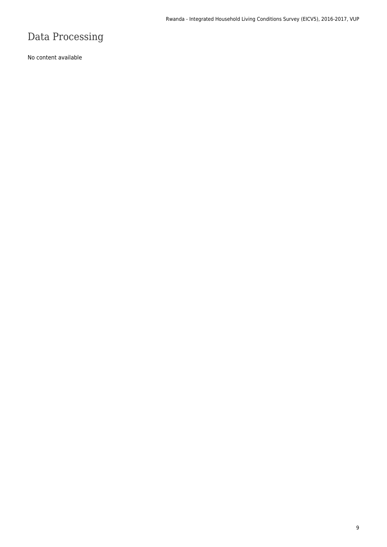# Data Processing

No content available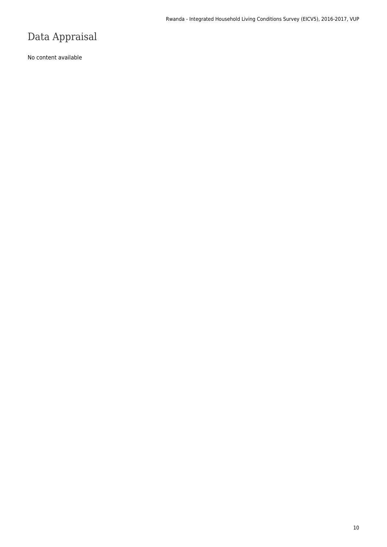# Data Appraisal

No content available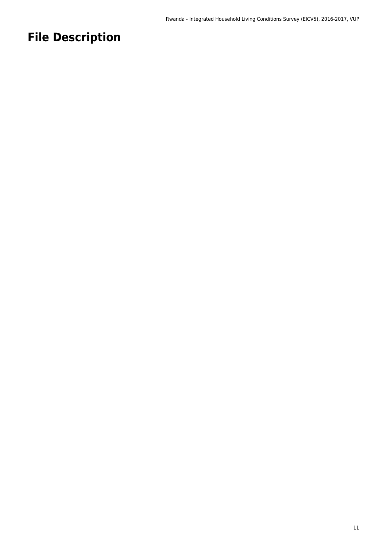# **File Description**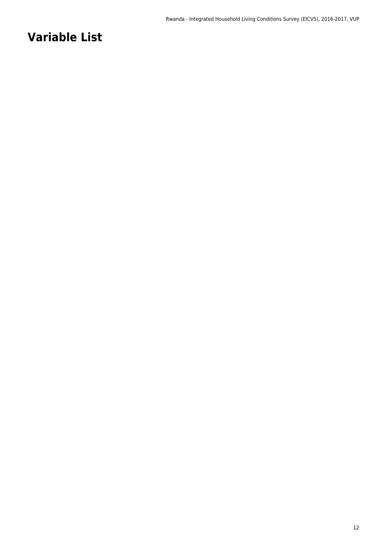# **Variable List**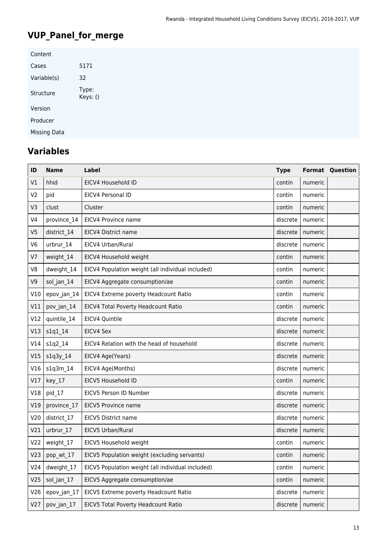# **VUP\_Panel\_for\_merge**

| Content             |                   |
|---------------------|-------------------|
| Cases               | 5171              |
| Variable(s)         | 32                |
| Structure           | Type:<br>Keys: () |
| Version             |                   |
| Producer            |                   |
| <b>Missing Data</b> |                   |

| ID              | <b>Name</b>     | Label                                             | <b>Type</b> |         | <b>Format Question</b> |
|-----------------|-----------------|---------------------------------------------------|-------------|---------|------------------------|
| V1              | hhid            | EICV4 Household ID                                | contin      | numeric |                        |
| V <sub>2</sub>  | pid             | EICV4 Personal ID                                 | contin      | numeric |                        |
| V3              | clust           | Cluster                                           | contin      | numeric |                        |
| V <sub>4</sub>  | province_14     | EICV4 Province name                               | discrete    | numeric |                        |
| V <sub>5</sub>  | district_14     | EICV4 District name                               | discrete    | numeric |                        |
| V <sub>6</sub>  | urbrur_14       | EICV4 Urban/Rural                                 | discrete    | numeric |                        |
| V7              | weight 14       | EICV4 Household weight                            | contin      | numeric |                        |
| V8              | dweight 14      | EICV4 Population weight (all individual included) | contin      | numeric |                        |
| V <sub>9</sub>  | sol_jan_14      | EICV4 Aggregate consumption/ae                    | contin      | numeric |                        |
| V10             | epov_jan_14     | EICV4 Extreme poverty Headcount Ratio             | contin      | numeric |                        |
| V11             | pov_jan_14      | EICV4 Total Poverty Headcount Ratio               | contin      | numeric |                        |
| V12             | quintile_14     | EICV4 Quintile                                    | discrete    | numeric |                        |
| V13             | $slq1_1$ 14     | EICV4 Sex                                         | discrete    | numeric |                        |
| V14             | s1q2_14         | EICV4 Relation with the head of household         | discrete    | numeric |                        |
| V15             | $slq3y_14$      | EICV4 Age(Years)                                  | discrete    | numeric |                        |
| V16             | s1q3m_14        | EICV4 Age(Months)                                 | discrete    | numeric |                        |
| V17             | key_17          | EICV5 Household ID                                | contin      | numeric |                        |
| V18             | pid_17          | EICV5 Person ID Number                            | discrete    | numeric |                        |
| V19             | province_17     | EICV5 Province name                               | discrete    | numeric |                        |
| V20             | district_17     | EICV5 District name                               | discrete    | numeric |                        |
| V <sub>21</sub> | urbrur_17       | EICV5 Urban/Rural                                 | discrete    | numeric |                        |
| V <sub>22</sub> | weight 17       | EICV5 Household weight                            | contin      | numeric |                        |
|                 | V23   pop_wt_17 | EICV5 Population weight (excluding servants)      | contin      | numeric |                        |
| V24             | dweight 17      | EICV5 Population weight (all individual included) | contin      | numeric |                        |
| V <sub>25</sub> | sol jan 17      | EICV5 Aggregate consumption/ae                    | contin      | numeric |                        |
| V26             | epov jan_17     | EICV5 Extreme poverty Headcount Ratio             | discrete    | numeric |                        |
| V <sub>27</sub> | pov_jan_17      | EICV5 Total Poverty Headcount Ratio               | discrete    | numeric |                        |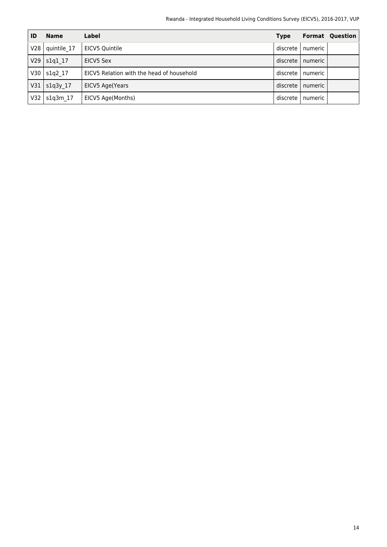| ID              | <b>Name</b> | Label                                     | <b>Type</b> | Format  | <b>Question</b> |
|-----------------|-------------|-------------------------------------------|-------------|---------|-----------------|
| V <sub>28</sub> | quintile 17 | EICV5 Quintile                            | discrete    | numeric |                 |
| V <sub>29</sub> | s1q1 17     | EICV5 Sex                                 | discrete    | numeric |                 |
| V30             | s1q2 17     | EICV5 Relation with the head of household | discrete    | numeric |                 |
| V31             | s1q3y 17    | EICV5 Age(Years                           | discrete    | numeric |                 |
| V32             | s1q3m 17    | EICV5 Age(Months)                         | discrete    | numeric |                 |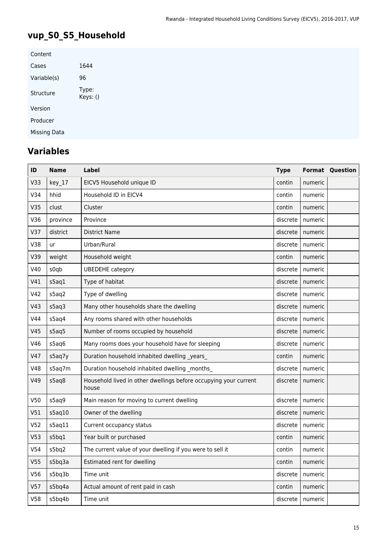# **vup\_S0\_S5\_Household**

| Content             |                   |
|---------------------|-------------------|
| Cases               | 1644              |
| Variable(s)         | 96                |
| Structure           | Type:<br>Keys: () |
| Version             |                   |
| Producer            |                   |
| <b>Missing Data</b> |                   |

| ID              | <b>Name</b> | Label                                                                     | <b>Type</b> |         | <b>Format Question</b> |
|-----------------|-------------|---------------------------------------------------------------------------|-------------|---------|------------------------|
| V33             | key 17      | EICV5 Household unique ID                                                 | contin      | numeric |                        |
| V34             | hhid        | Household ID in EICV4                                                     | contin      | numeric |                        |
| V35             | clust       | Cluster                                                                   | contin      | numeric |                        |
| V36             | province    | Province                                                                  | discrete    | numeric |                        |
| V37             | district    | <b>District Name</b>                                                      | discrete    | numeric |                        |
| V38             | ur          | Urban/Rural                                                               | discrete    | numeric |                        |
| V39             | weight      | Household weight                                                          | contin      | numeric |                        |
| V40             | s0qb        | <b>UBEDEHE</b> category                                                   | discrete    | numeric |                        |
| V41             | s5aq1       | Type of habitat                                                           | discrete    | numeric |                        |
| V42             | s5aq2       | Type of dwelling                                                          | discrete    | numeric |                        |
| V43             | s5aq3       | Many other households share the dwelling                                  | discrete    | numeric |                        |
| V44             | s5aq4       | Any rooms shared with other households                                    | discrete    | numeric |                        |
| V45             | s5aq5       | Number of rooms occupied by household                                     | discrete    | numeric |                        |
| V46             | s5aq6       | Many rooms does your household have for sleeping                          | discrete    | numeric |                        |
| V47             | s5aq7y      | Duration household inhabited dwelling _years_                             | contin      | numeric |                        |
| V48             | s5aq7m      | Duration household inhabited dwelling _months_                            | discrete    | numeric |                        |
| V49             | s5aq8       | Household lived in other dwellings before occupying your current<br>house | discrete    | numeric |                        |
| V50             | s5aq9       | Main reason for moving to current dwelling                                | discrete    | numeric |                        |
| V51             | s5aq10      | Owner of the dwelling                                                     | discrete    | numeric |                        |
| V <sub>52</sub> | s5aq11      | Current occupancy status                                                  | discrete    | numeric |                        |
| V <sub>53</sub> | s5bq1       | Year built or purchased                                                   | contin      | numeric |                        |
| V <sub>54</sub> | s5bq2       | The current value of your dwelling if you were to sell it                 | contin      | numeric |                        |
| V <sub>55</sub> | s5bq3a      | Estimated rent for dwelling                                               | contin      | numeric |                        |
| V56             | s5bq3b      | Time unit                                                                 | discrete    | numeric |                        |
| V57             | s5bq4a      | Actual amount of rent paid in cash                                        | contin      | numeric |                        |
| V58             | s5bq4b      | Time unit                                                                 | discrete    | numeric |                        |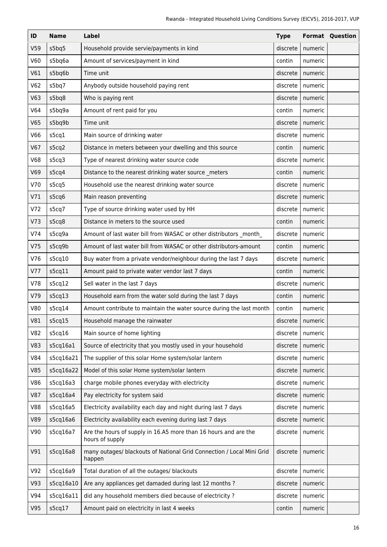| ID              | <b>Name</b> | <b>Label</b>                                                                       | <b>Type</b> |                    | <b>Format Question</b> |
|-----------------|-------------|------------------------------------------------------------------------------------|-------------|--------------------|------------------------|
| V <sub>59</sub> | s5bq5       | Household provide servie/payments in kind                                          | discrete    | numeric            |                        |
| V60             | s5bq6a      | Amount of services/payment in kind                                                 | contin      | numeric            |                        |
| V61             | s5bq6b      | Time unit                                                                          | discrete    | numeric            |                        |
| V62             | s5bq7       | Anybody outside household paying rent                                              | discrete    | numeric            |                        |
| V63             | s5bq8       | Who is paying rent                                                                 | discrete    | numeric            |                        |
| V64             | s5bq9a      | Amount of rent paid for you                                                        | contin      | numeric            |                        |
| V65             | s5bq9b      | Time unit                                                                          | discrete    | numeric            |                        |
| V66             | s5cq1       | Main source of drinking water                                                      | discrete    | numeric            |                        |
| V67             | s5cq2       | Distance in meters between your dwelling and this source                           | contin      | numeric            |                        |
| <b>V68</b>      | s5cq3       | Type of nearest drinking water source code                                         | discrete    | numeric            |                        |
| V69             | s5cq4       | Distance to the nearest drinking water source _meters                              | contin      | numeric            |                        |
| V70             | s5cq5       | Household use the nearest drinking water source                                    | discrete    | numeric            |                        |
| V71             | s5cq6       | Main reason preventing                                                             | discrete    | numeric            |                        |
| V72             | s5cq7       | Type of source drinking water used by HH                                           | discrete    | numeric            |                        |
| V <sub>73</sub> | s5cq8       | Distance in meters to the source used                                              | contin      | numeric            |                        |
| V74             | s5cq9a      | Amount of last water bill from WASAC or other distributors month                   | discrete    | numeric            |                        |
| V75             | s5cq9b      | Amount of last water bill from WASAC or other distributors-amount                  | contin      | numeric            |                        |
| V76             | s5cq10      | Buy water from a private vendor/neighbour during the last 7 days                   | discrete    | numeric            |                        |
| <b>V77</b>      | s5cq11      | Amount paid to private water vendor last 7 days                                    | contin      | numeric            |                        |
| V78             | s5cq12      | Sell water in the last 7 days                                                      | discrete    | numeric            |                        |
| V79             | s5cq13      | Household earn from the water sold during the last 7 days                          | contin      | numeric            |                        |
| V80             | s5cq14      | Amount contribute to maintain the water source during the last month               | contin      | numeric            |                        |
| V81             | s5cq15      | Household manage the rainwater                                                     |             | discrete   numeric |                        |
| <b>V82</b>      | s5cq16      | Main source of home lighting                                                       | discrete    | numeric            |                        |
| V83             | s5cq16a1    | Source of electricity that you mostly used in your household                       | discrete    | numeric            |                        |
| <b>V84</b>      | s5cq16a21   | The supplier of this solar Home system/solar lantern                               | discrete    | numeric            |                        |
| <b>V85</b>      | s5cq16a22   | Model of this solar Home system/solar lantern                                      | discrete    | numeric            |                        |
| V86             | s5cq16a3    | charge mobile phones everyday with electricity                                     | discrete    | numeric            |                        |
| <b>V87</b>      | s5cq16a4    | Pay electricity for system said                                                    | discrete    | numeric            |                        |
| <b>V88</b>      | s5cq16a5    | Electricity availability each day and night during last 7 days                     | discrete    | numeric            |                        |
| V89             | s5cq16a6    | Electricity availability each evening during last 7 days                           | discrete    | numeric            |                        |
| V90             | s5cq16a7    | Are the hours of supply in 16.A5 more than 16 hours and are the<br>hours of supply | discrete    | numeric            |                        |
| V91             | s5cq16a8    | many outages/ blackouts of National Grid Connection / Local Mini Grid<br>happen    | discrete    | numeric            |                        |
| V92             | s5cq16a9    | Total duration of all the outages/ blackouts                                       | discrete    | numeric            |                        |
| V93             | s5cq16a10   | Are any appliances get damaded during last 12 months ?                             | discrete    | numeric            |                        |
| V94             | s5cq16a11   | did any household members died because of electricity?                             | discrete    | numeric            |                        |
| V95             | s5cq17      | Amount paid on electricity in last 4 weeks                                         | contin      | numeric            |                        |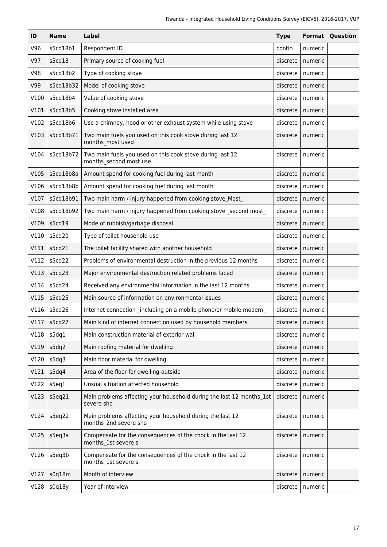| ID   | <b>Name</b> | Label                                                                               | <b>Type</b> |         | <b>Format Question</b> |
|------|-------------|-------------------------------------------------------------------------------------|-------------|---------|------------------------|
| V96  | s5cq18b1    | Respondent ID                                                                       | contin      | numeric |                        |
| V97  | s5cq18      | Primary source of cooking fuel                                                      | discrete    | numeric |                        |
| V98  | s5cq18b2    | Type of cooking stove                                                               | discrete    | numeric |                        |
| V99  | s5cq18b32   | Model of cooking stove                                                              | discrete    | numeric |                        |
| V100 | s5cq18b4    | Value of cooking stove                                                              | discrete    | numeric |                        |
| V101 | s5cq18b5    | Cooking stove installed area                                                        | discrete    | numeric |                        |
| V102 | s5cq18b6    | Use a chimney, hood or other exhaust system while using stove                       | discrete    | numeric |                        |
| V103 | s5cq18b71   | Two main fuels you used on this cook stove during last 12<br>months_most used       | discrete    | numeric |                        |
| V104 | s5cq18b72   | Two main fuels you used on this cook stove during last 12<br>months second most use | discrete    | numeric |                        |
| V105 | s5cq18b8a   | Amount spend for cooking fuel during last month                                     | discrete    | numeric |                        |
| V106 | s5cq18b8b   | Amount spend for cooking fuel during last month                                     | discrete    | numeric |                        |
| V107 | s5cq18b91   | Two main harm / injury happened from cooking stove_Most_                            | discrete    | numeric |                        |
| V108 | s5cq18b92   | Two main harm / injury happened from cooking stove second most                      | discrete    | numeric |                        |
| V109 | s5cq19      | Mode of rubbish/garbage disposal                                                    | discrete    | numeric |                        |
| V110 | s5cq20      | Type of toilet household use                                                        | discrete    | numeric |                        |
| V111 | s5cq21      | The toilet facility shared with another household                                   | discrete    | numeric |                        |
| V112 | s5cq22      | Problems of environmental destruction in the previous 12 months                     | discrete    | numeric |                        |
| V113 | s5cq23      | Major environmental destruction related problems faced                              | discrete    | numeric |                        |
| V114 | s5cq24      | Received any environmental information in the last 12 months                        | discrete    | numeric |                        |
| V115 | s5cq25      | Main source of information on environmental issues                                  | discrete    | numeric |                        |
| V116 | s5cq26      | Internet connection _including on a mobile phone/or mobile modem_                   | discrete    | numeric |                        |
| V117 | s5cq27      | Main kind of internet connection used by household members                          | discrete    | numeric |                        |
| V118 | s5dq1       | Main construction material of exterior wall                                         | discrete    | numeric |                        |
| V119 | s5dq2       | Main roofing material for dwelling                                                  | discrete    | numeric |                        |
| V120 | s5dq3       | Main floor material for dwelling                                                    | discrete    | numeric |                        |
| V121 | s5dq4       | Area of the floor for dwelling-outside                                              | discrete    | numeric |                        |
| V122 | s5eq1       | Unsual situation affected household                                                 | discrete    | numeric |                        |
| V123 | s5eq21      | Main problems affecting your household during the last 12 months 1st<br>severe sho  | discrete    | numeric |                        |
| V124 | s5eq22      | Main problems affecting your household during the last 12<br>months 2nd severe sho  | discrete    | numeric |                        |
| V125 | s5eq3a      | Compensate for the consequences of the chock in the last 12<br>months 1st severe s  | discrete    | numeric |                        |
| V126 | s5eq3b      | Compensate for the consequences of the chock in the last 12<br>months 1st severe s  | discrete    | numeric |                        |
| V127 | s0q18m      | Month of interview                                                                  | discrete    | numeric |                        |
| V128 | s0q18y      | Year of interview                                                                   | discrete    | numeric |                        |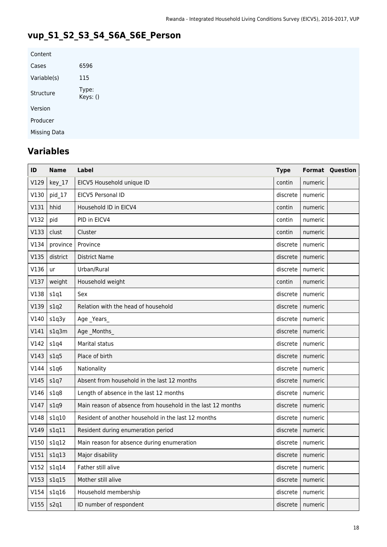# **vup\_S1\_S2\_S3\_S4\_S6A\_S6E\_Person**

| Content      |                   |
|--------------|-------------------|
| Cases        | 6596              |
| Variable(s)  | 115               |
| Structure    | Type:<br>Keys: () |
| Version      |                   |
| Producer     |                   |
| Missing Data |                   |

| ID   | <b>Name</b>  | Label                                                       | <b>Type</b> |                    | <b>Format Question</b> |
|------|--------------|-------------------------------------------------------------|-------------|--------------------|------------------------|
| V129 | key_17       | EICV5 Household unique ID                                   | contin      | numeric            |                        |
| V130 | pid 17       | EICV5 Personal ID                                           | discrete    | numeric            |                        |
| V131 | hhid         | Household ID in EICV4                                       | contin      | numeric            |                        |
| V132 | pid          | PID in EICV4                                                | contin      | numeric            |                        |
| V133 | clust        | Cluster                                                     | contin      | numeric            |                        |
| V134 | province     | Province                                                    | discrete    | numeric            |                        |
| V135 | district     | <b>District Name</b>                                        | discrete    | numeric            |                        |
| V136 | ur           | Urban/Rural                                                 | discrete    | numeric            |                        |
| V137 | weight       | Household weight                                            | contin      | numeric            |                        |
| V138 | s1q1         | Sex                                                         | discrete    | numeric            |                        |
| V139 | slq2         | Relation with the head of household                         | discrete    | numeric            |                        |
| V140 | s1q3y        | Age_Years_                                                  | discrete    | numeric            |                        |
| V141 | s1q3m        | Age_Months_                                                 | discrete    | numeric            |                        |
| V142 | s1q4         | Marital status                                              | discrete    | numeric            |                        |
| V143 | s1q5         | Place of birth                                              | discrete    | numeric            |                        |
| V144 | s1q6         | Nationality                                                 | discrete    | numeric            |                        |
| V145 | s1q7         | Absent from household in the last 12 months                 | discrete    | numeric            |                        |
| V146 | s1q8         | Length of absence in the last 12 months                     | discrete    | numeric            |                        |
| V147 | s1q9         | Main reason of absence from household in the last 12 months | discrete    | numeric            |                        |
| V148 | slq10        | Resident of another household in the last 12 months         | discrete    | numeric            |                        |
| V149 | slq11        | Resident during enumeration period                          | discrete    | numeric            |                        |
| V150 | slq12        | Main reason for absence during enumeration                  | discrete    | numeric            |                        |
|      | $V151$ s1q13 | Major disability                                            |             | discrete   numeric |                        |
| V152 | slq14        | Father still alive                                          | discrete    | numeric            |                        |
| V153 | slq15        | Mother still alive                                          | discrete    | numeric            |                        |
| V154 | slq16        | Household membership                                        | discrete    | numeric            |                        |
| V155 | s2q1         | ID number of respondent                                     | discrete    | numeric            |                        |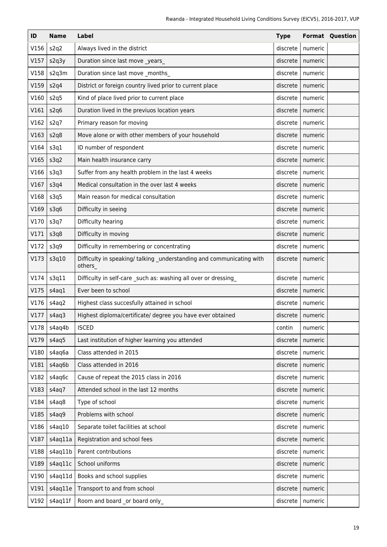| ID   | <b>Name</b> | Label                                                                          | <b>Type</b> |         | <b>Format Question</b> |
|------|-------------|--------------------------------------------------------------------------------|-------------|---------|------------------------|
| V156 | s2q2        | Always lived in the district                                                   | discrete    | numeric |                        |
| V157 | s2q3y       | Duration since last move_years_                                                | discrete    | numeric |                        |
| V158 | s2q3m       | Duration since last move months                                                | discrete    | numeric |                        |
| V159 | s2q4        | District or foreign country lived prior to current place                       | discrete    | numeric |                        |
| V160 | s2q5        | Kind of place lived prior to current place                                     | discrete    | numeric |                        |
| V161 | s2q6        | Duration lived in the previuos location years                                  | discrete    | numeric |                        |
| V162 | s2q7        | Primary reason for moving                                                      | discrete    | numeric |                        |
| V163 | s2q8        | Move alone or with other members of your household                             | discrete    | numeric |                        |
| V164 | s3q1        | ID number of respondent                                                        | discrete    | numeric |                        |
| V165 | s3q2        | Main health insurance carry                                                    | discrete    | numeric |                        |
| V166 | s3q3        | Suffer from any health problem in the last 4 weeks                             | discrete    | numeric |                        |
| V167 | s3q4        | Medical consultation in the over last 4 weeks                                  | discrete    | numeric |                        |
| V168 | s3q5        | Main reason for medical consultation                                           | discrete    | numeric |                        |
| V169 | s3q6        | Difficulty in seeing                                                           | discrete    | numeric |                        |
| V170 | s3q7        | Difficulty hearing                                                             | discrete    | numeric |                        |
| V171 | s3q8        | Difficulty in moving                                                           | discrete    | numeric |                        |
| V172 | s3q9        | Difficulty in remembering or concentrating                                     | discrete    | numeric |                        |
| V173 | s3q10       | Difficulty in speaking/ talking understanding and communicating with<br>others | discrete    | numeric |                        |
| V174 | s3q11       | Difficulty in self-care such as: washing all over or dressing                  | discrete    | numeric |                        |
| V175 | s4aq1       | Ever been to school                                                            | discrete    | numeric |                        |
| V176 | s4aq2       | Highest class succesfully attained in school                                   | discrete    | numeric |                        |
| V177 | s4aq3       | Highest diploma/certificate/ degree you have ever obtained                     | discrete    | numeric |                        |
| V178 | s4aq4b      | <b>ISCED</b>                                                                   | contin      | numeric |                        |
| V179 | s4aq5       | Last institution of higher learning you attended                               | discrete    | numeric |                        |
| V180 | s4aq6a      | Class attended in 2015                                                         | discrete    | numeric |                        |
| V181 | s4aq6b      | Class attended in 2016                                                         | discrete    | numeric |                        |
| V182 | s4aq6c      | Cause of repeat the 2015 class in 2016                                         | discrete    | numeric |                        |
| V183 | s4aq7       | Attended school in the last 12 months                                          | discrete    | numeric |                        |
| V184 | s4aq8       | Type of school                                                                 | discrete    | numeric |                        |
| V185 | s4aq9       | Problems with school                                                           | discrete    | numeric |                        |
| V186 | s4aq10      | Separate toilet facilities at school                                           | discrete    | numeric |                        |
| V187 | s4aq11a     | Registration and school fees                                                   | discrete    | numeric |                        |
| V188 | s4aq11b     | Parent contributions                                                           | discrete    | numeric |                        |
| V189 | s4aq11c     | School uniforms                                                                | discrete    | numeric |                        |
| V190 | s4aq11d     | Books and school supplies                                                      | discrete    | numeric |                        |
| V191 | s4aq11e     | Transport to and from school                                                   | discrete    | numeric |                        |
| V192 | s4aq11f     | Room and board _or board only_                                                 | discrete    | numeric |                        |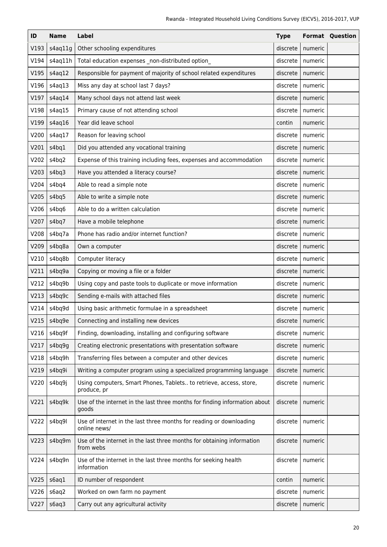| ID   | <b>Name</b> | Label                                                                               | <b>Type</b> |                    | <b>Format Question</b> |
|------|-------------|-------------------------------------------------------------------------------------|-------------|--------------------|------------------------|
| V193 | s4aq11g     | Other schooling expenditures                                                        | discrete    | numeric            |                        |
| V194 | s4aq11h     | Total education expenses _non-distributed option_                                   | discrete    | numeric            |                        |
| V195 | s4aq12      | Responsible for payment of majority of school related expenditures                  | discrete    | numeric            |                        |
| V196 | s4aq13      | Miss any day at school last 7 days?                                                 | discrete    | numeric            |                        |
| V197 | s4aq14      | Many school days not attend last week                                               | discrete    | numeric            |                        |
| V198 | s4aq15      | Primary cause of not attending school                                               | discrete    | numeric            |                        |
| V199 | s4aq16      | Year did leave school                                                               | contin      | numeric            |                        |
| V200 | s4aq17      | Reason for leaving school                                                           | discrete    | numeric            |                        |
| V201 | s4bq1       | Did you attended any vocational training                                            | discrete    | numeric            |                        |
| V202 | s4bq2       | Expense of this training including fees, expenses and accommodation                 | discrete    | numeric            |                        |
| V203 | s4bq3       | Have you attended a literacy course?                                                | discrete    | numeric            |                        |
| V204 | s4bq4       | Able to read a simple note                                                          | discrete    | numeric            |                        |
| V205 | s4bq5       | Able to write a simple note                                                         | discrete    | numeric            |                        |
| V206 | s4bq6       | Able to do a written calculation                                                    | discrete    | numeric            |                        |
| V207 | s4bq7       | Have a mobile telephone                                                             | discrete    | numeric            |                        |
| V208 | s4bq7a      | Phone has radio and/or internet function?                                           | discrete    | numeric            |                        |
| V209 | s4bq8a      | Own a computer                                                                      | discrete    | numeric            |                        |
| V210 | s4bq8b      | Computer literacy                                                                   | discrete    | numeric            |                        |
| V211 | s4bq9a      | Copying or moving a file or a folder                                                | discrete    | numeric            |                        |
| V212 | s4bq9b      | Using copy and paste tools to duplicate or move information                         | discrete    | numeric            |                        |
| V213 | s4bq9c      | Sending e-mails with attached files                                                 | discrete    | numeric            |                        |
| V214 | s4bq9d      | Using basic arithmetic formulae in a spreadsheet                                    | discrete    | numeric            |                        |
| V215 | s4bq9e      | Connecting and installing new devices                                               |             | discrete   numeric |                        |
| V216 | s4bq9f      | Finding, downloading, installing and configuring software                           | discrete    | numeric            |                        |
| V217 | s4bq9g      | Creating electronic presentations with presentation software                        | discrete    | numeric            |                        |
| V218 | s4bq9h      | Transferring files between a computer and other devices                             | discrete    | numeric            |                        |
| V219 | s4bq9i      | Writing a computer program using a specialized programming language                 | discrete    | numeric            |                        |
| V220 | s4bq9j      | Using computers, Smart Phones, Tablets to retrieve, access, store,<br>produce, pr   | discrete    | numeric            |                        |
| V221 | s4bq9k      | Use of the internet in the last three months for finding information about<br>goods | discrete    | numeric            |                        |
| V222 | s4bq9l      | Use of internet in the last three months for reading or downloading<br>online news/ | discrete    | numeric            |                        |
| V223 | s4bq9m      | Use of the internet in the last three months for obtaining information<br>from webs | discrete    | numeric            |                        |
| V224 | s4bq9n      | Use of the internet in the last three months for seeking health<br>information      | discrete    | numeric            |                        |
| V225 | s6aq1       | ID number of respondent                                                             | contin      | numeric            |                        |
| V226 | s6aq2       | Worked on own farm no payment                                                       | discrete    | numeric            |                        |
| V227 | s6aq3       | Carry out any agricultural activity                                                 | discrete    | numeric            |                        |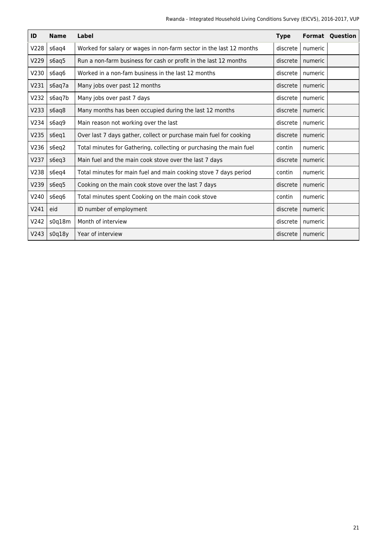| ID               | <b>Name</b> | <b>Label</b>                                                        | <b>Type</b> | Format  | Question |
|------------------|-------------|---------------------------------------------------------------------|-------------|---------|----------|
| V228             | s6aq4       | Worked for salary or wages in non-farm sector in the last 12 months | discrete    | numeric |          |
| V229             | s6aq5       | Run a non-farm business for cash or profit in the last 12 months    | discrete    | numeric |          |
| V230             | s6aq6       | Worked in a non-fam business in the last 12 months                  | discrete    | numeric |          |
| V231             | s6aq7a      | Many jobs over past 12 months                                       | discrete    | numeric |          |
| V232             | s6aq7b      | Many jobs over past 7 days                                          | discrete    | numeric |          |
| V233             | s6aq8       | Many months has been occupied during the last 12 months             | discrete    | numeric |          |
| V234             | s6aq9       | Main reason not working over the last                               | discrete    | numeric |          |
| V <sub>235</sub> | s6eq1       | Over last 7 days gather, collect or purchase main fuel for cooking  | discrete    | numeric |          |
| V236             | s6eq2       | Total minutes for Gathering, collecting or purchasing the main fuel | contin      | numeric |          |
| V237             | s6eq3       | Main fuel and the main cook stove over the last 7 days              | discrete    | numeric |          |
| V238             | s6eq4       | Total minutes for main fuel and main cooking stove 7 days period    | contin      | numeric |          |
| V239             | s6eq5       | Cooking on the main cook stove over the last 7 days                 | discrete    | numeric |          |
| V240             | s6eq6       | Total minutes spent Cooking on the main cook stove                  | contin      | numeric |          |
| V241             | eid         | ID number of employment                                             | discrete    | numeric |          |
| V242             | s0q18m      | Month of interview                                                  | discrete    | numeric |          |
| V243             | s0q18y      | Year of interview                                                   | discrete    | numeric |          |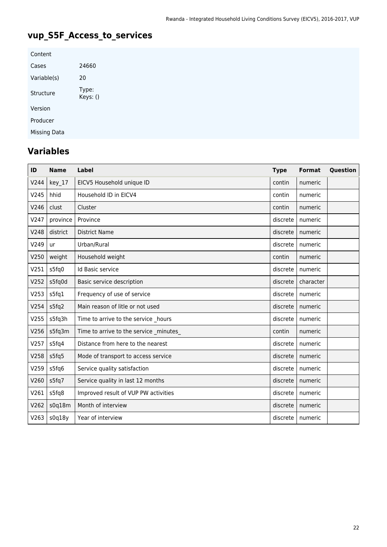# **vup\_S5F\_Access\_to\_services**

| Content      |                   |
|--------------|-------------------|
| Cases        | 24660             |
| Variable(s)  | 20                |
| Structure    | Type:<br>Keys: () |
| Version      |                   |
| Producer     |                   |
| Missing Data |                   |

| ID   | <b>Name</b> | Label                                   | <b>Type</b> | Format    | Question |
|------|-------------|-----------------------------------------|-------------|-----------|----------|
| V244 | key 17      | EICV5 Household unique ID               | contin      | numeric   |          |
| V245 | hhid        | Household ID in EICV4                   | contin      | numeric   |          |
| V246 | clust       | Cluster                                 | contin      | numeric   |          |
| V247 | province    | Province                                | discrete    | numeric   |          |
| V248 | district    | <b>District Name</b>                    | discrete    | numeric   |          |
| V249 | ur          | Urban/Rural                             | discrete    | numeric   |          |
| V250 | weight      | Household weight                        | contin      | numeric   |          |
| V251 | s5fq0       | Id Basic service                        | discrete    | numeric   |          |
| V252 | s5fq0d      | Basic service description               | discrete    | character |          |
| V253 | s5fq1       | Frequency of use of service             | discrete    | numeric   |          |
| V254 | s5fq2       | Main reason of litle or not used        | discrete    | numeric   |          |
| V255 | s5fq3h      | Time to arrive to the service _hours    | discrete    | numeric   |          |
| V256 | s5fq3m      | Time to arrive to the service _minutes_ | contin      | numeric   |          |
| V257 | s5fq4       | Distance from here to the nearest       | discrete    | numeric   |          |
| V258 | s5fq5       | Mode of transport to access service     | discrete    | numeric   |          |
| V259 | s5fq6       | Service quality satisfaction            | discrete    | numeric   |          |
| V260 | s5fq7       | Service quality in last 12 months       | discrete    | numeric   |          |
| V261 | s5fq8       | Improved result of VUP PW activities    | discrete    | numeric   |          |
| V262 | s0q18m      | Month of interview                      | discrete    | numeric   |          |
| V263 | s0q18y      | Year of interview                       | discrete    | numeric   |          |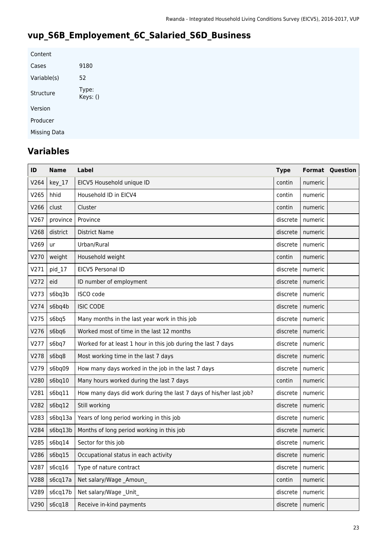# **vup\_S6B\_Employement\_6C\_Salaried\_S6D\_Business**

| Content      |                   |
|--------------|-------------------|
| Cases        | 9180              |
| Variable(s)  | 52                |
| Structure    | Type:<br>Keys: () |
| Version      |                   |
| Producer     |                   |
| Missing Data |                   |

| ID   | <b>Name</b>   | Label                                                              | <b>Type</b> |                    | <b>Format Question</b> |
|------|---------------|--------------------------------------------------------------------|-------------|--------------------|------------------------|
| V264 | key 17        | EICV5 Household unique ID                                          | contin      | numeric            |                        |
| V265 | hhid          | Household ID in EICV4                                              | contin      | numeric            |                        |
| V266 | clust         | Cluster                                                            | contin      | numeric            |                        |
| V267 | province      | Province                                                           | discrete    | numeric            |                        |
| V268 | district      | District Name                                                      | discrete    | numeric            |                        |
| V269 | ur            | Urban/Rural                                                        | discrete    | numeric            |                        |
| V270 | weight        | Household weight                                                   | contin      | numeric            |                        |
| V271 | pid 17        | EICV5 Personal ID                                                  | discrete    | numeric            |                        |
| V272 | eid           | ID number of employment                                            | discrete    | numeric            |                        |
| V273 | s6bq3b        | <b>ISCO</b> code                                                   | discrete    | numeric            |                        |
| V274 | s6bq4b        | <b>ISIC CODE</b>                                                   | discrete    | numeric            |                        |
| V275 | s6bq5         | Many months in the last year work in this job                      | discrete    | numeric            |                        |
| V276 | s6bq6         | Worked most of time in the last 12 months                          | discrete    | numeric            |                        |
| V277 | s6bq7         | Worked for at least 1 hour in this job during the last 7 days      | discrete    | numeric            |                        |
| V278 | s6bq8         | Most working time in the last 7 days                               | discrete    | numeric            |                        |
| V279 | s6bq09        | How many days worked in the job in the last 7 days                 | discrete    | numeric            |                        |
| V280 | s6bq10        | Many hours worked during the last 7 days                           | contin      | numeric            |                        |
| V281 | s6bq11        | How many days did work during the last 7 days of his/her last job? | discrete    | numeric            |                        |
| V282 | s6bq12        | Still working                                                      | discrete    | numeric            |                        |
| V283 | s6bq13a       | Years of long period working in this job                           | discrete    | numeric            |                        |
| V284 | s6bq13b       | Months of long period working in this job                          | discrete    | numeric            |                        |
| V285 | s6bq14        | Sector for this job                                                | discrete    | numeric            |                        |
|      | $V286$ s6bq15 | Occupational status in each activity                               |             | discrete   numeric |                        |
| V287 | s6cq16        | Type of nature contract                                            | discrete    | numeric            |                        |
| V288 | s6cq17a       | Net salary/Wage Amoun                                              | contin      | numeric            |                        |
| V289 | s6cq17b       | Net salary/Wage_Unit_                                              | discrete    | numeric            |                        |
| V290 | s6cq18        | Receive in-kind payments                                           | discrete    | numeric            |                        |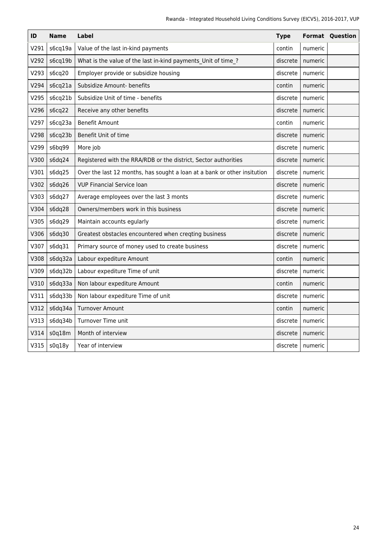| ID   | <b>Name</b> | Label                                                                    | <b>Type</b> |         | <b>Format Question</b> |
|------|-------------|--------------------------------------------------------------------------|-------------|---------|------------------------|
| V291 | s6cq19a     | Value of the last in-kind payments                                       | contin      | numeric |                        |
| V292 | s6cq19b     | What is the value of the last in-kind payments_Unit of time_?            | discrete    | numeric |                        |
| V293 | s6cq20      | Employer provide or subsidize housing                                    | discrete    | numeric |                        |
| V294 | s6cq21a     | Subsidize Amount- benefits                                               | contin      | numeric |                        |
| V295 | s6cq21b     | Subsidize Unit of time - benefits                                        | discrete    | numeric |                        |
| V296 | s6cq22      | Receive any other benefits                                               | discrete    | numeric |                        |
| V297 | s6cq23a     | <b>Benefit Amount</b>                                                    | contin      | numeric |                        |
| V298 | s6cq23b     | Benefit Unit of time                                                     | discrete    | numeric |                        |
| V299 | s6bq99      | More job                                                                 | discrete    | numeric |                        |
| V300 | s6dq24      | Registered with the RRA/RDB or the district, Sector authorities          | discrete    | numeric |                        |
| V301 | s6dq25      | Over the last 12 months, has sought a loan at a bank or other insitution | discrete    | numeric |                        |
| V302 | s6dq26      | <b>VUP Financial Service loan</b>                                        | discrete    | numeric |                        |
| V303 | s6dq27      | Average employees over the last 3 monts                                  | discrete    | numeric |                        |
| V304 | s6dq28      | Owners/members work in this business                                     | discrete    | numeric |                        |
| V305 | s6dq29      | Maintain accounts egularly                                               | discrete    | numeric |                        |
| V306 | s6dq30      | Greatest obstacles encountered when creqting business                    | discrete    | numeric |                        |
| V307 | s6dq31      | Primary source of money used to create business                          | discrete    | numeric |                        |
| V308 | s6dq32a     | Labour expediture Amount                                                 | contin      | numeric |                        |
| V309 | s6dq32b     | Labour expediture Time of unit                                           | discrete    | numeric |                        |
| V310 | s6dq33a     | Non labour expediture Amount                                             | contin      | numeric |                        |
| V311 | s6dq33b     | Non labour expediture Time of unit                                       | discrete    | numeric |                        |
| V312 | s6dq34a     | <b>Turnover Amount</b>                                                   | contin      | numeric |                        |
| V313 | s6dq34b     | Turnover Time unit                                                       | discrete    | numeric |                        |
| V314 | s0q18m      | Month of interview                                                       | discrete    | numeric |                        |
| V315 | s0q18y      | Year of interview                                                        | discrete    | numeric |                        |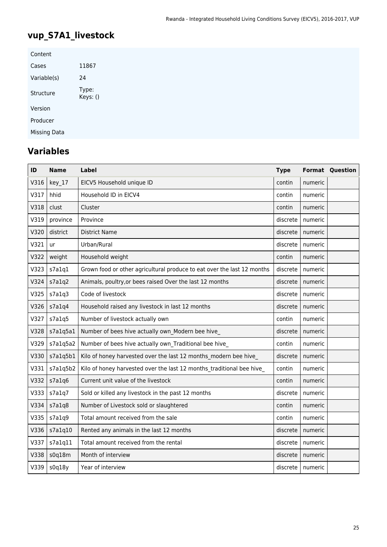# **vup\_S7A1\_livestock**

| Content      |                   |
|--------------|-------------------|
| Cases        | 11867             |
| Variable(s)  | 24                |
| Structure    | Type:<br>Keys: () |
| Version      |                   |
| Producer     |                   |
| Missing Data |                   |

| ID   | <b>Name</b> | <b>Label</b>                                                            | <b>Type</b> |         | <b>Format Question</b> |
|------|-------------|-------------------------------------------------------------------------|-------------|---------|------------------------|
| V316 | key_17      | EICV5 Household unique ID                                               | contin      | numeric |                        |
| V317 | hhid        | Household ID in EICV4                                                   | contin      | numeric |                        |
| V318 | clust       | Cluster                                                                 | contin      | numeric |                        |
| V319 | province    | Province                                                                | discrete    | numeric |                        |
| V320 | district    | <b>District Name</b>                                                    | discrete    | numeric |                        |
| V321 | ur          | Urban/Rural                                                             | discrete    | numeric |                        |
| V322 | weight      | Household weight                                                        | contin      | numeric |                        |
| V323 | s7a1q1      | Grown food or other agricultural produce to eat over the last 12 months | discrete    | numeric |                        |
| V324 | s7a1q2      | Animals, poultry, or bees raised Over the last 12 months                | discrete    | numeric |                        |
| V325 | s7a1q3      | Code of livestock                                                       | discrete    | numeric |                        |
| V326 | s7a1q4      | Household raised any livestock in last 12 months                        | discrete    | numeric |                        |
| V327 | s7a1q5      | Number of livestock actually own                                        | contin      | numeric |                        |
| V328 | s7a1q5a1    | Number of bees hive actually own Modern bee hive                        | discrete    | numeric |                        |
| V329 | s7a1q5a2    | Number of bees hive actually own_Traditional bee hive_                  | contin      | numeric |                        |
| V330 | s7a1q5b1    | Kilo of honey harvested over the last 12 months modern bee hive         | discrete    | numeric |                        |
| V331 | s7a1q5b2    | Kilo of honey harvested over the last 12 months traditional bee hive    | contin      | numeric |                        |
| V332 | s7a1q6      | Current unit value of the livestock                                     | contin      | numeric |                        |
| V333 | s7a1q7      | Sold or killed any livestock in the past 12 months                      | discrete    | numeric |                        |
| V334 | s7a1q8      | Number of Livestock sold or slaughtered                                 | contin      | numeric |                        |
| V335 | s7a1q9      | Total amount received from the sale                                     | contin      | numeric |                        |
| V336 | s7a1q10     | Rented any animals in the last 12 months                                | discrete    | numeric |                        |
| V337 | s7a1q11     | Total amount received from the rental                                   | discrete    | numeric |                        |
| V338 | s0q18m      | Month of interview                                                      | discrete    | numeric |                        |
| V339 | s0q18y      | Year of interview                                                       | discrete    | numeric |                        |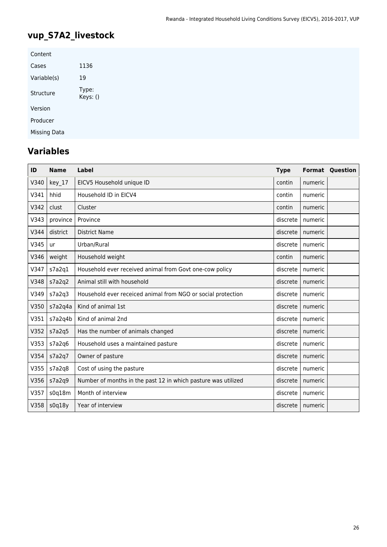# **vup\_S7A2\_livestock**

| Content             |                   |
|---------------------|-------------------|
| Cases               | 1136              |
| Variable(s)         | 19                |
| Structure           | Type:<br>Keys: () |
| Version             |                   |
| Producer            |                   |
| <b>Missing Data</b> |                   |

| ID   | <b>Name</b> | Label                                                         | <b>Type</b> |         | <b>Format Question</b> |
|------|-------------|---------------------------------------------------------------|-------------|---------|------------------------|
| V340 | key_17      | EICV5 Household unique ID                                     | contin      | numeric |                        |
| V341 | hhid        | Household ID in EICV4                                         | contin      | numeric |                        |
| V342 | clust       | Cluster                                                       | contin      | numeric |                        |
| V343 | province    | Province                                                      | discrete    | numeric |                        |
| V344 | district    | District Name                                                 | discrete    | numeric |                        |
| V345 | ur          | Urban/Rural                                                   | discrete    | numeric |                        |
| V346 | weight      | Household weight                                              | contin      | numeric |                        |
| V347 | s7a2q1      | Household ever received animal from Govt one-cow policy       | discrete    | numeric |                        |
| V348 | s7a2q2      | Animal still with household                                   | discrete    | numeric |                        |
| V349 | s7a2q3      | Household ever receiced animal from NGO or social protection  | discrete    | numeric |                        |
| V350 | s7a2q4a     | Kind of animal 1st                                            | discrete    | numeric |                        |
| V351 | s7a2q4b     | Kind of animal 2nd                                            | discrete    | numeric |                        |
| V352 | s7a2q5      | Has the number of animals changed                             | discrete    | numeric |                        |
| V353 | s7a2q6      | Household uses a maintained pasture                           | discrete    | numeric |                        |
| V354 | s7a2q7      | Owner of pasture                                              | discrete    | numeric |                        |
| V355 | s7a2q8      | Cost of using the pasture                                     | discrete    | numeric |                        |
| V356 | s7a2q9      | Number of months in the past 12 in which pasture was utilized | discrete    | numeric |                        |
| V357 | s0q18m      | Month of interview                                            | discrete    | numeric |                        |
| V358 | s0q18y      | Year of interview                                             | discrete    | numeric |                        |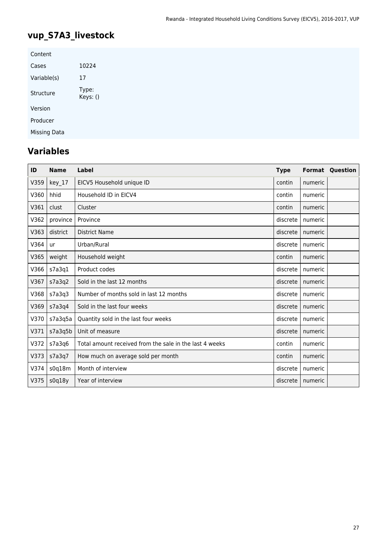# **vup\_S7A3\_livestock**

| Content             |                   |
|---------------------|-------------------|
| Cases               | 10224             |
| Variable(s)         | 17                |
| Structure           | Type:<br>Keys: () |
| Version             |                   |
| Producer            |                   |
| <b>Missing Data</b> |                   |

| ID   | <b>Name</b> | Label                                                   | <b>Type</b> |         | <b>Format Question</b> |
|------|-------------|---------------------------------------------------------|-------------|---------|------------------------|
| V359 | key 17      | EICV5 Household unique ID                               | contin      | numeric |                        |
| V360 | hhid        | Household ID in EICV4                                   | contin      | numeric |                        |
| V361 | clust       | Cluster                                                 | contin      | numeric |                        |
| V362 | province    | Province                                                | discrete    | numeric |                        |
| V363 | district    | <b>District Name</b>                                    | discrete    | numeric |                        |
| V364 | ur          | Urban/Rural                                             | discrete    | numeric |                        |
| V365 | weight      | Household weight                                        | contin      | numeric |                        |
| V366 | s7a3q1      | Product codes                                           | discrete    | numeric |                        |
| V367 | s7a3q2      | Sold in the last 12 months                              | discrete    | numeric |                        |
| V368 | s7a3q3      | Number of months sold in last 12 months                 | discrete    | numeric |                        |
| V369 | s7a3q4      | Sold in the last four weeks                             | discrete    | numeric |                        |
| V370 | s7a3q5a     | Quantity sold in the last four weeks                    | discrete    | numeric |                        |
| V371 | s7a3q5b     | Unit of measure                                         | discrete    | numeric |                        |
| V372 | s7a3q6      | Total amount received from the sale in the last 4 weeks | contin      | numeric |                        |
| V373 | s7a3q7      | How much on average sold per month                      | contin      | numeric |                        |
| V374 | s0q18m      | Month of interview                                      | discrete    | numeric |                        |
| V375 | s0q18y      | Year of interview                                       | discrete    | numeric |                        |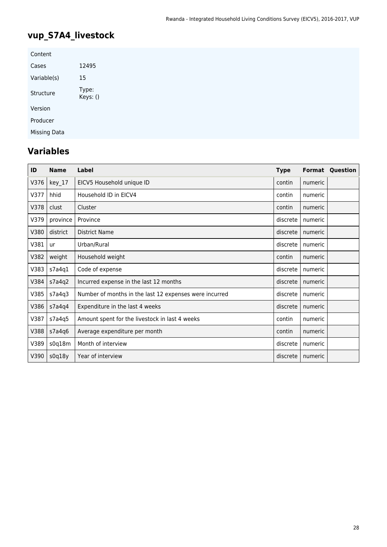# **vup\_S7A4\_livestock**

| Content      |                   |
|--------------|-------------------|
| Cases        | 12495             |
| Variable(s)  | 15                |
| Structure    | Type:<br>Keys: () |
| Version      |                   |
| Producer     |                   |
| Missing Data |                   |

| ID   | <b>Name</b> | Label                                                  | <b>Type</b> | Format  | Question |
|------|-------------|--------------------------------------------------------|-------------|---------|----------|
| V376 | key_17      | EICV5 Household unique ID                              | contin      | numeric |          |
| V377 | hhid        | Household ID in EICV4                                  | contin      | numeric |          |
| V378 | clust       | Cluster                                                | contin      | numeric |          |
| V379 | province    | Province                                               | discrete    | numeric |          |
| V380 | district    | District Name                                          | discrete    | numeric |          |
| V381 | ur          | Urban/Rural                                            | discrete    | numeric |          |
| V382 | weight      | Household weight                                       | contin      | numeric |          |
| V383 | s7a4q1      | Code of expense                                        | discrete    | numeric |          |
| V384 | s7a4q2      | Incurred expense in the last 12 months                 | discrete    | numeric |          |
| V385 | s7a4q3      | Number of months in the last 12 expenses were incurred | discrete    | numeric |          |
| V386 | s7a4q4      | Expenditure in the last 4 weeks                        | discrete    | numeric |          |
| V387 | s7a4q5      | Amount spent for the livestock in last 4 weeks         | contin      | numeric |          |
| V388 | s7a4q6      | Average expenditure per month                          | contin      | numeric |          |
| V389 | s0q18m      | Month of interview                                     | discrete    | numeric |          |
| V390 | s0q18y      | Year of interview                                      | discrete    | numeric |          |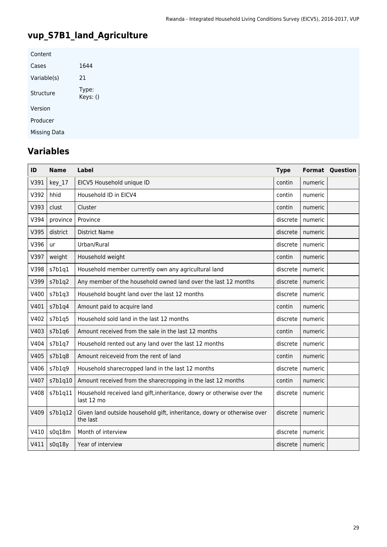# **vup\_S7B1\_land\_Agriculture**

| Content      |                   |
|--------------|-------------------|
| Cases        | 1644              |
| Variable(s)  | 21                |
| Structure    | Type:<br>Keys: () |
| Version      |                   |
| Producer     |                   |
| Missing Data |                   |

| ID   | <b>Name</b> | <b>Label</b>                                                                         | <b>Type</b> |                    | <b>Format Question</b> |
|------|-------------|--------------------------------------------------------------------------------------|-------------|--------------------|------------------------|
| V391 | key 17      | EICV5 Household unique ID                                                            | contin      | numeric            |                        |
| V392 | hhid        | Household ID in EICV4                                                                | contin      | numeric            |                        |
| V393 | clust       | Cluster                                                                              | contin      | numeric            |                        |
| V394 | province    | Province                                                                             | discrete    | numeric            |                        |
| V395 | district    | <b>District Name</b>                                                                 | discrete    | numeric            |                        |
| V396 | ur          | Urban/Rural                                                                          | discrete    | numeric            |                        |
| V397 | weight      | Household weight                                                                     | contin      | numeric            |                        |
| V398 | s7b1q1      | Household member currently own any agricultural land                                 | discrete    | numeric            |                        |
| V399 | s7b1q2      | Any member of the household owned land over the last 12 months                       | discrete    | numeric            |                        |
| V400 | s7b1q3      | Household bought land over the last 12 months                                        | discrete    | numeric            |                        |
| V401 | s7b1q4      | Amount paid to acquire land                                                          | contin      | numeric            |                        |
| V402 | s7b1q5      | Household sold land in the last 12 months                                            | discrete    | numeric            |                        |
| V403 | s7b1q6      | Amount received from the sale in the last 12 months                                  | contin      | numeric            |                        |
| V404 | s7b1q7      | Household rented out any land over the last 12 months                                | discrete    | numeric            |                        |
| V405 | s7b1q8      | Amount reiceveid from the rent of land                                               | contin      | numeric            |                        |
| V406 | s7b1q9      | Household sharecropped land in the last 12 months                                    | discrete    | numeric            |                        |
| V407 | s7b1q10     | Amount received from the sharecropping in the last 12 months                         | contin      | numeric            |                        |
| V408 | s7b1q11     | Household received land gift, inheritance, dowry or otherwise over the<br>last 12 mo | discrete    | numeric            |                        |
| V409 | s7b1q12     | Given land outside household gift, inheritance, dowry or otherwise over<br>the last  | discrete    | numeric            |                        |
| V410 | s0q18m      | Month of interview                                                                   | discrete    | numeric            |                        |
| V411 | s0q18y      | Year of interview                                                                    |             | discrete   numeric |                        |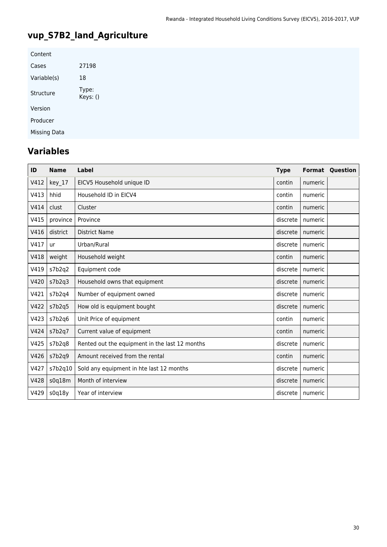# **vup\_S7B2\_land\_Agriculture**

| Content      |                   |
|--------------|-------------------|
| Cases        | 27198             |
| Variable(s)  | 18                |
| Structure    | Type:<br>Keys: () |
| Version      |                   |
| Producer     |                   |
| Missing Data |                   |

| ID   | <b>Name</b> | Label                                          | <b>Type</b> |         | <b>Format Question</b> |
|------|-------------|------------------------------------------------|-------------|---------|------------------------|
| V412 | key 17      | EICV5 Household unique ID                      | contin      | numeric |                        |
| V413 | hhid        | Household ID in EICV4                          | contin      | numeric |                        |
| V414 | clust       | Cluster                                        | contin      | numeric |                        |
| V415 | province    | Province                                       | discrete    | numeric |                        |
| V416 | district    | District Name                                  | discrete    | numeric |                        |
| V417 | ur          | Urban/Rural                                    | discrete    | numeric |                        |
| V418 | weight      | Household weight                               | contin      | numeric |                        |
| V419 | s7b2q2      | Equipment code                                 | discrete    | numeric |                        |
| V420 | s7b2q3      | Household owns that equipment                  | discrete    | numeric |                        |
| V421 | s7b2q4      | Number of equipment owned                      | discrete    | numeric |                        |
| V422 | s7b2q5      | How old is equipment bought                    | discrete    | numeric |                        |
| V423 | s7b2q6      | Unit Price of equipment                        | contin      | numeric |                        |
| V424 | s7b2q7      | Current value of equipment                     | contin      | numeric |                        |
| V425 | s7b2q8      | Rented out the equipment in the last 12 months | discrete    | numeric |                        |
| V426 | s7b2q9      | Amount received from the rental                | contin      | numeric |                        |
| V427 | s7b2q10     | Sold any equipment in hte last 12 months       | discrete    | numeric |                        |
| V428 | s0q18m      | Month of interview                             | discrete    | numeric |                        |
| V429 | s0q18y      | Year of interview                              | discrete    | numeric |                        |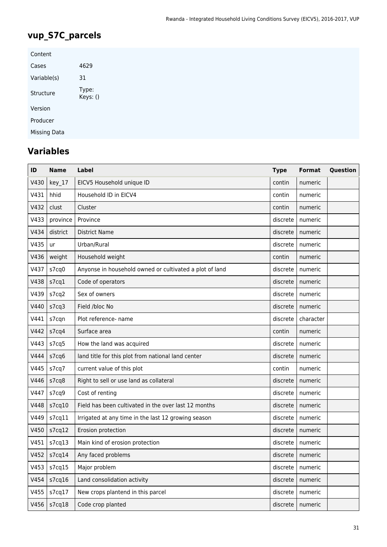# **vup\_S7C\_parcels**

| Content             |                   |
|---------------------|-------------------|
| Cases               | 4629              |
| Variable(s)         | 31                |
| Structure           | Type:<br>Keys: () |
| Version             |                   |
| Producer            |                   |
| <b>Missing Data</b> |                   |

| ID   | <b>Name</b>   | Label                                                   | <b>Type</b> | <b>Format</b>      | Question |
|------|---------------|---------------------------------------------------------|-------------|--------------------|----------|
| V430 | key_17        | EICV5 Household unique ID                               | contin      | numeric            |          |
| V431 | hhid          | Household ID in EICV4                                   | contin      | numeric            |          |
| V432 | clust         | Cluster                                                 | contin      | numeric            |          |
| V433 | province      | Province                                                | discrete    | numeric            |          |
| V434 | district      | <b>District Name</b>                                    | discrete    | numeric            |          |
| V435 | ur            | Urban/Rural                                             | discrete    | numeric            |          |
| V436 | weight        | Household weight                                        | contin      | numeric            |          |
| V437 | s7cq0         | Anyonse in household owned or cultivated a plot of land | discrete    | numeric            |          |
| V438 | s7cq1         | Code of operators                                       | discrete    | numeric            |          |
| V439 | s7cq2         | Sex of owners                                           | discrete    | numeric            |          |
| V440 | s7cq3         | Field /bloc No                                          | discrete    | numeric            |          |
| V441 | s7cqn         | Plot reference- name                                    | discrete    | character          |          |
| V442 | s7cq4         | Surface area                                            | contin      | numeric            |          |
| V443 | s7cq5         | How the land was acquired                               | discrete    | numeric            |          |
| V444 | s7cq6         | land title for this plot from national land center      | discrete    | numeric            |          |
| V445 | s7cq7         | current value of this plot                              | contin      | numeric            |          |
| V446 | s7cq8         | Right to sell or use land as collateral                 | discrete    | numeric            |          |
| V447 | s7cq9         | Cost of renting                                         | discrete    | numeric            |          |
| V448 | s7cq10        | Field has been cultivated in the over last 12 months    | discrete    | numeric            |          |
| V449 | s7cq11        | Irrigated at any time in the last 12 growing season     | discrete    | numeric            |          |
| V450 | s7cq12        | Erosion protection                                      | discrete    | numeric            |          |
| V451 | s7cq13        | Main kind of erosion protection                         | discrete    | numeric            |          |
|      | V452   s7cq14 | Any faced problems                                      |             | discrete   numeric |          |
| V453 | s7cq15        | Major problem                                           | discrete    | numeric            |          |
| V454 | s7cq16        | Land consolidation activity                             | discrete    | numeric            |          |
| V455 | s7cq17        | New crops plantend in this parcel                       | discrete    | numeric            |          |
| V456 | s7cq18        | Code crop planted                                       | discrete    | numeric            |          |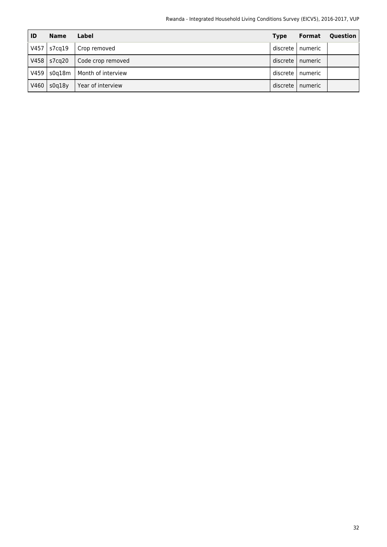| ID   | <b>Name</b>   | Label                       | <b>Type</b> | Format             | Question |
|------|---------------|-----------------------------|-------------|--------------------|----------|
| V457 | s7cq19        | Crop removed                |             | discrete   numeric |          |
|      | V458   s7cq20 | Code crop removed           |             | discrete   numeric |          |
| V459 |               | s0q18m   Month of interview |             | discrete   numeric |          |
| V460 | s0q18y        | Year of interview           |             | discrete   numeric |          |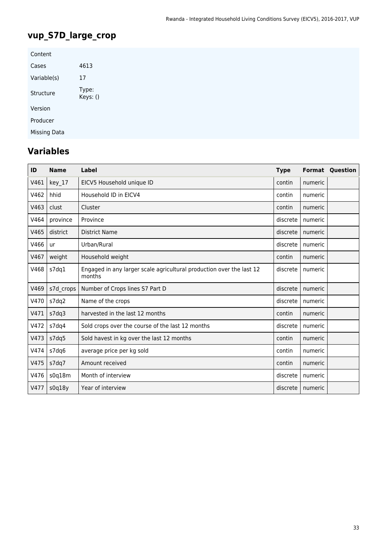# **vup\_S7D\_large\_crop**

| Content      |                   |  |  |
|--------------|-------------------|--|--|
| Cases        | 4613              |  |  |
| Variable(s)  | 17                |  |  |
| Structure    | Type:<br>Keys: () |  |  |
| Version      |                   |  |  |
| Producer     |                   |  |  |
| Missing Data |                   |  |  |

| ID   | <b>Name</b> | Label                                                                          | <b>Type</b> |         | <b>Format Question</b> |
|------|-------------|--------------------------------------------------------------------------------|-------------|---------|------------------------|
| V461 | key 17      | EICV5 Household unique ID                                                      | contin      | numeric |                        |
| V462 | hhid        | Household ID in EICV4                                                          | contin      | numeric |                        |
| V463 | clust       | Cluster                                                                        | contin      | numeric |                        |
| V464 | province    | Province                                                                       | discrete    | numeric |                        |
| V465 | district    | <b>District Name</b>                                                           | discrete    | numeric |                        |
| V466 | ur          | Urban/Rural                                                                    | discrete    | numeric |                        |
| V467 | weight      | Household weight                                                               | contin      | numeric |                        |
| V468 | s7dq1       | Engaged in any larger scale agricultural production over the last 12<br>months | discrete    | numeric |                        |
| V469 | s7d crops   | Number of Crops lines S7 Part D                                                | discrete    | numeric |                        |
| V470 | s7dq2       | Name of the crops                                                              | discrete    | numeric |                        |
| V471 | s7dq3       | harvested in the last 12 months                                                | contin      | numeric |                        |
| V472 | s7dq4       | Sold crops over the course of the last 12 months                               | discrete    | numeric |                        |
| V473 | s7dq5       | Sold havest in kg over the last 12 months                                      | contin      | numeric |                        |
| V474 | s7dq6       | average price per kg sold                                                      | contin      | numeric |                        |
| V475 | s7dq7       | Amount received                                                                | contin      | numeric |                        |
| V476 | s0q18m      | Month of interview                                                             | discrete    | numeric |                        |
| V477 | s0q18y      | Year of interview                                                              | discrete    | numeric |                        |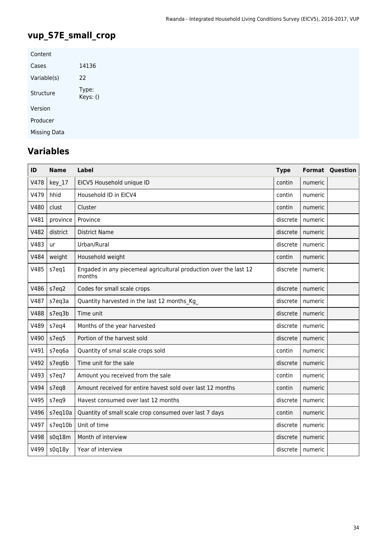# **vup\_S7E\_small\_crop**

| Content      |                   |
|--------------|-------------------|
| Cases        | 14136             |
| Variable(s)  | 22                |
| Structure    | Type:<br>Keys: () |
| Version      |                   |
| Producer     |                   |
| Missing Data |                   |

| ID   | <b>Name</b> | <b>Label</b>                                                                | <b>Type</b> |         | <b>Format Question</b> |
|------|-------------|-----------------------------------------------------------------------------|-------------|---------|------------------------|
| V478 | key 17      | EICV5 Household unique ID                                                   | contin      | numeric |                        |
| V479 | hhid        | Household ID in EICV4                                                       | contin      | numeric |                        |
| V480 | clust       | Cluster                                                                     | contin      | numeric |                        |
| V481 | province    | Province                                                                    | discrete    | numeric |                        |
| V482 | district    | <b>District Name</b>                                                        | discrete    | numeric |                        |
| V483 | ur          | Urban/Rural                                                                 | discrete    | numeric |                        |
| V484 | weight      | Household weight                                                            | contin      | numeric |                        |
| V485 | s7eq1       | Engaded in any piecemeal agricultural production over the last 12<br>months | discrete    | numeric |                        |
| V486 | s7eq2       | Codes for small scale crops                                                 | discrete    | numeric |                        |
| V487 | s7eq3a      | Quantity harvested in the last 12 months Kg                                 | discrete    | numeric |                        |
| V488 | s7eq3b      | Time unit                                                                   | discrete    | numeric |                        |
| V489 | s7eq4       | Months of the year harvested                                                | discrete    | numeric |                        |
| V490 | s7eq5       | Portion of the harvest sold                                                 | discrete    | numeric |                        |
| V491 | s7eq6a      | Quantity of smal scale crops sold                                           | contin      | numeric |                        |
| V492 | s7eq6b      | Time unit for the sale                                                      | discrete    | numeric |                        |
| V493 | s7eq7       | Amount you received from the sale                                           | contin      | numeric |                        |
| V494 | s7eq8       | Amount received for entire havest sold over last 12 months                  | contin      | numeric |                        |
| V495 | s7eq9       | Havest consumed over last 12 months                                         | discrete    | numeric |                        |
| V496 | s7eq10a     | Quantity of small scale crop consumed over last 7 days                      | contin      | numeric |                        |
| V497 | s7eq10b     | Unit of time                                                                | discrete    | numeric |                        |
| V498 | s0q18m      | Month of interview                                                          | discrete    | numeric |                        |
| V499 | s0q18y      | Year of interview                                                           | discrete    | numeric |                        |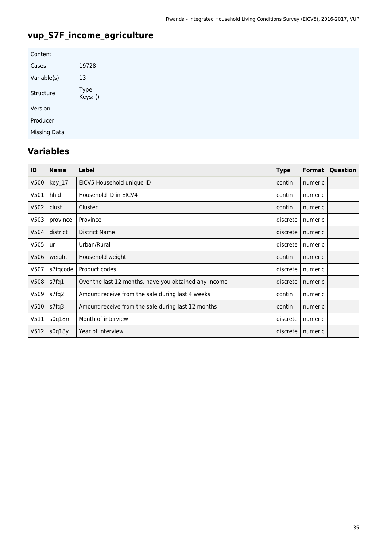# **vup\_S7F\_income\_agriculture**

| Content      |                   |
|--------------|-------------------|
| Cases        | 19728             |
| Variable(s)  | 13                |
| Structure    | Type:<br>Keys: () |
| Version      |                   |
| Producer     |                   |
| Missing Data |                   |

| ID   | <b>Name</b> | Label                                                 | <b>Type</b> | Format  | Question |
|------|-------------|-------------------------------------------------------|-------------|---------|----------|
| V500 | key 17      | EICV5 Household unique ID                             | contin      | numeric |          |
| V501 | hhid        | Household ID in EICV4                                 | contin      | numeric |          |
| V502 | clust       | Cluster                                               | contin      | numeric |          |
| V503 | province    | Province                                              | discrete    | numeric |          |
| V504 | district    | District Name                                         | discrete    | numeric |          |
| V505 | ur          | Urban/Rural                                           | discrete    | numeric |          |
| V506 | weight      | Household weight                                      | contin      | numeric |          |
| V507 | s7fqcode    | Product codes                                         | discrete    | numeric |          |
| V508 | s7fq1       | Over the last 12 months, have you obtained any income | discrete    | numeric |          |
| V509 | s7fq2       | Amount receive from the sale during last 4 weeks      | contin      | numeric |          |
| V510 | s7fq3       | Amount receive from the sale during last 12 months    | contin      | numeric |          |
| V511 | s0q18m      | Month of interview                                    | discrete    | numeric |          |
| V512 | s0q18y      | Year of interview                                     | discrete    | numeric |          |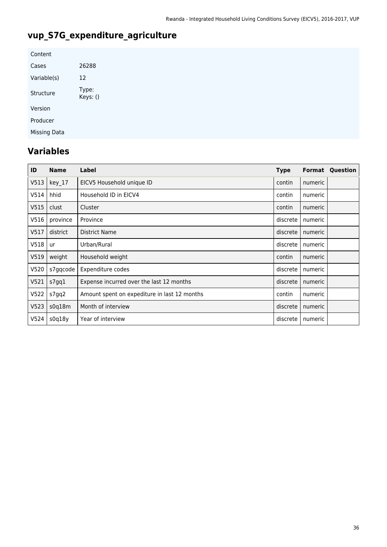# **vup\_S7G\_expenditure\_agriculture**

| Content      |                   |  |
|--------------|-------------------|--|
| Cases        | 26288             |  |
| Variable(s)  | 12                |  |
| Structure    | Type:<br>Keys: () |  |
| Version      |                   |  |
| Producer     |                   |  |
| Missing Data |                   |  |

| ID               | <b>Name</b> | Label                                        | <b>Type</b> | Format  | Question |
|------------------|-------------|----------------------------------------------|-------------|---------|----------|
| V513             | key 17      | EICV5 Household unique ID                    | contin      | numeric |          |
| V514             | hhid        | Household ID in EICV4                        | contin      | numeric |          |
| V <sub>515</sub> | clust       | Cluster                                      | contin      | numeric |          |
| V516             | province    | Province                                     | discrete    | numeric |          |
| V517             | district    | District Name                                | discrete    | numeric |          |
| V518             | ur          | Urban/Rural                                  | discrete    | numeric |          |
| V519             | weight      | Household weight                             | contin      | numeric |          |
| V520             | s7gqcode    | Expenditure codes                            | discrete    | numeric |          |
| V <sub>521</sub> | s7gq1       | Expense incurred over the last 12 months     | discrete    | numeric |          |
| V522             | s7gq2       | Amount spent on expediture in last 12 months | contin      | numeric |          |
| V523             | s0q18m      | Month of interview                           | discrete    | numeric |          |
| V524             | s0q18y      | Year of interview                            | discrete    | numeric |          |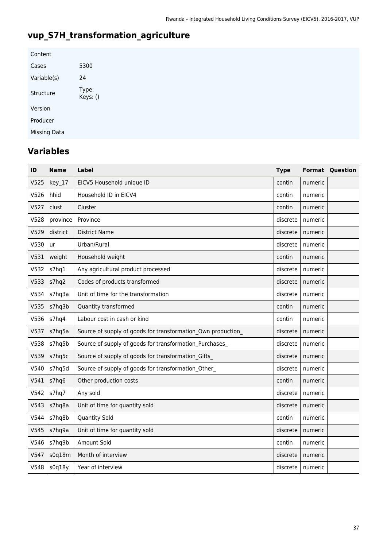# **vup\_S7H\_transformation\_agriculture**

| Content      |                   |
|--------------|-------------------|
| Cases        | 5300              |
| Variable(s)  | 24                |
| Structure    | Type:<br>Keys: () |
| Version      |                   |
| Producer     |                   |
| Missing Data |                   |

| ID   | <b>Name</b> | <b>Label</b>                                                | <b>Type</b> |         | <b>Format Question</b> |
|------|-------------|-------------------------------------------------------------|-------------|---------|------------------------|
| V525 | key 17      | EICV5 Household unique ID                                   | contin      | numeric |                        |
| V526 | hhid        | Household ID in EICV4                                       | contin      | numeric |                        |
| V527 | clust       | Cluster                                                     | contin      | numeric |                        |
| V528 | province    | Province                                                    | discrete    | numeric |                        |
| V529 | district    | <b>District Name</b>                                        | discrete    | numeric |                        |
| V530 | ur          | Urban/Rural                                                 | discrete    | numeric |                        |
| V531 | weight      | Household weight                                            | contin      | numeric |                        |
| V532 | s7hq1       | Any agricultural product processed                          | discrete    | numeric |                        |
| V533 | s7hq2       | Codes of products transformed                               | discrete    | numeric |                        |
| V534 | s7hq3a      | Unit of time for the transformation                         | discrete    | numeric |                        |
| V535 | s7hq3b      | Quantity transformed                                        | contin      | numeric |                        |
| V536 | s7hq4       | Labour cost in cash or kind                                 | contin      | numeric |                        |
| V537 | s7hq5a      | Source of supply of goods for transformation Own production | discrete    | numeric |                        |
| V538 | s7hq5b      | Source of supply of goods for transformation_Purchases_     | discrete    | numeric |                        |
| V539 | s7hq5c      | Source of supply of goods for transformation_Gifts_         | discrete    | numeric |                        |
| V540 | s7hq5d      | Source of supply of goods for transformation Other          | discrete    | numeric |                        |
| V541 | s7hq6       | Other production costs                                      | contin      | numeric |                        |
| V542 | s7hq7       | Any sold                                                    | discrete    | numeric |                        |
| V543 | s7hq8a      | Unit of time for quantity sold                              | discrete    | numeric |                        |
| V544 | s7hq8b      | Quantity Sold                                               | contin      | numeric |                        |
| V545 | s7hq9a      | Unit of time for quantity sold                              | discrete    | numeric |                        |
| V546 | s7hq9b      | Amount Sold                                                 | contin      | numeric |                        |
| V547 | s0q18m      | Month of interview                                          | discrete    | numeric |                        |
| V548 | s0q18y      | Year of interview                                           | discrete    | numeric |                        |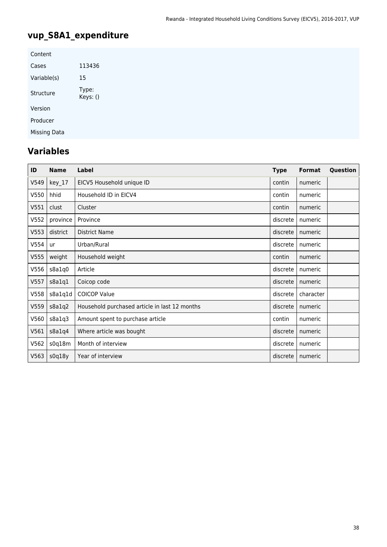# **vup\_S8A1\_expenditure**

| Content      |                   |
|--------------|-------------------|
| Cases        | 113436            |
| Variable(s)  | 15                |
| Structure    | Type:<br>Keys: () |
| Version      |                   |
| Producer     |                   |
| Missing Data |                   |

| ID               | <b>Name</b> | <b>Label</b>                                  | <b>Type</b> | <b>Format</b> | Question |
|------------------|-------------|-----------------------------------------------|-------------|---------------|----------|
| V549             | key_17      | EICV5 Household unique ID                     | contin      | numeric       |          |
| V550             | hhid        | Household ID in EICV4                         | contin      | numeric       |          |
| V551             | clust       | Cluster                                       | contin      | numeric       |          |
| V552             | province    | Province                                      | discrete    | numeric       |          |
| V <sub>553</sub> | district    | <b>District Name</b>                          | discrete    | numeric       |          |
| V554             | ur          | Urban/Rural                                   | discrete    | numeric       |          |
| V555             | weight      | Household weight                              | contin      | numeric       |          |
| V556             | s8a1q0      | Article                                       | discrete    | numeric       |          |
| V557             | s8a1q1      | Coicop code                                   | discrete    | numeric       |          |
| V558             | s8a1q1d     | <b>COICOP Value</b>                           | discrete    | character     |          |
| V559             | s8a1q2      | Household purchased article in last 12 months | discrete    | numeric       |          |
| V560             | s8a1q3      | Amount spent to purchase article              | contin      | numeric       |          |
| V561             | s8a1q4      | Where article was bought                      | discrete    | numeric       |          |
| V562             | s0q18m      | Month of interview                            | discrete    | numeric       |          |
| V563             | s0q18y      | Year of interview                             | discrete    | numeric       |          |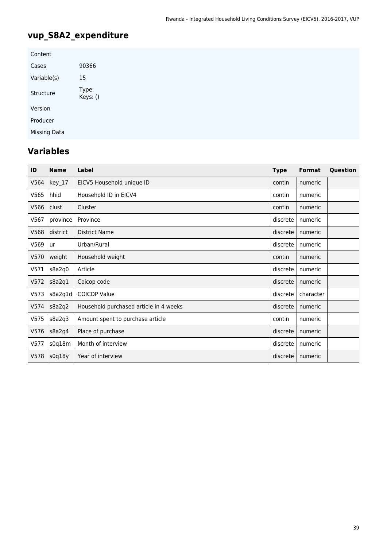# **vup\_S8A2\_expenditure**

| Content             |                   |
|---------------------|-------------------|
| Cases               | 90366             |
| Variable(s)         | 15                |
| Structure           | Type:<br>Keys: () |
| Version             |                   |
| Producer            |                   |
| <b>Missing Data</b> |                   |

| ID   | <b>Name</b> | Label                                  | <b>Type</b> | <b>Format</b> | Question |
|------|-------------|----------------------------------------|-------------|---------------|----------|
| V564 | key_17      | EICV5 Household unique ID              | contin      | numeric       |          |
| V565 | hhid        | Household ID in EICV4                  | contin      | numeric       |          |
| V566 | clust       | Cluster                                | contin      | numeric       |          |
| V567 | province    | Province                               | discrete    | numeric       |          |
| V568 | district    | <b>District Name</b>                   | discrete    | numeric       |          |
| V569 | ur          | Urban/Rural                            | discrete    | numeric       |          |
| V570 | weight      | Household weight                       | contin      | numeric       |          |
| V571 | s8a2q0      | Article                                | discrete    | numeric       |          |
| V572 | s8a2q1      | Coicop code                            | discrete    | numeric       |          |
| V573 | s8a2q1d     | <b>COICOP Value</b>                    | discrete    | character     |          |
| V574 | s8a2q2      | Household purchased article in 4 weeks | discrete    | numeric       |          |
| V575 | s8a2q3      | Amount spent to purchase article       | contin      | numeric       |          |
| V576 | s8a2q4      | Place of purchase                      | discrete    | numeric       |          |
| V577 | s0q18m      | Month of interview                     | discrete    | numeric       |          |
| V578 | s0q18y      | Year of interview                      | discrete    | numeric       |          |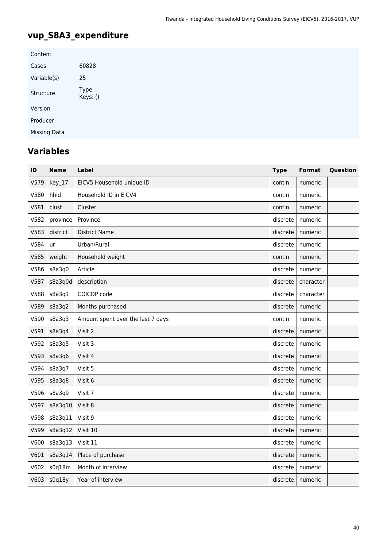# **vup\_S8A3\_expenditure**

| Content             |                   |
|---------------------|-------------------|
| Cases               | 60828             |
| Variable(s)         | 25                |
| Structure           | Type:<br>Keys: () |
| Version             |                   |
| Producer            |                   |
| <b>Missing Data</b> |                   |

| ID   | <b>Name</b> | <b>Label</b>                      | <b>Type</b> | <b>Format</b> | Question |
|------|-------------|-----------------------------------|-------------|---------------|----------|
| V579 | key_17      | EICV5 Household unique ID         | contin      | numeric       |          |
| V580 | hhid        | Household ID in EICV4             | contin      | numeric       |          |
| V581 | clust       | Cluster                           | contin      | numeric       |          |
| V582 | province    | Province                          | discrete    | numeric       |          |
| V583 | district    | <b>District Name</b>              | discrete    | numeric       |          |
| V584 | ur          | Urban/Rural                       | discrete    | numeric       |          |
| V585 | weight      | Household weight                  | contin      | numeric       |          |
| V586 | s8a3q0      | Article                           | discrete    | numeric       |          |
| V587 | s8a3q0d     | description                       | discrete    | character     |          |
| V588 | s8a3q1      | COICOP code                       | discrete    | character     |          |
| V589 | s8a3q2      | Months purchased                  | discrete    | numeric       |          |
| V590 | s8a3q3      | Amount spent over the last 7 days | contin      | numeric       |          |
| V591 | s8a3q4      | Visit 2                           | discrete    | numeric       |          |
| V592 | s8a3q5      | Visit 3                           | discrete    | numeric       |          |
| V593 | s8a3q6      | Visit 4                           | discrete    | numeric       |          |
| V594 | s8a3q7      | Visit 5                           | discrete    | numeric       |          |
| V595 | s8a3q8      | Visit 6                           | discrete    | numeric       |          |
| V596 | s8a3q9      | Visit 7                           | discrete    | numeric       |          |
| V597 | s8a3q10     | Visit 8                           | discrete    | numeric       |          |
| V598 | s8a3q11     | Visit 9                           | discrete    | numeric       |          |
| V599 | s8a3q12     | Visit 10                          | discrete    | numeric       |          |
| V600 | s8a3q13     | Visit 11                          | discrete    | numeric       |          |
| V601 | s8a3q14     | Place of purchase                 | discrete    | numeric       |          |
| V602 | s0q18m      | Month of interview                | discrete    | numeric       |          |
| V603 | s0q18y      | Year of interview                 | discrete    | numeric       |          |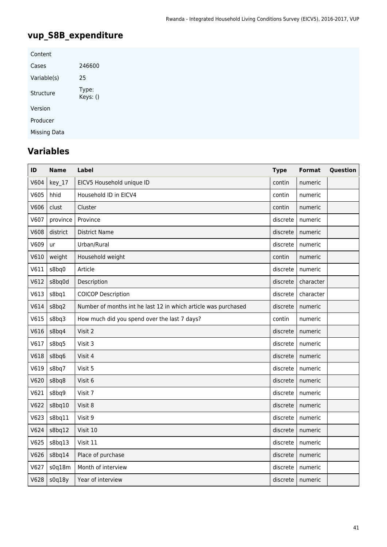# **vup\_S8B\_expenditure**

| Content             |                   |
|---------------------|-------------------|
| Cases               | 246600            |
| Variable(s)         | 25                |
| Structure           | Type:<br>Keys: () |
| Version             |                   |
| Producer            |                   |
| <b>Missing Data</b> |                   |

| ID   | <b>Name</b> | Label                                                          | <b>Type</b> | <b>Format</b> | Question |
|------|-------------|----------------------------------------------------------------|-------------|---------------|----------|
| V604 | key_17      | EICV5 Household unique ID                                      | contin      | numeric       |          |
| V605 | hhid        | Household ID in EICV4                                          | contin      | numeric       |          |
| V606 | clust       | Cluster                                                        | contin      | numeric       |          |
| V607 | province    | Province                                                       | discrete    | numeric       |          |
| V608 | district    | <b>District Name</b>                                           | discrete    | numeric       |          |
| V609 | ur          | Urban/Rural                                                    | discrete    | numeric       |          |
| V610 | weight      | Household weight                                               | contin      | numeric       |          |
| V611 | s8bq0       | Article                                                        | discrete    | numeric       |          |
| V612 | s8bq0d      | Description                                                    | discrete    | character     |          |
| V613 | s8bq1       | <b>COICOP Description</b>                                      | discrete    | character     |          |
| V614 | s8bq2       | Number of months int he last 12 in which article was purchased | discrete    | numeric       |          |
| V615 | s8bq3       | How much did you spend over the last 7 days?                   | contin      | numeric       |          |
| V616 | s8bq4       | Visit 2                                                        | discrete    | numeric       |          |
| V617 | s8bq5       | Visit 3                                                        | discrete    | numeric       |          |
| V618 | s8bq6       | Visit 4                                                        | discrete    | numeric       |          |
| V619 | s8bq7       | Visit 5                                                        | discrete    | numeric       |          |
| V620 | s8bq8       | Visit 6                                                        | discrete    | numeric       |          |
| V621 | s8bq9       | Visit 7                                                        | discrete    | numeric       |          |
| V622 | s8bq10      | Visit 8                                                        | discrete    | numeric       |          |
| V623 | s8bq11      | Visit 9                                                        | discrete    | numeric       |          |
| V624 | s8bq12      | Visit 10                                                       | discrete    | numeric       |          |
| V625 | s8bq13      | Visit 11                                                       | discrete    | numeric       |          |
| V626 | s8bq14      | Place of purchase                                              | discrete    | numeric       |          |
| V627 | s0q18m      | Month of interview                                             | discrete    | numeric       |          |
| V628 | s0q18y      | Year of interview                                              | discrete    | numeric       |          |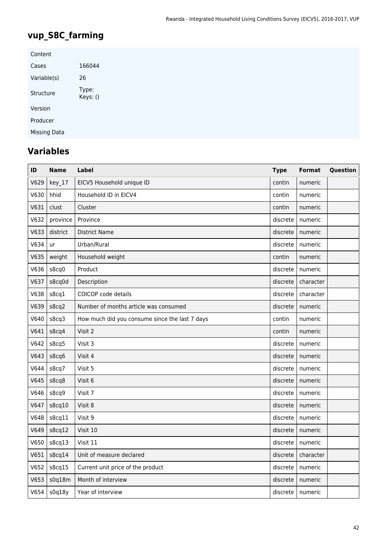# **vup\_S8C\_farming**

| Content             |                   |  |  |
|---------------------|-------------------|--|--|
| Cases               | 166044            |  |  |
| Variable(s)         | 26                |  |  |
| Structure           | Type:<br>Keys: () |  |  |
| Version             |                   |  |  |
| Producer            |                   |  |  |
| <b>Missing Data</b> |                   |  |  |

| ID   | <b>Name</b> | Label                                          | <b>Type</b> | <b>Format</b>      | Question |
|------|-------------|------------------------------------------------|-------------|--------------------|----------|
| V629 | key 17      | EICV5 Household unique ID                      | contin      | numeric            |          |
| V630 | hhid        | Household ID in EICV4                          | contin      | numeric            |          |
| V631 | clust       | Cluster                                        | contin      | numeric            |          |
| V632 | province    | Province                                       | discrete    | numeric            |          |
| V633 | district    | <b>District Name</b>                           | discrete    | numeric            |          |
| V634 | ur          | Urban/Rural                                    | discrete    | numeric            |          |
| V635 | weight      | Household weight                               | contin      | numeric            |          |
| V636 | s8cq0       | Product                                        | discrete    | numeric            |          |
| V637 | s8cq0d      | Description                                    | discrete    | character          |          |
| V638 | s8cq1       | COICOP code details                            | discrete    | character          |          |
| V639 | s8cq2       | Number of months article was consumed          | discrete    | numeric            |          |
| V640 | s8cq3       | How much did you consume since the last 7 days | contin      | numeric            |          |
| V641 | s8cq4       | Visit 2                                        | contin      | numeric            |          |
| V642 | s8cq5       | Visit 3                                        | discrete    | numeric            |          |
| V643 | s8cq6       | Visit 4                                        | discrete    | numeric            |          |
| V644 | s8cq7       | Visit 5                                        | discrete    | numeric            |          |
| V645 | s8cq8       | Visit 6                                        | discrete    | numeric            |          |
| V646 | s8cq9       | Visit 7                                        | discrete    | numeric            |          |
| V647 | s8cq10      | Visit 8                                        | discrete    | numeric            |          |
| V648 | s8cq11      | Visit 9                                        | discrete    | numeric            |          |
| V649 | s8cq12      | Visit 10                                       | discrete    | numeric            |          |
| V650 | s8cq13      | Visit 11                                       | discrete    | numeric            |          |
| V651 | s8cq14      | Unit of measure declared                       | discrete    | character          |          |
| V652 | s8cq15      | Current unit price of the product              | discrete    | numeric            |          |
| V653 | s0q18m      | Month of interview                             | discrete    | numeric            |          |
| V654 | s0q18y      | Year of interview                              |             | discrete   numeric |          |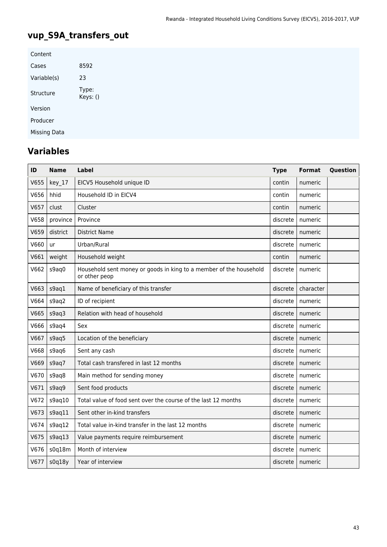# **vup\_S9A\_transfers\_out**

| Content             |                   |  |
|---------------------|-------------------|--|
| Cases               | 8592              |  |
| Variable(s)         | 23                |  |
| Structure           | Type:<br>Keys: () |  |
| Version             |                   |  |
| Producer            |                   |  |
| <b>Missing Data</b> |                   |  |

| ID   | <b>Name</b> | <b>Label</b>                                                                        | <b>Type</b> | <b>Format</b> | Question |
|------|-------------|-------------------------------------------------------------------------------------|-------------|---------------|----------|
| V655 | key 17      | EICV5 Household unique ID                                                           | contin      | numeric       |          |
| V656 | hhid        | Household ID in EICV4                                                               | contin      | numeric       |          |
| V657 | clust       | Cluster                                                                             | contin      | numeric       |          |
| V658 | province    | Province                                                                            | discrete    | numeric       |          |
| V659 | district    | <b>District Name</b>                                                                | discrete    | numeric       |          |
| V660 | ur          | Urban/Rural                                                                         | discrete    | numeric       |          |
| V661 | weight      | Household weight                                                                    | contin      | numeric       |          |
| V662 | s9aq0       | Household sent money or goods in king to a member of the household<br>or other peop | discrete    | numeric       |          |
| V663 | s9aq1       | Name of beneficiary of this transfer                                                | discrete    | character     |          |
| V664 | s9aq2       | ID of recipient                                                                     | discrete    | numeric       |          |
| V665 | s9aq3       | Relation with head of household                                                     | discrete    | numeric       |          |
| V666 | s9aq4       | Sex                                                                                 | discrete    | numeric       |          |
| V667 | s9aq5       | Location of the beneficiary                                                         | discrete    | numeric       |          |
| V668 | s9aq6       | Sent any cash                                                                       | discrete    | numeric       |          |
| V669 | s9aq7       | Total cash transfered in last 12 months                                             | discrete    | numeric       |          |
| V670 | s9aq8       | Main method for sending money                                                       | discrete    | numeric       |          |
| V671 | s9aq9       | Sent food products                                                                  | discrete    | numeric       |          |
| V672 | s9aq10      | Total value of food sent over the course of the last 12 months                      | discrete    | numeric       |          |
| V673 | s9aq11      | Sent other in-kind transfers                                                        | discrete    | numeric       |          |
| V674 | s9aq12      | Total value in-kind transfer in the last 12 months                                  | discrete    | numeric       |          |
| V675 | s9aq13      | Value payments require reimbursement                                                | discrete    | numeric       |          |
| V676 | s0q18m      | Month of interview                                                                  | discrete    | numeric       |          |
| V677 | s0q18y      | Year of interview                                                                   | discrete l  | numeric       |          |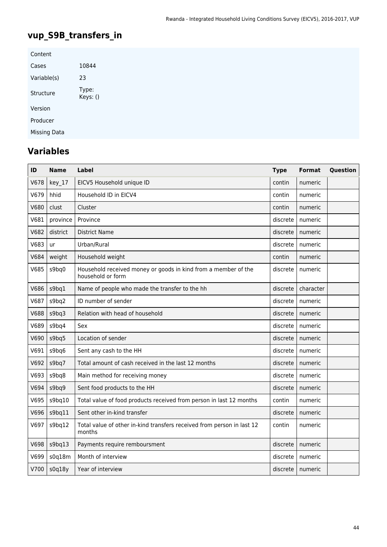# **vup\_S9B\_transfers\_in**

| Content             |                   |
|---------------------|-------------------|
| Cases               | 10844             |
| Variable(s)         | 23                |
| Structure           | Type:<br>Keys: () |
| Version             |                   |
| Producer            |                   |
| <b>Missing Data</b> |                   |

| ID   | <b>Name</b> | Label                                                                               | <b>Type</b> | <b>Format</b> | Question |
|------|-------------|-------------------------------------------------------------------------------------|-------------|---------------|----------|
| V678 | key 17      | EICV5 Household unique ID                                                           | contin      | numeric       |          |
| V679 | hhid        | Household ID in EICV4                                                               | contin      | numeric       |          |
| V680 | clust       | Cluster                                                                             | contin      | numeric       |          |
| V681 | province    | Province                                                                            | discrete    | numeric       |          |
| V682 | district    | <b>District Name</b>                                                                | discrete    | numeric       |          |
| V683 | ur          | Urban/Rural                                                                         | discrete    | numeric       |          |
| V684 | weight      | Household weight                                                                    | contin      | numeric       |          |
| V685 | s9bq0       | Household received money or goods in kind from a member of the<br>household or form | discrete    | numeric       |          |
| V686 | s9bq1       | Name of people who made the transfer to the hh                                      | discrete    | character     |          |
| V687 | s9bq2       | ID number of sender                                                                 | discrete    | numeric       |          |
| V688 | s9bq3       | Relation with head of household                                                     | discrete    | numeric       |          |
| V689 | s9bq4       | Sex                                                                                 | discrete    | numeric       |          |
| V690 | s9bq5       | Location of sender                                                                  | discrete    | numeric       |          |
| V691 | s9bq6       | Sent any cash to the HH                                                             | discrete    | numeric       |          |
| V692 | s9bq7       | Total amount of cash received in the last 12 months                                 | discrete    | numeric       |          |
| V693 | s9bq8       | Main method for receiving money                                                     | discrete    | numeric       |          |
| V694 | s9bq9       | Sent food products to the HH                                                        | discrete    | numeric       |          |
| V695 | s9bq10      | Total value of food products received from person in last 12 months                 | contin      | numeric       |          |
| V696 | s9bq11      | Sent other in-kind transfer                                                         | discrete    | numeric       |          |
| V697 | s9bq12      | Total value of other in-kind transfers received from person in last 12<br>months    | contin      | numeric       |          |
| V698 | s9bq13      | Payments require remboursment                                                       | discrete    | numeric       |          |
| V699 | s0q18m      | Month of interview                                                                  | discrete    | numeric       |          |
| V700 | s0q18y      | Year of interview                                                                   | discrete    | numeric       |          |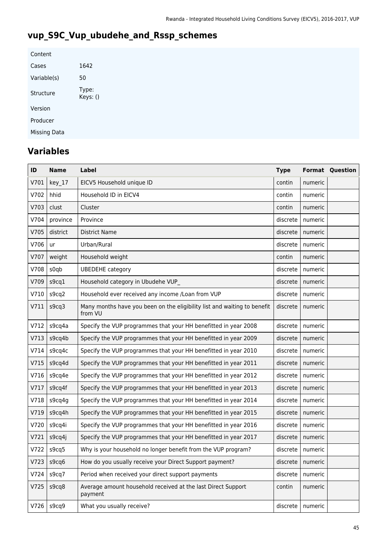## **vup\_S9C\_Vup\_ubudehe\_and\_Rssp\_schemes**

| Content      |                   |
|--------------|-------------------|
| Cases        | 1642              |
| Variable(s)  | 50                |
| Structure    | Type:<br>Keys: () |
| Version      |                   |
| Producer     |                   |
| Missing Data |                   |

| ID   | <b>Name</b> | <b>Label</b>                                                                        | <b>Type</b> |         | <b>Format Question</b> |
|------|-------------|-------------------------------------------------------------------------------------|-------------|---------|------------------------|
| V701 | key_17      | EICV5 Household unique ID                                                           | contin      | numeric |                        |
| V702 | hhid        | Household ID in EICV4                                                               | contin      | numeric |                        |
| V703 | clust       | Cluster                                                                             | contin      | numeric |                        |
| V704 | province    | Province                                                                            | discrete    | numeric |                        |
| V705 | district    | <b>District Name</b>                                                                | discrete    | numeric |                        |
| V706 | ur          | Urban/Rural                                                                         | discrete    | numeric |                        |
| V707 | weight      | Household weight                                                                    | contin      | numeric |                        |
| V708 | s0qb        | <b>UBEDEHE</b> category                                                             | discrete    | numeric |                        |
| V709 | s9cq1       | Household category in Ubudehe VUP                                                   | discrete    | numeric |                        |
| V710 | s9cq2       | Household ever received any income /Loan from VUP                                   | discrete    | numeric |                        |
| V711 | s9cq3       | Many months have you been on the eligibility list and waiting to benefit<br>from VU | discrete    | numeric |                        |
| V712 | s9cq4a      | Specify the VUP programmes that your HH benefitted in year 2008                     | discrete    | numeric |                        |
| V713 | s9cq4b      | Specify the VUP programmes that your HH benefitted in year 2009                     | discrete    | numeric |                        |
| V714 | s9cq4c      | Specify the VUP programmes that your HH benefitted in year 2010                     | discrete    | numeric |                        |
| V715 | s9cq4d      | Specify the VUP programmes that your HH benefitted in year 2011                     | discrete    | numeric |                        |
| V716 | s9cq4e      | Specify the VUP programmes that your HH benefitted in year 2012                     | discrete    | numeric |                        |
| V717 | s9cq4f      | Specify the VUP programmes that your HH benefitted in year 2013                     | discrete    | numeric |                        |
| V718 | s9cq4g      | Specify the VUP programmes that your HH benefitted in year 2014                     | discrete    | numeric |                        |
| V719 | s9cq4h      | Specify the VUP programmes that your HH benefitted in year 2015                     | discrete    | numeric |                        |
| V720 | s9cq4i      | Specify the VUP programmes that your HH benefitted in year 2016                     | discrete    | numeric |                        |
| V721 | s9cq4j      | Specify the VUP programmes that your HH benefitted in year 2017                     | discrete    | numeric |                        |
| V722 | s9cq5       | Why is your household no longer benefit from the VUP program?                       | discrete    | numeric |                        |
| V723 | s9cq6       | How do you usually receive your Direct Support payment?                             | discrete    | numeric |                        |
| V724 | s9cq7       | Period when received your direct support payments                                   | discrete    | numeric |                        |
| V725 | s9cq8       | Average amount household received at the last Direct Support<br>payment             | contin      | numeric |                        |
| V726 | s9cq9       | What you usually receive?                                                           | discrete    | numeric |                        |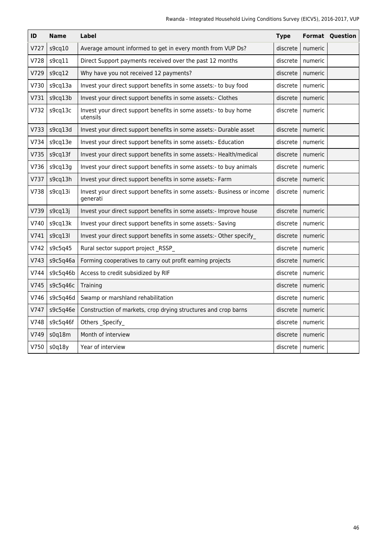| ID   | <b>Name</b> | <b>Label</b>                                                                        | <b>Type</b> |         | <b>Format Question</b> |
|------|-------------|-------------------------------------------------------------------------------------|-------------|---------|------------------------|
| V727 | s9cq10      | Average amount informed to get in every month from VUP Ds?                          | discrete    | numeric |                        |
| V728 | s9cq11      | Direct Support payments received over the past 12 months                            | discrete    | numeric |                        |
| V729 | s9cq12      | Why have you not received 12 payments?                                              | discrete    | numeric |                        |
| V730 | s9cq13a     | Invest your direct support benefits in some assets:- to buy food                    | discrete    | numeric |                        |
| V731 | s9cq13b     | Invest your direct support benefits in some assets:- Clothes                        | discrete    | numeric |                        |
| V732 | s9cq13c     | Invest your direct support benefits in some assets:- to buy home<br>utensils        | discrete    | numeric |                        |
| V733 | s9cq13d     | Invest your direct support benefits in some assets:- Durable asset                  | discrete    | numeric |                        |
| V734 | s9cq13e     | Invest your direct support benefits in some assets:- Education                      | discrete    | numeric |                        |
| V735 | s9cq13f     | Invest your direct support benefits in some assets:- Health/medical                 | discrete    | numeric |                        |
| V736 | s9cq13g     | Invest your direct support benefits in some assets:- to buy animals                 | discrete    | numeric |                        |
| V737 | s9cq13h     | Invest your direct support benefits in some assets:- Farm                           | discrete    | numeric |                        |
| V738 | s9cq13i     | Invest your direct support benefits in some assets:- Business or income<br>generati | discrete    | numeric |                        |
| V739 | s9cq13j     | Invest your direct support benefits in some assets:- Improve house                  | discrete    | numeric |                        |
| V740 | s9cq13k     | Invest your direct support benefits in some assets:- Saving                         | discrete    | numeric |                        |
| V741 | s9cq13l     | Invest your direct support benefits in some assets:- Other specify                  | discrete    | numeric |                        |
| V742 | s9c5q45     | Rural sector support project_RSSP_                                                  | discrete    | numeric |                        |
| V743 | s9c5q46a    | Forming cooperatives to carry out profit earning projects                           | discrete    | numeric |                        |
| V744 | s9c5q46b    | Access to credit subsidized by RIF                                                  | discrete    | numeric |                        |
| V745 | s9c5q46c    | Training                                                                            | discrete    | numeric |                        |
| V746 | s9c5q46d    | Swamp or marshland rehabilitation                                                   | discrete    | numeric |                        |
| V747 | s9c5q46e    | Construction of markets, crop drying structures and crop barns                      | discrete    | numeric |                        |
| V748 | s9c5q46f    | Others Specify                                                                      | discrete    | numeric |                        |
| V749 | s0q18m      | Month of interview                                                                  | discrete    | numeric |                        |
| V750 | s0q18y      | Year of interview                                                                   | discrete    | numeric |                        |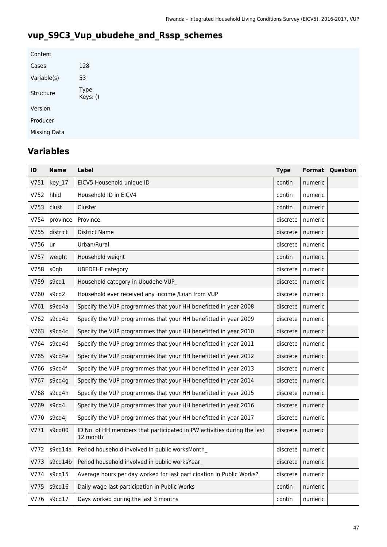# **vup\_S9C3\_Vup\_ubudehe\_and\_Rssp\_schemes**

| Content      |                   |
|--------------|-------------------|
| Cases        | 128               |
| Variable(s)  | 53                |
| Structure    | Type:<br>Keys: () |
| Version      |                   |
| Producer     |                   |
| Missing Data |                   |

| ID   | <b>Name</b> | <b>Label</b>                                                                        | <b>Type</b> |         | <b>Format Question</b> |
|------|-------------|-------------------------------------------------------------------------------------|-------------|---------|------------------------|
| V751 | key 17      | EICV5 Household unique ID                                                           | contin      | numeric |                        |
| V752 | hhid        | Household ID in EICV4                                                               | contin      | numeric |                        |
| V753 | clust       | Cluster                                                                             | contin      | numeric |                        |
| V754 | province    | Province                                                                            | discrete    | numeric |                        |
| V755 | district    | <b>District Name</b>                                                                | discrete    | numeric |                        |
| V756 | ur          | Urban/Rural                                                                         | discrete    | numeric |                        |
| V757 | weight      | Household weight                                                                    | contin      | numeric |                        |
| V758 | s0qb        | <b>UBEDEHE</b> category                                                             | discrete    | numeric |                        |
| V759 | s9cq1       | Household category in Ubudehe VUP                                                   | discrete    | numeric |                        |
| V760 | s9cq2       | Household ever received any income /Loan from VUP                                   | discrete    | numeric |                        |
| V761 | s9cq4a      | Specify the VUP programmes that your HH benefitted in year 2008                     | discrete    | numeric |                        |
| V762 | s9cq4b      | Specify the VUP programmes that your HH benefitted in year 2009                     | discrete    | numeric |                        |
| V763 | s9cq4c      | Specify the VUP programmes that your HH benefitted in year 2010                     | discrete    | numeric |                        |
| V764 | s9cq4d      | Specify the VUP programmes that your HH benefitted in year 2011                     | discrete    | numeric |                        |
| V765 | s9cq4e      | Specify the VUP programmes that your HH benefitted in year 2012                     | discrete    | numeric |                        |
| V766 | s9cq4f      | Specify the VUP programmes that your HH benefitted in year 2013                     | discrete    | numeric |                        |
| V767 | s9cq4g      | Specify the VUP programmes that your HH benefitted in year 2014                     | discrete    | numeric |                        |
| V768 | s9cq4h      | Specify the VUP programmes that your HH benefitted in year 2015                     | discrete    | numeric |                        |
| V769 | s9cq4i      | Specify the VUP programmes that your HH benefitted in year 2016                     | discrete    | numeric |                        |
| V770 | s9cq4j      | Specify the VUP programmes that your HH benefitted in year 2017                     | discrete    | numeric |                        |
| V771 | s9cq00      | ID No. of HH members that participated in PW activities during the last<br>12 month | discrete    | numeric |                        |
| V772 | s9cq14a     | Period household involved in public worksMonth                                      | discrete    | numeric |                        |
| V773 | s9cq14b     | Period household involved in public worksYear                                       | discrete    | numeric |                        |
| V774 | s9cq15      | Average hours per day worked for last participation in Public Works?                | discrete    | numeric |                        |
| V775 | s9cq16      | Daily wage last participation in Public Works                                       | contin      | numeric |                        |
| V776 | s9cq17      | Days worked during the last 3 months                                                | contin      | numeric |                        |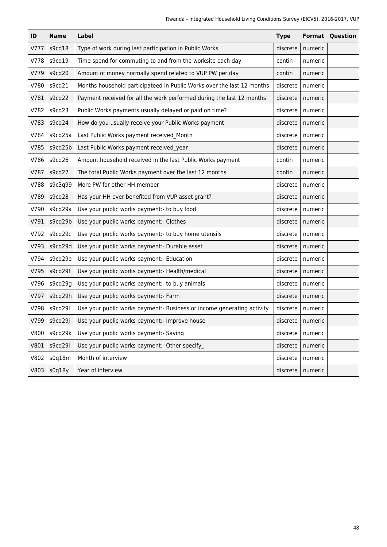| ID   | <b>Name</b> | Label                                                                  | <b>Type</b> |                      | <b>Format Question</b> |
|------|-------------|------------------------------------------------------------------------|-------------|----------------------|------------------------|
| V777 | s9cq18      | Type of work during last participation in Public Works                 | discrete    | numeric              |                        |
| V778 | s9cq19      | Time spend for commuting to and from the worksite each day             | contin      | numeric              |                        |
| V779 | s9cq20      | Amount of money normally spend related to VUP PW per day               | contin      | numeric              |                        |
| V780 | s9cq21      | Months household participateed in Public Works over the last 12 months | discrete    | numeric              |                        |
| V781 | s9cq22      | Payment received for all the work performed during the last 12 months  | discrete    | numeric              |                        |
| V782 | s9cq23      | Public Works payments usually delayed or paid on time?                 | discrete    | numeric              |                        |
| V783 | s9cq24      | How do you usually receive your Public Works payment                   | discrete    | numeric              |                        |
| V784 | s9cq25a     | Last Public Works payment received_Month                               | discrete    | numeric              |                        |
| V785 | s9cq25b     | Last Public Works payment received year                                | discrete    | numeric              |                        |
| V786 | s9cq26      | Amount household received in the last Public Works payment             | contin      | numeric              |                        |
| V787 | s9cq27      | The total Public Works payment over the last 12 months                 | contin      | numeric              |                        |
| V788 | s9c3q99     | More PW for other HH member                                            | discrete    | numeric              |                        |
| V789 | s9cq28      | Has your HH ever benefited from VUP asset grant?                       | discrete    | numeric              |                        |
| V790 | s9cq29a     | Use your public works payment:- to buy food                            | discrete    | numeric              |                        |
| V791 | s9cq29b     | Use your public works payment:- Clothes                                | discrete    | numeric              |                        |
| V792 | s9cq29c     | Use your public works payment:- to buy home utensils                   | discrete    | numeric              |                        |
| V793 | s9cq29d     | Use your public works payment:- Durable asset                          | discrete    | numeric              |                        |
| V794 | s9cq29e     | Use your public works payment:- Education                              | discrete    | numeric              |                        |
| V795 | s9cq29f     | Use your public works payment:- Health/medical                         | discrete    | numeric              |                        |
| V796 | s9cq29g     | Use your public works payment:- to buy animals                         | discrete    | numeric              |                        |
| V797 | s9cq29h     | Use your public works payment:- Farm                                   | discrete    | numeric              |                        |
| V798 | s9cq29i     | Use your public works payment:- Business or income generating activity | discrete    | numeric              |                        |
| V799 | s9cq29j     | Use your public works payment:- Improve house                          |             | $discrete$   numeric |                        |
| V800 | s9cq29k     | Use your public works payment:- Saving                                 | discrete    | numeric              |                        |
| V801 | s9cq29l     | Use your public works payment:- Other specify                          | discrete    | numeric              |                        |
| V802 | s0q18m      | Month of interview                                                     | discrete    | numeric              |                        |
| V803 | s0q18y      | Year of interview                                                      | discrete    | numeric              |                        |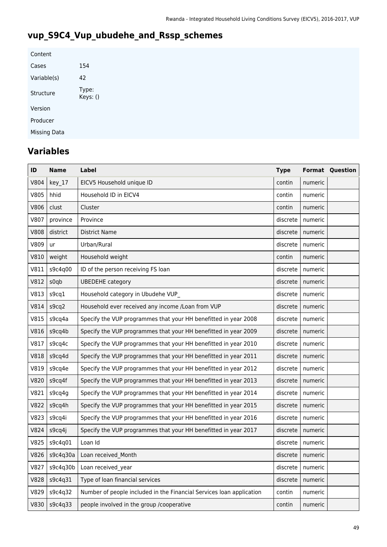## **vup\_S9C4\_Vup\_ubudehe\_and\_Rssp\_schemes**

| Content      |                   |  |
|--------------|-------------------|--|
| Cases        | 154               |  |
| Variable(s)  | 42                |  |
| Structure    | Type:<br>Keys: () |  |
| Version      |                   |  |
| Producer     |                   |  |
| Missing Data |                   |  |

| ID          | <b>Name</b> | Label                                                                | <b>Type</b> |                    | <b>Format Question</b> |
|-------------|-------------|----------------------------------------------------------------------|-------------|--------------------|------------------------|
| V804        | key_17      | EICV5 Household unique ID                                            | contin      | numeric            |                        |
| V805        | hhid        | Household ID in EICV4                                                | contin      | numeric            |                        |
| V806        | clust       | Cluster                                                              | contin      | numeric            |                        |
| V807        | province    | Province                                                             | discrete    | numeric            |                        |
| V808        | district    | <b>District Name</b>                                                 | discrete    | numeric            |                        |
| V809        | ur          | Urban/Rural                                                          | discrete    | numeric            |                        |
| V810        | weight      | Household weight                                                     | contin      | numeric            |                        |
| V811        | s9c4q00     | ID of the person receiving FS loan                                   | discrete    | numeric            |                        |
| V812        | s0qb        | <b>UBEDEHE</b> category                                              | discrete    | numeric            |                        |
| V813        | s9cq1       | Household category in Ubudehe VUP                                    | discrete    | numeric            |                        |
| V814        | s9cq2       | Household ever received any income /Loan from VUP                    | discrete    | numeric            |                        |
| V815        | s9cq4a      | Specify the VUP programmes that your HH benefitted in year 2008      | discrete    | numeric            |                        |
| V816        | s9cq4b      | Specify the VUP programmes that your HH benefitted in year 2009      | discrete    | numeric            |                        |
| V817        | s9cq4c      | Specify the VUP programmes that your HH benefitted in year 2010      | discrete    | numeric            |                        |
| <b>V818</b> | s9cq4d      | Specify the VUP programmes that your HH benefitted in year 2011      | discrete    | numeric            |                        |
| V819        | s9cq4e      | Specify the VUP programmes that your HH benefitted in year 2012      | discrete    | numeric            |                        |
| V820        | s9cq4f      | Specify the VUP programmes that your HH benefitted in year 2013      | discrete    | numeric            |                        |
| V821        | s9cq4g      | Specify the VUP programmes that your HH benefitted in year 2014      | discrete    | numeric            |                        |
| V822        | s9cq4h      | Specify the VUP programmes that your HH benefitted in year 2015      | discrete    | numeric            |                        |
| V823        | s9cq4i      | Specify the VUP programmes that your HH benefitted in year 2016      | discrete    | numeric            |                        |
| V824        | s9cq4j      | Specify the VUP programmes that your HH benefitted in year 2017      | discrete    | numeric            |                        |
| V825        | s9c4q01     | Loan Id                                                              | discrete    | numeric            |                        |
|             |             | V826   s9c4q30a   Loan received_Month                                |             | discrete   numeric |                        |
| V827        | s9c4q30b    | Loan received year                                                   | discrete    | numeric            |                        |
| V828        | s9c4q31     | Type of loan financial services                                      | discrete    | numeric            |                        |
| V829        | s9c4q32     | Number of people included in the Financial Services Ioan application | contin      | numeric            |                        |
| V830        | s9c4q33     | people involved in the group /cooperative                            | contin      | numeric            |                        |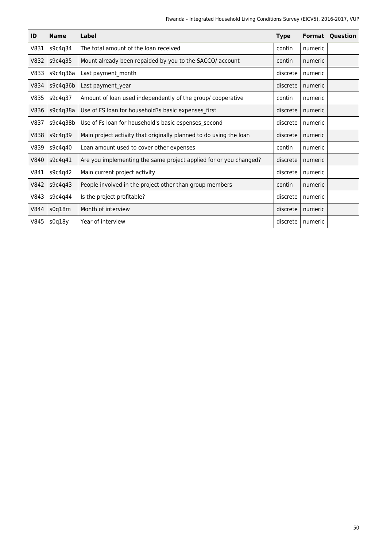| ID   | <b>Name</b> | Label                                                              | <b>Type</b> | Format  | Question |
|------|-------------|--------------------------------------------------------------------|-------------|---------|----------|
| V831 | s9c4q34     | The total amount of the loan received                              | contin      | numeric |          |
| V832 | s9c4q35     | Mount already been repaided by you to the SACCO/ account           | contin      | numeric |          |
| V833 | s9c4q36a    | Last payment month                                                 | discrete    | numeric |          |
| V834 | s9c4q36b    | Last payment year                                                  | discrete    | numeric |          |
| V835 | s9c4q37     | Amount of loan used independently of the group/ cooperative        | contin      | numeric |          |
| V836 | s9c4q38a    | Use of FS loan for household?s basic expenses first                | discrete    | numeric |          |
| V837 | s9c4q38b    | Use of Fs loan for household's basic espenses second               | discrete    | numeric |          |
| V838 | s9c4q39     | Main project activity that originally planned to do using the loan | discrete    | numeric |          |
| V839 | s9c4q40     | Loan amount used to cover other expenses                           | contin      | numeric |          |
| V840 | s9c4q41     | Are you implementing the same project applied for or you changed?  | discrete    | numeric |          |
| V841 | s9c4q42     | Main current project activity                                      | discrete    | numeric |          |
| V842 | s9c4q43     | People involved in the project other than group members            | contin      | numeric |          |
| V843 | s9c4q44     | Is the project profitable?                                         | discrete    | numeric |          |
| V844 | s0q18m      | Month of interview                                                 | discrete    | numeric |          |
| V845 | s0q18y      | Year of interview                                                  | discrete    | numeric |          |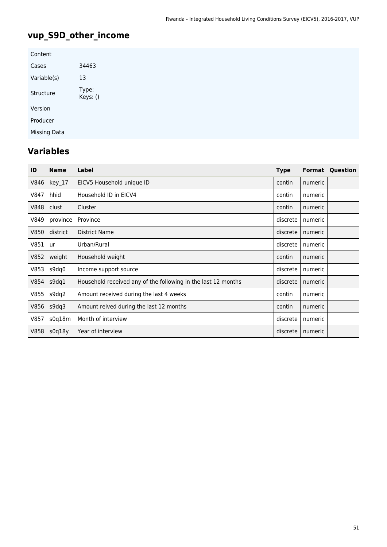# **vup\_S9D\_other\_income**

| Content             |                   |
|---------------------|-------------------|
| Cases               | 34463             |
| Variable(s)         | 13                |
| Structure           | Type:<br>Keys: () |
| Version             |                   |
| Producer            |                   |
| <b>Missing Data</b> |                   |

| ID   | <b>Name</b> | Label                                                         | <b>Type</b> | Format  | Question |
|------|-------------|---------------------------------------------------------------|-------------|---------|----------|
| V846 | key 17      | EICV5 Household unique ID                                     | contin      | numeric |          |
| V847 | hhid        | Household ID in EICV4                                         | contin      | numeric |          |
| V848 | clust       | Cluster                                                       | contin      | numeric |          |
| V849 | province    | Province                                                      | discrete    | numeric |          |
| V850 | district    | District Name                                                 | discrete    | numeric |          |
| V851 | ur          | Urban/Rural                                                   | discrete    | numeric |          |
| V852 | weight      | Household weight                                              | contin      | numeric |          |
| V853 | s9dq0       | Income support source                                         | discrete    | numeric |          |
| V854 | s9dq1       | Household received any of the following in the last 12 months | discrete    | numeric |          |
| V855 | s9dq2       | Amount received during the last 4 weeks                       | contin      | numeric |          |
| V856 | s9dq3       | Amount reived during the last 12 months                       | contin      | numeric |          |
| V857 | s0q18m      | Month of interview                                            | discrete    | numeric |          |
| V858 | s0q18y      | Year of interview                                             | discrete    | numeric |          |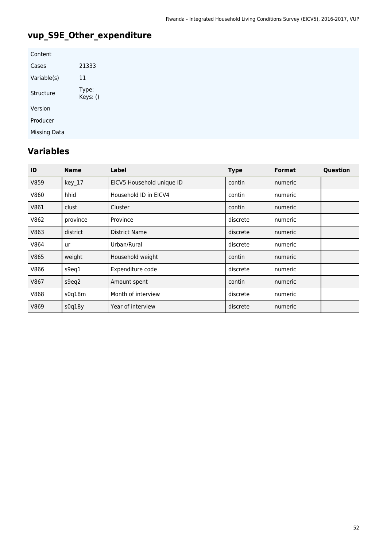# **vup\_S9E\_Other\_expenditure**

| Content      |                   |
|--------------|-------------------|
| Cases        | 21333             |
| Variable(s)  | 11                |
| Structure    | Type:<br>Keys: () |
| Version      |                   |
| Producer     |                   |
| Missing Data |                   |

| ID   | <b>Name</b> | Label                     | <b>Type</b> | <b>Format</b> | Question |
|------|-------------|---------------------------|-------------|---------------|----------|
| V859 | key 17      | EICV5 Household unique ID | contin      | numeric       |          |
| V860 | hhid        | Household ID in EICV4     | contin      | numeric       |          |
| V861 | clust       | Cluster                   | contin      | numeric       |          |
| V862 | province    | Province                  | discrete    | numeric       |          |
| V863 | district    | <b>District Name</b>      | discrete    | numeric       |          |
| V864 | ur          | Urban/Rural               | discrete    | numeric       |          |
| V865 | weight      | Household weight          | contin      | numeric       |          |
| V866 | s9eq1       | Expenditure code          | discrete    | numeric       |          |
| V867 | s9eq2       | Amount spent              | contin      | numeric       |          |
| V868 | s0q18m      | Month of interview        | discrete    | numeric       |          |
| V869 | s0q18y      | Year of interview         | discrete    | numeric       |          |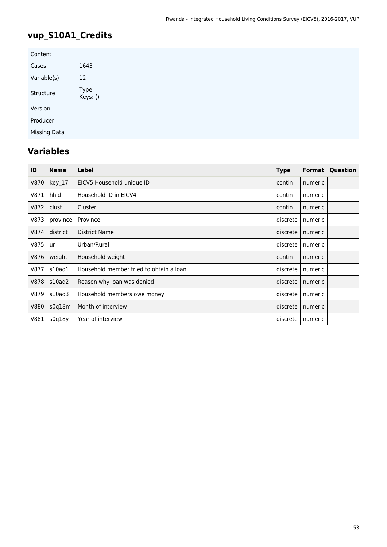# **vup\_S10A1\_Credits**

| Content             |                   |  |  |
|---------------------|-------------------|--|--|
| Cases               | 1643              |  |  |
| Variable(s)         | 12                |  |  |
| Structure           | Type:<br>Keys: () |  |  |
| Version             |                   |  |  |
| Producer            |                   |  |  |
| <b>Missing Data</b> |                   |  |  |

| ID   | <b>Name</b> | Label                                   | <b>Type</b> | Format  | Question |
|------|-------------|-----------------------------------------|-------------|---------|----------|
| V870 | key 17      | EICV5 Household unique ID               | contin      | numeric |          |
| V871 | hhid        | Household ID in EICV4                   | contin      | numeric |          |
| V872 | clust       | Cluster                                 | contin      | numeric |          |
| V873 | province    | Province                                | discrete    | numeric |          |
| V874 | district    | <b>District Name</b>                    | discrete    | numeric |          |
| V875 | ur          | Urban/Rural                             | discrete    | numeric |          |
| V876 | weight      | Household weight                        | contin      | numeric |          |
| V877 | s10aq1      | Household member tried to obtain a loan | discrete    | numeric |          |
| V878 | s10aq2      | Reason why loan was denied              | discrete    | numeric |          |
| V879 | s10aq3      | Household members owe money             | discrete    | numeric |          |
| V880 | s0q18m      | Month of interview                      | discrete    | numeric |          |
| V881 | s0q18y      | Year of interview                       | discrete    | numeric |          |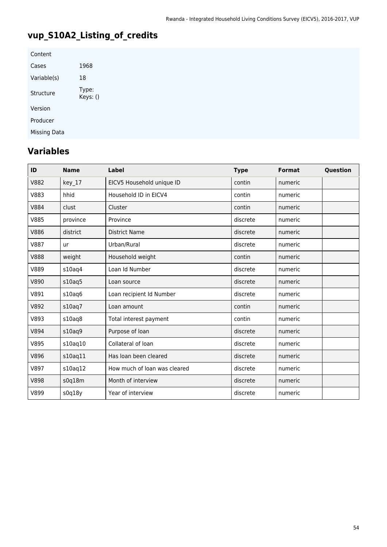# **vup\_S10A2\_Listing\_of\_credits**

| Content      |                   |
|--------------|-------------------|
| Cases        | 1968              |
| Variable(s)  | 18                |
| Structure    | Type:<br>Keys: () |
| Version      |                   |
| Producer     |                   |
| Missing Data |                   |

| ID          | <b>Name</b> | Label                        | <b>Type</b> | <b>Format</b> | Question |
|-------------|-------------|------------------------------|-------------|---------------|----------|
| V882        | key_17      | EICV5 Household unique ID    | contin      | numeric       |          |
| V883        | hhid        | Household ID in EICV4        | contin      | numeric       |          |
| V884        | clust       | Cluster                      | contin      | numeric       |          |
| V885        | province    | Province                     | discrete    | numeric       |          |
| <b>V886</b> | district    | <b>District Name</b>         | discrete    | numeric       |          |
| V887        | ur          | Urban/Rural                  | discrete    | numeric       |          |
| <b>V888</b> | weight      | Household weight             | contin      | numeric       |          |
| V889        | s10aq4      | Loan Id Number               | discrete    | numeric       |          |
| V890        | s10aq5      | Loan source                  | discrete    | numeric       |          |
| V891        | s10aq6      | Loan recipient Id Number     | discrete    | numeric       |          |
| V892        | s10aq7      | Loan amount                  | contin      | numeric       |          |
| V893        | s10aq8      | Total interest payment       | contin      | numeric       |          |
| V894        | s10aq9      | Purpose of loan              | discrete    | numeric       |          |
| V895        | s10aq10     | Collateral of loan           | discrete    | numeric       |          |
| V896        | s10aq11     | Has loan been cleared        | discrete    | numeric       |          |
| V897        | s10aq12     | How much of loan was cleared | discrete    | numeric       |          |
| V898        | s0q18m      | Month of interview           | discrete    | numeric       |          |
| V899        | s0q18y      | Year of interview            | discrete    | numeric       |          |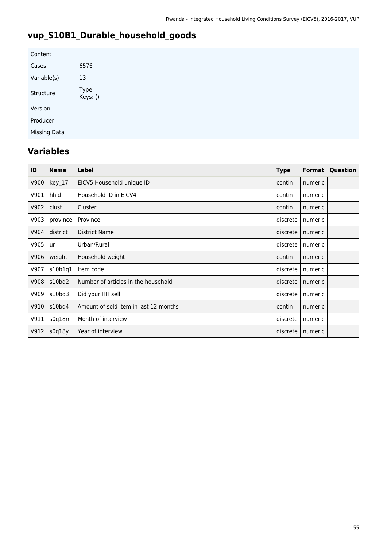# **vup\_S10B1\_Durable\_household\_goods**

| Content      |                   |  |
|--------------|-------------------|--|
| Cases        | 6576              |  |
| Variable(s)  | 13                |  |
| Structure    | Type:<br>Keys: () |  |
| Version      |                   |  |
| Producer     |                   |  |
| Missing Data |                   |  |

| ID   | <b>Name</b> | Label                                 | <b>Type</b> | Format  | Question |
|------|-------------|---------------------------------------|-------------|---------|----------|
| V900 | key 17      | EICV5 Household unique ID             | contin      | numeric |          |
| V901 | hhid        | Household ID in EICV4                 | contin      | numeric |          |
| V902 | clust       | Cluster                               | contin      | numeric |          |
| V903 | province    | Province                              | discrete    | numeric |          |
| V904 | district    | District Name                         | discrete    | numeric |          |
| V905 | ur          | Urban/Rural                           | discrete    | numeric |          |
| V906 | weight      | Household weight                      | contin      | numeric |          |
| V907 | s10b1q1     | Item code                             | discrete    | numeric |          |
| V908 | s10bq2      | Number of articles in the household   | discrete    | numeric |          |
| V909 | s10bq3      | Did your HH sell                      | discrete    | numeric |          |
| V910 | s10bq4      | Amount of sold item in last 12 months | contin      | numeric |          |
| V911 | s0q18m      | Month of interview                    | discrete    | numeric |          |
| V912 | s0q18y      | Year of interview                     | discrete    | numeric |          |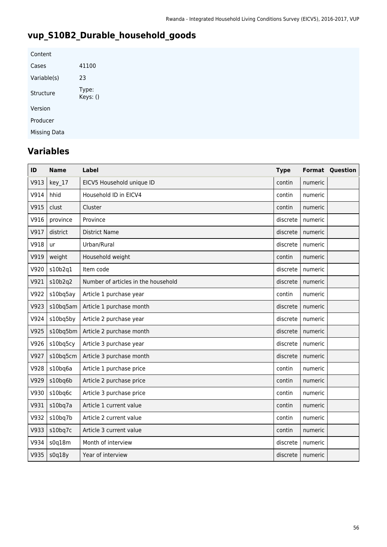# **vup\_S10B2\_Durable\_household\_goods**

| Content      |                   |
|--------------|-------------------|
| Cases        | 41100             |
| Variable(s)  | 23                |
| Structure    | Type:<br>Keys: () |
| Version      |                   |
| Producer     |                   |
| Missing Data |                   |

| ID   | <b>Name</b> | <b>Label</b>                        | <b>Type</b> |         | <b>Format Question</b> |
|------|-------------|-------------------------------------|-------------|---------|------------------------|
| V913 | key 17      | EICV5 Household unique ID           | contin      | numeric |                        |
| V914 | hhid        | Household ID in EICV4               | contin      | numeric |                        |
| V915 | clust       | Cluster                             | contin      | numeric |                        |
| V916 | province    | Province                            | discrete    | numeric |                        |
| V917 | district    | <b>District Name</b>                | discrete    | numeric |                        |
| V918 | ur          | Urban/Rural                         | discrete    | numeric |                        |
| V919 | weight      | Household weight                    | contin      | numeric |                        |
| V920 | s10b2q1     | Item code                           | discrete    | numeric |                        |
| V921 | s10b2q2     | Number of articles in the household | discrete    | numeric |                        |
| V922 | s10bq5ay    | Article 1 purchase year             | contin      | numeric |                        |
| V923 | s10bq5am    | Article 1 purchase month            | discrete    | numeric |                        |
| V924 | s10bq5by    | Article 2 purchase year             | discrete    | numeric |                        |
| V925 | s10bq5bm    | Article 2 purchase month            | discrete    | numeric |                        |
| V926 | s10bq5cy    | Article 3 purchase year             | discrete    | numeric |                        |
| V927 | s10bq5cm    | Article 3 purchase month            | discrete    | numeric |                        |
| V928 | s10bq6a     | Article 1 purchase price            | contin      | numeric |                        |
| V929 | s10bq6b     | Article 2 purchase price            | contin      | numeric |                        |
| V930 | s10bq6c     | Article 3 purchase price            | contin      | numeric |                        |
| V931 | s10bq7a     | Article 1 current value             | contin      | numeric |                        |
| V932 | s10bq7b     | Article 2 current value             | contin      | numeric |                        |
| V933 | s10bq7c     | Article 3 current value             | contin      | numeric |                        |
| V934 | s0q18m      | Month of interview                  | discrete    | numeric |                        |
| V935 | s0q18y      | Year of interview                   | discrete    | numeric |                        |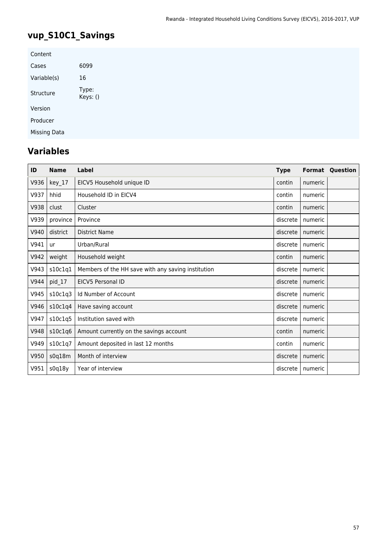# **vup\_S10C1\_Savings**

| Content             |                   |  |  |
|---------------------|-------------------|--|--|
| Cases               | 6099              |  |  |
| Variable(s)         | 16                |  |  |
| Structure           | Type:<br>Keys: () |  |  |
| Version             |                   |  |  |
| Producer            |                   |  |  |
| <b>Missing Data</b> |                   |  |  |

| ID   | <b>Name</b> | Label                                              | <b>Type</b> | <b>Format</b> | Question |
|------|-------------|----------------------------------------------------|-------------|---------------|----------|
| V936 | key_17      | EICV5 Household unique ID                          | contin      | numeric       |          |
| V937 | hhid        | Household ID in EICV4                              | contin      | numeric       |          |
| V938 | clust       | Cluster                                            | contin      | numeric       |          |
| V939 | province    | Province                                           | discrete    | numeric       |          |
| V940 | district    | <b>District Name</b>                               | discrete    | numeric       |          |
| V941 | ur          | Urban/Rural                                        | discrete    | numeric       |          |
| V942 | weight      | Household weight                                   | contin      | numeric       |          |
| V943 | s10c1q1     | Members of the HH save with any saving institution | discrete    | numeric       |          |
| V944 | pid 17      | <b>EICV5 Personal ID</b>                           | discrete    | numeric       |          |
| V945 | s10c1q3     | <b>Id Number of Account</b>                        | discrete    | numeric       |          |
| V946 | s10c1q4     | Have saving account                                | discrete    | numeric       |          |
| V947 | s10c1q5     | Institution saved with                             | discrete    | numeric       |          |
| V948 | s10c1q6     | Amount currently on the savings account            | contin      | numeric       |          |
| V949 | s10c1q7     | Amount deposited in last 12 months                 | contin      | numeric       |          |
| V950 | s0q18m      | Month of interview                                 | discrete    | numeric       |          |
| V951 | s0q18y      | Year of interview                                  | discrete    | numeric       |          |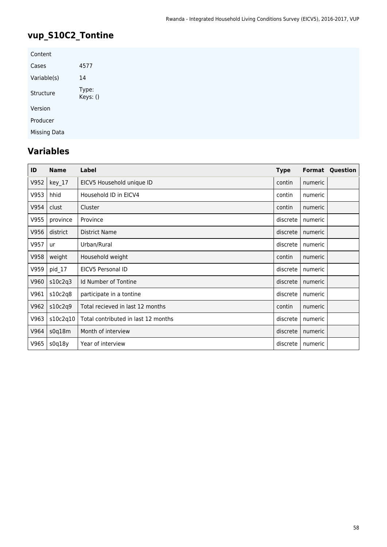# **vup\_S10C2\_Tontine**

| Content             |                   |
|---------------------|-------------------|
| Cases               | 4577              |
| Variable(s)         | 14                |
| Structure           | Type:<br>Keys: () |
| Version             |                   |
| Producer            |                   |
| <b>Missing Data</b> |                   |

| ID   | <b>Name</b> | Label                               | <b>Type</b> |         | <b>Format Question</b> |
|------|-------------|-------------------------------------|-------------|---------|------------------------|
| V952 | key 17      | EICV5 Household unique ID           | contin      | numeric |                        |
| V953 | hhid        | Household ID in EICV4               | contin      | numeric |                        |
| V954 | clust       | Cluster                             | contin      | numeric |                        |
| V955 | province    | Province                            | discrete    | numeric |                        |
| V956 | district    | District Name                       | discrete    | numeric |                        |
| V957 | ur          | Urban/Rural                         | discrete    | numeric |                        |
| V958 | weight      | Household weight                    | contin      | numeric |                        |
| V959 | pid 17      | EICV5 Personal ID                   | discrete    | numeric |                        |
| V960 | s10c2q3     | <b>Id Number of Tontine</b>         | discrete    | numeric |                        |
| V961 | s10c2q8     | participate in a tontine            | discrete    | numeric |                        |
| V962 | s10c2q9     | Total recieved in last 12 months    | contin      | numeric |                        |
| V963 | s10c2q10    | Total contributed in last 12 months | discrete    | numeric |                        |
| V964 | s0q18m      | Month of interview                  | discrete    | numeric |                        |
| V965 | s0q18y      | Year of interview                   | discrete    | numeric |                        |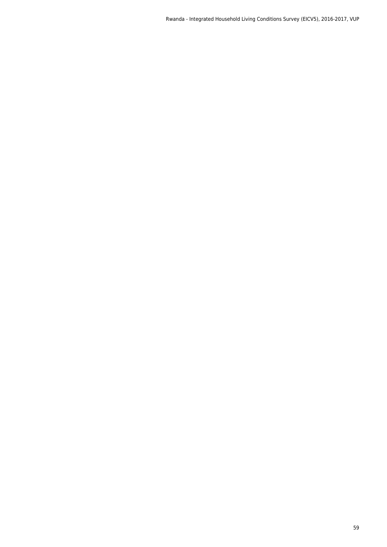Rwanda - Integrated Household Living Conditions Survey (EICV5), 2016-2017, VUP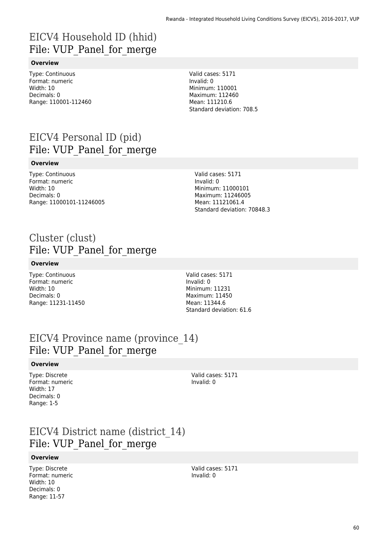### EICV4 Household ID (hhid) File: VUP\_Panel\_for\_merge

#### **Overview**

Type: Continuous Format: numeric Width: 10 Decimals: 0 Range: 110001-112460

Valid cases: 5171 Invalid: 0 Minimum: 110001 Maximum: 112460 Mean: 111210.6 Standard deviation: 708.5

# EICV4 Personal ID (pid) File: VUP\_Panel\_for\_merge

#### **Overview**

Type: Continuous Format: numeric Width: 10 Decimals: 0 Range: 11000101-11246005 Valid cases: 5171 Invalid: 0 Minimum: 11000101 Maximum: 11246005 Mean: 11121061.4 Standard deviation: 70848.3

### Cluster (clust) File: VUP\_Panel\_for\_merge

#### **Overview**

Type: Continuous Format: numeric Width: 10 Decimals: 0 Range: 11231-11450 Valid cases: 5171 Invalid: 0 Minimum: 11231 Maximum: 11450 Mean: 11344.6 Standard deviation: 61.6

### EICV4 Province name (province\_14) File: VUP\_Panel\_for\_merge

#### **Overview**

Type: Discrete Format: numeric Width: 17 Decimals: 0 Range: 1-5

Valid cases: 5171 Invalid: 0

### EICV4 District name (district\_14) File: VUP\_Panel\_for\_merge

#### **Overview**

Type: Discrete Format: numeric Width: 10 Decimals: 0 Range: 11-57

Valid cases: 5171 Invalid: 0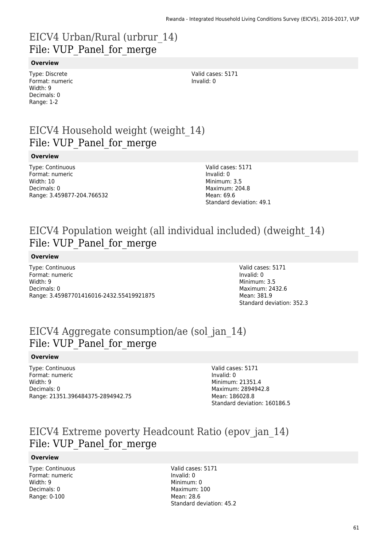## EICV4 Urban/Rural (urbrur\_14) File: VUP\_Panel\_for\_merge

### **Overview**

Type: Discrete Format: numeric Width: 9 Decimals: 0 Range: 1-2

Valid cases: 5171 Invalid: 0

### EICV4 Household weight (weight\_14) File: VUP\_Panel\_for\_merge

#### **Overview**

Type: Continuous Format: numeric Width: 10 Decimals: 0 Range: 3.459877-204.766532 Valid cases: 5171 Invalid: 0 Minimum: 3.5 Maximum: 204.8 Mean: 69.6 Standard deviation: 49.1

## EICV4 Population weight (all individual included) (dweight\_14) File: VUP\_Panel\_for\_merge

#### **Overview**

Type: Continuous Format: numeric Width: 9 Decimals: 0 Range: 3.45987701416016-2432.55419921875

Valid cases: 5171 Invalid: 0 Minimum: 3.5 Maximum: 2432.6 Mean: 381.9 Standard deviation: 352.3

### EICV4 Aggregate consumption/ae (sol\_jan\_14) File: VUP\_Panel\_for\_merge

### **Overview**

Type: Continuous Format: numeric Width: 9 Decimals: 0 Range: 21351.396484375-2894942.75 Valid cases: 5171 Invalid: 0 Minimum: 21351.4 Maximum: 2894942.8 Mean: 186028.8 Standard deviation: 160186.5

### EICV4 Extreme poverty Headcount Ratio (epov\_jan\_14) File: VUP\_Panel\_for\_merge

### **Overview**

Type: Continuous Format: numeric Width: 9 Decimals: 0 Range: 0-100

Valid cases: 5171 Invalid: 0 Minimum: 0 Maximum: 100 Mean: 28.6 Standard deviation: 45.2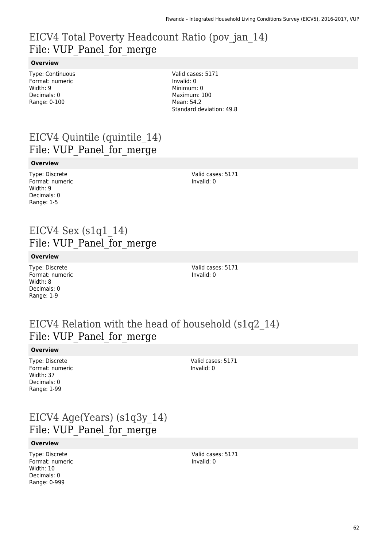## EICV4 Total Poverty Headcount Ratio (pov\_jan\_14) File: VUP\_Panel\_for\_merge

### **Overview**

Type: Continuous Format: numeric Width: 9 Decimals: 0 Range: 0-100

Valid cases: 5171 Invalid: 0 Minimum: 0 Maximum: 100 Mean: 54.2 Standard deviation: 49.8

## EICV4 Quintile (quintile\_14) File: VUP\_Panel\_for\_merge

### **Overview**

Type: Discrete Format: numeric Width: 9 Decimals: 0 Range: 1-5

Valid cases: 5171 Invalid: 0

### EICV4 Sex (s1q1\_14) File: VUP\_Panel\_for\_merge

### **Overview**

Type: Discrete Format: numeric Width: 8 Decimals: 0 Range: 1-9

Valid cases: 5171 Invalid: 0

## EICV4 Relation with the head of household (s1q2\_14) File: VUP\_Panel\_for\_merge

### **Overview**

Type: Discrete Format: numeric Width: 37 Decimals: 0 Range: 1-99

Valid cases: 5171 Invalid: 0

## EICV4 Age(Years) (s1q3y\_14) File: VUP\_Panel\_for\_merge

### **Overview**

Type: Discrete Format: numeric Width: 10 Decimals: 0 Range: 0-999

Valid cases: 5171 Invalid: 0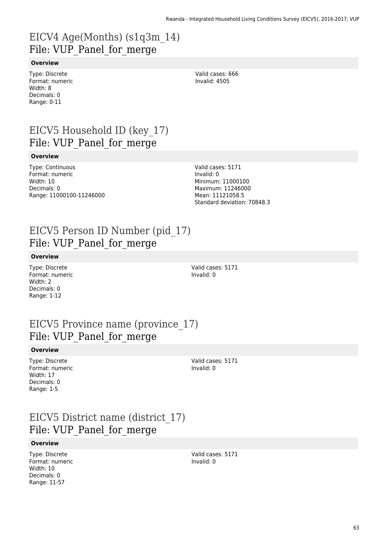## EICV4 Age(Months) (s1q3m\_14) File: VUP\_Panel\_for\_merge

#### **Overview**

Type: Discrete Format: numeric Width: 8 Decimals: 0 Range: 0-11

Valid cases: 666 Invalid: 4505

## EICV5 Household ID (key\_17) File: VUP\_Panel\_for\_merge

#### **Overview**

Type: Continuous Format: numeric Width: 10 Decimals: 0 Range: 11000100-11246000 Valid cases: 5171 Invalid: 0 Minimum: 11000100 Maximum: 11246000 Mean: 11121058.5 Standard deviation: 70848.3

## EICV5 Person ID Number (pid\_17) File: VUP\_Panel\_for\_merge

#### **Overview**

Type: Discrete Format: numeric Width: 2 Decimals: 0 Range: 1-12

Valid cases: 5171 Invalid: 0

### EICV5 Province name (province\_17) File: VUP\_Panel\_for\_merge

#### **Overview**

Type: Discrete Format: numeric Width: 17 Decimals: 0 Range: 1-5

Valid cases: 5171 Invalid: 0

### EICV5 District name (district\_17) File: VUP\_Panel\_for\_merge

### **Overview**

Type: Discrete Format: numeric Width: 10 Decimals: 0 Range: 11-57

Valid cases: 5171 Invalid: 0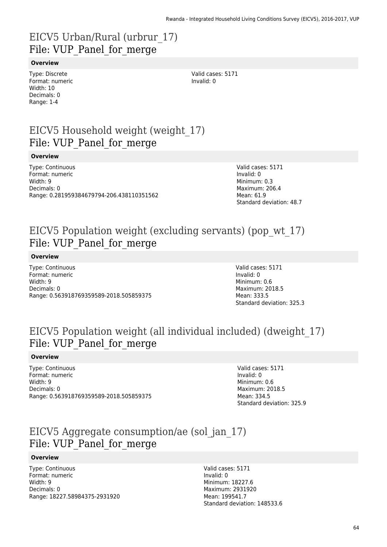## EICV5 Urban/Rural (urbrur\_17) File: VUP\_Panel\_for\_merge

### **Overview**

Type: Discrete Format: numeric Width: 10 Decimals: 0 Range: 1-4

Valid cases: 5171 Invalid: 0

### EICV5 Household weight (weight\_17) File: VUP\_Panel\_for\_merge

#### **Overview**

Type: Continuous Format: numeric Width: 9 Decimals: 0 Range: 0.281959384679794-206.438110351562

Valid cases: 5171 Invalid: 0 Minimum: 0.3 Maximum: 206.4 Mean: 61.9 Standard deviation: 48.7

## EICV5 Population weight (excluding servants) (pop\_wt\_17) File: VUP\_Panel\_for\_merge

### **Overview**

Type: Continuous Format: numeric Width: 9 Decimals: 0 Range: 0.563918769359589-2018.505859375

Valid cases: 5171 Invalid: 0 Minimum: 0.6 Maximum: 2018.5 Mean: 333.5 Standard deviation: 325.3

## EICV5 Population weight (all individual included) (dweight\_17) File: VUP\_Panel\_for\_merge

### **Overview**

Type: Continuous Format: numeric Width: 9 Decimals: 0 Range: 0.563918769359589-2018.505859375 Valid cases: 5171 Invalid: 0 Minimum: 0.6 Maximum: 2018.5 Mean: 334.5 Standard deviation: 325.9

## EICV5 Aggregate consumption/ae (sol\_jan\_17) File: VUP\_Panel\_for\_merge

### **Overview**

Type: Continuous Format: numeric Width: 9 Decimals: 0 Range: 18227.58984375-2931920 Valid cases: 5171 Invalid: 0 Minimum: 18227.6 Maximum: 2931920 Mean: 199541.7 Standard deviation: 148533.6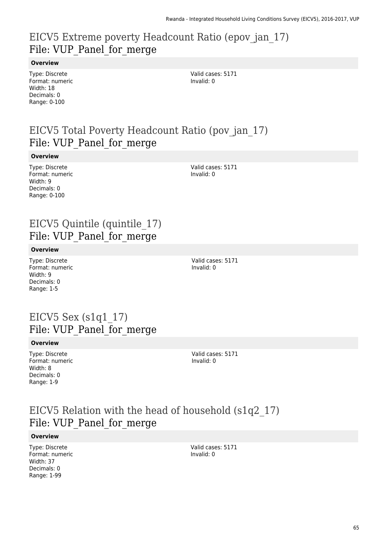## EICV5 Extreme poverty Headcount Ratio (epov\_jan\_17) File: VUP\_Panel\_for\_merge

### **Overview**

Type: Discrete Format: numeric Width: 18 Decimals: 0 Range: 0-100

Valid cases: 5171 Invalid: 0

## EICV5 Total Poverty Headcount Ratio (pov\_jan\_17) File: VUP\_Panel\_for\_merge

#### **Overview**

Type: Discrete Format: numeric Width: 9 Decimals: 0 Range: 0-100

Valid cases: 5171 Invalid: 0

### EICV5 Quintile (quintile\_17) File: VUP\_Panel\_for\_merge

### **Overview**

Type: Discrete Format: numeric Width: 9 Decimals: 0 Range: 1-5

Valid cases: 5171 Invalid: 0

## EICV5 Sex (s1q1\_17) File: VUP Panel for merge

### **Overview**

Type: Discrete Format: numeric Width: 8 Decimals: 0 Range: 1-9

Valid cases: 5171 Invalid: 0

## EICV5 Relation with the head of household (s1q2\_17) File: VUP\_Panel\_for\_merge

#### **Overview**

Type: Discrete Format: numeric Width: 37 Decimals: 0 Range: 1-99

Valid cases: 5171 Invalid: 0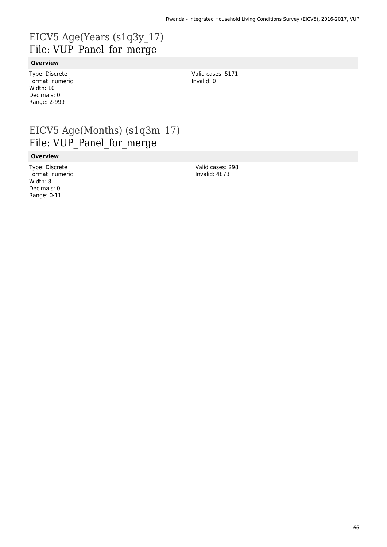# EICV5 Age(Years (s1q3y\_17) File: VUP\_Panel\_for\_merge

### **Overview**

Type: Discrete Format: numeric Width: 10 Decimals: 0 Range: 2-999

Valid cases: 5171 Invalid: 0

### EICV5 Age(Months) (s1q3m\_17) File: VUP\_Panel\_for\_merge

#### **Overview**

Type: Discrete Format: numeric Width: 8 Decimals: 0 Range: 0-11

Valid cases: 298 Invalid: 4873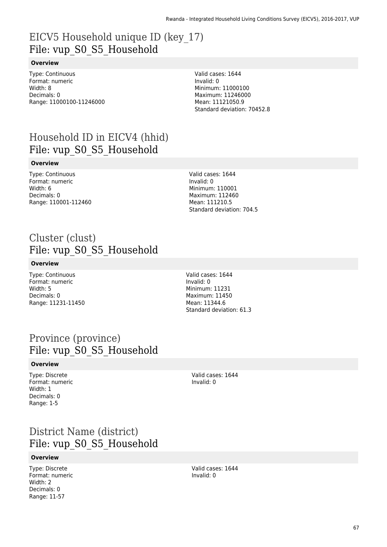### EICV5 Household unique ID (key\_17) File: vup\_S0\_S5\_Household

#### **Overview**

Type: Continuous Format: numeric Width: 8 Decimals: 0 Range: 11000100-11246000 Valid cases: 1644 Invalid: 0 Minimum: 11000100 Maximum: 11246000 Mean: 11121050.9 Standard deviation: 70452.8

# Household ID in EICV4 (hhid) File: vup\_S0\_S5\_Household

#### **Overview**

Type: Continuous Format: numeric Width: 6 Decimals: 0 Range: 110001-112460

Valid cases: 1644 Invalid: 0 Minimum: 110001 Maximum: 112460 Mean: 111210.5 Standard deviation: 704.5

### Cluster (clust) File: vup\_S0\_S5\_Household

#### **Overview**

Type: Continuous Format: numeric Width: 5 Decimals: 0 Range: 11231-11450 Valid cases: 1644 Invalid: 0 Minimum: 11231 Maximum: 11450 Mean: 11344.6 Standard deviation: 61.3

### Province (province) File: vup\_S0\_S5\_Household

### **Overview**

Type: Discrete Format: numeric Width: 1 Decimals: 0 Range: 1-5

Valid cases: 1644 Invalid: 0

### District Name (district) File: vup\_S0\_S5\_Household

### **Overview**

Type: Discrete Format: numeric Width: 2 Decimals: 0 Range: 11-57

Valid cases: 1644 Invalid: 0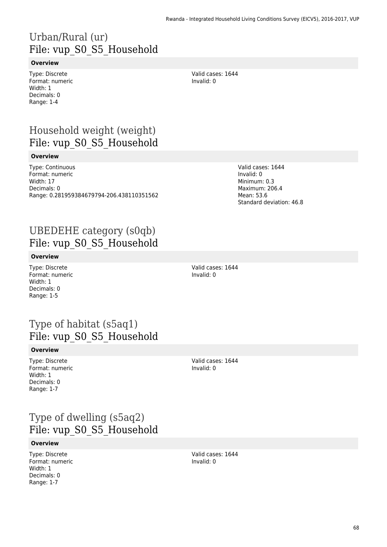## Urban/Rural (ur) File: vup\_S0\_S5\_Household

### **Overview**

Type: Discrete Format: numeric Width: 1 Decimals: 0 Range: 1-4

Valid cases: 1644 Invalid: 0

### Household weight (weight) File: vup\_S0\_S5\_Household

#### **Overview**

Type: Continuous Format: numeric Width: 17 Decimals: 0 Range: 0.281959384679794-206.438110351562

## UBEDEHE category (s0qb) File: vup\_S0\_S5\_Household

#### **Overview**

Type: Discrete Format: numeric Width: 1 Decimals: 0 Range: 1-5

### Type of habitat (s5aq1) File: vup\_S0\_S5\_Household

### **Overview**

Type: Discrete Format: numeric Width: 1 Decimals: 0 Range: 1-7

Valid cases: 1644 Invalid: 0

## Type of dwelling (s5aq2) File: vup\_S0\_S5\_Household

#### **Overview**

Type: Discrete Format: numeric Width: 1 Decimals: 0 Range: 1-7

Valid cases: 1644 Invalid: 0

Valid cases: 1644 Invalid: 0 Minimum: 0.3 Maximum: 206.4 Mean: 53.6 Standard deviation: 46.8

Valid cases: 1644 Invalid: 0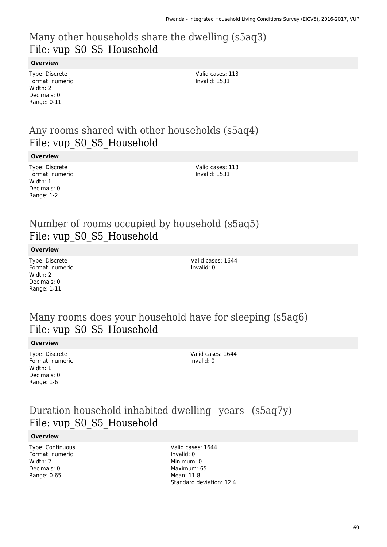## Many other households share the dwelling (s5aq3) File: vup\_S0\_S5\_Household

### **Overview**

Type: Discrete Format: numeric Width: 2 Decimals: 0 Range: 0-11

Valid cases: 113 Invalid: 1531

## Any rooms shared with other households (s5aq4) File: vup\_S0\_S5\_Household

#### **Overview**

Type: Discrete Format: numeric Width: 1 Decimals: 0 Range: 1-2

Valid cases: 113 Invalid: 1531

### Number of rooms occupied by household (s5aq5) File: vup\_S0\_S5\_Household

#### **Overview**

Type: Discrete Format: numeric Width: 2 Decimals: 0 Range: 1-11

Valid cases: 1644 Invalid: 0

### Many rooms does your household have for sleeping (s5aq6) File: vup\_S0\_S5\_Household

### **Overview**

Type: Discrete Format: numeric Width: 1 Decimals: 0 Range: 1-6

Valid cases: 1644 Invalid: 0

## Duration household inhabited dwelling years (s5aq7y) File: vup\_S0\_S5\_Household

#### **Overview**

Type: Continuous Format: numeric Width: 2 Decimals: 0 Range: 0-65

Valid cases: 1644 Invalid: 0 Minimum: 0 Maximum: 65 Mean: 11.8 Standard deviation: 12.4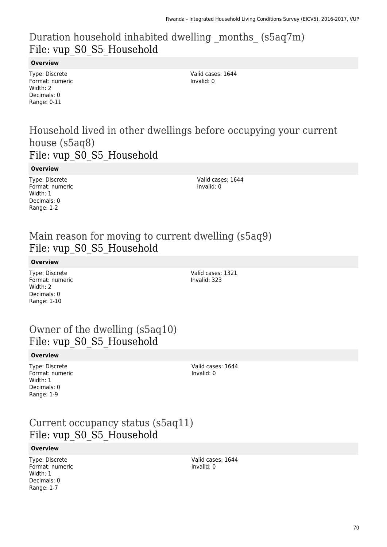## Duration household inhabited dwelling \_months (s5aq7m) File: vup\_S0\_S5\_Household

### **Overview**

Type: Discrete Format: numeric Width: 2 Decimals: 0 Range: 0-11

Valid cases: 1644 Invalid: 0

### Household lived in other dwellings before occupying your current house (s5aq8) File: vup\_S0\_S5\_Household

**Overview**

Type: Discrete Format: numeric Width: 1 Decimals: 0 Range: 1-2

Valid cases: 1644 Invalid: 0

### Main reason for moving to current dwelling (s5aq9) File: vup\_S0\_S5\_Household

#### **Overview**

Type: Discrete Format: numeric Width: 2 Decimals: 0 Range: 1-10

Valid cases: 1321 Invalid: 323

### Owner of the dwelling (s5aq10) File: vup\_S0\_S5\_Household

### **Overview**

Type: Discrete Format: numeric Width: 1 Decimals: 0 Range: 1-9

Valid cases: 1644 Invalid: 0

### Current occupancy status (s5aq11) File: vup\_S0\_S5\_Household

#### **Overview**

Type: Discrete Format: numeric Width: 1 Decimals: 0 Range: 1-7

Valid cases: 1644 Invalid: 0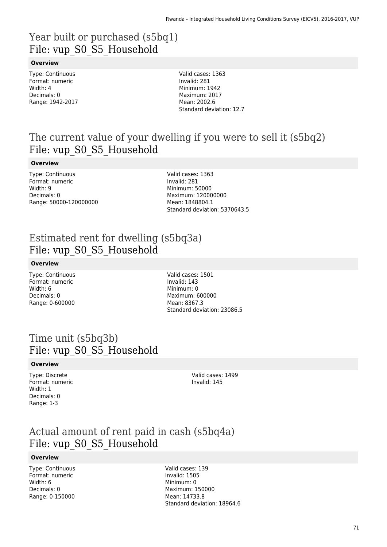## Year built or purchased (s5bq1) File: vup\_S0\_S5\_Household

### **Overview**

Type: Continuous Format: numeric Width: 4 Decimals: 0 Range: 1942-2017 Valid cases: 1363 Invalid: 281 Minimum: 1942 Maximum: 2017 Mean: 2002.6 Standard deviation: 12.7

# The current value of your dwelling if you were to sell it (s5bq2) File: vup\_S0\_S5\_Household

### **Overview**

Type: Continuous Format: numeric Width: 9 Decimals: 0 Range: 50000-120000000 Valid cases: 1363 Invalid: 281 Minimum: 50000 Maximum: 120000000 Mean: 1848804.1 Standard deviation: 5370643.5

### Estimated rent for dwelling (s5bq3a) File: vup\_S0\_S5\_Household

### **Overview**

Type: Continuous Format: numeric Width: 6 Decimals: 0 Range: 0-600000

Valid cases: 1501 Invalid: 143 Minimum: 0 Maximum: 600000 Mean: 8367.3 Standard deviation: 23086.5

### Time unit (s5bq3b) File: vup\_S0\_S5\_Household

### **Overview**

Type: Discrete Format: numeric Width: 1 Decimals: 0 Range: 1-3

Valid cases: 1499 Invalid: 145

### Actual amount of rent paid in cash (s5bq4a) File: vup\_S0\_S5\_Household

### **Overview**

Type: Continuous Format: numeric Width: 6 Decimals: 0 Range: 0-150000

Valid cases: 139 Invalid: 1505 Minimum: 0 Maximum: 150000 Mean: 14733.8 Standard deviation: 18964.6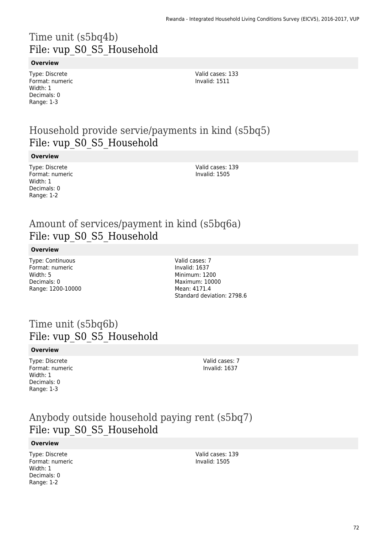## Time unit (s5bq4b) File: vup\_S0\_S5\_Household

### **Overview**

Type: Discrete Format: numeric Width: 1 Decimals: 0 Range: 1-3

Valid cases: 133 Invalid: 1511

## Household provide servie/payments in kind (s5bq5) File: vup\_S0\_S5\_Household

#### **Overview**

Type: Discrete Format: numeric Width: 1 Decimals: 0 Range: 1-2

Valid cases: 139 Invalid: 1505

### Amount of services/payment in kind (s5bq6a) File: vup\_S0\_S5\_Household

#### **Overview**

Type: Continuous Format: numeric Width: 5 Decimals: 0 Range: 1200-10000 Valid cases: 7 Invalid: 1637 Minimum: 1200 Maximum: 10000 Mean: 4171.4 Standard deviation: 2798.6

### Time unit (s5bq6b) File: vup\_S0\_S5\_Household

### **Overview**

Type: Discrete Format: numeric Width: 1 Decimals: 0 Range: 1-3

Valid cases: 7 Invalid: 1637

## Anybody outside household paying rent (s5bq7) File: vup\_S0\_S5\_Household

#### **Overview**

Type: Discrete Format: numeric Width: 1 Decimals: 0 Range: 1-2

Valid cases: 139 Invalid: 1505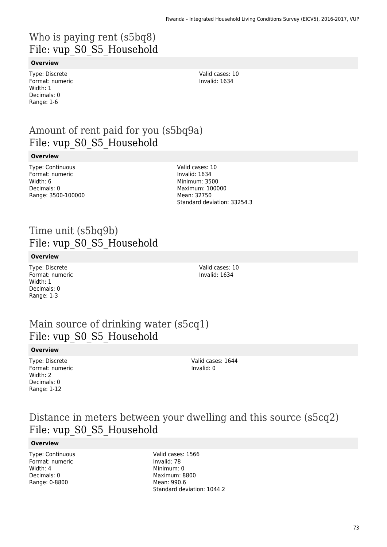## Who is paying rent (s5bq8) File: vup\_S0\_S5\_Household

### **Overview**

Type: Discrete Format: numeric Width: 1 Decimals: 0 Range: 1-6

Valid cases: 10 Invalid: 1634

## Amount of rent paid for you (s5bq9a) File: vup\_S0\_S5\_Household

### **Overview**

Type: Continuous Format: numeric Width: 6 Decimals: 0 Range: 3500-100000 Valid cases: 10 Invalid: 1634 Minimum: 3500 Maximum: 100000 Mean: 32750 Standard deviation: 33254.3

### Time unit (s5bq9b) File: vup\_S0\_S5\_Household

### **Overview**

Type: Discrete Format: numeric Width: 1 Decimals: 0 Range: 1-3

Valid cases: 10 Invalid: 1634

### Main source of drinking water (s5cq1) File: vup\_S0\_S5\_Household

#### **Overview**

Type: Discrete Format: numeric Width: 2 Decimals: 0 Range: 1-12

Valid cases: 1644 Invalid: 0

## Distance in meters between your dwelling and this source (s5cq2) File: vup\_S0\_S5\_Household

#### **Overview**

Type: Continuous Format: numeric Width: 4 Decimals: 0 Range: 0-8800

Valid cases: 1566 Invalid: 78 Minimum: 0 Maximum: 8800 Mean: 990.6 Standard deviation: 1044.2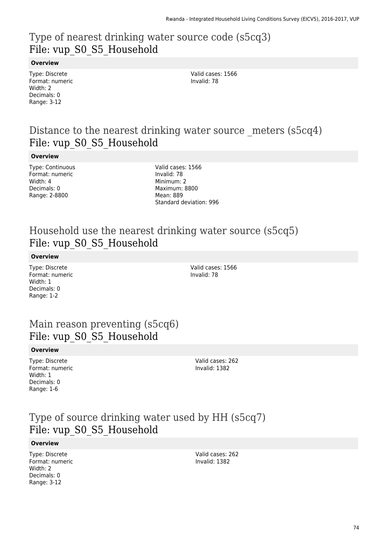## Type of nearest drinking water source code (s5cq3) File: vup\_S0\_S5\_Household

### **Overview**

Type: Discrete Format: numeric Width: 2 Decimals: 0 Range: 3-12

Valid cases: 1566 Invalid: 78

## Distance to the nearest drinking water source meters (s5cq4) File: vup\_S0\_S5\_Household

### **Overview**

| <b>Type: Continuous</b> |
|-------------------------|
| Format: numeric         |
| Width: 4                |
| Decimals: 0             |
| Range: 2-8800           |

Valid cases: 1566 Invalid: 78 Minimum: 2 Maximum: 8800 Mean: 889 Standard deviation: 996

## Household use the nearest drinking water source (s5cq5) File: vup\_S0\_S5\_Household

### **Overview**

Type: Discrete Format: numeric Width: 1 Decimals: 0 Range: 1-2

Valid cases: 1566 Invalid: 78

### Main reason preventing (s5cq6) File: vup\_S0\_S5\_Household

### **Overview**

Type: Discrete Format: numeric Width: 1 Decimals: 0 Range: 1-6

Valid cases: 262 Invalid: 1382

## Type of source drinking water used by HH (s5cq7) File: vup\_S0\_S5\_Household

### **Overview**

Type: Discrete Format: numeric Width: 2 Decimals: 0 Range: 3-12

Valid cases: 262 Invalid: 1382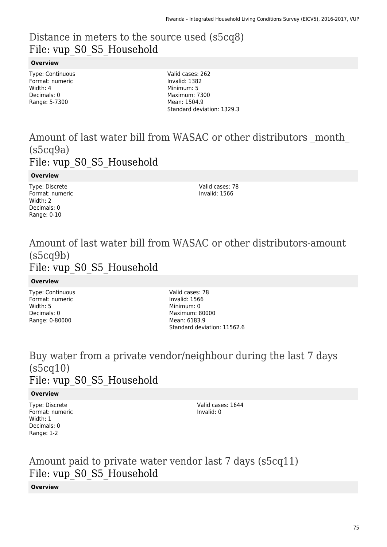## Distance in meters to the source used (s5cq8) File: vup\_S0\_S5\_Household

### **Overview**

| Type: Continuous |
|------------------|
| Format: numeric  |
| Width: 4         |
| Decimals: 0      |
| Range: 5-7300    |

Valid cases: 262 Invalid: 1382 Minimum: 5 Maximum: 7300 Mean: 1504.9 Standard deviation: 1329.3

### Amount of last water bill from WASAC or other distributors \_month\_ (s5cq9a) File: vup\_S0\_S5\_Household

### **Overview**

Type: Discrete Format: numeric Width: 2 Decimals: 0 Range: 0-10

Valid cases: 78 Invalid: 1566

### Amount of last water bill from WASAC or other distributors-amount (s5cq9b) File: vup\_S0\_S5\_Household

### **Overview**

Type: Continuous Format: numeric Width: 5 Decimals: 0 Range: 0-80000

Valid cases: 78 Invalid: 1566 Minimum: 0 Maximum: 80000 Mean: 6183.9 Standard deviation: 11562.6

### Buy water from a private vendor/neighbour during the last 7 days (s5cq10) File: vup\_S0\_S5\_Household

### **Overview**

Type: Discrete Format: numeric Width: 1 Decimals: 0 Range: 1-2

Valid cases: 1644 Invalid: 0

## Amount paid to private water vendor last 7 days (s5cq11) File: vup\_S0\_S5\_Household

### **Overview**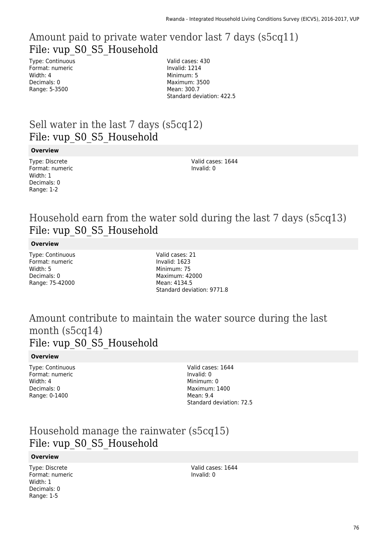## Amount paid to private water vendor last 7 days (s5cq11) File: vup\_S0\_S5\_Household

Type: Continuous Format: numeric Width: 4 Decimals: 0 Range: 5-3500

Valid cases: 430 Invalid: 1214 Minimum: 5 Maximum: 3500 Mean: 300.7 Standard deviation: 422.5

## Sell water in the last 7 days (s5cq12) File: vup\_S0\_S5\_Household

### **Overview**

Type: Discrete Format: numeric Width: 1 Decimals: 0 Range: 1-2

Valid cases: 1644 Invalid: 0

Household earn from the water sold during the last 7 days (s5cq13) File: vup\_S0\_S5\_Household

### **Overview**

Type: Continuous Format: numeric Width: 5 Decimals: 0 Range: 75-42000

Valid cases: 21 Invalid: 1623 Minimum: 75 Maximum: 42000 Mean: 4134.5 Standard deviation: 9771.8

### Amount contribute to maintain the water source during the last month (s5cq14) File: vup\_S0\_S5\_Household

#### **Overview**

Type: Continuous Format: numeric Width: 4 Decimals: 0 Range: 0-1400

Valid cases: 1644 Invalid: 0 Minimum: 0 Maximum: 1400 Mean: 9.4 Standard deviation: 72.5

### Household manage the rainwater (s5cq15) File: vup\_S0\_S5\_Household

### **Overview**

Type: Discrete Format: numeric Width: 1 Decimals: 0 Range: 1-5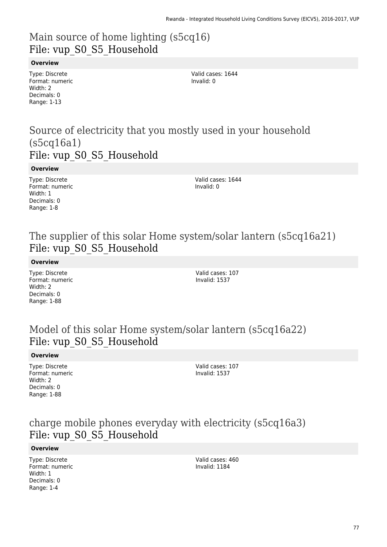## Main source of home lighting (s5cq16) File: vup\_S0\_S5\_Household

### **Overview**

Type: Discrete Format: numeric Width: 2 Decimals: 0 Range: 1-13

Valid cases: 1644 Invalid: 0

### Source of electricity that you mostly used in your household (s5cq16a1) File: vup\_S0\_S5\_Household

### **Overview**

Type: Discrete Format: numeric Width: 1 Decimals: 0 Range: 1-8

Valid cases: 1644 Invalid: 0

## The supplier of this solar Home system/solar lantern (s5cq16a21) File: vup\_S0\_S5\_Household

### **Overview**

Type: Discrete Format: numeric Width: 2 Decimals: 0 Range: 1-88

Valid cases: 107 Invalid: 1537

### Model of this solar Home system/solar lantern (s5cq16a22) File: vup\_S0\_S5\_Household

### **Overview**

Type: Discrete Format: numeric Width: 2 Decimals: 0 Range: 1-88

Valid cases: 107 Invalid: 1537

### charge mobile phones everyday with electricity (s5cq16a3) File: vup\_S0\_S5\_Household

#### **Overview**

Type: Discrete Format: numeric Width: 1 Decimals: 0 Range: 1-4

Valid cases: 460 Invalid: 1184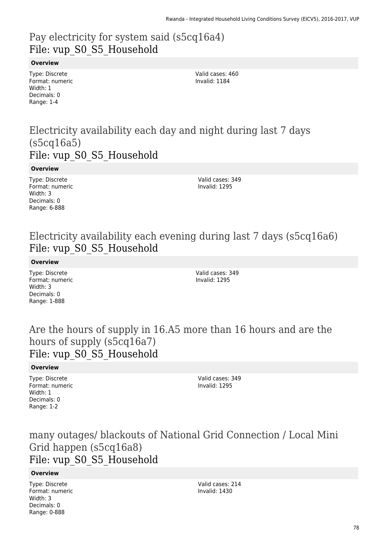## Pay electricity for system said (s5cq16a4) File: vup\_S0\_S5\_Household

### **Overview**

Type: Discrete Format: numeric Width: 1 Decimals: 0 Range: 1-4

Valid cases: 460 Invalid: 1184

### Electricity availability each day and night during last 7 days (s5cq16a5) File: vup\_S0\_S5\_Household

### **Overview**

Type: Discrete Format: numeric Width: 3 Decimals: 0 Range: 6-888

Valid cases: 349 Invalid: 1295

### Electricity availability each evening during last 7 days (s5cq16a6) File: vup\_S0\_S5\_Household

### **Overview**

Type: Discrete Format: numeric Width: 3 Decimals: 0 Range: 1-888

Valid cases: 349 Invalid: 1295

### Are the hours of supply in 16.A5 more than 16 hours and are the hours of supply (s5cq16a7) File: vup\_S0\_S5\_Household

### **Overview**

Type: Discrete Format: numeric Width: 1 Decimals: 0 Range: 1-2

Valid cases: 349 Invalid: 1295

### many outages/ blackouts of National Grid Connection / Local Mini Grid happen (s5cq16a8) File: vup\_S0\_S5\_Household

### **Overview**

Type: Discrete Format: numeric Width: 3 Decimals: 0 Range: 0-888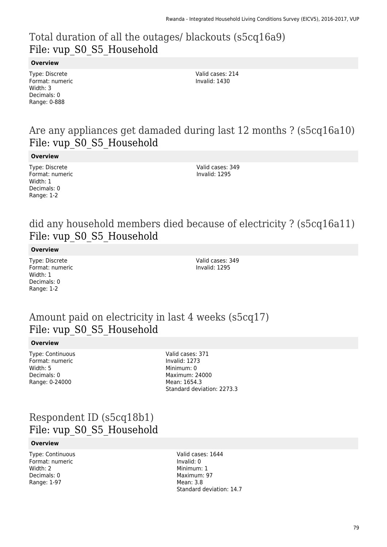## Total duration of all the outages/ blackouts (s5cq16a9) File: vup\_S0\_S5\_Household

### **Overview**

Type: Discrete Format: numeric Width: 3 Decimals: 0 Range: 0-888

Valid cases: 214 Invalid: 1430

Are any appliances get damaded during last 12 months ? (s5cq16a10) File: vup\_S0\_S5\_Household

#### **Overview**

Type: Discrete Format: numeric Width: 1 Decimals: 0 Range: 1-2

Valid cases: 349 Invalid: 1295

### did any household members died because of electricity ? (s5cq16a11) File: vup\_S0\_S5\_Household

**Overview**

Type: Discrete Format: numeric Width: 1 Decimals: 0 Range: 1-2

Valid cases: 349 Invalid: 1295

## Amount paid on electricity in last 4 weeks (s5cq17) File: vup\_S0\_S5\_Household

#### **Overview**

Type: Continuous Format: numeric Width: 5 Decimals: 0 Range: 0-24000

Valid cases: 371 Invalid: 1273 Minimum: 0 Maximum: 24000 Mean: 1654.3 Standard deviation: 2273.3

### Respondent ID (s5cq18b1) File: vup\_S0\_S5\_Household

#### **Overview**

Type: Continuous Format: numeric Width: 2 Decimals: 0 Range: 1-97

Valid cases: 1644 Invalid: 0 Minimum: 1 Maximum: 97 Mean: 3.8 Standard deviation: 14.7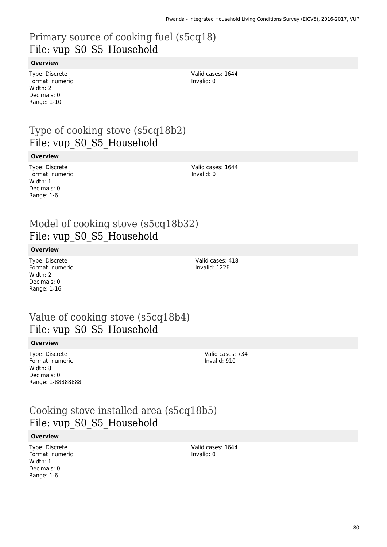## Primary source of cooking fuel (s5cq18) File: vup\_S0\_S5\_Household

### **Overview**

Type: Discrete Format: numeric Width: 2 Decimals: 0 Range: 1-10

Valid cases: 1644 Invalid: 0

## Type of cooking stove (s5cq18b2) File: vup\_S0\_S5\_Household

#### **Overview**

Type: Discrete Format: numeric Width: 1 Decimals: 0 Range: 1-6

Valid cases: 1644 Invalid: 0

## Model of cooking stove (s5cq18b32) File: vup\_S0\_S5\_Household

#### **Overview**

Type: Discrete Format: numeric Width: 2 Decimals: 0 Range: 1-16

Valid cases: 418 Invalid: 1226

### Value of cooking stove (s5cq18b4) File: vup\_S0\_S5\_Household

#### **Overview**

Type: Discrete Format: numeric Width: 8 Decimals: 0 Range: 1-88888888 Valid cases: 734 Invalid: 910

Cooking stove installed area (s5cq18b5) File: vup\_S0\_S5\_Household

### **Overview**

Type: Discrete Format: numeric Width: 1 Decimals: 0 Range: 1-6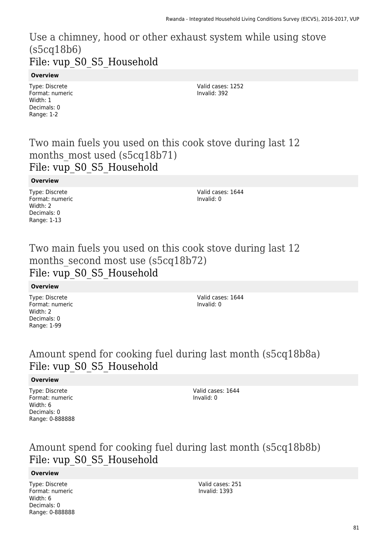### Use a chimney, hood or other exhaust system while using stove (s5cq18b6) File: vup\_S0\_S5\_Household

**Overview**

Type: Discrete Format: numeric Width: 1 Decimals: 0 Range: 1-2

Valid cases: 1252 Invalid: 392

## Two main fuels you used on this cook stove during last 12 months most used (s5cq18b71) File: vup\_S0\_S5\_Household

### **Overview**

Type: Discrete Format: numeric Width: 2 Decimals: 0 Range: 1-13

Valid cases: 1644 Invalid: 0

## Two main fuels you used on this cook stove during last 12 months second most use (s5cq18b72) File: vup\_S0\_S5\_Household

### **Overview**

Type: Discrete Format: numeric Width: 2 Decimals: 0 Range: 1-99

Valid cases: 1644 Invalid: 0

## Amount spend for cooking fuel during last month (s5cq18b8a) File: vup\_S0\_S5\_Household

### **Overview**

Type: Discrete Format: numeric Width: 6 Decimals: 0 Range: 0-888888

Valid cases: 1644 Invalid: 0

## Amount spend for cooking fuel during last month (s5cq18b8b) File: vup\_S0\_S5\_Household

### **Overview**

Type: Discrete Format: numeric Width: 6 Decimals: 0 Range: 0-888888 Valid cases: 251 Invalid: 1393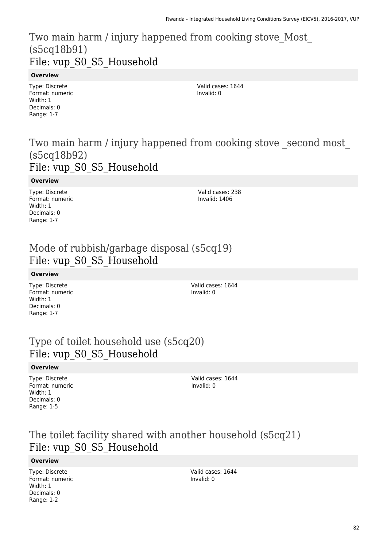### Two main harm / injury happened from cooking stove\_Most\_ (s5cq18b91) File: vup\_S0\_S5\_Household

### **Overview**

Type: Discrete Format: numeric Width: 1 Decimals: 0 Range: 1-7

Valid cases: 1644 Invalid: 0

### Two main harm / injury happened from cooking stove second most (s5cq18b92) File: vup\_S0\_S5\_Household

### **Overview**

Type: Discrete Format: numeric Width: 1 Decimals: 0 Range: 1-7

Valid cases: 238 Invalid: 1406

## Mode of rubbish/garbage disposal (s5cq19) File: vup\_S0\_S5\_Household

### **Overview**

Type: Discrete Format: numeric Width: 1 Decimals: 0 Range: 1-7

Valid cases: 1644 Invalid: 0

### Type of toilet household use (s5cq20) File: vup\_S0\_S5\_Household

### **Overview**

Type: Discrete Format: numeric Width: 1 Decimals: 0 Range: 1-5

Valid cases: 1644 Invalid: 0

## The toilet facility shared with another household (s5cq21) File: vup\_S0\_S5\_Household

### **Overview**

Type: Discrete Format: numeric Width: 1 Decimals: 0 Range: 1-2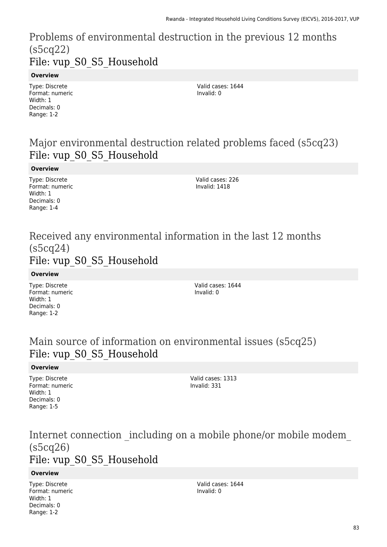### Problems of environmental destruction in the previous 12 months (s5cq22) File: vup\_S0\_S5\_Household

### **Overview**

Type: Discrete Format: numeric Width: 1 Decimals: 0 Range: 1-2

Valid cases: 1644 Invalid: 0

## Major environmental destruction related problems faced (s5cq23) File: vup\_S0\_S5\_Household

### **Overview**

Type: Discrete Format: numeric Width: 1 Decimals: 0 Range: 1-4

Valid cases: 226 Invalid: 1418

### Received any environmental information in the last 12 months (s5cq24) File: vup\_S0\_S5\_Household

### **Overview**

Type: Discrete Format: numeric Width: 1 Decimals: 0 Range: 1-2

Valid cases: 1644 Invalid: 0

## Main source of information on environmental issues (s5cq25) File: vup\_S0\_S5\_Household

### **Overview**

Type: Discrete Format: numeric Width: 1 Decimals: 0 Range: 1-5

Valid cases: 1313 Invalid: 331

### Internet connection including on a mobile phone/or mobile modem (s5cq26) File: vup\_S0\_S5\_Household

### **Overview**

Type: Discrete Format: numeric Width: 1 Decimals: 0 Range: 1-2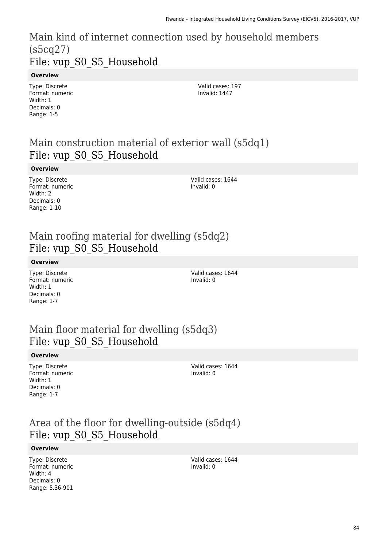### Main kind of internet connection used by household members (s5cq27) File: vup\_S0\_S5\_Household

### **Overview**

Type: Discrete Format: numeric Width: 1 Decimals: 0 Range: 1-5

Valid cases: 197 Invalid: 1447

## Main construction material of exterior wall (s5dq1) File: vup\_S0\_S5\_Household

### **Overview**

Type: Discrete Format: numeric Width: 2 Decimals: 0 Range: 1-10

Valid cases: 1644 Invalid: 0

## Main roofing material for dwelling (s5dq2) File: vup\_S0\_S5\_Household

### **Overview**

Type: Discrete Format: numeric Width: 1 Decimals: 0 Range: 1-7

Valid cases: 1644 Invalid: 0

### Main floor material for dwelling (s5dq3) File: vup\_S0\_S5\_Household

### **Overview**

Type: Discrete Format: numeric Width: 1 Decimals: 0 Range: 1-7

Valid cases: 1644 Invalid: 0

## Area of the floor for dwelling-outside (s5dq4) File: vup\_S0\_S5\_Household

### **Overview**

Type: Discrete Format: numeric Width: 4 Decimals: 0 Range: 5.36-901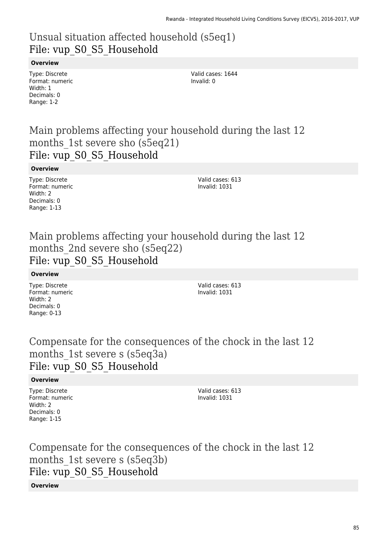## Unsual situation affected household (s5eq1) File: vup\_S0\_S5\_Household

### **Overview**

Type: Discrete Format: numeric Width: 1 Decimals: 0 Range: 1-2

Valid cases: 1644 Invalid: 0

## Main problems affecting your household during the last 12 months 1st severe sho (s5eq21) File: vup\_S0\_S5\_Household

**Overview**

Type: Discrete Format: numeric Width: 2 Decimals: 0 Range: 1-13

Valid cases: 613 Invalid: 1031

### Main problems affecting your household during the last 12 months 2nd severe sho (s5eq22) File: vup\_S0\_S5\_Household

**Overview**

Type: Discrete Format: numeric Width: 2 Decimals: 0 Range: 0-13

Valid cases: 613 Invalid: 1031

Compensate for the consequences of the chock in the last 12 months 1st severe s (s5eq3a) File: vup\_S0\_S5\_Household

### **Overview**

Type: Discrete Format: numeric Width: 2 Decimals: 0 Range: 1-15

Valid cases: 613 Invalid: 1031

Compensate for the consequences of the chock in the last 12 months 1st severe s (s5eq3b) File: vup\_S0\_S5\_Household

### **Overview**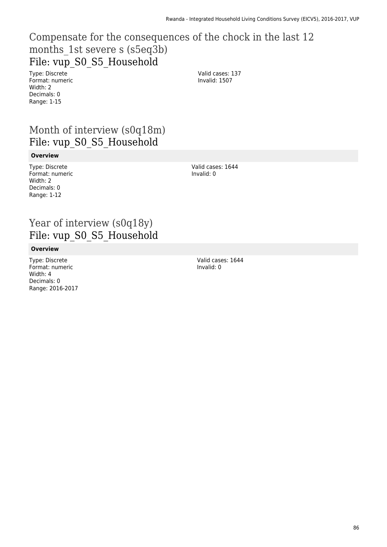### Compensate for the consequences of the chock in the last 12 months\_1st severe s (s5eq3b) File: vup S0 S5 Household

Type: Discrete Format: numeric Width: 2 Decimals: 0 Range: 1-15

Valid cases: 137 Invalid: 1507

## Month of interview (s0q18m) File: vup\_S0\_S5\_Household

### **Overview**

Type: Discrete Format: numeric Width: 2 Decimals: 0 Range: 1-12

Valid cases: 1644 Invalid: 0

## Year of interview (s0q18y) File: vup\_S0\_S5\_Household

### **Overview**

Type: Discrete Format: numeric Width: 4 Decimals: 0 Range: 2016-2017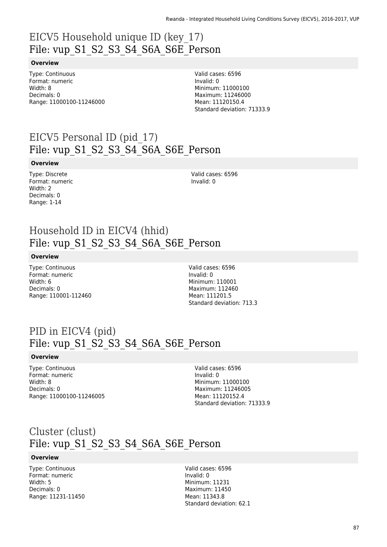## EICV5 Household unique ID (key\_17) File: vup\_S1\_S2\_S3\_S4\_S6A\_S6E\_Person

### **Overview**

Type: Continuous Format: numeric Width: 8 Decimals: 0 Range: 11000100-11246000 Valid cases: 6596 Invalid: 0 Minimum: 11000100 Maximum: 11246000 Mean: 11120150.4 Standard deviation: 71333.9

## EICV5 Personal ID (pid\_17) File: vup\_S1\_S2\_S3\_S4\_S6A\_S6E\_Person

#### **Overview**

Type: Discrete Format: numeric Width: 2 Decimals: 0 Range: 1-14

Valid cases: 6596 Invalid: 0

### Household ID in EICV4 (hhid) File: vup\_S1\_S2\_S3\_S4\_S6A\_S6E\_Person

#### **Overview**

Type: Continuous Format: numeric Width: 6 Decimals: 0 Range: 110001-112460 Valid cases: 6596 Invalid: 0 Minimum: 110001 Maximum: 112460 Mean: 111201.5 Standard deviation: 713.3

## PID in EICV4 (pid) File: vup S1\_S2\_S3\_S4\_S6A\_S6E\_Person

#### **Overview**

Type: Continuous Format: numeric Width: 8 Decimals: 0 Range: 11000100-11246005 Valid cases: 6596 Invalid: 0 Minimum: 11000100 Maximum: 11246005 Mean: 11120152.4 Standard deviation: 71333.9

### Cluster (clust) File: vup S1\_S2\_S3\_S4\_S6A\_S6E\_Person

#### **Overview**

Type: Continuous Format: numeric Width: 5 Decimals: 0 Range: 11231-11450

Valid cases: 6596 Invalid: 0 Minimum: 11231 Maximum: 11450 Mean: 11343.8 Standard deviation: 62.1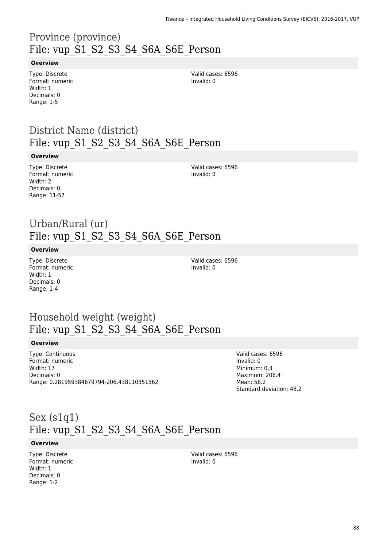## Province (province) File: vup\_S1\_S2\_S3\_S4\_S6A\_S6E\_Person

### **Overview**

Type: Discrete Format: numeric Width: 1 Decimals: 0 Range: 1-5

Valid cases: 6596 Invalid: 0

## District Name (district) File: vup\_S1\_S2\_S3\_S4\_S6A\_S6E\_Person

#### **Overview**

Type: Discrete Format: numeric Width: 2 Decimals: 0 Range: 11-57

Valid cases: 6596 Invalid: 0

## Urban/Rural (ur) File: vup S1 S2 S3 S4 S6A S6E Person

#### **Overview**

Type: Discrete Format: numeric Width: 1 Decimals: 0 Range: 1-4

Valid cases: 6596 Invalid: 0

### Household weight (weight) File: vup\_S1\_S2\_S3\_S4\_S6A\_S6E\_Person

#### **Overview**

Type: Continuous Format: numeric Width: 17 Decimals: 0 Range: 0.281959384679794-206.438110351562 Valid cases: 6596 Invalid: 0 Minimum: 0.3 Maximum: 206.4 Mean: 56.2 Standard deviation: 48.2

## Sex (s1q1) File: vup S1 S2 S3 S4 S6A S6E Person

#### **Overview**

Type: Discrete Format: numeric Width: 1 Decimals: 0 Range: 1-2

Valid cases: 6596 Invalid: 0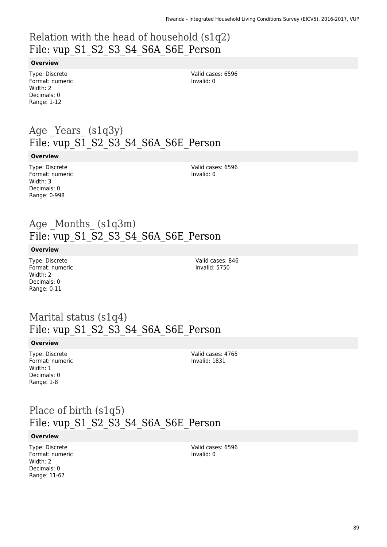## Relation with the head of household (s1q2) File: vup\_S1\_S2\_S3\_S4\_S6A\_S6E\_Person

### **Overview**

Type: Discrete Format: numeric Width: 2 Decimals: 0 Range: 1-12

Valid cases: 6596 Invalid: 0

## Age Years  $(s1q3y)$ File: vup S1\_S2\_S3\_S4\_S6A\_S6E\_Person

#### **Overview**

Type: Discrete Format: numeric Width: 3 Decimals: 0 Range: 0-998

Valid cases: 6596 Invalid: 0

### Age Months  $(s1q3m)$ File: vup\_S1\_S2\_S3\_S4\_S6A\_S6E\_Person

#### **Overview**

Type: Discrete Format: numeric Width: 2 Decimals: 0 Range: 0-11

Valid cases: 846 Invalid: 5750

### Marital status (s1q4) File: vup\_S1\_S2\_S3\_S4\_S6A\_S6E\_Person

#### **Overview**

Type: Discrete Format: numeric Width: 1 Decimals: 0 Range: 1-8

Valid cases: 4765 Invalid: 1831

### Place of birth (s1q5) File: vup\_S1\_S2\_S3\_S4\_S6A\_S6E\_Person

#### **Overview**

Type: Discrete Format: numeric Width: 2 Decimals: 0 Range: 11-67

Valid cases: 6596 Invalid: 0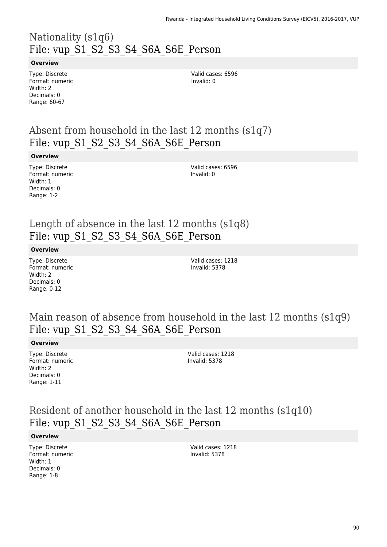## Nationality (s1q6) File: vup\_S1\_S2\_S3\_S4\_S6A\_S6E\_Person

### **Overview**

Type: Discrete Format: numeric Width: 2 Decimals: 0 Range: 60-67

Valid cases: 6596 Invalid: 0

## Absent from household in the last 12 months (s1q7) File: vup\_S1\_S2\_S3\_S4\_S6A\_S6E\_Person

### **Overview**

Type: Discrete Format: numeric Width: 1 Decimals: 0 Range: 1-2

Valid cases: 6596 Invalid: 0

## Length of absence in the last 12 months  $(s1q8)$ File: vup S1 S2 S3 S4 S6A S6E Person

### **Overview**

Type: Discrete Format: numeric Width: 2 Decimals: 0 Range: 0-12

Valid cases: 1218 Invalid: 5378

## Main reason of absence from household in the last 12 months (s1q9) File: vup\_S1\_S2\_S3\_S4\_S6A\_S6E\_Person

### **Overview**

Type: Discrete Format: numeric Width: 2 Decimals: 0 Range: 1-11

Valid cases: 1218 Invalid: 5378

## Resident of another household in the last 12 months (s1q10) File: vup\_S1\_S2\_S3\_S4\_S6A\_S6E\_Person

### **Overview**

Type: Discrete Format: numeric Width: 1 Decimals: 0 Range: 1-8

Valid cases: 1218 Invalid: 5378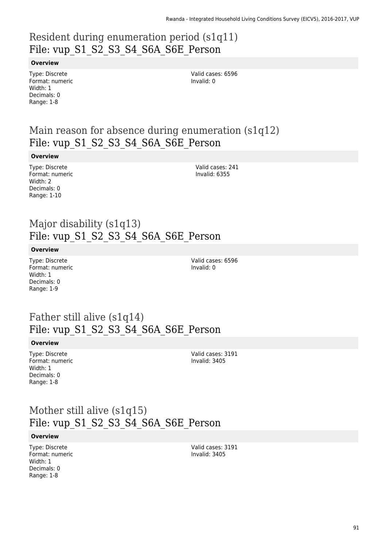## Resident during enumeration period (s1q11) File: vup\_S1\_S2\_S3\_S4\_S6A\_S6E\_Person

### **Overview**

Type: Discrete Format: numeric Width: 1 Decimals: 0 Range: 1-8

Valid cases: 6596 Invalid: 0

## Main reason for absence during enumeration (s1q12) File: vup\_S1\_S2\_S3\_S4\_S6A\_S6E\_Person

### **Overview**

Type: Discrete Format: numeric Width: 2 Decimals: 0 Range: 1-10

Valid cases: 241 Invalid: 6355

## Major disability (s1q13) File: vup\_S1\_S2\_S3\_S4\_S6A\_S6E\_Person

### **Overview**

Type: Discrete Format: numeric Width: 1 Decimals: 0 Range: 1-9

Valid cases: 6596 Invalid: 0

### Father still alive (s1q14) File: vup S1\_S2\_S3\_S4\_S6A\_S6E\_Person

#### **Overview**

Type: Discrete Format: numeric Width: 1 Decimals: 0 Range: 1-8

Valid cases: 3191 Invalid: 3405

## Mother still alive (s1q15) File: vup\_S1\_S2\_S3\_S4\_S6A\_S6E\_Person

#### **Overview**

Type: Discrete Format: numeric Width: 1 Decimals: 0 Range: 1-8

Valid cases: 3191 Invalid: 3405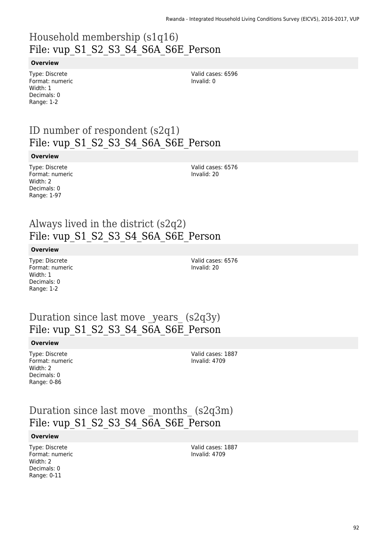## Household membership (s1q16) File: vup\_S1\_S2\_S3\_S4\_S6A\_S6E\_Person

### **Overview**

Type: Discrete Format: numeric Width: 1 Decimals: 0 Range: 1-2

Valid cases: 6596 Invalid: 0

## ID number of respondent (s2q1) File: vup\_S1\_S2\_S3\_S4\_S6A\_S6E\_Person

#### **Overview**

Type: Discrete Format: numeric Width: 2 Decimals: 0 Range: 1-97

Valid cases: 6576 Invalid: 20

## Always lived in the district (s2q2) File: vup S1 S2 S3 S4 S6A S6E Person

### **Overview**

Type: Discrete Format: numeric Width: 1 Decimals: 0 Range: 1-2

Valid cases: 6576 Invalid: 20

### Duration since last move years  $(s2q3y)$ File: vup S1\_S2\_S3\_S4\_S6A\_S6E\_Person

#### **Overview**

Type: Discrete Format: numeric Width: 2 Decimals: 0 Range: 0-86

Valid cases: 1887 Invalid: 4709

Duration since last move months  $(s2q3m)$ File: vup S1\_S2\_S3\_S4\_S6A\_S6E\_Person

#### **Overview**

Type: Discrete Format: numeric Width: 2 Decimals: 0 Range: 0-11

Valid cases: 1887 Invalid: 4709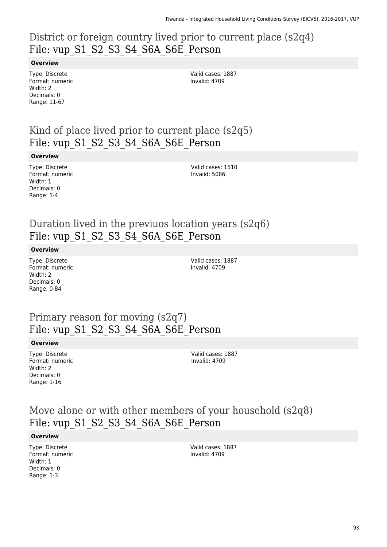## District or foreign country lived prior to current place (s2q4) File: vup\_S1\_S2\_S3\_S4\_S6A\_S6E\_Person

### **Overview**

Type: Discrete Format: numeric Width: 2 Decimals: 0 Range: 11-67

Valid cases: 1887 Invalid: 4709

## Kind of place lived prior to current place (s2q5) File: vup\_S1\_S2\_S3\_S4\_S6A\_S6E\_Person

#### **Overview**

Type: Discrete Format: numeric Width: 1 Decimals: 0 Range: 1-4

Valid cases: 1510 Invalid: 5086

## Duration lived in the previuos location years (s2q6) File: vup S1 S2 S3 S4 S6A S6E Person

### **Overview**

Type: Discrete Format: numeric Width: 2 Decimals: 0 Range: 0-84

Valid cases: 1887 Invalid: 4709

### Primary reason for moving (s2q7) File: vup S1 S2 S3 S4 S6A S6E Person

#### **Overview**

Type: Discrete Format: numeric Width: 2 Decimals: 0 Range: 1-16

Valid cases: 1887 Invalid: 4709

## Move alone or with other members of your household (s2q8) File: vup\_S1\_S2\_S3\_S4\_S6A\_S6E\_Person

### **Overview**

Type: Discrete Format: numeric Width: 1 Decimals: 0 Range: 1-3

Valid cases: 1887 Invalid: 4709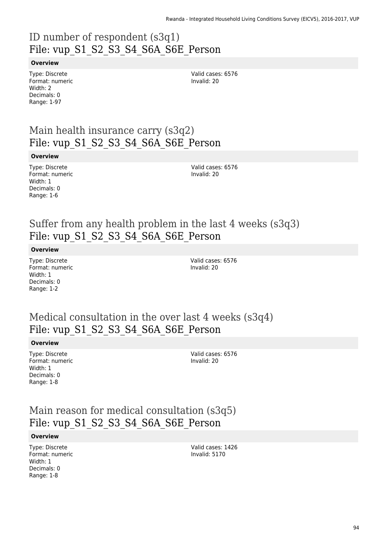## ID number of respondent (s3q1) File: vup\_S1\_S2\_S3\_S4\_S6A\_S6E\_Person

### **Overview**

Type: Discrete Format: numeric Width: 2 Decimals: 0 Range: 1-97

Valid cases: 6576 Invalid: 20

## Main health insurance carry (s3q2) File: vup\_S1\_S2\_S3\_S4\_S6A\_S6E\_Person

### **Overview**

Type: Discrete Format: numeric Width: 1 Decimals: 0 Range: 1-6

Valid cases: 6576 Invalid: 20

## Suffer from any health problem in the last 4 weeks (s3q3) File: vup S1 S2 S3 S4 S6A S6E Person

### **Overview**

Type: Discrete Format: numeric Width: 1 Decimals: 0 Range: 1-2

Valid cases: 6576 Invalid: 20

### Medical consultation in the over last 4 weeks (s3q4) File: vup S1 S2 S3 S4 S6A S6E Person

### **Overview**

Type: Discrete Format: numeric Width: 1 Decimals: 0 Range: 1-8

Valid cases: 6576 Invalid: 20

Main reason for medical consultation (s3q5) File: vup\_S1\_S2\_S3\_S4\_S6A\_S6E\_Person

### **Overview**

Type: Discrete Format: numeric Width: 1 Decimals: 0 Range: 1-8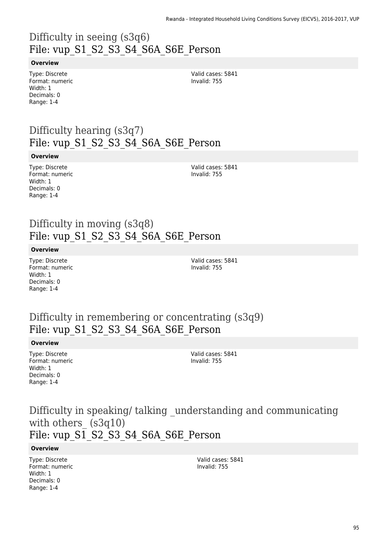## Difficulty in seeing (s3q6) File: vup\_S1\_S2\_S3\_S4\_S6A\_S6E\_Person

### **Overview**

Type: Discrete Format: numeric Width: 1 Decimals: 0 Range: 1-4

Valid cases: 5841 Invalid: 755

## Difficulty hearing (s3q7) File: vup\_S1\_S2\_S3\_S4\_S6A\_S6E\_Person

#### **Overview**

Type: Discrete Format: numeric Width: 1 Decimals: 0 Range: 1-4

Valid cases: 5841 Invalid: 755

### Difficulty in moving (s3q8) File: vup S1 S2 S3 S4 S6A S6E Person

#### **Overview**

Type: Discrete Format: numeric Width: 1 Decimals: 0 Range: 1-4

Valid cases: 5841 Invalid: 755

### Difficulty in remembering or concentrating (s3q9) File: vup S1 S2 S3 S4 S6A S6E Person

#### **Overview**

Type: Discrete Format: numeric Width: 1 Decimals: 0 Range: 1-4

Valid cases: 5841 Invalid: 755

### Difficulty in speaking/ talking understanding and communicating with others (s3q10) File: vup  $S\bar{1}$  S2 S3 S4 S6A\_S6E\_Person

#### **Overview**

Type: Discrete Format: numeric Width: 1 Decimals: 0 Range: 1-4

Valid cases: 5841 Invalid: 755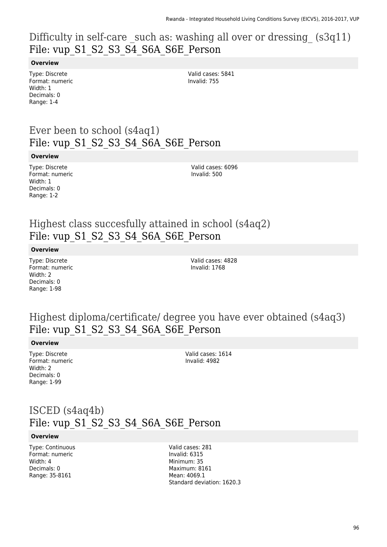## Difficulty in self-care such as: washing all over or dressing (s3q11) File: vup\_S1\_S2\_S3\_S4\_S6A\_S6E\_Person

### **Overview**

Type: Discrete Format: numeric Width: 1 Decimals: 0 Range: 1-4

Valid cases: 5841 Invalid: 755

## Ever been to school (s4aq1) File: vup\_S1\_S2\_S3\_S4\_S6A\_S6E\_Person

#### **Overview**

Type: Discrete Format: numeric Width: 1 Decimals: 0 Range: 1-2

Valid cases: 6096 Invalid: 500

## Highest class succesfully attained in school (s4aq2) File: vup S1 S2 S3 S4 S6A S6E Person

#### **Overview**

Type: Discrete Format: numeric Width: 2 Decimals: 0 Range: 1-98

Valid cases: 4828 Invalid: 1768

### Highest diploma/certificate/ degree you have ever obtained (s4aq3) File: vup S1 S2 S3 S4 S6A S6E Person

### **Overview**

Type: Discrete Format: numeric Width: 2 Decimals: 0 Range: 1-99

Valid cases: 1614 Invalid: 4982

## ISCED (s4aq4b) File: vup\_S1\_S2\_S3\_S4\_S6A\_S6E\_Person

#### **Overview**

Type: Continuous Format: numeric Width: 4 Decimals: 0 Range: 35-8161

Valid cases: 281 Invalid: 6315 Minimum: 35 Maximum: 8161 Mean: 4069.1 Standard deviation: 1620.3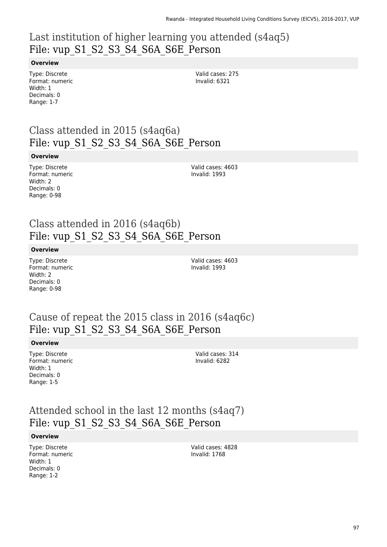## Last institution of higher learning you attended (s4aq5) File: vup\_S1\_S2\_S3\_S4\_S6A\_S6E\_Person

### **Overview**

Type: Discrete Format: numeric Width: 1 Decimals: 0 Range: 1-7

Valid cases: 275 Invalid: 6321

## Class attended in 2015 (s4aq6a) File: vup\_S1\_S2\_S3\_S4\_S6A\_S6E\_Person

#### **Overview**

Type: Discrete Format: numeric Width: 2 Decimals: 0 Range: 0-98

Valid cases: 4603 Invalid: 1993

### Class attended in 2016 (s4aq6b) File: vup\_S1\_S2\_S3\_S4\_S6A\_S6E\_Person

### **Overview**

Type: Discrete Format: numeric Width: 2 Decimals: 0 Range: 0-98

Valid cases: 4603 Invalid: 1993

### Cause of repeat the 2015 class in 2016 (s4aq6c) File: vup S1\_S2\_S3\_S4\_S6A\_S6E\_Person

#### **Overview**

Type: Discrete Format: numeric Width: 1 Decimals: 0 Range: 1-5

Valid cases: 314 Invalid: 6282

Attended school in the last 12 months (s4aq7) File: vup\_S1\_S2\_S3\_S4\_S6A\_S6E\_Person

#### **Overview**

Type: Discrete Format: numeric Width: 1 Decimals: 0 Range: 1-2

Valid cases: 4828 Invalid: 1768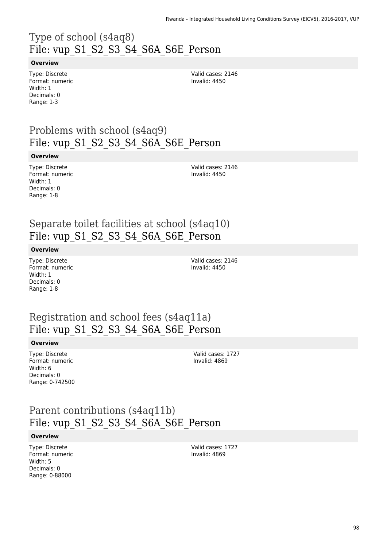## Type of school (s4aq8) File: vup\_S1\_S2\_S3\_S4\_S6A\_S6E\_Person

### **Overview**

Type: Discrete Format: numeric Width: 1 Decimals: 0 Range: 1-3

Valid cases: 2146 Invalid: 4450

## Problems with school (s4aq9) File: vup\_S1\_S2\_S3\_S4\_S6A\_S6E\_Person

#### **Overview**

Type: Discrete Format: numeric Width: 1 Decimals: 0 Range: 1-8

Valid cases: 2146 Invalid: 4450

### Separate toilet facilities at school (s4aq10) File: vup S1 S2 S3 S4 S6A S6E Person

### **Overview**

Type: Discrete Format: numeric Width: 1 Decimals: 0 Range: 1-8

Valid cases: 2146 Invalid: 4450

### Registration and school fees (s4aq11a) File: vup S1 S2 S3 S4 S6A S6E Person

#### **Overview**

Type: Discrete Format: numeric Width: 6 Decimals: 0 Range: 0-742500

Valid cases: 1727 Invalid: 4869

### Parent contributions (s4aq11b) File: vup\_S1\_S2\_S3\_S4\_S6A\_S6E\_Person

#### **Overview**

Type: Discrete Format: numeric Width: 5 Decimals: 0 Range: 0-88000

Valid cases: 1727 Invalid: 4869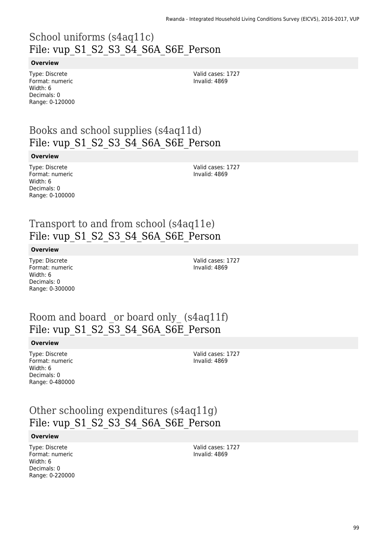## School uniforms (s4aq11c) File: vup\_S1\_S2\_S3\_S4\_S6A\_S6E\_Person

### **Overview**

Type: Discrete Format: numeric Width: 6 Decimals: 0 Range: 0-120000

Valid cases: 1727 Invalid: 4869

## Books and school supplies (s4aq11d) File: vup\_S1\_S2\_S3\_S4\_S6A\_S6E\_Person

#### **Overview**

Type: Discrete Format: numeric Width: 6 Decimals: 0 Range: 0-100000

Valid cases: 1727 Invalid: 4869

## Transport to and from school (s4aq11e) File: vup S1 S2 S3 S4 S6A S6E Person

### **Overview**

Type: Discrete Format: numeric Width: 6 Decimals: 0 Range: 0-300000

Valid cases: 1727 Invalid: 4869

### Room and board \_or board only\_ (s4aq11f) File: vup\_S1\_S2\_S3\_S4\_S6A\_S6E\_Person

#### **Overview**

Type: Discrete Format: numeric Width: 6 Decimals: 0 Range: 0-480000 Valid cases: 1727 Invalid: 4869

## Other schooling expenditures (s4aq11g) File: vup S1\_S2\_S3\_S4\_S6A\_S6E\_Person

#### **Overview**

Type: Discrete Format: numeric Width: 6 Decimals: 0 Range: 0-220000

Valid cases: 1727 Invalid: 4869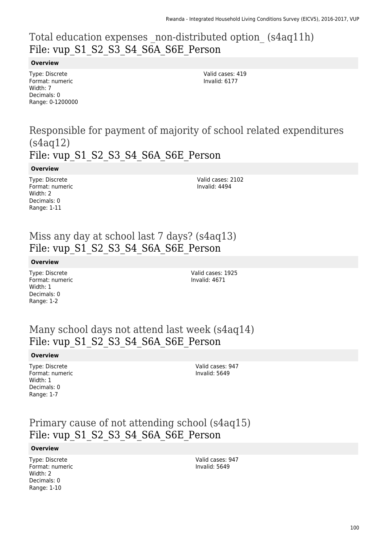## Total education expenses \_non-distributed option (s4aq11h) File: vup\_S1\_S2\_S3\_S4\_S6A\_S6E\_Person

### **Overview**

Type: Discrete Format: numeric Width: 7 Decimals: 0 Range: 0-1200000

Valid cases: 419 Invalid: 6177

## Responsible for payment of majority of school related expenditures (s4aq12) File: vup\_S1\_S2\_S3\_S4\_S6A\_S6E\_Person

### **Overview**

Type: Discrete Format: numeric Width: 2 Decimals: 0 Range: 1-11

Valid cases: 2102 Invalid: 4494

## Miss any day at school last 7 days? (s4aq13) File: vup\_S1\_S2\_S3\_S4\_S6A\_S6E\_Person

### **Overview**

Type: Discrete Format: numeric Width: 1 Decimals: 0 Range: 1-2

Valid cases: 1925 Invalid: 4671

### Many school days not attend last week (s4aq14) File: vup\_S1\_S2\_S3\_S4\_S6A\_S6E\_Person

#### **Overview**

Type: Discrete Format: numeric Width: 1 Decimals: 0 Range: 1-7

Valid cases: 947 Invalid: 5649

## Primary cause of not attending school (s4aq15) File: vup\_S1\_S2\_S3\_S4\_S6A\_S6E\_Person

### **Overview**

Type: Discrete Format: numeric Width: 2 Decimals: 0 Range: 1-10

Valid cases: 947 Invalid: 5649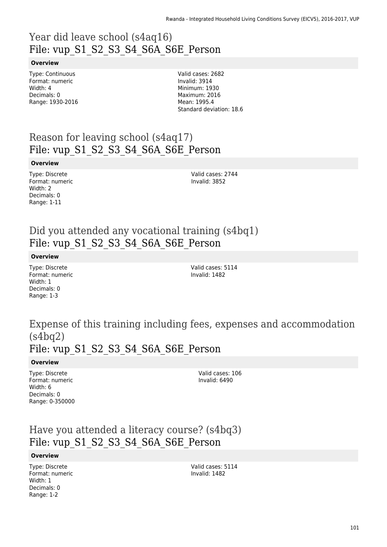## Year did leave school (s4aq16) File: vup\_S1\_S2\_S3\_S4\_S6A\_S6E\_Person

### **Overview**

Type: Continuous Format: numeric Width: 4 Decimals: 0 Range: 1930-2016 Valid cases: 2682 Invalid: 3914 Minimum: 1930 Maximum: 2016 Mean: 1995.4 Standard deviation: 18.6

## Reason for leaving school (s4aq17) File: vup\_S1\_S2\_S3\_S4\_S6A\_S6E\_Person

### **Overview**

Type: Discrete Format: numeric Width: 2 Decimals: 0 Range: 1-11

Valid cases: 2744 Invalid: 3852

### Did you attended any vocational training (s4bq1) File: vup S1\_S2\_S3\_S4\_S6A\_S6E\_Person

### **Overview**

Type: Discrete Format: numeric Width: 1 Decimals: 0 Range: 1-3

Valid cases: 5114 Invalid: 1482

Expense of this training including fees, expenses and accommodation (s4bq2) File: vup\_S1\_S2\_S3\_S4\_S6A\_S6E\_Person

### **Overview**

Type: Discrete Format: numeric Width: 6 Decimals: 0 Range: 0-350000 Valid cases: 106 Invalid: 6490

### Have you attended a literacy course? (s4bq3) File: vup S1 S2 S3 S4 S6A S6E Person

### **Overview**

Type: Discrete Format: numeric Width: 1 Decimals: 0 Range: 1-2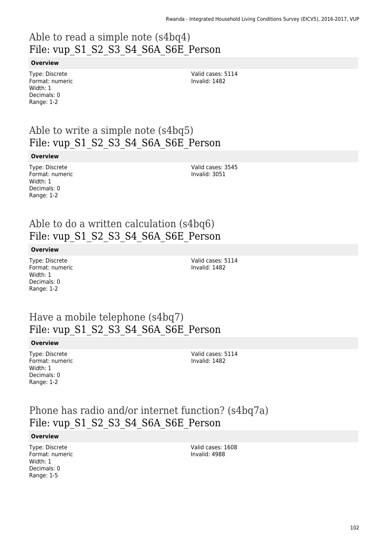## Able to read a simple note (s4bq4) File: vup\_S1\_S2\_S3\_S4\_S6A\_S6E\_Person

### **Overview**

Type: Discrete Format: numeric Width: 1 Decimals: 0 Range: 1-2

Valid cases: 5114 Invalid: 1482

## Able to write a simple note (s4bq5) File: vup\_S1\_S2\_S3\_S4\_S6A\_S6E\_Person

#### **Overview**

Type: Discrete Format: numeric Width: 1 Decimals: 0 Range: 1-2

Valid cases: 3545 Invalid: 3051

### Able to do a written calculation (s4bq6) File: vup S1 S2 S3 S4 S6A S6E Person

#### **Overview**

Type: Discrete Format: numeric Width: 1 Decimals: 0 Range: 1-2

Valid cases: 5114 Invalid: 1482

### Have a mobile telephone (s4bq7) File: vup S1 S2 S3 S4 S6A S6E Person

#### **Overview**

Type: Discrete Format: numeric Width: 1 Decimals: 0 Range: 1-2

Valid cases: 5114 Invalid: 1482

### Phone has radio and/or internet function? (s4bq7a) File: vup\_S1\_S2\_S3\_S4\_S6A\_S6E\_Person

#### **Overview**

Type: Discrete Format: numeric Width: 1 Decimals: 0 Range: 1-5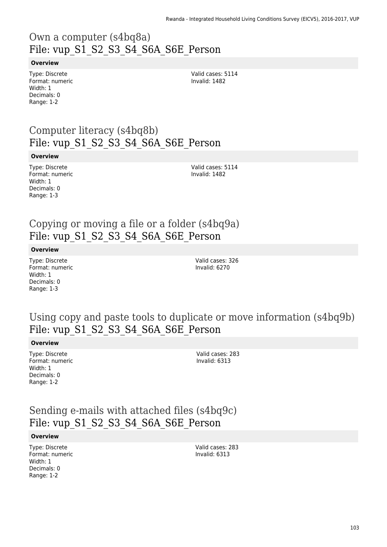## Own a computer (s4bq8a) File: vup\_S1\_S2\_S3\_S4\_S6A\_S6E\_Person

### **Overview**

Type: Discrete Format: numeric Width: 1 Decimals: 0 Range: 1-2

Valid cases: 5114 Invalid: 1482

## Computer literacy (s4bq8b) File: vup\_S1\_S2\_S3\_S4\_S6A\_S6E\_Person

#### **Overview**

Type: Discrete Format: numeric Width: 1 Decimals: 0 Range: 1-3

Valid cases: 5114 Invalid: 1482

## Copying or moving a file or a folder (s4bq9a) File: vup S1 S2 S3 S4 S6A S6E Person

#### **Overview**

Type: Discrete Format: numeric Width: 1 Decimals: 0 Range: 1-3

Valid cases: 326 Invalid: 6270

### Using copy and paste tools to duplicate or move information (s4bq9b) File: vup S1 S2 S3 S4 S6A S6E Person

#### **Overview**

Type: Discrete Format: numeric Width: 1 Decimals: 0 Range: 1-2

Valid cases: 283 Invalid: 6313

Sending e-mails with attached files (s4bq9c) File: vup\_S1\_S2\_S3\_S4\_S6A\_S6E\_Person

#### **Overview**

Type: Discrete Format: numeric Width: 1 Decimals: 0 Range: 1-2

Valid cases: 283 Invalid: 6313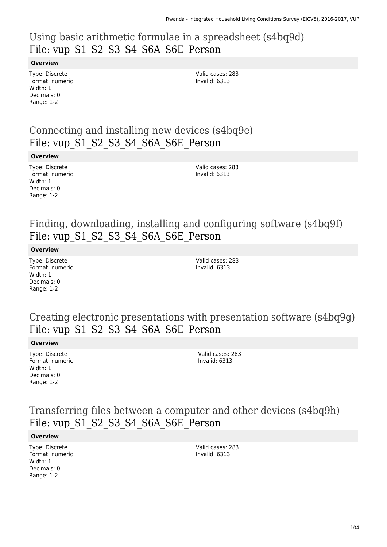## Using basic arithmetic formulae in a spreadsheet (s4bq9d) File: vup\_S1\_S2\_S3\_S4\_S6A\_S6E\_Person

### **Overview**

Type: Discrete Format: numeric Width: 1 Decimals: 0 Range: 1-2

Valid cases: 283 Invalid: 6313

## Connecting and installing new devices (s4bq9e) File: vup\_S1\_S2\_S3\_S4\_S6A\_S6E\_Person

### **Overview**

Type: Discrete Format: numeric Width: 1 Decimals: 0 Range: 1-2

Valid cases: 283 Invalid: 6313

## Finding, downloading, installing and configuring software (s4bq9f) File: vup S1 S2 S3 S4 S6A S6E Person

### **Overview**

Type: Discrete Format: numeric Width: 1 Decimals: 0 Range: 1-2

Valid cases: 283 Invalid: 6313

### Creating electronic presentations with presentation software (s4bq9g) File: vup S1 S2 S3 S4 S6A S6E Person

### **Overview**

Type: Discrete Format: numeric Width: 1 Decimals: 0 Range: 1-2

Valid cases: 283 Invalid: 6313

## Transferring files between a computer and other devices (s4bq9h) File: vup\_S1\_S2\_S3\_S4\_S6A\_S6E\_Person

### **Overview**

Type: Discrete Format: numeric Width: 1 Decimals: 0 Range: 1-2

Valid cases: 283 Invalid: 6313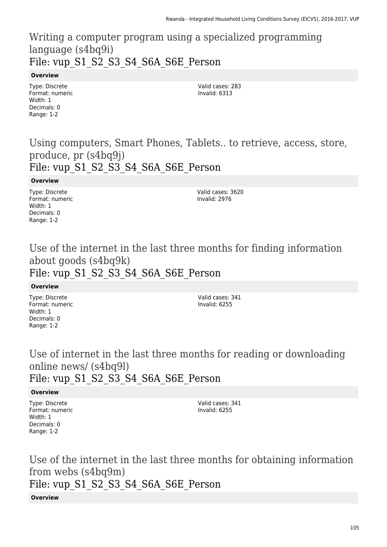### Writing a computer program using a specialized programming language (s4bq9i) File: vup\_S1\_S2\_S3\_S4\_S6A\_S6E\_Person

### **Overview**

Type: Discrete Format: numeric Width: 1 Decimals: 0 Range: 1-2

Valid cases: 283 Invalid: 6313

Using computers, Smart Phones, Tablets.. to retrieve, access, store, produce, pr (s4bq9j) File: vup S1 S2 S3 S4 S6A S6E Person

#### **Overview**

Type: Discrete Format: numeric Width: 1 Decimals: 0 Range: 1-2

Valid cases: 3620 Invalid: 2976

# Use of the internet in the last three months for finding information about goods (s4bq9k)

### File: vup S1 S2 S3 S4 S6A S6E Person

#### **Overview**

Type: Discrete Format: numeric Width: 1 Decimals: 0 Range: 1-2

Valid cases: 341 Invalid: 6255

### Use of internet in the last three months for reading or downloading online news/ (s4bq9l) File: vup S1 S2 S3 S4 S6A S6E Person

### **Overview**

Type: Discrete Format: numeric Width: 1 Decimals: 0 Range: 1-2

Valid cases: 341 Invalid: 6255

Use of the internet in the last three months for obtaining information from webs (s4bq9m) File: vup\_S1\_S2\_S3\_S4\_S6A\_S6E\_Person

### **Overview**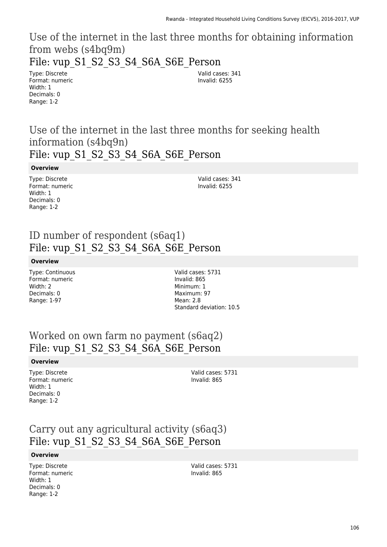### Use of the internet in the last three months for obtaining information from webs (s4bq9m) File: vup\_S1\_S2\_S3\_S4\_S6A\_S6E\_Person

Type: Discrete Format: numeric Width: 1 Decimals: 0 Range: 1-2

Valid cases: 341 Invalid: 6255

### Use of the internet in the last three months for seeking health information (s4bq9n) File: vup\_S1\_S2\_S3\_S4\_S6A\_S6E\_Person

### **Overview**

Type: Discrete Format: numeric Width: 1 Decimals: 0 Range: 1-2

Valid cases: 341 Invalid: 6255

### ID number of respondent (s6aq1) File: vup\_S1\_S2\_S3\_S4\_S6A\_S6E\_Person

#### **Overview**

Type: Continuous Format: numeric Width: 2 Decimals: 0 Range: 1-97

Valid cases: 5731 Invalid: 865 Minimum: 1 Maximum: 97 Mean: 2.8 Standard deviation: 10.5

### Worked on own farm no payment (s6aq2) File: vup\_S1\_S2\_S3\_S4\_S6A\_S6E\_Person

#### **Overview**

Type: Discrete Format: numeric Width: 1 Decimals: 0 Range: 1-2

Valid cases: 5731 Invalid: 865

### Carry out any agricultural activity (s6aq3) File: vup\_S1\_S2\_S3\_S4\_S6A\_S6E\_Person

### **Overview**

Type: Discrete Format: numeric Width: 1 Decimals: 0 Range: 1-2

Valid cases: 5731 Invalid: 865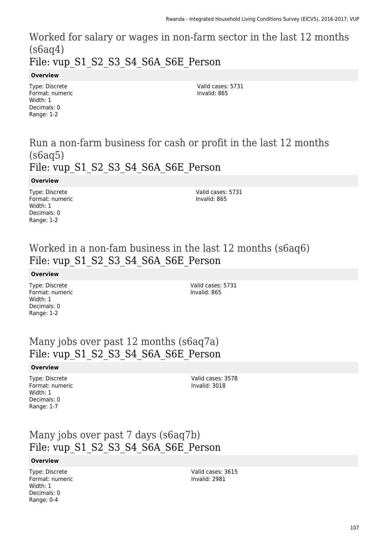Worked for salary or wages in non-farm sector in the last 12 months (s6aq4) File: vup\_S1\_S2\_S3\_S4\_S6A\_S6E\_Person

### **Overview**

Type: Discrete Format: numeric Width: 1 Decimals: 0 Range: 1-2

Valid cases: 5731 Invalid: 865

### Run a non-farm business for cash or profit in the last 12 months (s6aq5) File: vup S1 S2 S3 S4 S6A S6E Person

### **Overview**

Type: Discrete Format: numeric Width: 1 Decimals: 0 Range: 1-2

Valid cases: 5731 Invalid: 865

## Worked in a non-fam business in the last 12 months (s6aq6) File: vup\_S1\_S2\_S3\_S4\_S6A\_S6E\_Person

### **Overview**

Type: Discrete Format: numeric Width: 1 Decimals: 0 Range: 1-2

Valid cases: 5731 Invalid: 865

### Many jobs over past 12 months (s6aq7a) File: vup\_S1\_S2\_S3\_S4\_S6A\_S6E\_Person

#### **Overview**

Type: Discrete Format: numeric Width: 1 Decimals: 0 Range: 1-7

Valid cases: 3578 Invalid: 3018

### Many jobs over past 7 days (s6aq7b) File: vup S1 S2 S3 S4 S6A S6E Person

### **Overview**

Type: Discrete Format: numeric Width: 1 Decimals: 0 Range: 0-4

Valid cases: 3615 Invalid: 2981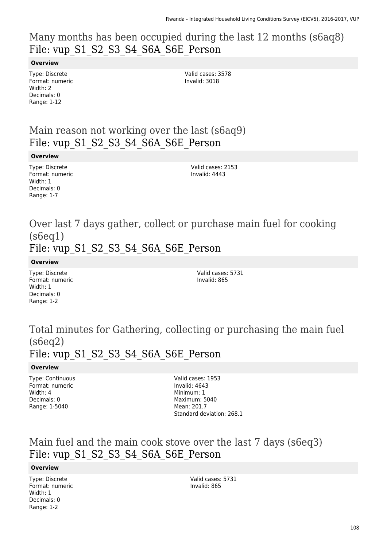## Many months has been occupied during the last 12 months (s6aq8) File: vup\_S1\_S2\_S3\_S4\_S6A\_S6E\_Person

### **Overview**

Type: Discrete Format: numeric Width: 2 Decimals: 0 Range: 1-12

Valid cases: 3578 Invalid: 3018

### Main reason not working over the last (s6aq9) File: vup\_S1\_S2\_S3\_S4\_S6A\_S6E\_Person

### **Overview**

Type: Discrete Format: numeric Width: 1 Decimals: 0 Range: 1-7

Valid cases: 2153 Invalid: 4443

Over last 7 days gather, collect or purchase main fuel for cooking (s6eq1) File: vup\_S1\_S2\_S3\_S4\_S6A\_S6E\_Person

### **Overview**

Type: Discrete Format: numeric Width: 1 Decimals: 0 Range: 1-2

Valid cases: 5731 Invalid: 865

### Total minutes for Gathering, collecting or purchasing the main fuel (s6eq2) File: vup S1 S2 S3 S4 S6A S6E Person

### **Overview**

Type: Continuous Format: numeric Width: 4 Decimals: 0 Range: 1-5040

Valid cases: 1953 Invalid: 4643 Minimum: 1 Maximum: 5040 Mean: 201.7 Standard deviation: 268.1

## Main fuel and the main cook stove over the last 7 days (s6eq3) File: vup S1 S2 S3 S4 S6A S6E Person

### **Overview**

Type: Discrete Format: numeric Width: 1 Decimals: 0 Range: 1-2

Valid cases: 5731 Invalid: 865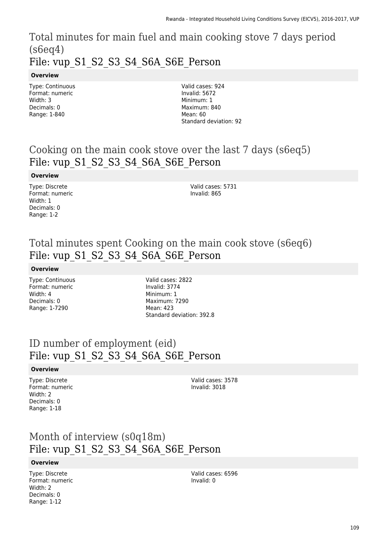Total minutes for main fuel and main cooking stove 7 days period (s6eq4) File: vup\_S1\_S2\_S3\_S4\_S6A\_S6E\_Person

### **Overview**

Type: Continuous Format: numeric Width: 3 Decimals: 0 Range: 1-840

Valid cases: 924 Invalid: 5672 Minimum: 1 Maximum: 840 Mean: 60 Standard deviation: 92

## Cooking on the main cook stove over the last 7 days (s6eq5) File: vup S1 S2 S3 S4 S6A S6E Person

#### **Overview**

Type: Discrete Format: numeric Width: 1 Decimals: 0 Range: 1-2

Valid cases: 5731 Invalid: 865

## Total minutes spent Cooking on the main cook stove (s6eq6) File: vup\_S1\_S2\_S3\_S4\_S6A\_S6E\_Person

### **Overview**

Type: Continuous Format: numeric Width: 4 Decimals: 0 Range: 1-7290

Valid cases: 2822 Invalid: 3774 Minimum: 1 Maximum: 7290 Mean: 423 Standard deviation: 392.8

## ID number of employment (eid) File: vup\_S1\_S2\_S3\_S4\_S6A\_S6E\_Person

#### **Overview**

Type: Discrete Format: numeric Width: 2 Decimals: 0 Range: 1-18

Valid cases: 3578 Invalid: 3018

### Month of interview (s0q18m) File: vup\_S1\_S2\_S3\_S4\_S6A\_S6E\_Person

#### **Overview**

Type: Discrete Format: numeric Width: 2 Decimals: 0 Range: 1-12

Valid cases: 6596 Invalid: 0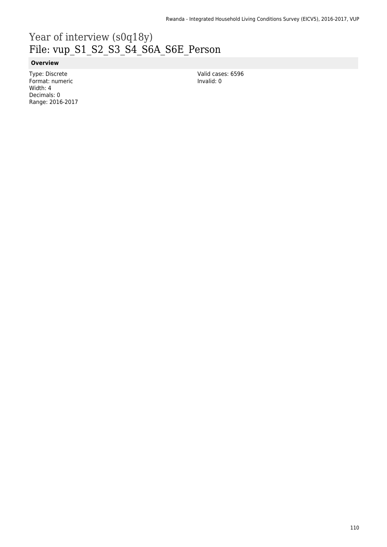# Year of interview (s0q18y) File: vup\_S1\_S2\_S3\_S4\_S6A\_S6E\_Person

### **Overview**

Type: Discrete Format: numeric Width: 4 Decimals: 0 Range: 2016-2017

Valid cases: 6596 Invalid: 0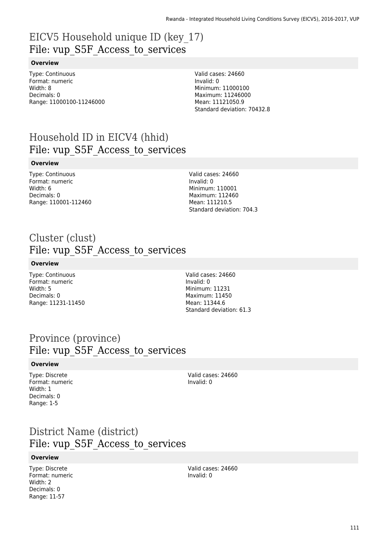## EICV5 Household unique ID (key\_17) File: vup S5F Access to services

#### **Overview**

Type: Continuous Format: numeric Width: 8 Decimals: 0 Range: 11000100-11246000 Valid cases: 24660 Invalid: 0 Minimum: 11000100 Maximum: 11246000 Mean: 11121050.9 Standard deviation: 70432.8

# Household ID in EICV4 (hhid) File: vup S5F Access to services

#### **Overview**

Type: Continuous Format: numeric Width: 6 Decimals: 0 Range: 110001-112460 Valid cases: 24660 Invalid: 0 Minimum: 110001 Maximum: 112460 Mean: 111210.5 Standard deviation: 704.3

## Cluster (clust) File: vup S5F Access to services

#### **Overview**

Type: Continuous Format: numeric Width: 5 Decimals: 0 Range: 11231-11450

Valid cases: 24660 Invalid: 0 Minimum: 11231 Maximum: 11450 Mean: 11344.6 Standard deviation: 61.3

## Province (province) File: vup S5F Access to services

#### **Overview**

Type: Discrete Format: numeric Width: 1 Decimals: 0 Range: 1-5

Valid cases: 24660 Invalid: 0

### District Name (district) File: vup S5F Access to services

#### **Overview**

Type: Discrete Format: numeric Width: 2 Decimals: 0 Range: 11-57

Valid cases: 24660 Invalid: 0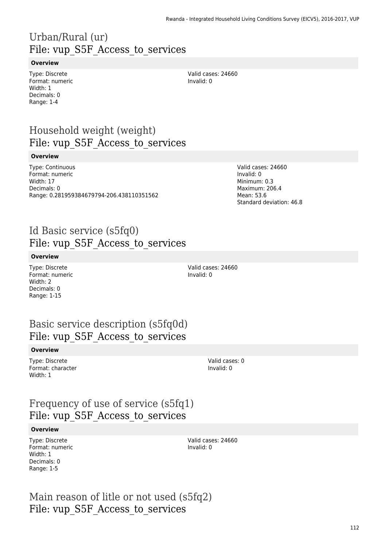# Urban/Rural (ur) File: vup S5F Access to services

### **Overview**

Type: Discrete Format: numeric Width: 1 Decimals: 0 Range: 1-4

Valid cases: 24660 Invalid: 0

## Household weight (weight) File: vup S5F Access to services

#### **Overview**

Type: Continuous Format: numeric Width: 17 Decimals: 0 Range: 0.281959384679794-206.438110351562 Valid cases: 24660 Invalid: 0 Minimum: 0.3 Maximum: 206.4 Mean: 53.6 Standard deviation: 46.8

### Id Basic service (s5fq0) File: vup S5F Access to services

#### **Overview**

Type: Discrete Format: numeric Width: 2 Decimals: 0 Range: 1-15

Valid cases: 24660 Invalid: 0

### Basic service description (s5fq0d) File: vup S5F Access to services

#### **Overview**

Type: Discrete Format: character Width: 1

Valid cases: 0 Invalid: 0

### Frequency of use of service (s5fq1) File: vup S5F Access to services

#### **Overview**

Type: Discrete Format: numeric Width: 1 Decimals: 0 Range: 1-5

Valid cases: 24660 Invalid: 0

Main reason of litle or not used (s5fq2) File: vup S5F Access to services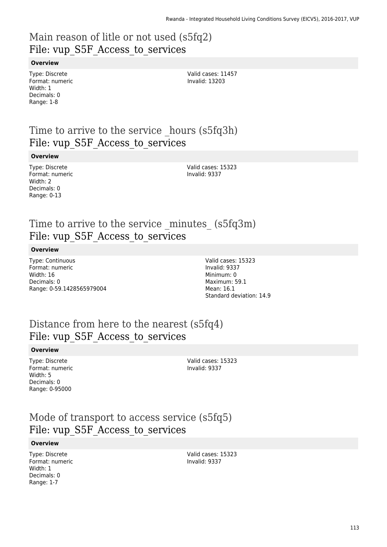# Main reason of litle or not used (s5fq2) File: vup S5F Access to services

### **Overview**

Type: Discrete Format: numeric Width: 1 Decimals: 0 Range: 1-8

Valid cases: 11457 Invalid: 13203

### Time to arrive to the service hours (s5fq3h) File: vup S5F Access to services

#### **Overview**

Type: Discrete Format: numeric Width: 2 Decimals: 0 Range: 0-13

Valid cases: 15323 Invalid: 9337

### Time to arrive to the service minutes  $(s5fq3m)$ File: vup S5F Access to services

#### **Overview**

Type: Continuous Format: numeric Width: 16 Decimals: 0 Range: 0-59.1428565979004

Valid cases: 15323 Invalid: 9337 Minimum: 0 Maximum: 59.1 Mean: 16.1 Standard deviation: 14.9

### Distance from here to the nearest (s5fq4) File: vup S5F Access to services

#### **Overview**

Type: Discrete Format: numeric Width: 5 Decimals: 0 Range: 0-95000

Valid cases: 15323 Invalid: 9337

### Mode of transport to access service (s5fq5) File: vup S5F Access to services

#### **Overview**

Type: Discrete Format: numeric Width: 1 Decimals: 0 Range: 1-7

Valid cases: 15323 Invalid: 9337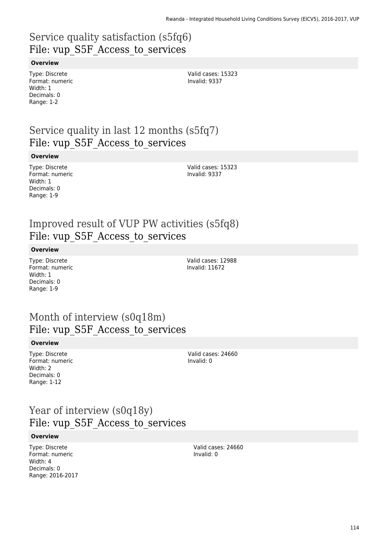## Service quality satisfaction (s5fq6) File: vup S5F Access to services

### **Overview**

Type: Discrete Format: numeric Width: 1 Decimals: 0 Range: 1-2

Valid cases: 15323 Invalid: 9337

### Service quality in last 12 months (s5fq7) File: vup\_S5F\_Access\_to\_services

#### **Overview**

Type: Discrete Format: numeric Width: 1 Decimals: 0 Range: 1-9

Valid cases: 15323 Invalid: 9337

## Improved result of VUP PW activities (s5fq8) File: vup S5F Access to services

#### **Overview**

Type: Discrete Format: numeric Width: 1 Decimals: 0 Range: 1-9

Valid cases: 12988 Invalid: 11672

### Month of interview (s0q18m) File: vup S5F Access to services

#### **Overview**

Type: Discrete Format: numeric Width: 2 Decimals: 0 Range: 1-12

Valid cases: 24660 Invalid: 0

### Year of interview (s0q18y) File: vup S5F Access to services

#### **Overview**

Type: Discrete Format: numeric Width: 4 Decimals: 0 Range: 2016-2017 Valid cases: 24660 Invalid: 0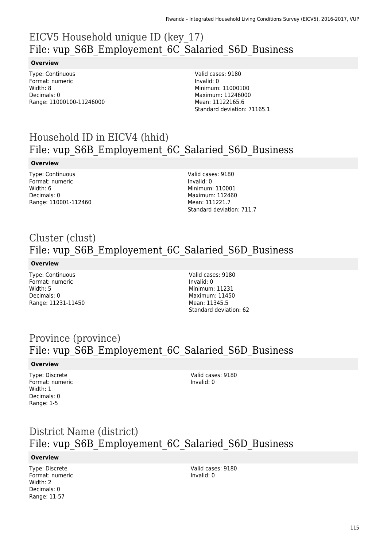# EICV5 Household unique ID (key\_17) File: vup\_S6B\_Employement\_6C\_Salaried\_S6D\_Business

#### **Overview**

Type: Continuous Format: numeric Width: 8 Decimals: 0 Range: 11000100-11246000 Valid cases: 9180 Invalid: 0 Minimum: 11000100 Maximum: 11246000 Mean: 11122165.6 Standard deviation: 71165.1

# Household ID in EICV4 (hhid) File: vup\_S6B\_Employement\_6C\_Salaried\_S6D\_Business

### **Overview**

Type: Continuous Format: numeric Width: 6 Decimals: 0 Range: 110001-112460 Valid cases: 9180 Invalid: 0 Minimum: 110001 Maximum: 112460 Mean: 111221.7 Standard deviation: 711.7

### Cluster (clust) File: vup\_S6B\_Employement\_6C\_Salaried\_S6D\_Business

### **Overview**

Type: Continuous Format: numeric Width: 5 Decimals: 0 Range: 11231-11450

Valid cases: 9180 Invalid: 0 Minimum: 11231 Maximum: 11450 Mean: 11345.5 Standard deviation: 62

# Province (province) File: vup S6B Employement 6C Salaried S6D Business

### **Overview**

Type: Discrete Format: numeric Width: 1 Decimals: 0 Range: 1-5

Valid cases: 9180 Invalid: 0

## District Name (district) File: vup S6B Employement 6C Salaried S6D Business

### **Overview**

Type: Discrete Format: numeric Width: 2 Decimals: 0 Range: 11-57

Valid cases: 9180 Invalid: 0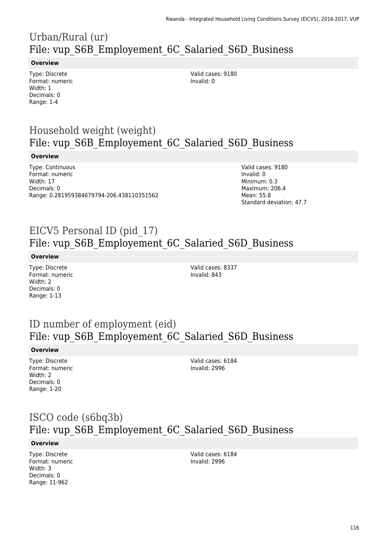# Urban/Rural (ur) File: vup\_S6B\_Employement\_6C\_Salaried\_S6D\_Business

### **Overview**

Type: Discrete Format: numeric Width: 1 Decimals: 0 Range: 1-4

Valid cases: 9180 Invalid: 0

# Household weight (weight) File: vup\_S6B\_Employement\_6C\_Salaried\_S6D\_Business

#### **Overview**

Type: Continuous Format: numeric Width: 17 Decimals: 0 Range: 0.281959384679794-206.438110351562 Valid cases: 9180 Invalid: 0 Minimum: 0.3 Maximum: 206.4 Mean: 55.8 Standard deviation: 47.7

## EICV5 Personal ID (pid\_17) File: vup\_S6B\_Employement\_6C\_Salaried\_S6D\_Business

### **Overview**

Type: Discrete Format: numeric Width: 2 Decimals: 0 Range: 1-13

Valid cases: 8337 Invalid: 843

### ID number of employment (eid) File: vup S6B Employement 6C Salaried S6D Business

#### **Overview**

Type: Discrete Format: numeric Width: 2 Decimals: 0 Range: 1-20

Valid cases: 6184 Invalid: 2996

# ISCO code (s6bq3b) File: vup S6B Employement 6C Salaried S6D Business

#### **Overview**

Type: Discrete Format: numeric Width: 3 Decimals: 0 Range: 11-962

Valid cases: 6184 Invalid: 2996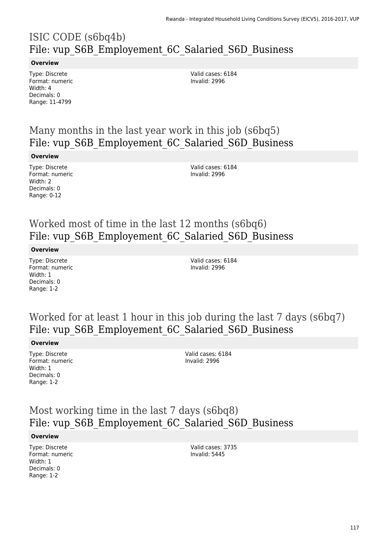# ISIC CODE (s6bq4b) File: vup\_S6B\_Employement\_6C\_Salaried\_S6D\_Business

#### **Overview**

Type: Discrete Format: numeric Width: 4 Decimals: 0 Range: 11-4799

Valid cases: 6184 Invalid: 2996

## Many months in the last year work in this job (s6bq5) File: vup\_S6B\_Employement\_6C\_Salaried\_S6D\_Business

**Overview**

Type: Discrete Format: numeric Width: 2 Decimals: 0 Range: 0-12

Valid cases: 6184 Invalid: 2996

# Worked most of time in the last 12 months (s6bq6) File: vup S6B Employement 6C Salaried S6D Business

**Overview**

Type: Discrete Format: numeric Width: 1 Decimals: 0 Range: 1-2

Valid cases: 6184 Invalid: 2996

## Worked for at least 1 hour in this job during the last 7 days (s6bq7) File: vup S6B Employement 6C Salaried S6D Business

#### **Overview**

Type: Discrete Format: numeric Width: 1 Decimals: 0 Range: 1-2

Valid cases: 6184 Invalid: 2996

### Most working time in the last 7 days (s6bq8) File: vup S6B Employement 6C Salaried S6D Business

#### **Overview**

Type: Discrete Format: numeric Width: 1 Decimals: 0 Range: 1-2

Valid cases: 3735 Invalid: 5445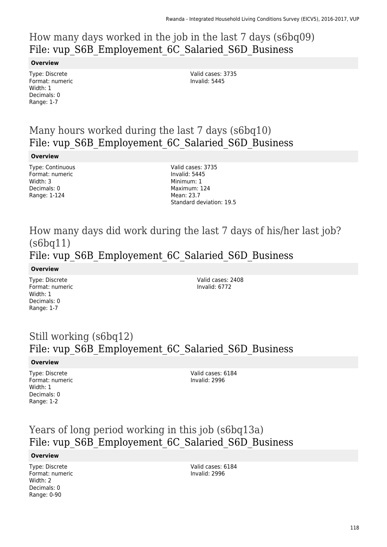# How many days worked in the job in the last 7 days (s6bq09) File: vup\_S6B\_Employement\_6C\_Salaried\_S6D\_Business

### **Overview**

Type: Discrete Format: numeric Width: 1 Decimals: 0 Range: 1-7

Valid cases: 3735 Invalid: 5445

# Many hours worked during the last 7 days (s6bq10) File: vup\_S6B\_Employement\_6C\_Salaried\_S6D\_Business

### **Overview**

Type: Continuous Format: numeric Width: 3 Decimals: 0 Range: 1-124

Valid cases: 3735 Invalid: 5445 Minimum: 1 Maximum: 124 Mean: 23.7 Standard deviation: 19.5

How many days did work during the last 7 days of his/her last job?  $(s6bq11)$ 

# File: vup S6B Employement 6C Salaried S6D Business

### **Overview**

Type: Discrete Format: numeric Width: 1 Decimals: 0 Range: 1-7

Valid cases: 2408 Invalid: 6772

# Still working (s6bq12) File: vup\_S6B\_Employement\_6C\_Salaried\_S6D\_Business

### **Overview**

Type: Discrete Format: numeric Width: 1 Decimals: 0 Range: 1-2

Valid cases: 6184 Invalid: 2996

## Years of long period working in this job (s6bq13a) File: vup S6B Employement 6C Salaried S6D Business

### **Overview**

Type: Discrete Format: numeric Width: 2 Decimals: 0 Range: 0-90

Valid cases: 6184 Invalid: 2996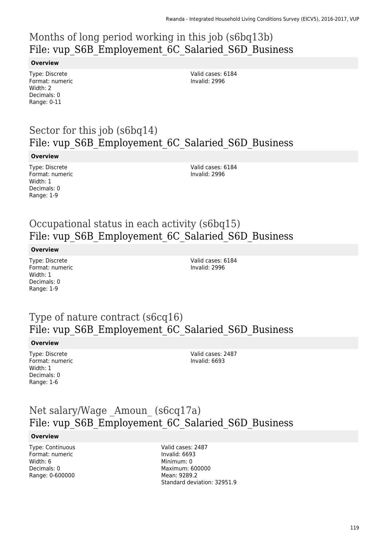# Months of long period working in this job (s6bq13b) File: vup\_S6B\_Employement\_6C\_Salaried\_S6D\_Business

### **Overview**

Type: Discrete Format: numeric Width: 2 Decimals: 0 Range: 0-11

Valid cases: 6184 Invalid: 2996

# Sector for this job (s6bq14) File: vup\_S6B\_Employement\_6C\_Salaried\_S6D\_Business

#### **Overview**

Type: Discrete Format: numeric Width: 1 Decimals: 0 Range: 1-9

Valid cases: 6184 Invalid: 2996

## Occupational status in each activity (s6bq15) File: vup S6B Employement 6C Salaried S6D Business

#### **Overview**

Type: Discrete Format: numeric Width: 1 Decimals: 0 Range: 1-9

Valid cases: 6184 Invalid: 2996

### Type of nature contract (s6cq16) File: vup S6B Employement 6C Salaried S6D Business

#### **Overview**

Type: Discrete Format: numeric Width: 1 Decimals: 0 Range: 1-6

Valid cases: 2487 Invalid: 6693

### Net salary/Wage Amoun (s6cq17a) File: vup S6B Employement 6C Salaried S6D Business

#### **Overview**

Type: Continuous Format: numeric Width: 6 Decimals: 0 Range: 0-600000

Valid cases: 2487 Invalid: 6693 Minimum: 0 Maximum: 600000 Mean: 9289.2 Standard deviation: 32951.9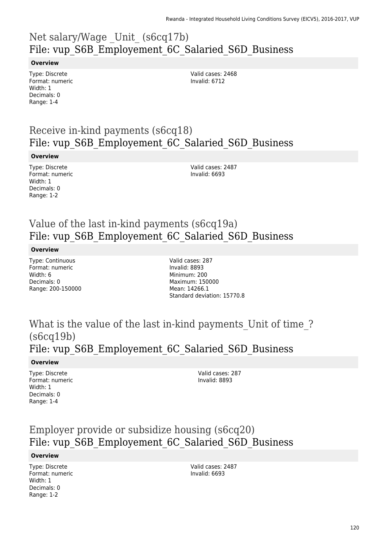# Net salary/Wage Unit (s6cq17b) File: vup\_S6B\_Employement\_6C\_Salaried\_S6D\_Business

#### **Overview**

Type: Discrete Format: numeric Width: 1 Decimals: 0 Range: 1-4

Valid cases: 2468 Invalid: 6712

# Receive in-kind payments (s6cq18) File: vup\_S6B\_Employement\_6C\_Salaried\_S6D\_Business

#### **Overview**

Type: Discrete Format: numeric Width: 1 Decimals: 0 Range: 1-2

Valid cases: 2487 Invalid: 6693

## Value of the last in-kind payments (s6cq19a) File: vup S6B Employement 6C Salaried S6D Business

#### **Overview**

Type: Continuous Format: numeric Width: 6 Decimals: 0 Range: 200-150000 Valid cases: 287 Invalid: 8893 Minimum: 200 Maximum: 150000 Mean: 14266.1 Standard deviation: 15770.8

### What is the value of the last in-kind payments Unit of time? (s6cq19b) File: vup\_S6B\_Employement\_6C\_Salaried\_S6D\_Business

#### **Overview**

Type: Discrete Format: numeric Width: 1 Decimals: 0 Range: 1-4

Valid cases: 287 Invalid: 8893

### Employer provide or subsidize housing (s6cq20) File: vup S6B Employement 6C Salaried S6D Business

#### **Overview**

Type: Discrete Format: numeric Width: 1 Decimals: 0 Range: 1-2

Valid cases: 2487 Invalid: 6693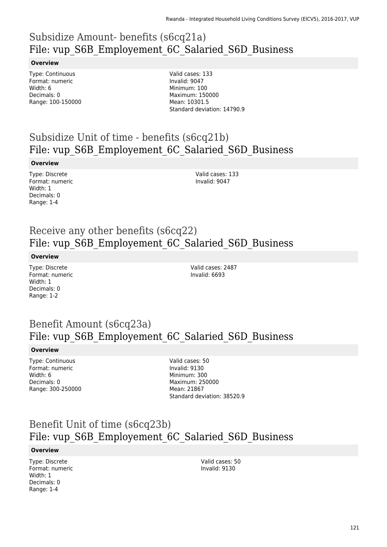# Subsidize Amount- benefits (s6cq21a) File: vup\_S6B\_Employement\_6C\_Salaried\_S6D\_Business

### **Overview**

Type: Continuous Format: numeric Width: 6 Decimals: 0 Range: 100-150000 Valid cases: 133 Invalid: 9047 Minimum: 100 Maximum: 150000 Mean: 10301.5 Standard deviation: 14790.9

# Subsidize Unit of time - benefits (s6cq21b) File: vup\_S6B\_Employement\_6C\_Salaried\_S6D\_Business

#### **Overview**

Type: Discrete Format: numeric Width: 1 Decimals: 0 Range: 1-4

Valid cases: 133 Invalid: 9047

### Receive any other benefits (s6cq22) File: vup\_S6B\_Employement\_6C\_Salaried\_S6D\_Business

### **Overview**

Type: Discrete Format: numeric Width: 1 Decimals: 0 Range: 1-2

Valid cases: 2487 Invalid: 6693

### Benefit Amount (s6cq23a) File: vup S6B Employement 6C Salaried S6D Business

#### **Overview**

Type: Continuous Format: numeric Width: 6 Decimals: 0 Range: 300-250000

Valid cases: 50 Invalid: 9130 Minimum: 300 Maximum: 250000 Mean: 21867 Standard deviation: 38520.9

## Benefit Unit of time (s6cq23b) File: vup\_S6B\_Employement\_6C\_Salaried\_S6D\_Business

#### **Overview**

Type: Discrete Format: numeric Width: 1 Decimals: 0 Range: 1-4

Valid cases: 50 Invalid: 9130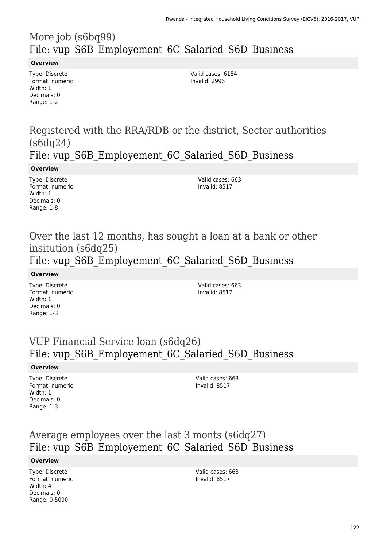# More job (s6bq99) File: vup\_S6B\_Employement\_6C\_Salaried\_S6D\_Business

### **Overview**

Type: Discrete Format: numeric Width: 1 Decimals: 0 Range: 1-2

Valid cases: 6184 Invalid: 2996

### Registered with the RRA/RDB or the district, Sector authorities (s6dq24) File: vup S6B Employement 6C Salaried S6D Business

**Overview**

Type: Discrete Format: numeric Width: 1 Decimals: 0 Range: 1-8

Valid cases: 663 Invalid: 8517

# Over the last 12 months, has sought a loan at a bank or other insitution (s6dq25)

## File: vup\_S6B\_Employement\_6C\_Salaried\_S6D\_Business

#### **Overview**

Type: Discrete Format: numeric Width: 1 Decimals: 0 Range: 1-3

Valid cases: 663 Invalid: 8517

## VUP Financial Service loan (s6dq26) File: vup\_S6B\_Employement\_6C\_Salaried\_S6D\_Business

### **Overview**

Type: Discrete Format: numeric Width: 1 Decimals: 0 Range: 1-3

Valid cases: 663 Invalid: 8517

## Average employees over the last 3 monts (s6dq27) File: vup S6B Employement 6C Salaried S6D Business

### **Overview**

Type: Discrete Format: numeric Width: 4 Decimals: 0 Range: 0-5000

Valid cases: 663 Invalid: 8517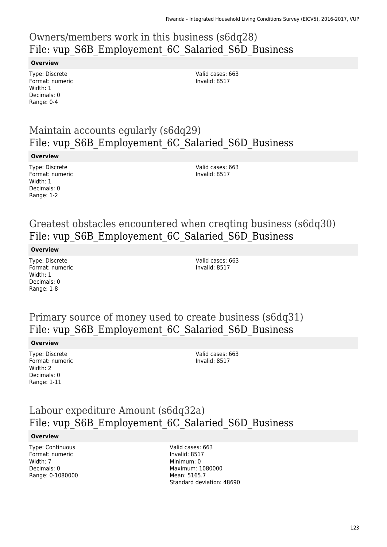## Owners/members work in this business (s6dq28) File: vup\_S6B\_Employement\_6C\_Salaried\_S6D\_Business

### **Overview**

Type: Discrete Format: numeric Width: 1 Decimals: 0 Range: 0-4

Valid cases: 663 Invalid: 8517

## Maintain accounts egularly (s6dq29) File: vup\_S6B\_Employement\_6C\_Salaried\_S6D\_Business

#### **Overview**

Type: Discrete Format: numeric Width: 1 Decimals: 0 Range: 1-2

Valid cases: 663 Invalid: 8517

## Greatest obstacles encountered when creqting business (s6dq30) File: vup S6B Employement 6C Salaried S6D Business

**Overview**

Type: Discrete Format: numeric Width: 1 Decimals: 0 Range: 1-8

Valid cases: 663 Invalid: 8517

## Primary source of money used to create business (s6dq31) File: vup S6B Employement 6C Salaried S6D Business

#### **Overview**

Type: Discrete Format: numeric Width: 2 Decimals: 0 Range: 1-11

Valid cases: 663 Invalid: 8517

### Labour expediture Amount (s6dq32a) File: vup S6B Employement 6C Salaried S6D Business

#### **Overview**

Type: Continuous Format: numeric Width: 7 Decimals: 0 Range: 0-1080000 Valid cases: 663 Invalid: 8517 Minimum: 0 Maximum: 1080000 Mean: 5165.7 Standard deviation: 48690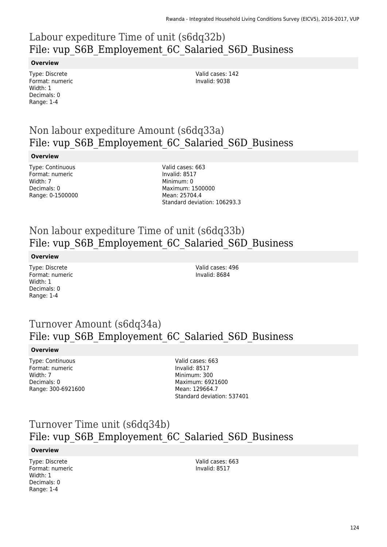# Labour expediture Time of unit (s6dq32b) File: vup\_S6B\_Employement\_6C\_Salaried\_S6D\_Business

#### **Overview**

Type: Discrete Format: numeric Width: 1 Decimals: 0 Range: 1-4

Valid cases: 142 Invalid: 9038

# Non labour expediture Amount (s6dq33a) File: vup\_S6B\_Employement\_6C\_Salaried\_S6D\_Business

#### **Overview**

Type: Continuous Format: numeric Width: 7 Decimals: 0 Range: 0-1500000

Valid cases: 663 Invalid: 8517 Minimum: 0 Maximum: 1500000 Mean: 25704.4 Standard deviation: 106293.3

### Non labour expediture Time of unit (s6dq33b) File: vup\_S6B\_Employement\_6C\_Salaried\_S6D\_Business

### **Overview**

Type: Discrete Format: numeric Width: 1 Decimals: 0 Range: 1-4

Valid cases: 496 Invalid: 8684

### Turnover Amount (s6dq34a) File: vup S6B Employement 6C Salaried S6D Business

#### **Overview**

Type: Continuous Format: numeric Width: 7 Decimals: 0 Range: 300-6921600

Valid cases: 663 Invalid: 8517 Minimum: 300 Maximum: 6921600 Mean: 129664.7 Standard deviation: 537401

### Turnover Time unit (s6dq34b) File: vup\_S6B\_Employement\_6C\_Salaried\_S6D\_Business

#### **Overview**

Type: Discrete Format: numeric Width: 1 Decimals: 0 Range: 1-4

Valid cases: 663 Invalid: 8517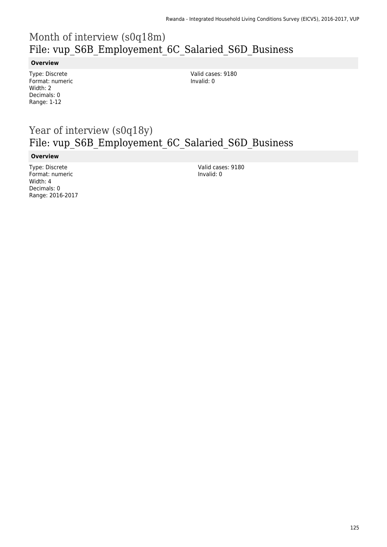# Month of interview (s0q18m) File: vup\_S6B\_Employement\_6C\_Salaried\_S6D\_Business

### **Overview**

Type: Discrete Format: numeric Width: 2 Decimals: 0 Range: 1-12

Valid cases: 9180 Invalid: 0

# Year of interview (s0q18y) File: vup\_S6B\_Employement\_6C\_Salaried\_S6D\_Business

#### **Overview**

Type: Discrete Format: numeric Width: 4 Decimals: 0 Range: 2016-2017 Valid cases: 9180 Invalid: 0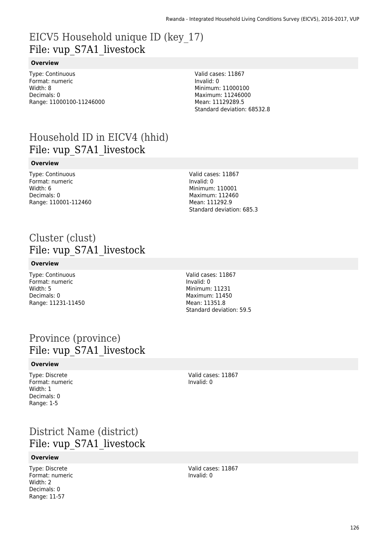# EICV5 Household unique ID (key\_17) File: vup\_S7A1\_livestock

#### **Overview**

Type: Continuous Format: numeric Width: 8 Decimals: 0 Range: 11000100-11246000 Valid cases: 11867 Invalid: 0 Minimum: 11000100 Maximum: 11246000 Mean: 11129289.5 Standard deviation: 68532.8

# Household ID in EICV4 (hhid) File: vup\_S7A1\_livestock

#### **Overview**

Type: Continuous Format: numeric Width: 6 Decimals: 0 Range: 110001-112460 Valid cases: 11867 Invalid: 0 Minimum: 110001 Maximum: 112460 Mean: 111292.9 Standard deviation: 685.3

### Cluster (clust) File: vup\_S7A1\_livestock

#### **Overview**

Type: Continuous Format: numeric Width: 5 Decimals: 0 Range: 11231-11450 Valid cases: 11867 Invalid: 0 Minimum: 11231 Maximum: 11450 Mean: 11351.8 Standard deviation: 59.5

### Province (province) File: vup\_S7A1\_livestock

#### **Overview**

Type: Discrete Format: numeric Width: 1 Decimals: 0 Range: 1-5

Valid cases: 11867 Invalid: 0

## District Name (district) File: vup\_S7A1\_livestock

#### **Overview**

Type: Discrete Format: numeric Width: 2 Decimals: 0 Range: 11-57

Valid cases: 11867 Invalid: 0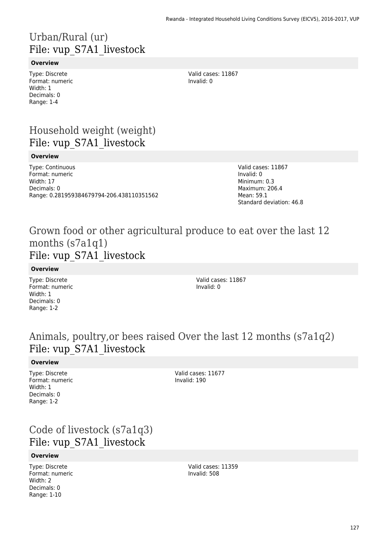## Urban/Rural (ur) File: vup\_S7A1\_livestock

### **Overview**

Type: Discrete Format: numeric Width: 1 Decimals: 0 Range: 1-4

Valid cases: 11867 Invalid: 0

## Household weight (weight) File: vup\_S7A1\_livestock

#### **Overview**

Type: Continuous Format: numeric Width: 17 Decimals: 0 Range: 0.281959384679794-206.438110351562 Valid cases: 11867 Invalid: 0 Minimum: 0.3 Maximum: 206.4 Mean: 59.1 Standard deviation: 46.8

### Grown food or other agricultural produce to eat over the last 12 months (s7a1q1) File: vup\_S7A1\_livestock

#### **Overview**

Type: Discrete Format: numeric Width: 1 Decimals: 0 Range: 1-2

Valid cases: 11867 Invalid: 0

## Animals, poultry,or bees raised Over the last 12 months (s7a1q2) File: vup\_S7A1\_livestock

#### **Overview**

Type: Discrete Format: numeric Width: 1 Decimals: 0 Range: 1-2

Valid cases: 11677 Invalid: 190

### Code of livestock (s7a1q3) File: vup\_S7A1\_livestock

#### **Overview**

Type: Discrete Format: numeric Width: 2 Decimals: 0 Range: 1-10

Valid cases: 11359 Invalid: 508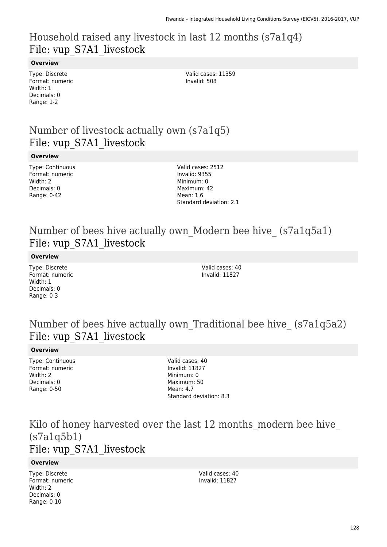## Household raised any livestock in last 12 months (s7a1q4) File: vup\_S7A1\_livestock

#### **Overview**

Type: Discrete Format: numeric Width: 1 Decimals: 0 Range: 1-2

Valid cases: 11359 Invalid: 508

# Number of livestock actually own (s7a1q5) File: vup\_S7A1\_livestock

#### **Overview**

Type: Continuous Format: numeric Width: 2 Decimals: 0 Range: 0-42

Valid cases: 2512 Invalid: 9355 Minimum: 0 Maximum: 42 Mean: 1.6 Standard deviation: 2.1

### Number of bees hive actually own\_Modern bee hive\_ (s7a1q5a1) File: vup\_S7A1\_livestock

#### **Overview**

Type: Discrete Format: numeric Width: 1 Decimals: 0 Range: 0-3

Valid cases: 40 Invalid: 11827

### Number of bees hive actually own\_Traditional bee hive\_ (s7a1q5a2) File: vup\_S7A1\_livestock

#### **Overview**

Type: Continuous Format: numeric Width: 2 Decimals: 0 Range: 0-50

Valid cases: 40 Invalid: 11827 Minimum: 0 Maximum: 50 Mean: 47 Standard deviation: 8.3

### Kilo of honey harvested over the last 12 months modern bee hive (s7a1q5b1) File: vup\_S7A1\_livestock

### **Overview**

Type: Discrete Format: numeric Width: 2 Decimals: 0 Range: 0-10

Valid cases: 40 Invalid: 11827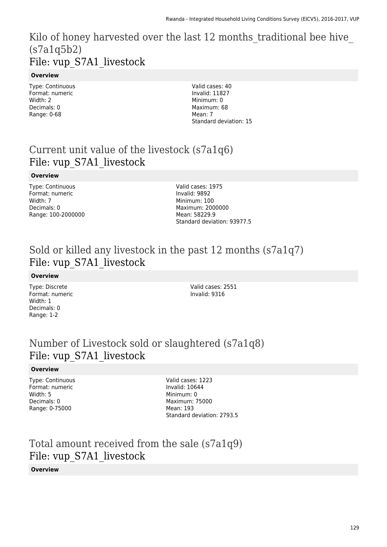### Kilo of honey harvested over the last 12 months traditional bee hive (s7a1q5b2) File: vup\_S7A1\_livestock

#### **Overview**

Type: Continuous Format: numeric Width: 2 Decimals: 0 Range: 0-68

Valid cases: 40 Invalid: 11827 Minimum: 0 Maximum: 68 Mean: 7 Standard deviation: 15

# Current unit value of the livestock (s7a1q6) File: vup\_S7A1\_livestock

#### **Overview**

Type: Continuous Format: numeric Width: 7 Decimals: 0 Range: 100-2000000 Valid cases: 1975 Invalid: 9892 Minimum: 100 Maximum: 2000000 Mean: 58229.9 Standard deviation: 93977.5

## Sold or killed any livestock in the past 12 months (s7a1q7) File: vup\_S7A1\_livestock

#### **Overview**

Type: Discrete Format: numeric Width: 1 Decimals: 0 Range: 1-2

Valid cases: 2551 Invalid: 9316

## Number of Livestock sold or slaughtered (s7a1q8) File: vup\_S7A1\_livestock

#### **Overview**

Type: Continuous Format: numeric Width: 5 Decimals: 0 Range: 0-75000

Valid cases: 1223 Invalid: 10644 Minimum: 0 Maximum: 75000 Mean: 193 Standard deviation: 2793.5

Total amount received from the sale (s7a1q9) File: vup\_S7A1\_livestock

#### **Overview**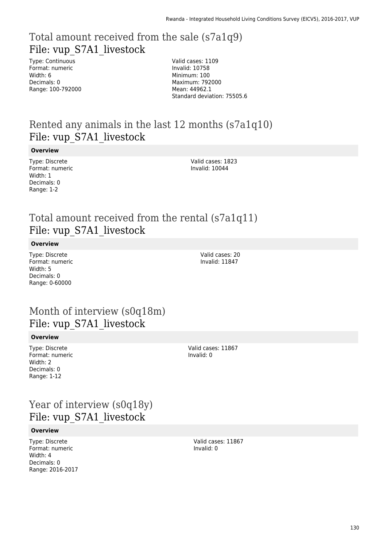# Total amount received from the sale (s7a1q9) File: vup\_S7A1\_livestock

Type: Continuous Format: numeric Width: 6 Decimals: 0 Range: 100-792000

Valid cases: 1109 Invalid: 10758 Minimum: 100 Maximum: 792000 Mean: 44962.1 Standard deviation: 75505.6

# Rented any animals in the last 12 months (s7a1q10) File: vup\_S7A1\_livestock

**Overview**

Type: Discrete Format: numeric Width: 1 Decimals: 0 Range: 1-2

Valid cases: 1823 Invalid: 10044

## Total amount received from the rental (s7a1q11) File: vup\_S7A1\_livestock

#### **Overview**

Type: Discrete Format: numeric Width: 5 Decimals: 0 Range: 0-60000

Valid cases: 20 Invalid: 11847

## Month of interview (s0q18m) File: vup\_S7A1\_livestock

#### **Overview**

Type: Discrete Format: numeric Width: 2 Decimals: 0 Range: 1-12

Valid cases: 11867 Invalid: 0

## Year of interview (s0q18y) File: vup\_S7A1\_livestock

#### **Overview**

Type: Discrete Format: numeric Width: 4 Decimals: 0 Range: 2016-2017 Valid cases: 11867 Invalid: 0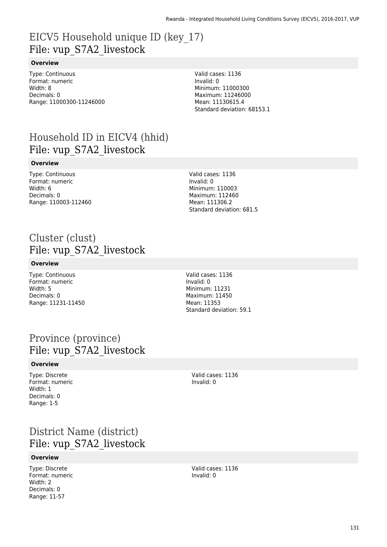# EICV5 Household unique ID (key\_17) File: vup\_S7A2\_livestock

#### **Overview**

Type: Continuous Format: numeric Width: 8 Decimals: 0 Range: 11000300-11246000 Valid cases: 1136 Invalid: 0 Minimum: 11000300 Maximum: 11246000 Mean: 11130615.4 Standard deviation: 68153.1

# Household ID in EICV4 (hhid) File: vup\_S7A2\_livestock

#### **Overview**

Type: Continuous Format: numeric Width: 6 Decimals: 0 Range: 110003-112460 Valid cases: 1136 Invalid: 0 Minimum: 110003 Maximum: 112460 Mean: 111306.2 Standard deviation: 681.5

### Cluster (clust) File: vup\_S7A2\_livestock

#### **Overview**

Type: Continuous Format: numeric Width: 5 Decimals: 0 Range: 11231-11450 Valid cases: 1136 Invalid: 0 Minimum: 11231 Maximum: 11450 Mean: 11353 Standard deviation: 59.1

### Province (province) File: vup\_S7A2\_livestock

#### **Overview**

Type: Discrete Format: numeric Width: 1 Decimals: 0 Range: 1-5

Valid cases: 1136 Invalid: 0

### District Name (district) File: vup\_S7A2\_livestock

#### **Overview**

Type: Discrete Format: numeric Width: 2 Decimals: 0 Range: 11-57

Valid cases: 1136 Invalid: 0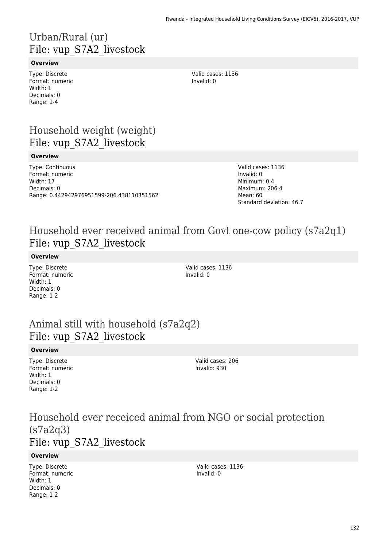## Urban/Rural (ur) File: vup\_S7A2\_livestock

### **Overview**

Type: Discrete Format: numeric Width: 1 Decimals: 0 Range: 1-4

Valid cases: 1136 Invalid: 0

## Household weight (weight) File: vup\_S7A2<sup>\_</sup>livestock

#### **Overview**

Type: Continuous Format: numeric Width: 17 Decimals: 0 Range: 0.442942976951599-206.438110351562 Valid cases: 1136 Invalid: 0 Minimum: 0.4 Maximum: 206.4 Mean: 60 Standard deviation: 46.7

### Household ever received animal from Govt one-cow policy (s7a2q1) File: vup\_S7A2\_livestock

#### **Overview**

Type: Discrete Format: numeric Width: 1 Decimals: 0 Range: 1-2

Valid cases: 1136 Invalid: 0

### Animal still with household (s7a2q2) File: vup\_S7A2\_livestock

#### **Overview**

Type: Discrete Format: numeric Width: 1 Decimals: 0 Range: 1-2

Valid cases: 206 Invalid: 930

### Household ever receiced animal from NGO or social protection (s7a2q3) File: vup\_S7A2\_livestock

### **Overview**

Type: Discrete Format: numeric Width: 1 Decimals: 0 Range: 1-2

Valid cases: 1136 Invalid: 0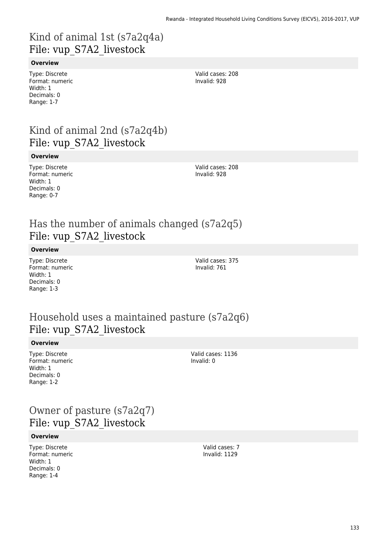# Kind of animal 1st (s7a2q4a) File: vup\_S7A2\_livestock

### **Overview**

Type: Discrete Format: numeric Width: 1 Decimals: 0 Range: 1-7

Valid cases: 208 Invalid: 928

### Kind of animal 2nd (s7a2q4b) File: vup\_S7A2\_livestock

#### **Overview**

Type: Discrete Format: numeric Width: 1 Decimals: 0 Range: 0-7

Valid cases: 208 Invalid: 928

## Has the number of animals changed (s7a2q5) File: vup\_S7A2\_livestock

**Overview**

Type: Discrete Format: numeric Width: 1 Decimals: 0 Range: 1-3

Valid cases: 375 Invalid: 761

### Household uses a maintained pasture (s7a2q6) File: vup\_S7A2\_livestock

#### **Overview**

Type: Discrete Format: numeric Width: 1 Decimals: 0 Range: 1-2

Valid cases: 1136 Invalid: 0

## Owner of pasture (s7a2q7) File: vup\_S7A2\_livestock

#### **Overview**

Type: Discrete Format: numeric Width: 1 Decimals: 0 Range: 1-4

Valid cases: 7 Invalid: 1129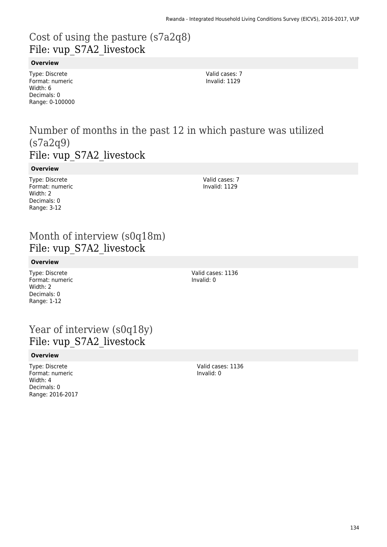## Cost of using the pasture (s7a2q8) File: vup\_S7A2\_livestock

### **Overview**

Type: Discrete Format: numeric Width: 6 Decimals: 0 Range: 0-100000 Valid cases: 7 Invalid: 1129

## Number of months in the past 12 in which pasture was utilized (s7a2q9) File: vup\_S7A2\_livestock

#### **Overview**

Type: Discrete Format: numeric Width: 2 Decimals: 0 Range: 3-12

Valid cases: 7 Invalid: 1129

## Month of interview (s0q18m) File: vup\_S7A2\_livestock

### **Overview**

Type: Discrete Format: numeric Width: 2 Decimals: 0 Range: 1-12

Valid cases: 1136 Invalid: 0

### Year of interview (s0q18y) File: vup\_S7A2\_livestock

#### **Overview**

Type: Discrete Format: numeric Width: 4 Decimals: 0 Range: 2016-2017 Valid cases: 1136 Invalid: 0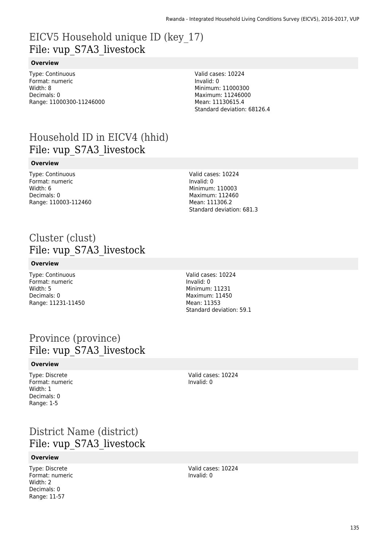# EICV5 Household unique ID (key\_17) File: vup\_S7A3\_livestock

#### **Overview**

Type: Continuous Format: numeric Width: 8 Decimals: 0 Range: 11000300-11246000 Valid cases: 10224 Invalid: 0 Minimum: 11000300 Maximum: 11246000 Mean: 11130615.4 Standard deviation: 68126.4

# Household ID in EICV4 (hhid) File: vup\_S7A3\_livestock

#### **Overview**

Type: Continuous Format: numeric Width: 6 Decimals: 0 Range: 110003-112460 Valid cases: 10224 Invalid: 0 Minimum: 110003 Maximum: 112460 Mean: 111306.2 Standard deviation: 681.3

### Cluster (clust) File: vup\_S7A3\_livestock

#### **Overview**

Type: Continuous Format: numeric Width: 5 Decimals: 0 Range: 11231-11450 Valid cases: 10224 Invalid: 0 Minimum: 11231 Maximum: 11450 Mean: 11353 Standard deviation: 59.1

### Province (province) File: vup\_S7A3\_livestock

#### **Overview**

Type: Discrete Format: numeric Width: 1 Decimals: 0 Range: 1-5

Valid cases: 10224 Invalid: 0

## District Name (district) File: vup\_S7A3\_livestock

#### **Overview**

Type: Discrete Format: numeric Width: 2 Decimals: 0 Range: 11-57

Valid cases: 10224 Invalid: 0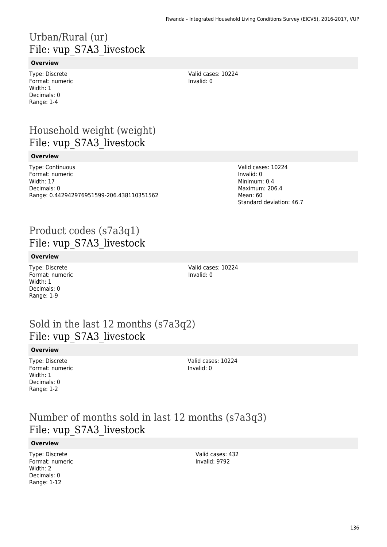## Urban/Rural (ur) File: vup\_S7A3\_livestock

### **Overview**

Type: Discrete Format: numeric Width: 1 Decimals: 0 Range: 1-4

Valid cases: 10224 Invalid: 0

## Household weight (weight) File: vup\_S7A3\_livestock

#### **Overview**

Type: Continuous Format: numeric Width: 17 Decimals: 0 Range: 0.442942976951599-206.438110351562 Valid cases: 10224 Invalid: 0 Minimum: 0.4 Maximum: 206.4 Mean: 60 Standard deviation: 46.7

## Product codes (s7a3q1) File: vup\_S7A3\_livestock

#### **Overview**

Type: Discrete Format: numeric Width: 1 Decimals: 0 Range: 1-9

Valid cases: 10224 Invalid: 0

### Sold in the last 12 months (s7a3q2) File: vup\_S7A3\_livestock

#### **Overview**

Type: Discrete Format: numeric Width: 1 Decimals: 0 Range: 1-2

Valid cases: 10224 Invalid: 0

## Number of months sold in last 12 months (s7a3q3) File: vup\_S7A3\_livestock

#### **Overview**

Type: Discrete Format: numeric Width: 2 Decimals: 0 Range: 1-12

Valid cases: 432 Invalid: 9792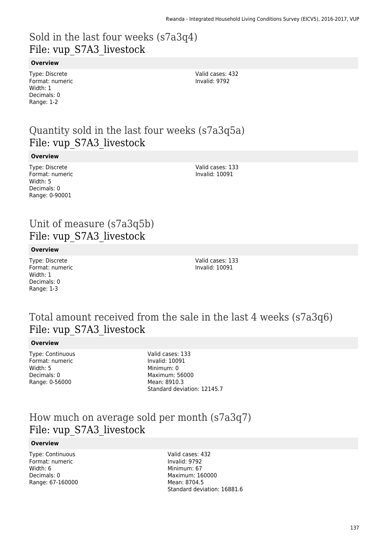### Sold in the last four weeks (s7a3q4) File: vup\_S7A3\_livestock

#### **Overview**

Type: Discrete Format: numeric Width: 1 Decimals: 0 Range: 1-2

Quantity sold in the last four weeks (s7a3q5a) File: vup\_S7A3\_livestock

#### **Overview**

Type: Discrete Format: numeric Width: 5 Decimals: 0 Range: 0-90001

Valid cases: 133 Invalid: 10091

Valid cases: 432 Invalid: 9792

## Unit of measure (s7a3q5b) File: vup\_S7A3\_livestock

#### **Overview**

Type: Discrete Format: numeric Width: 1 Decimals: 0 Range: 1-3

Valid cases: 133 Invalid: 10091

## Total amount received from the sale in the last 4 weeks (s7a3q6) File: vup\_S7A3\_livestock

#### **Overview**

Type: Continuous Format: numeric Width: 5 Decimals: 0 Range: 0-56000

Valid cases: 133 Invalid: 10091 Minimum: 0 Maximum: 56000 Mean: 8910.3 Standard deviation: 12145.7

## How much on average sold per month (s7a3q7) File: vup\_S7A3\_livestock

#### **Overview**

Type: Continuous Format: numeric Width: 6 Decimals: 0 Range: 67-160000 Valid cases: 432 Invalid: 9792 Minimum: 67 Maximum: 160000 Mean: 8704.5 Standard deviation: 16881.6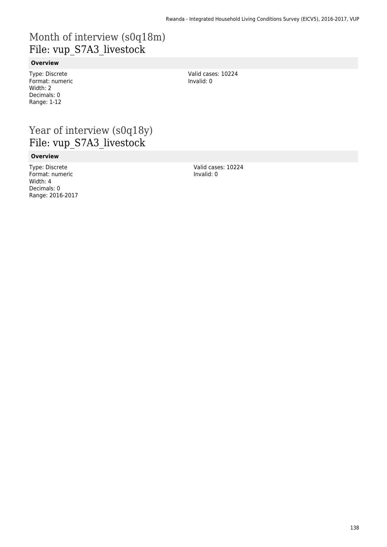# Month of interview (s0q18m) File: vup\_S7A3\_livestock

### **Overview**

Type: Discrete Format: numeric Width: 2 Decimals: 0 Range: 1-12

Valid cases: 10224 Invalid: 0

# Year of interview (s0q18y) File: vup\_S7A3\_livestock

#### **Overview**

Type: Discrete Format: numeric Width: 4 Decimals: 0 Range: 2016-2017 Valid cases: 10224 Invalid: 0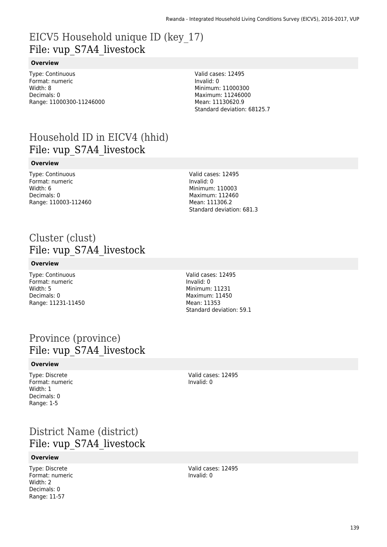# EICV5 Household unique ID (key\_17) File: vup\_S7A4\_livestock

#### **Overview**

Type: Continuous Format: numeric Width: 8 Decimals: 0 Range: 11000300-11246000 Valid cases: 12495 Invalid: 0 Minimum: 11000300 Maximum: 11246000 Mean: 11130620.9 Standard deviation: 68125.7

# Household ID in EICV4 (hhid) File: vup\_S7A4\_livestock

#### **Overview**

Type: Continuous Format: numeric Width: 6 Decimals: 0 Range: 110003-112460 Valid cases: 12495 Invalid: 0 Minimum: 110003 Maximum: 112460 Mean: 111306.2 Standard deviation: 681.3

### Cluster (clust) File: vup\_S7A4\_livestock

#### **Overview**

Type: Continuous Format: numeric Width: 5 Decimals: 0 Range: 11231-11450 Valid cases: 12495 Invalid: 0 Minimum: 11231 Maximum: 11450 Mean: 11353 Standard deviation: 59.1

### Province (province) File: vup\_S7A4\_livestock

#### **Overview**

Type: Discrete Format: numeric Width: 1 Decimals: 0 Range: 1-5

Valid cases: 12495 Invalid: 0

## District Name (district) File: vup\_S7A4\_livestock

#### **Overview**

Type: Discrete Format: numeric Width: 2 Decimals: 0 Range: 11-57

Valid cases: 12495 Invalid: 0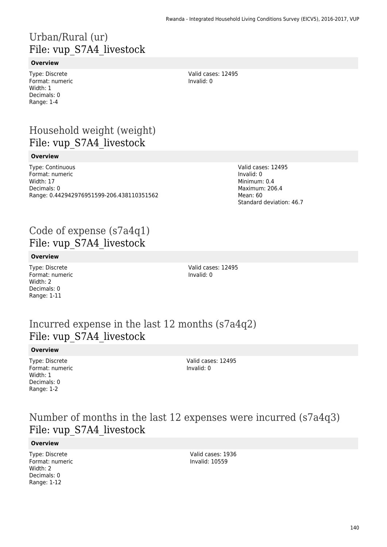## Urban/Rural (ur) File: vup\_S7A4\_livestock

### **Overview**

Type: Discrete Format: numeric Width: 1 Decimals: 0 Range: 1-4

Valid cases: 12495 Invalid: 0

## Household weight (weight) File: vup\_S7A4\_livestock

#### **Overview**

Type: Continuous Format: numeric Width: 17 Decimals: 0 Range: 0.442942976951599-206.438110351562 Valid cases: 12495 Invalid: 0 Minimum: 0.4 Maximum: 206.4 Mean: 60 Standard deviation: 46.7

## Code of expense (s7a4q1) File: vup\_S7A4\_livestock

### **Overview**

Type: Discrete Format: numeric Width: 2 Decimals: 0 Range: 1-11

Valid cases: 12495 Invalid: 0

## Incurred expense in the last 12 months (s7a4q2) File: vup\_S7A4\_livestock

#### **Overview**

Type: Discrete Format: numeric Width: 1 Decimals: 0 Range: 1-2

Valid cases: 12495 Invalid: 0

## Number of months in the last 12 expenses were incurred (s7a4q3) File: vup\_S7A4\_livestock

#### **Overview**

Type: Discrete Format: numeric Width: 2 Decimals: 0 Range: 1-12

Valid cases: 1936 Invalid: 10559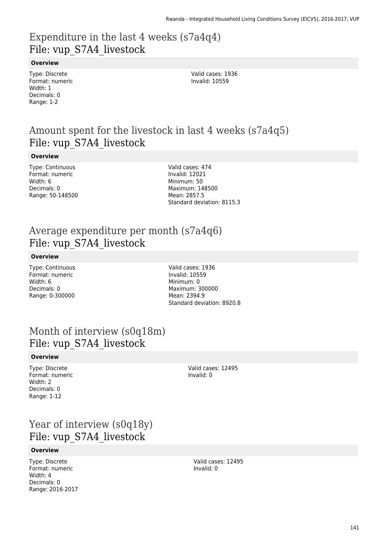## Expenditure in the last 4 weeks (s7a4q4) File: vup\_S7A4\_livestock

### **Overview**

Type: Discrete Format: numeric Width: 1 Decimals: 0 Range: 1-2

Valid cases: 1936 Invalid: 10559

## Amount spent for the livestock in last 4 weeks (s7a4q5) File: vup\_S7A4\_livestock

#### **Overview**

Type: Continuous Format: numeric Width: 6 Decimals: 0 Range: 50-148500 Valid cases: 474 Invalid: 12021 Minimum: 50 Maximum: 148500 Mean: 2857.5 Standard deviation: 8115.3

## Average expenditure per month (s7a4q6) File: vup\_S7A4\_livestock

#### **Overview**

Type: Continuous Format: numeric Width: 6 Decimals: 0 Range: 0-300000

Valid cases: 1936 Invalid: 10559 Minimum: 0 Maximum: 300000 Mean: 2394.9 Standard deviation: 8920.8

## Month of interview (s0q18m) File: vup\_S7A4\_livestock

#### **Overview**

Type: Discrete Format: numeric Width: 2 Decimals: 0 Range: 1-12

Valid cases: 12495 Invalid: 0

## Year of interview (s0q18y) File: vup\_S7A4\_livestock

#### **Overview**

Type: Discrete Format: numeric Width: 4 Decimals: 0 Range: 2016-2017

Valid cases: 12495 Invalid: 0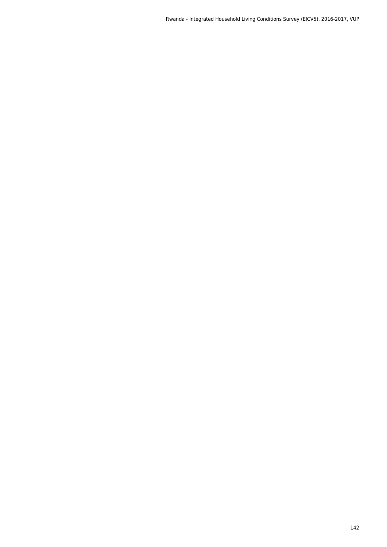Rwanda - Integrated Household Living Conditions Survey (EICV5), 2016-2017, VUP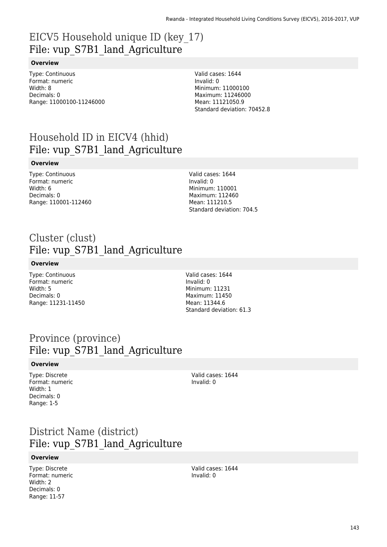## EICV5 Household unique ID (key\_17) File: vup S7B1 land Agriculture

#### **Overview**

Type: Continuous Format: numeric Width: 8 Decimals: 0 Range: 11000100-11246000 Valid cases: 1644 Invalid: 0 Minimum: 11000100 Maximum: 11246000 Mean: 11121050.9 Standard deviation: 70452.8

# Household ID in EICV4 (hhid) File: vup S7B1 land Agriculture

#### **Overview**

Type: Continuous Format: numeric Width: 6 Decimals: 0 Range: 110001-112460 Valid cases: 1644 Invalid: 0 Minimum: 110001 Maximum: 112460 Mean: 111210.5 Standard deviation: 704.5

### Cluster (clust) File: vup S7B1 land Agriculture

#### **Overview**

Type: Continuous Format: numeric Width: 5 Decimals: 0 Range: 11231-11450

Valid cases: 1644 Invalid: 0 Minimum: 11231 Maximum: 11450 Mean: 11344.6 Standard deviation: 61.3

## Province (province) File: vup S7B1 land Agriculture

#### **Overview**

Type: Discrete Format: numeric Width: 1 Decimals: 0 Range: 1-5

Valid cases: 1644 Invalid: 0

### District Name (district) File: vup S7B1\_land\_Agriculture

#### **Overview**

Type: Discrete Format: numeric Width: 2 Decimals: 0 Range: 11-57

Valid cases: 1644 Invalid: 0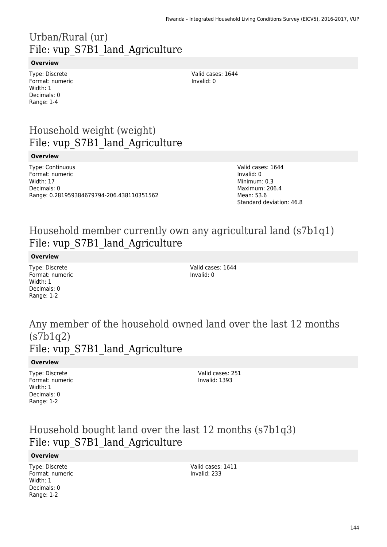# Urban/Rural (ur) File: vup S7B1 land Agriculture

### **Overview**

Type: Discrete Format: numeric Width: 1 Decimals: 0 Range: 1-4

Valid cases: 1644 Invalid: 0

## Household weight (weight) File: vup S7B1 land Agriculture

#### **Overview**

Type: Continuous Format: numeric Width: 17 Decimals: 0 Range: 0.281959384679794-206.438110351562 Valid cases: 1644 Invalid: 0 Minimum: 0.3 Maximum: 206.4 Mean: 53.6 Standard deviation: 46.8

## Household member currently own any agricultural land (s7b1q1) File: vup S7B1\_land\_Agriculture

### **Overview**

Type: Discrete Format: numeric Width: 1 Decimals: 0 Range: 1-2

Valid cases: 1644 Invalid: 0

### Any member of the household owned land over the last 12 months (s7b1q2) File: vup S7B1 land Agriculture

#### **Overview**

Type: Discrete Format: numeric Width: 1 Decimals: 0 Range: 1-2

Valid cases: 251 Invalid: 1393

## Household bought land over the last 12 months (s7b1q3) File: vup S7B1 land Agriculture

### **Overview**

Type: Discrete Format: numeric Width: 1 Decimals: 0 Range: 1-2

Valid cases: 1411 Invalid: 233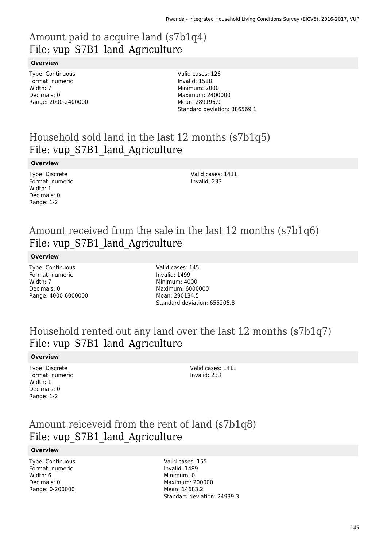# Amount paid to acquire land (s7b1q4) File: vup S7B1 land Agriculture

#### **Overview**

Type: Continuous Format: numeric Width: 7 Decimals: 0 Range: 2000-2400000

Valid cases: 126 Invalid: 1518 Minimum: 2000 Maximum: 2400000 Mean: 289196.9 Standard deviation: 386569.1

# Household sold land in the last 12 months (s7b1q5) File: vup S7B1 land Agriculture

#### **Overview**

Type: Discrete Format: numeric Width: 1 Decimals: 0 Range: 1-2

Valid cases: 1411 Invalid: 233

# Amount received from the sale in the last 12 months (s7b1q6) File: vup S7B1 land Agriculture

### **Overview**

Type: Continuous Format: numeric Width: 7 Decimals: 0 Range: 4000-6000000

Valid cases: 145 Invalid: 1499 Minimum: 4000 Maximum: 6000000 Mean: 290134.5 Standard deviation: 655205.8

# Household rented out any land over the last 12 months (s7b1q7) File: vup S7B1 land Agriculture

### **Overview**

Type: Discrete Format: numeric Width: 1 Decimals: 0 Range: 1-2

Valid cases: 1411 Invalid: 233

# Amount reiceveid from the rent of land (s7b1q8) File: vup S7B1 land Agriculture

### **Overview**

Type: Continuous Format: numeric Width: 6 Decimals: 0 Range: 0-200000

Valid cases: 155 Invalid: 1489 Minimum: 0 Maximum: 200000 Mean: 14683.2 Standard deviation: 24939.3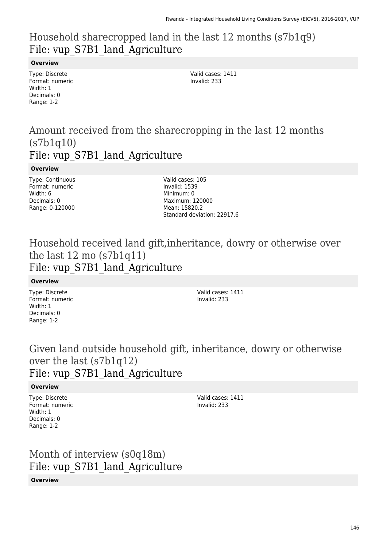# Household sharecropped land in the last 12 months (s7b1q9) File: vup S7B1 land Agriculture

### **Overview**

Type: Discrete Format: numeric Width: 1 Decimals: 0 Range: 1-2

Valid cases: 1411 Invalid: 233

### Amount received from the sharecropping in the last 12 months (s7b1q10) File: vup S7B1 land Agriculture

### **Overview**

Type: Continuous Format: numeric Width: 6 Decimals: 0 Range: 0-120000

Valid cases: 105 Invalid: 1539 Minimum: 0 Maximum: 120000 Mean: 15820.2 Standard deviation: 22917.6

# Household received land gift,inheritance, dowry or otherwise over the last 12 mo (s7b1q11) File: vup S7B1 land Agriculture

### **Overview**

Type: Discrete Format: numeric Width: 1 Decimals: 0 Range: 1-2

Valid cases: 1411 Invalid: 233

# Given land outside household gift, inheritance, dowry or otherwise over the last (s7b1q12) File: vup\_S7B1\_land\_Agriculture

### **Overview**

Type: Discrete Format: numeric Width: 1 Decimals: 0 Range: 1-2

Valid cases: 1411 Invalid: 233

# Month of interview (s0q18m) File: vup S7B1\_land\_Agriculture

### **Overview**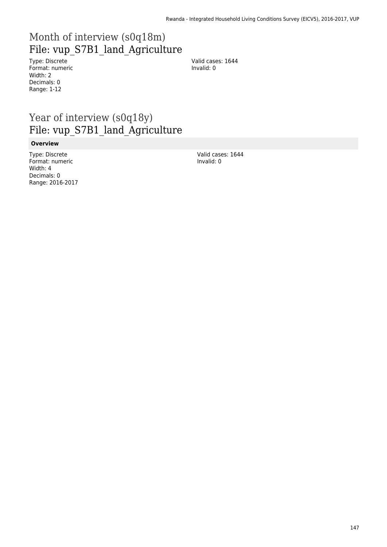# Month of interview (s0q18m) File: vup\_S7B1\_land\_Agriculture

Type: Discrete Format: numeric Width: 2 Decimals: 0 Range: 1-12

Valid cases: 1644 Invalid: 0

# Year of interview (s0q18y) File: vup\_S7B1\_land\_Agriculture

### **Overview**

Type: Discrete Format: numeric Width: 4 Decimals: 0 Range: 2016-2017 Valid cases: 1644 Invalid: 0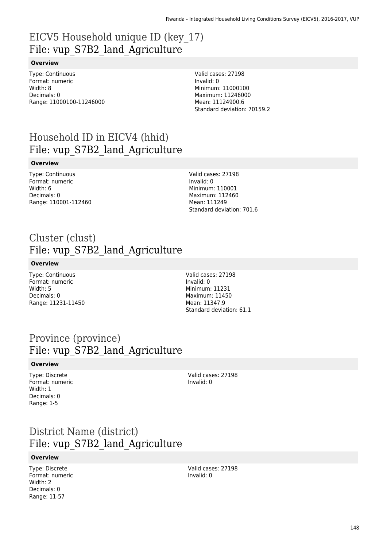# EICV5 Household unique ID (key\_17) File: vup S7B2 land Agriculture

#### **Overview**

Type: Continuous Format: numeric Width: 8 Decimals: 0 Range: 11000100-11246000 Valid cases: 27198 Invalid: 0 Minimum: 11000100 Maximum: 11246000 Mean: 11124900.6 Standard deviation: 70159.2

# Household ID in EICV4 (hhid) File: vup S7B2 land Agriculture

#### **Overview**

Type: Continuous Format: numeric Width: 6 Decimals: 0 Range: 110001-112460 Valid cases: 27198 Invalid: 0 Minimum: 110001 Maximum: 112460 Mean: 111249 Standard deviation: 701.6

## Cluster (clust) File: vup S7B2 land Agriculture

### **Overview**

Type: Continuous Format: numeric Width: 5 Decimals: 0 Range: 11231-11450

Valid cases: 27198 Invalid: 0 Minimum: 11231 Maximum: 11450 Mean: 11347.9 Standard deviation: 61.1

# Province (province) File: vup S7B2 land Agriculture

### **Overview**

Type: Discrete Format: numeric Width: 1 Decimals: 0 Range: 1-5

Valid cases: 27198 Invalid: 0

## District Name (district) File: vup S7B2 land Agriculture

### **Overview**

Type: Discrete Format: numeric Width: 2 Decimals: 0 Range: 11-57

Valid cases: 27198 Invalid: 0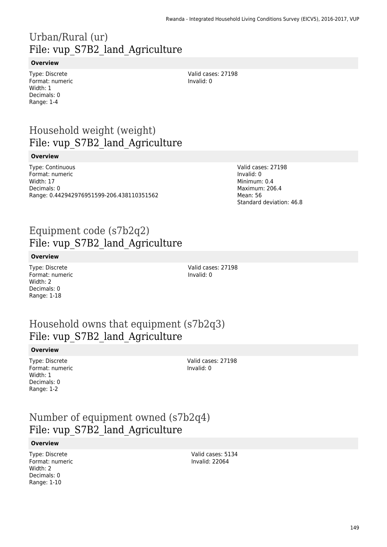# Urban/Rural (ur) File: vup\_S7B2\_land\_Agriculture

### **Overview**

Type: Discrete Format: numeric Width: 1 Decimals: 0 Range: 1-4

Valid cases: 27198 Invalid: 0

## Household weight (weight) File: vup\_S7B2\_land\_Agriculture

#### **Overview**

Type: Continuous Format: numeric Width: 17 Decimals: 0 Range: 0.442942976951599-206.438110351562 Valid cases: 27198 Invalid: 0 Minimum: 0.4 Maximum: 206.4 Mean: 56 Standard deviation: 46.8

## Equipment code (s7b2q2) File: vup\_S7B2\_land\_Agriculture

### **Overview**

Type: Discrete Format: numeric Width: 2 Decimals: 0 Range: 1-18

Valid cases: 27198 Invalid: 0

### Household owns that equipment (s7b2q3) File: vup S7B2 land Agriculture

#### **Overview**

Type: Discrete Format: numeric Width: 1 Decimals: 0 Range: 1-2

Valid cases: 27198 Invalid: 0

# Number of equipment owned (s7b2q4) File: vup S7B2 land Agriculture

#### **Overview**

Type: Discrete Format: numeric Width: 2 Decimals: 0 Range: 1-10

Valid cases: 5134 Invalid: 22064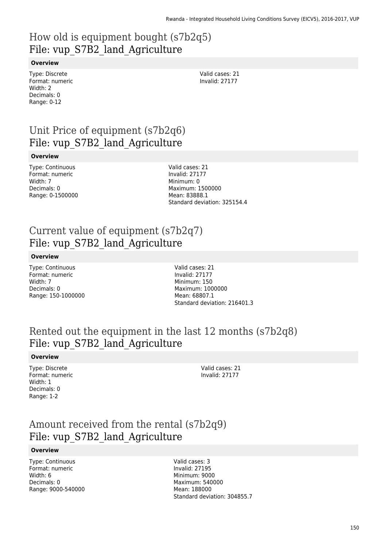# How old is equipment bought (s7b2q5) File: vup S7B2 land Agriculture

#### **Overview**

Type: Discrete Format: numeric Width: 2 Decimals: 0 Range: 0-12

Valid cases: 21 Invalid: 27177

# Unit Price of equipment (s7b2q6) File: vup S7B2 land Agriculture

#### **Overview**

Type: Continuous Format: numeric Width: 7 Decimals: 0 Range: 0-1500000

Valid cases: 21 Invalid: 27177 Minimum: 0 Maximum: 1500000 Mean: 83888.1 Standard deviation: 325154.4

# Current value of equipment (s7b2q7) File: vup\_S7B2\_land\_Agriculture

### **Overview**

Type: Continuous Format: numeric Width: 7 Decimals: 0 Range: 150-1000000 Valid cases: 21 Invalid: 27177 Minimum: 150 Maximum: 1000000 Mean: 68807.1 Standard deviation: 216401.3

## Rented out the equipment in the last 12 months (s7b2q8) File: vup S7B2 land Agriculture

#### **Overview**

Type: Discrete Format: numeric Width: 1 Decimals: 0 Range: 1-2

Valid cases: 21 Invalid: 27177

## Amount received from the rental (s7b2q9) File: vup S7B2 land Agriculture

### **Overview**

Type: Continuous Format: numeric Width: 6 Decimals: 0 Range: 9000-540000 Valid cases: 3 Invalid: 27195 Minimum: 9000 Maximum: 540000 Mean: 188000 Standard deviation: 304855.7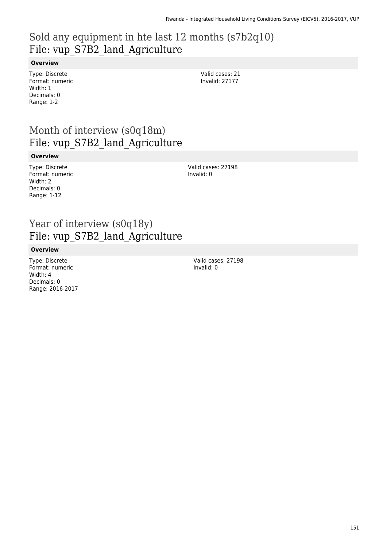# Sold any equipment in hte last 12 months (s7b2q10) File: vup\_S7B2\_land\_Agriculture

### **Overview**

Type: Discrete Format: numeric Width: 1 Decimals: 0 Range: 1-2

Valid cases: 21 Invalid: 27177

# Month of interview (s0q18m) File: vup\_S7B2\_land\_Agriculture

#### **Overview**

Type: Discrete Format: numeric Width: 2 Decimals: 0 Range: 1-12

Valid cases: 27198 Invalid: 0

# Year of interview (s0q18y) File: vup\_S7B2\_land\_Agriculture

#### **Overview**

Type: Discrete Format: numeric Width: 4 Decimals: 0 Range: 2016-2017 Valid cases: 27198 Invalid: 0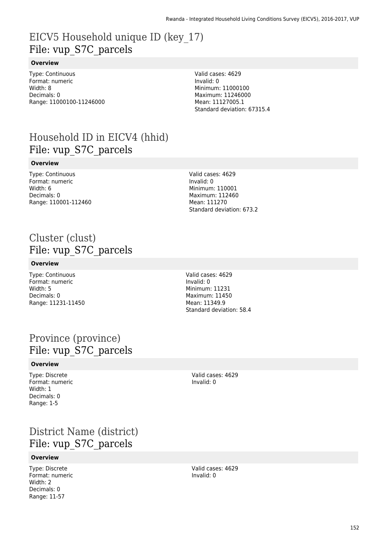# EICV5 Household unique ID (key\_17) File: vup\_S7C\_parcels

### **Overview**

Type: Continuous Format: numeric Width: 8 Decimals: 0 Range: 11000100-11246000 Valid cases: 4629 Invalid: 0 Minimum: 11000100 Maximum: 11246000 Mean: 11127005.1 Standard deviation: 67315.4

# Household ID in EICV4 (hhid) File: vup\_S7C\_parcels

#### **Overview**

Type: Continuous Format: numeric Width: 6 Decimals: 0 Range: 110001-112460 Valid cases: 4629 Invalid: 0 Minimum: 110001 Maximum: 112460 Mean: 111270 Standard deviation: 673.2

# Cluster (clust) File: vup\_S7C\_parcels

#### **Overview**

Type: Continuous Format: numeric Width: 5 Decimals: 0 Range: 11231-11450

Valid cases: 4629 Invalid: 0 Minimum: 11231 Maximum: 11450 Mean: 11349.9 Standard deviation: 58.4

## Province (province) File: vup\_S7C\_parcels

### **Overview**

Type: Discrete Format: numeric Width: 1 Decimals: 0 Range: 1-5

Valid cases: 4629 Invalid: 0

# District Name (district) File: vup\_S7C\_parcels

### **Overview**

Type: Discrete Format: numeric Width: 2 Decimals: 0 Range: 11-57

Valid cases: 4629 Invalid: 0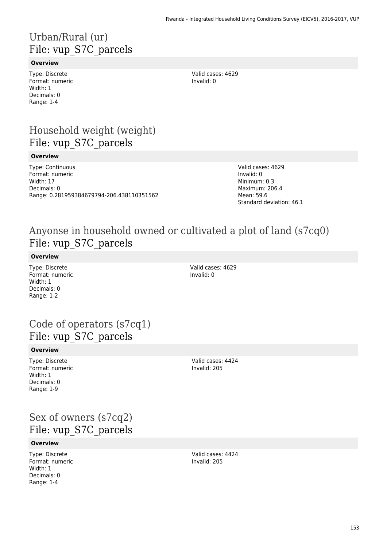# Urban/Rural (ur) File: vup\_S7C\_parcels

### **Overview**

Type: Discrete Format: numeric Width: 1 Decimals: 0 Range: 1-4

Valid cases: 4629 Invalid: 0

# Household weight (weight) File: vup\_S7C\_parcels

### **Overview**

Type: Continuous Format: numeric Width: 17 Decimals: 0 Range: 0.281959384679794-206.438110351562 Valid cases: 4629 Invalid: 0 Minimum: 0.3 Maximum: 206.4 Mean: 59.6 Standard deviation: 46.1

# Anyonse in household owned or cultivated a plot of land (s7cq0) File: vup\_S7C\_parcels

### **Overview**

Type: Discrete Format: numeric Width: 1 Decimals: 0 Range: 1-2

Valid cases: 4629 Invalid: 0

## Code of operators (s7cq1) File: vup\_S7C\_parcels

#### **Overview**

Type: Discrete Format: numeric Width: 1 Decimals: 0 Range: 1-9

Valid cases: 4424 Invalid: 205

# Sex of owners (s7cq2) File: vup\_S7C\_parcels

#### **Overview**

Type: Discrete Format: numeric Width: 1 Decimals: 0 Range: 1-4

Valid cases: 4424 Invalid: 205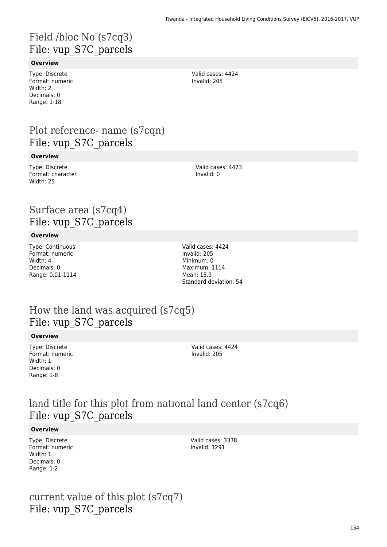# Field /bloc No (s7cq3) File: vup\_S7C\_parcels

### **Overview**

Type: Discrete Format: numeric Width: 2 Decimals: 0 Range: 1-18

Valid cases: 4424 Invalid: 205

### Plot reference- name (s7cqn) File: vup\_S7C\_parcels

#### **Overview**

Type: Discrete Format: character Width: 25

Valid cases: 4423 Invalid: 0

## Surface area (s7cq4) File: vup\_S7C\_parcels

#### **Overview**

Type: Continuous Format: numeric Width: 4 Decimals: 0 Range: 0.01-1114 Valid cases: 4424 Invalid: 205 Minimum: 0 Maximum: 1114 Mean: 15.9 Standard deviation: 54

## How the land was acquired (s7cq5) File: vup\_S7C\_parcels

#### **Overview**

Type: Discrete Format: numeric Width: 1 Decimals: 0 Range: 1-8

Valid cases: 4424 Invalid: 205

### land title for this plot from national land center (s7cq6) File: vup\_S7C\_parcels

#### **Overview**

Type: Discrete Format: numeric Width: 1 Decimals: 0 Range: 1-2

Valid cases: 3338 Invalid: 1291

current value of this plot (s7cq7) File: vup\_S7C\_parcels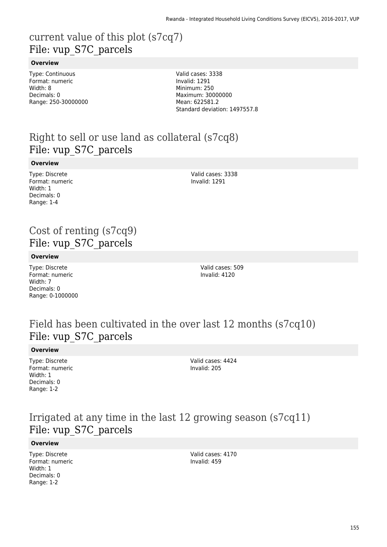# current value of this plot (s7cq7) File: vup\_S7C\_parcels

### **Overview**

Type: Continuous Format: numeric Width: 8 Decimals: 0 Range: 250-30000000 Valid cases: 3338 Invalid: 1291 Minimum: 250 Maximum: 30000000 Mean: 622581.2 Standard deviation: 1497557.8

# Right to sell or use land as collateral (s7cq8) File: vup\_S7C\_parcels

#### **Overview**

Type: Discrete Format: numeric Width: 1 Decimals: 0 Range: 1-4

Valid cases: 3338 Invalid: 1291

# Cost of renting (s7cq9) File: vup\_S7C\_parcels

### **Overview**

Type: Discrete Format: numeric Width: 7 Decimals: 0 Range: 0-1000000 Valid cases: 509 Invalid: 4120

## Field has been cultivated in the over last 12 months (s7cq10) File: vup\_S7C\_parcels

#### **Overview**

Type: Discrete Format: numeric Width: 1 Decimals: 0 Range: 1-2

Valid cases: 4424 Invalid: 205

# Irrigated at any time in the last 12 growing season (s7cq11) File: vup\_S7C\_parcels

#### **Overview**

Type: Discrete Format: numeric Width: 1 Decimals: 0 Range: 1-2

Valid cases: 4170 Invalid: 459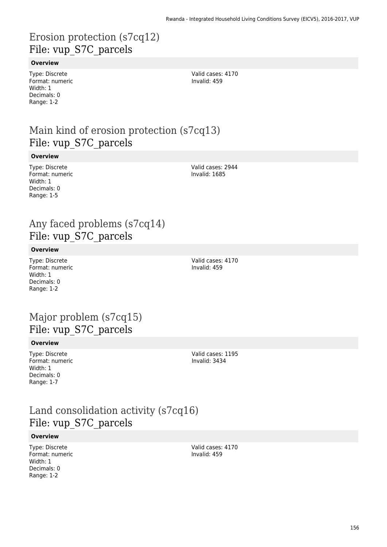# Erosion protection (s7cq12) File: vup\_S7C\_parcels

### **Overview**

Type: Discrete Format: numeric Width: 1 Decimals: 0 Range: 1-2

# Main kind of erosion protection (s7cq13) File: vup\_S7C\_parcels

#### **Overview**

Type: Discrete Format: numeric Width: 1 Decimals: 0 Range: 1-5

Valid cases: 2944 Invalid: 1685

Valid cases: 4170 Invalid: 459

# Any faced problems (s7cq14) File: vup\_S7C\_parcels

#### **Overview**

Type: Discrete Format: numeric Width: 1 Decimals: 0 Range: 1-2

Valid cases: 4170 Invalid: 459

# Major problem (s7cq15) File: vup\_S7C\_parcels

### **Overview**

Type: Discrete Format: numeric Width: 1 Decimals: 0 Range: 1-7

Valid cases: 1195 Invalid: 3434

# Land consolidation activity (s7cq16) File: vup\_S7C\_parcels

#### **Overview**

Type: Discrete Format: numeric Width: 1 Decimals: 0 Range: 1-2

Valid cases: 4170 Invalid: 459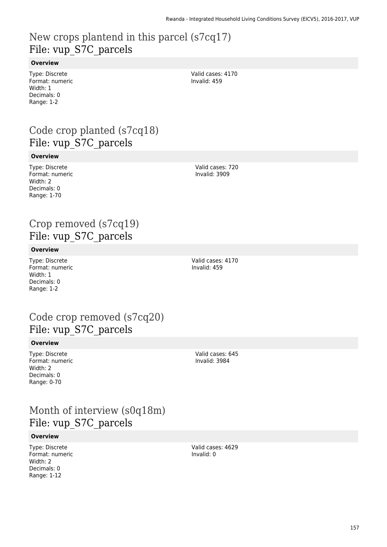# New crops plantend in this parcel (s7cq17) File: vup\_S7C\_parcels

### **Overview**

Type: Discrete Format: numeric Width: 1 Decimals: 0 Range: 1-2

Valid cases: 4170 Invalid: 459

# Code crop planted (s7cq18) File: vup<sup>57</sup>C\_parcels

#### **Overview**

Type: Discrete Format: numeric Width: 2 Decimals: 0 Range: 1-70

Valid cases: 720 Invalid: 3909

# Crop removed (s7cq19) File: vup\_S7C\_parcels

#### **Overview**

Type: Discrete Format: numeric Width: 1 Decimals: 0 Range: 1-2

Valid cases: 4170 Invalid: 459

## Code crop removed (s7cq20) File: vup\_S7C\_parcels

#### **Overview**

Type: Discrete Format: numeric Width: 2 Decimals: 0 Range: 0-70

# Month of interview (s0q18m) File: vup\_S7C\_parcels

#### **Overview**

Type: Discrete Format: numeric Width: 2 Decimals: 0 Range: 1-12

Valid cases: 645 Invalid: 3984

Valid cases: 4629 Invalid: 0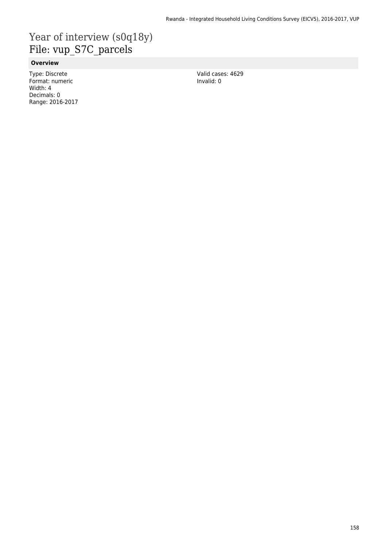# Year of interview (s0q18y) File: vup\_S7C\_parcels

### **Overview**

Type: Discrete Format: numeric Width: 4 Decimals: 0 Range: 2016-2017 Valid cases: 4629 Invalid: 0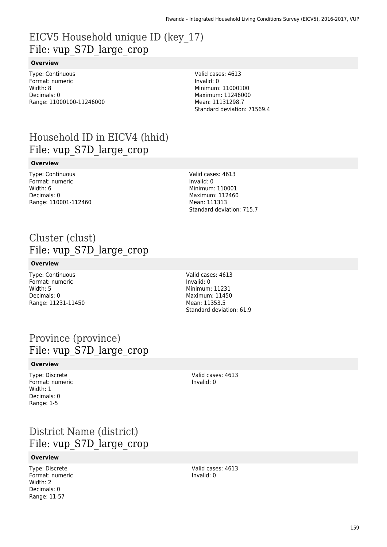# EICV5 Household unique ID (key\_17) File: vup\_S7D\_large\_crop

### **Overview**

Type: Continuous Format: numeric Width: 8 Decimals: 0 Range: 11000100-11246000 Valid cases: 4613 Invalid: 0 Minimum: 11000100 Maximum: 11246000 Mean: 11131298.7 Standard deviation: 71569.4

# Household ID in EICV4 (hhid) File: vup\_S7D\_large\_crop

#### **Overview**

Type: Continuous Format: numeric Width: 6 Decimals: 0 Range: 110001-112460 Valid cases: 4613 Invalid: 0 Minimum: 110001 Maximum: 112460 Mean: 111313 Standard deviation: 715.7

# Cluster (clust) File: vup\_S7D\_large\_crop

#### **Overview**

Type: Continuous Format: numeric Width: 5 Decimals: 0 Range: 11231-11450 Valid cases: 4613 Invalid: 0 Minimum: 11231 Maximum: 11450 Mean: 11353.5 Standard deviation: 61.9

# Province (province) File: vup\_S7D\_large\_crop

### **Overview**

Type: Discrete Format: numeric Width: 1 Decimals: 0 Range: 1-5

Valid cases: 4613 Invalid: 0

# District Name (district) File: vup\_S7D\_large\_crop

### **Overview**

Type: Discrete Format: numeric Width: 2 Decimals: 0 Range: 11-57

Valid cases: 4613 Invalid: 0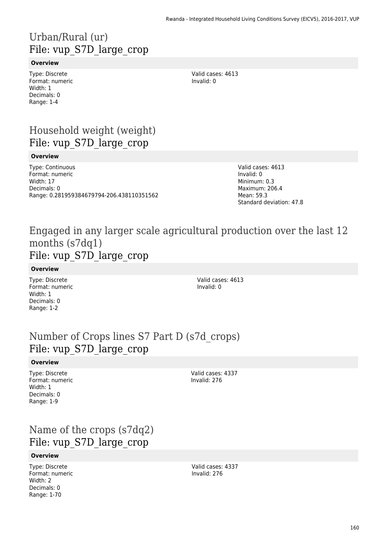# Urban/Rural (ur) File: vup\_S7D\_large\_crop

### **Overview**

Type: Discrete Format: numeric Width: 1 Decimals: 0 Range: 1-4

Valid cases: 4613 Invalid: 0

# Household weight (weight) File: vup\_S7D\_large\_crop

#### **Overview**

Type: Continuous Format: numeric Width: 17 Decimals: 0 Range: 0.281959384679794-206.438110351562 Valid cases: 4613 Invalid: 0 Minimum: 0.3 Maximum: 206.4 Mean: 59.3 Standard deviation: 47.8

### Engaged in any larger scale agricultural production over the last 12 months (s7dq1) File: vup\_S7D\_large\_crop

### **Overview**

Type: Discrete Format: numeric Width: 1 Decimals: 0 Range: 1-2

Valid cases: 4613 Invalid: 0

# Number of Crops lines S7 Part D (s7d\_crops) File: vup\_S7D\_large\_crop

### **Overview**

Type: Discrete Format: numeric Width: 1 Decimals: 0 Range: 1-9

Valid cases: 4337 Invalid: 276

# Name of the crops (s7dq2) File: vup\_S7D\_large\_crop

### **Overview**

Type: Discrete Format: numeric Width: 2 Decimals: 0 Range: 1-70

Valid cases: 4337 Invalid: 276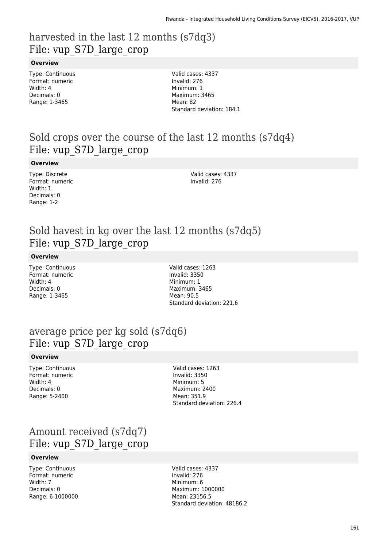# harvested in the last 12 months (s7dq3) File: vup\_S7D\_large\_crop

#### **Overview**

Type: Continuous Format: numeric Width: 4 Decimals: 0 Range: 1-3465

Valid cases: 4337 Invalid: 276 Minimum: 1 Maximum: 3465 Mean: 82 Standard deviation: 184.1

# Sold crops over the course of the last 12 months (s7dq4) File: vup\_S7D\_large\_crop

#### **Overview**

Type: Discrete Format: numeric Width: 1 Decimals: 0 Range: 1-2

Valid cases: 4337 Invalid: 276

# Sold havest in kg over the last 12 months (s7dq5) File: vup\_S7D\_large\_crop

#### **Overview**

Type: Continuous Format: numeric Width: 4 Decimals: 0 Range: 1-3465

Valid cases: 1263 Invalid: 3350 Minimum: 1 Maximum: 3465 Mean: 90.5 Standard deviation: 221.6

## average price per kg sold (s7dq6) File: vup\_S7D\_large\_crop

#### **Overview**

Type: Continuous Format: numeric Width: 4 Decimals: 0 Range: 5-2400

Valid cases: 1263 Invalid: 3350 Minimum: 5 Maximum: 2400 Mean: 351.9 Standard deviation: 226.4

# Amount received (s7dq7) File: vup\_S7D\_large\_crop

#### **Overview**

Type: Continuous Format: numeric Width: 7 Decimals: 0 Range: 6-1000000 Valid cases: 4337 Invalid: 276 Minimum: 6 Maximum: 1000000 Mean: 23156.5 Standard deviation: 48186.2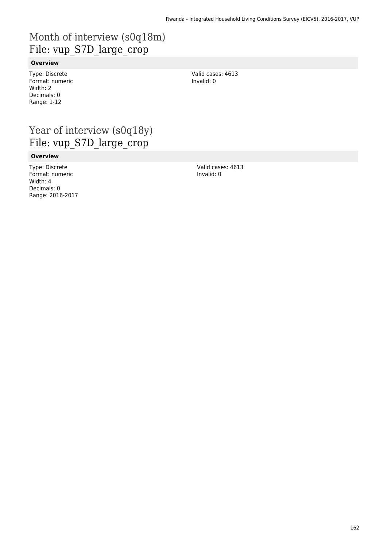# Month of interview (s0q18m) File: vup\_S7D\_large\_crop

### **Overview**

Type: Discrete Format: numeric Width: 2 Decimals: 0 Range: 1-12

Valid cases: 4613 Invalid: 0

# Year of interview (s0q18y) File: vup\_S7D\_large\_crop

#### **Overview**

Type: Discrete Format: numeric Width: 4 Decimals: 0 Range: 2016-2017 Valid cases: 4613 Invalid: 0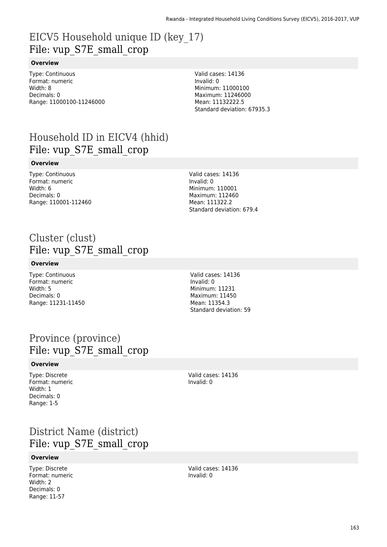# EICV5 Household unique ID (key\_17) File: vup\_S7E\_small\_crop

### **Overview**

Type: Continuous Format: numeric Width: 8 Decimals: 0 Range: 11000100-11246000 Valid cases: 14136 Invalid: 0 Minimum: 11000100 Maximum: 11246000 Mean: 11132222.5 Standard deviation: 67935.3

# Household ID in EICV4 (hhid) File: vup\_S7E\_small\_crop

#### **Overview**

Type: Continuous Format: numeric Width: 6 Decimals: 0 Range: 110001-112460 Valid cases: 14136 Invalid: 0 Minimum: 110001 Maximum: 112460 Mean: 111322.2 Standard deviation: 679.4

# Cluster (clust) File: vup\_S7E\_small\_crop

#### **Overview**

Type: Continuous Format: numeric Width: 5 Decimals: 0 Range: 11231-11450 Valid cases: 14136 Invalid: 0 Minimum: 11231 Maximum: 11450 Mean: 11354.3 Standard deviation: 59

## Province (province) File: vup S7E\_small\_crop

### **Overview**

Type: Discrete Format: numeric Width: 1 Decimals: 0 Range: 1-5

Valid cases: 14136 Invalid: 0

# District Name (district) File: vup S7E\_small\_crop

### **Overview**

Type: Discrete Format: numeric Width: 2 Decimals: 0 Range: 11-57

Valid cases: 14136 Invalid: 0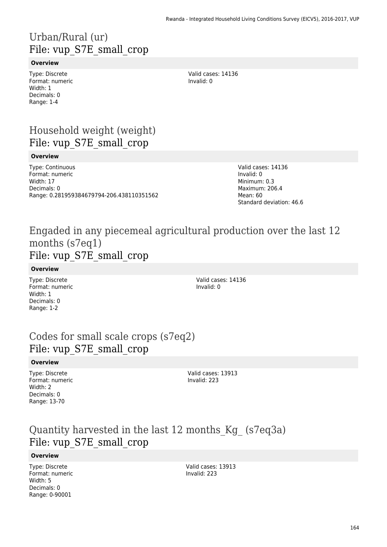# Urban/Rural (ur) File: vup\_S7E\_small\_crop

### **Overview**

Type: Discrete Format: numeric Width: 1 Decimals: 0 Range: 1-4

Valid cases: 14136 Invalid: 0

# Household weight (weight) File: vup\_S7E\_small\_crop

### **Overview**

Type: Continuous Format: numeric Width: 17 Decimals: 0 Range: 0.281959384679794-206.438110351562 Valid cases: 14136 Invalid: 0 Minimum: 0.3 Maximum: 206.4 Mean: 60 Standard deviation: 46.6

### Engaded in any piecemeal agricultural production over the last 12 months (s7eq1) File: vup\_S7E\_small\_crop

### **Overview**

Type: Discrete Format: numeric Width: 1 Decimals: 0 Range: 1-2

Valid cases: 14136 Invalid: 0

# Codes for small scale crops (s7eq2) File: vup\_S7E\_small\_crop

### **Overview**

Type: Discrete Format: numeric Width: 2 Decimals: 0 Range: 13-70

Valid cases: 13913 Invalid: 223

# Quantity harvested in the last 12 months\_Kg\_ (s7eq3a) File: vup\_S7E\_small\_crop

### **Overview**

Type: Discrete Format: numeric Width: 5 Decimals: 0 Range: 0-90001

Valid cases: 13913 Invalid: 223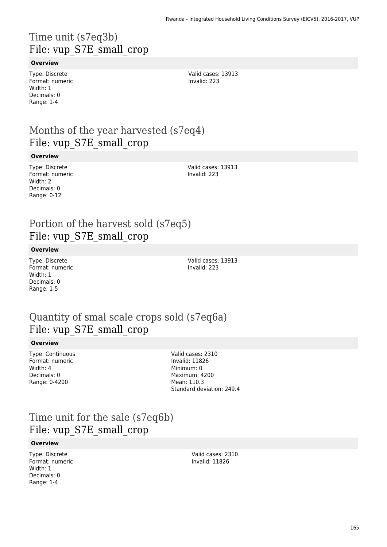# Time unit (s7eq3b) File: vup\_S7E\_small\_crop

### **Overview**

Type: Discrete Format: numeric Width: 1 Decimals: 0 Range: 1-4

Valid cases: 13913 Invalid: 223

# Months of the year harvested (s7eq4) File: vup\_S7E\_small\_crop

#### **Overview**

Type: Discrete Format: numeric Width: 2 Decimals: 0 Range: 0-12

Valid cases: 13913 Invalid: 223

# Portion of the harvest sold (s7eq5) File: vup\_S7E\_small\_crop

#### **Overview**

Type: Discrete Format: numeric Width: 1 Decimals: 0 Range: 1-5

Valid cases: 13913 Invalid: 223

## Quantity of smal scale crops sold (s7eq6a) File: vup S7E\_small\_crop

#### **Overview**

Type: Continuous Format: numeric Width: 4 Decimals: 0 Range: 0-4200

Valid cases: 2310 Invalid: 11826 Minimum: 0 Maximum: 4200 Mean: 110.3 Standard deviation: 249.4

# Time unit for the sale (s7eq6b) File: vup S7E\_small\_crop

#### **Overview**

Type: Discrete Format: numeric Width: 1 Decimals: 0 Range: 1-4

Valid cases: 2310 Invalid: 11826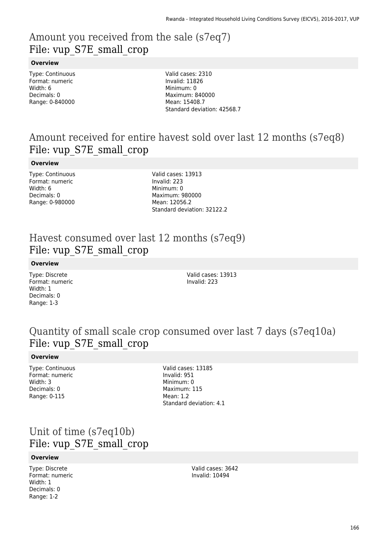# Amount you received from the sale (s7eq7) File: vup\_S7E\_small\_crop

### **Overview**

Type: Continuous Format: numeric Width: 6 Decimals: 0 Range: 0-840000

Valid cases: 2310 Invalid: 11826 Minimum: 0 Maximum: 840000 Mean: 15408.7 Standard deviation: 42568.7

# Amount received for entire havest sold over last 12 months (s7eq8) File: vup\_S7E\_small\_crop

#### **Overview**

Type: Continuous Format: numeric Width: 6 Decimals: 0 Range: 0-980000

Valid cases: 13913 Invalid: 223 Minimum: 0 Maximum: 980000 Mean: 12056.2 Standard deviation: 32122.2

## Havest consumed over last 12 months (s7eq9) File: vup\_S7E\_small\_crop

### **Overview**

Type: Discrete Format: numeric Width: 1 Decimals: 0 Range: 1-3

Valid cases: 13913 Invalid: 223

# Quantity of small scale crop consumed over last 7 days (s7eq10a) File: vup\_S7E\_small\_crop

### **Overview**

Type: Continuous Format: numeric Width: 3 Decimals: 0 Range: 0-115

Valid cases: 13185 Invalid: 951 Minimum: 0 Maximum: 115 Mean: 1.2 Standard deviation: 4.1

# Unit of time (s7eq10b) File: vup S7E\_small\_crop

### **Overview**

Type: Discrete Format: numeric Width: 1 Decimals: 0 Range: 1-2

Valid cases: 3642 Invalid: 10494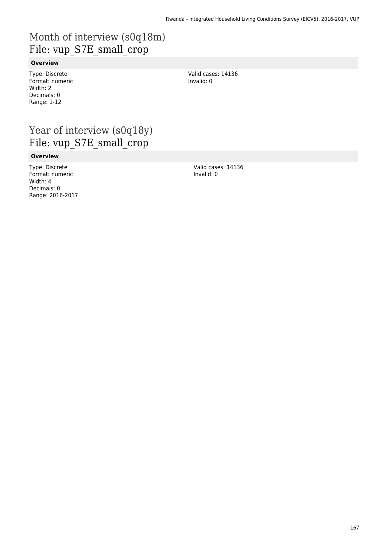# Month of interview (s0q18m) File: vup\_S7E\_small\_crop

### **Overview**

Type: Discrete Format: numeric Width: 2 Decimals: 0 Range: 1-12

Valid cases: 14136 Invalid: 0

# Year of interview (s0q18y) File: vup\_S7E\_small\_crop

### **Overview**

Type: Discrete Format: numeric Width: 4 Decimals: 0 Range: 2016-2017 Valid cases: 14136 Invalid: 0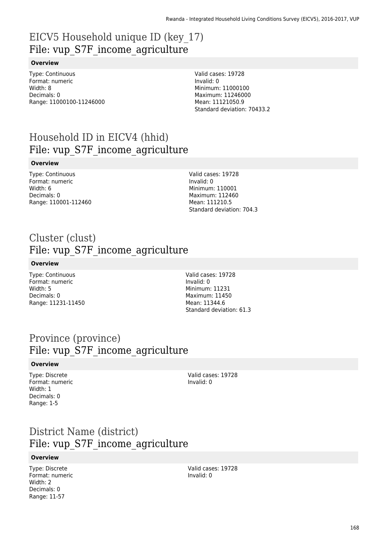# EICV5 Household unique ID (key\_17) File: vup S7F income agriculture

#### **Overview**

Type: Continuous Format: numeric Width: 8 Decimals: 0 Range: 11000100-11246000 Valid cases: 19728 Invalid: 0 Minimum: 11000100 Maximum: 11246000 Mean: 11121050.9 Standard deviation: 70433.2

# Household ID in EICV4 (hhid) File: vup S7F income agriculture

#### **Overview**

Type: Continuous Format: numeric Width: 6 Decimals: 0 Range: 110001-112460 Valid cases: 19728 Invalid: 0 Minimum: 110001 Maximum: 112460 Mean: 111210.5 Standard deviation: 704.3

# Cluster (clust) File: vup S7F income agriculture

#### **Overview**

Type: Continuous Format: numeric Width: 5 Decimals: 0 Range: 11231-11450

Valid cases: 19728 Invalid: 0 Minimum: 11231 Maximum: 11450 Mean: 11344.6 Standard deviation: 61.3

# Province (province) File: vup S7F income agriculture

### **Overview**

Type: Discrete Format: numeric Width: 1 Decimals: 0 Range: 1-5

Valid cases: 19728 Invalid: 0

## District Name (district) File: vup S7F income agriculture

### **Overview**

Type: Discrete Format: numeric Width: 2 Decimals: 0 Range: 11-57

Valid cases: 19728 Invalid: 0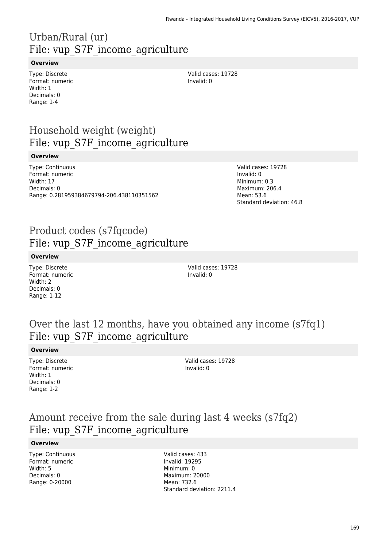# Urban/Rural (ur) File: vup S7F income agriculture

### **Overview**

Type: Discrete Format: numeric Width: 1 Decimals: 0 Range: 1-4

Valid cases: 19728 Invalid: 0

# Household weight (weight) File: vup S7F income agriculture

### **Overview**

Type: Continuous Format: numeric Width: 17 Decimals: 0 Range: 0.281959384679794-206.438110351562 Valid cases: 19728 Invalid: 0 Minimum: 0.3 Maximum: 206.4 Mean: 53.6 Standard deviation: 46.8

# Product codes (s7fqcode) File: vup S7F income agriculture

### **Overview**

Type: Discrete Format: numeric Width: 2 Decimals: 0 Range: 1-12

Valid cases: 19728 Invalid: 0

### Over the last 12 months, have you obtained any income (s7fq1) File: vup S7F income agriculture

### **Overview**

Type: Discrete Format: numeric Width: 1 Decimals: 0 Range: 1-2

Valid cases: 19728 Invalid: 0

# Amount receive from the sale during last 4 weeks (s7fq2) File: vup S7F income agriculture

### **Overview**

Type: Continuous Format: numeric Width: 5 Decimals: 0 Range: 0-20000

Valid cases: 433 Invalid: 19295 Minimum: 0 Maximum: 20000 Mean: 732.6 Standard deviation: 2211.4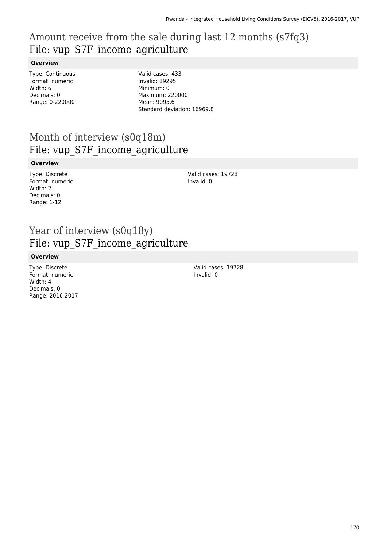# Amount receive from the sale during last 12 months (s7fq3) File: vup S7F income agriculture

### **Overview**

Type: Continuous Format: numeric Width: 6 Decimals: 0 Range: 0-220000

Valid cases: 433 Invalid: 19295 Minimum: 0 Maximum: 220000 Mean: 9095.6 Standard deviation: 16969.8

# Month of interview (s0q18m) File: vup\_S7F\_income\_agriculture

### **Overview**

Type: Discrete Format: numeric Width: 2 Decimals: 0 Range: 1-12

Valid cases: 19728 Invalid: 0

### Year of interview (s0q18y) File: vup\_S7F\_income\_agriculture

### **Overview**

Type: Discrete Format: numeric Width: 4 Decimals: 0 Range: 2016-2017 Valid cases: 19728 Invalid: 0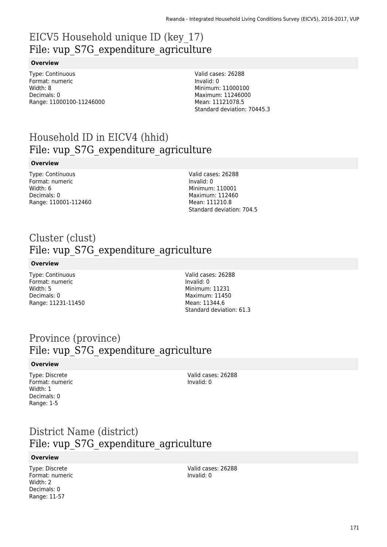# EICV5 Household unique ID (key\_17) File: vup S7G expenditure agriculture

#### **Overview**

Type: Continuous Format: numeric Width: 8 Decimals: 0 Range: 11000100-11246000 Valid cases: 26288 Invalid: 0 Minimum: 11000100 Maximum: 11246000 Mean: 11121078.5 Standard deviation: 70445.3

# Household ID in EICV4 (hhid) File: vup S7G expenditure agriculture

#### **Overview**

Type: Continuous Format: numeric Width: 6 Decimals: 0 Range: 110001-112460 Valid cases: 26288 Invalid: 0 Minimum: 110001 Maximum: 112460 Mean: 111210.8 Standard deviation: 704.5

# Cluster (clust) File: vup S7G expenditure agriculture

### **Overview**

Type: Continuous Format: numeric Width: 5 Decimals: 0 Range: 11231-11450

Valid cases: 26288 Invalid: 0 Minimum: 11231 Maximum: 11450 Mean: 11344.6 Standard deviation: 61.3

# Province (province) File: vup S7G expenditure agriculture

### **Overview**

Type: Discrete Format: numeric Width: 1 Decimals: 0 Range: 1-5

Valid cases: 26288 Invalid: 0

# District Name (district) File: vup S7G expenditure agriculture

### **Overview**

Type: Discrete Format: numeric Width: 2 Decimals: 0 Range: 11-57

Valid cases: 26288 Invalid: 0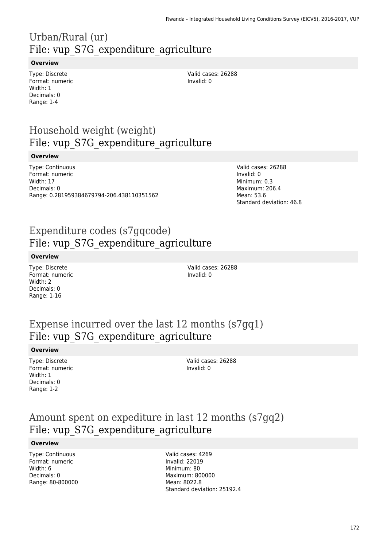# Urban/Rural (ur) File: vup S7G expenditure agriculture

### **Overview**

Type: Discrete Format: numeric Width: 1 Decimals: 0 Range: 1-4

Valid cases: 26288 Invalid: 0

# Household weight (weight) File: vup S7G expenditure agriculture

### **Overview**

Type: Continuous Format: numeric Width: 17 Decimals: 0 Range: 0.281959384679794-206.438110351562 Valid cases: 26288 Invalid: 0 Minimum: 0.3 Maximum: 206.4 Mean: 53.6 Standard deviation: 46.8

# Expenditure codes (s7gqcode) File: vup S7G expenditure agriculture

### **Overview**

Type: Discrete Format: numeric Width: 2 Decimals: 0 Range: 1-16

Valid cases: 26288 Invalid: 0

## Expense incurred over the last 12 months (s7gq1) File: vup S7G expenditure agriculture

### **Overview**

Type: Discrete Format: numeric Width: 1 Decimals: 0 Range: 1-2

Valid cases: 26288 Invalid: 0

# Amount spent on expediture in last 12 months (s7gq2) File: vup S7G expenditure agriculture

### **Overview**

Type: Continuous Format: numeric Width: 6 Decimals: 0 Range: 80-800000 Valid cases: 4269 Invalid: 22019 Minimum: 80 Maximum: 800000 Mean: 8022.8 Standard deviation: 25192.4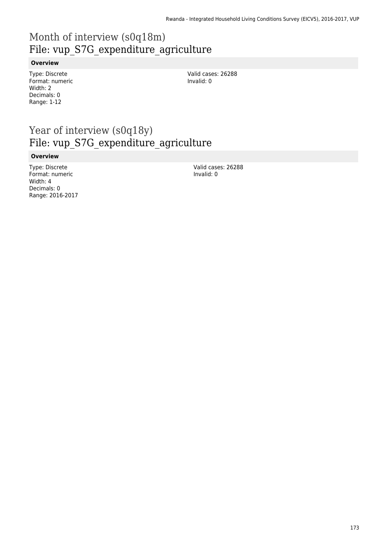# Month of interview (s0q18m) File: vup\_S7G\_expenditure\_agriculture

### **Overview**

Type: Discrete Format: numeric Width: 2 Decimals: 0 Range: 1-12

Valid cases: 26288 Invalid: 0

# Year of interview (s0q18y) File: vup S7G expenditure agriculture

#### **Overview**

Type: Discrete Format: numeric Width: 4 Decimals: 0 Range: 2016-2017 Valid cases: 26288 Invalid: 0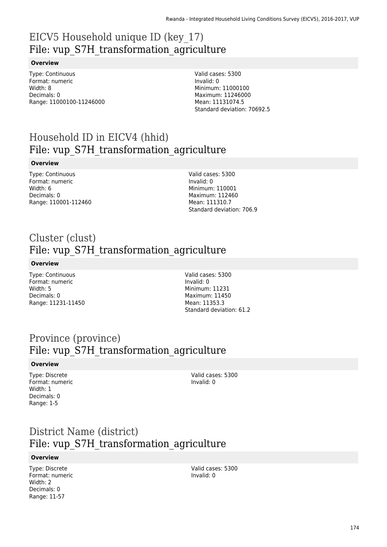# EICV5 Household unique ID (key\_17) File: vup\_S7H\_transformation\_agriculture

#### **Overview**

Type: Continuous Format: numeric Width: 8 Decimals: 0 Range: 11000100-11246000 Valid cases: 5300 Invalid: 0 Minimum: 11000100 Maximum: 11246000 Mean: 11131074.5 Standard deviation: 70692.5

# Household ID in EICV4 (hhid) File: vup\_S7H\_transformation\_agriculture

#### **Overview**

Type: Continuous Format: numeric Width: 6 Decimals: 0 Range: 110001-112460 Valid cases: 5300 Invalid: 0 Minimum: 110001 Maximum: 112460 Mean: 111310.7 Standard deviation: 706.9

# Cluster (clust) File: vup S7H transformation agriculture

### **Overview**

Type: Continuous Format: numeric Width: 5 Decimals: 0 Range: 11231-11450

Valid cases: 5300 Invalid: 0 Minimum: 11231 Maximum: 11450 Mean: 11353.3 Standard deviation: 61.2

# Province (province) File: vup S7H transformation agriculture

### **Overview**

Type: Discrete Format: numeric Width: 1 Decimals: 0 Range: 1-5

Valid cases: 5300 Invalid: 0

# District Name (district) File: vup S7H transformation agriculture

### **Overview**

Type: Discrete Format: numeric Width: 2 Decimals: 0 Range: 11-57

Valid cases: 5300 Invalid: 0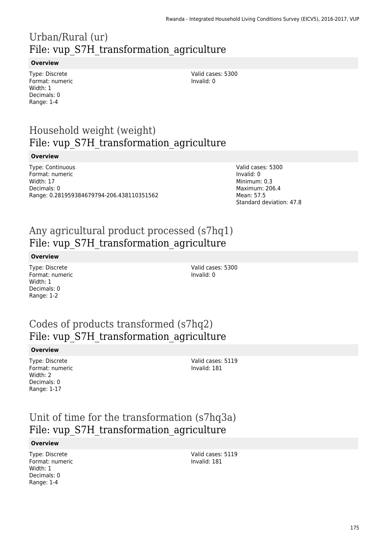# Urban/Rural (ur) File: vup\_S7H\_transformation\_agriculture

### **Overview**

Type: Discrete Format: numeric Width: 1 Decimals: 0 Range: 1-4

Valid cases: 5300 Invalid: 0

# Household weight (weight) File: vup\_S7H\_transformation\_agriculture

### **Overview**

Type: Continuous Format: numeric Width: 17 Decimals: 0 Range: 0.281959384679794-206.438110351562 Valid cases: 5300 Invalid: 0 Minimum: 0.3 Maximum: 206.4 Mean: 57.5 Standard deviation: 47.8

# Any agricultural product processed (s7hq1) File: vup S7H transformation agriculture

### **Overview**

| Type: Discrete  |
|-----------------|
| Format: numeric |
| Width: 1        |
| Decimals: 0     |
| Range: 1-2      |

Valid cases: 5300 Invalid: 0

### Codes of products transformed (s7hq2) File: vup S7H transformation agriculture

#### **Overview**

Type: Discrete Format: numeric Width: 2 Decimals: 0 Range: 1-17

Valid cases: 5119 Invalid: 181

# Unit of time for the transformation (s7hq3a) File: vup S7H transformation agriculture

#### **Overview**

Type: Discrete Format: numeric Width: 1 Decimals: 0 Range: 1-4

Valid cases: 5119 Invalid: 181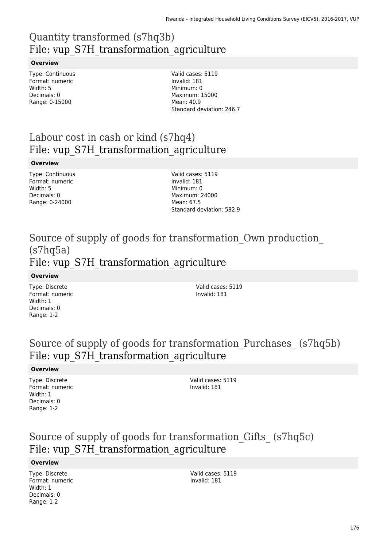# Quantity transformed (s7hq3b) File: vup S7H transformation agriculture

#### **Overview**

Type: Continuous Format: numeric Width: 5 Decimals: 0 Range: 0-15000

Valid cases: 5119 Invalid: 181 Minimum: 0 Maximum: 15000 Mean: 40.9 Standard deviation: 246.7

# Labour cost in cash or kind (s7hq4) File: vup\_S7H\_transformation\_agriculture

#### **Overview**

Type: Continuous Format: numeric Width: 5 Decimals: 0 Range: 0-24000

Valid cases: 5119 Invalid: 181 Minimum: 0 Maximum: 24000 Mean: 67.5 Standard deviation: 582.9

### Source of supply of goods for transformation\_Own production\_  $(s7hq5a)$ File: vup S7H transformation agriculture

### **Overview**

Type: Discrete Format: numeric Width: 1 Decimals: 0 Range: 1-2

Valid cases: 5119 Invalid: 181

# Source of supply of goods for transformation\_Purchases\_ (s7hq5b) File: vup\_S7H\_transformation\_agriculture

### **Overview**

Type: Discrete Format: numeric Width: 1 Decimals: 0 Range: 1-2

Valid cases: 5119 Invalid: 181

# Source of supply of goods for transformation\_Gifts\_ (s7hq5c) File: vup\_S7H\_transformation\_agriculture

### **Overview**

Type: Discrete Format: numeric Width: 1 Decimals: 0 Range: 1-2

Valid cases: 5119 Invalid: 181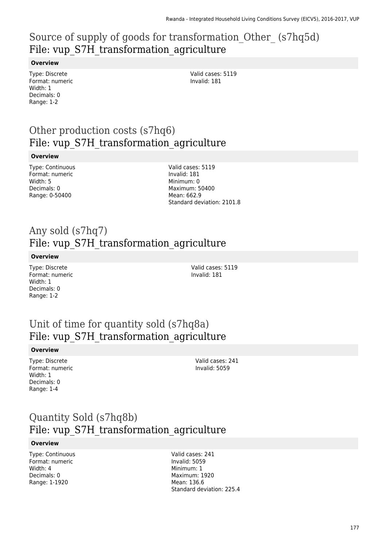# Source of supply of goods for transformation\_Other\_ (s7hq5d) File: vup\_S7H\_transformation\_agriculture

### **Overview**

Type: Discrete Format: numeric Width: 1 Decimals: 0 Range: 1-2

Valid cases: 5119 Invalid: 181

# Other production costs (s7hq6) File: vup\_S7H\_transformation\_agriculture

### **Overview**

Type: Continuous Format: numeric Width: 5 Decimals: 0 Range: 0-50400

Valid cases: 5119 Invalid: 181 Minimum: 0 Maximum: 50400 Mean: 662.9 Standard deviation: 2101.8

# Any sold (s7hq7) File: vup S7H transformation agriculture

### **Overview**

Type: Discrete Format: numeric Width: 1 Decimals: 0 Range: 1-2

Valid cases: 5119 Invalid: 181

### Unit of time for quantity sold (s7hq8a) File: vup S7H transformation agriculture

### **Overview**

Type: Discrete Format: numeric Width: 1 Decimals: 0 Range: 1-4

Valid cases: 241 Invalid: 5059

# Quantity Sold (s7hq8b) File: vup S7H transformation agriculture

### **Overview**

Type: Continuous Format: numeric Width: 4 Decimals: 0 Range: 1-1920

Valid cases: 241 Invalid: 5059 Minimum: 1 Maximum: 1920 Mean: 136.6 Standard deviation: 225.4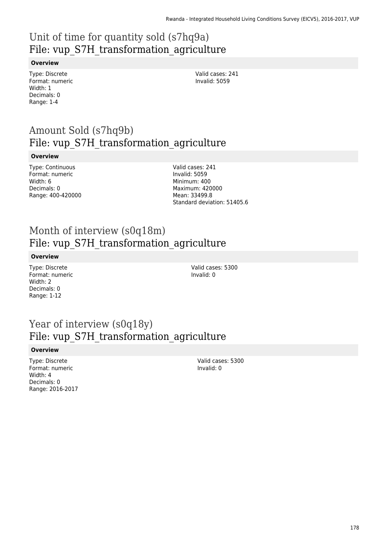# Unit of time for quantity sold (s7hq9a) File: vup\_S7H\_transformation\_agriculture

### **Overview**

Type: Discrete Format: numeric Width: 1 Decimals: 0 Range: 1-4

Valid cases: 241 Invalid: 5059

# Amount Sold (s7hq9b) File: vup\_S7H\_transformation\_agriculture

#### **Overview**

Type: Continuous Format: numeric Width: 6 Decimals: 0 Range: 400-420000 Valid cases: 241 Invalid: 5059 Minimum: 400 Maximum: 420000 Mean: 33499.8 Standard deviation: 51405.6

### Month of interview (s0q18m) File: vup\_S7H\_transformation\_agriculture

#### **Overview**

Type: Discrete Format: numeric Width: 2 Decimals: 0 Range: 1-12

Valid cases: 5300 Invalid: 0

### Year of interview (s0q18y) File: vup\_S7H\_transformation\_agriculture

#### **Overview**

Type: Discrete Format: numeric Width: 4 Decimals: 0 Range: 2016-2017

Valid cases: 5300 Invalid: 0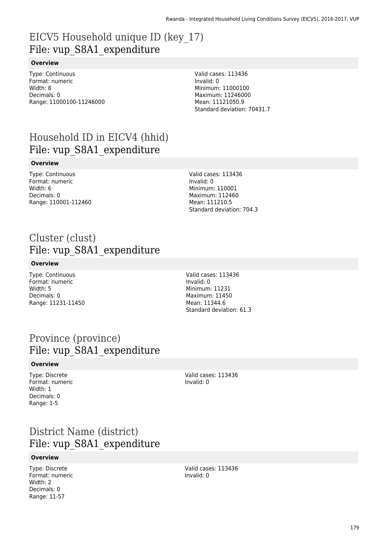# EICV5 Household unique ID (key\_17) File: vup\_S8A1\_expenditure

### **Overview**

Type: Continuous Format: numeric Width: 8 Decimals: 0 Range: 11000100-11246000 Valid cases: 113436 Invalid: 0 Minimum: 11000100 Maximum: 11246000 Mean: 11121050.9 Standard deviation: 70431.7

# Household ID in EICV4 (hhid) File: vup\_S8A1\_expenditure

#### **Overview**

Type: Continuous Format: numeric Width: 6 Decimals: 0 Range: 110001-112460 Valid cases: 113436 Invalid: 0 Minimum: 110001 Maximum: 112460 Mean: 111210.5 Standard deviation: 704.3

# Cluster (clust) File: vup\_S8A1\_expenditure

#### **Overview**

Type: Continuous Format: numeric Width: 5 Decimals: 0 Range: 11231-11450 Valid cases: 113436 Invalid: 0 Minimum: 11231 Maximum: 11450 Mean: 11344.6 Standard deviation: 61.3

## Province (province) File: vup\_S8A1\_expenditure

### **Overview**

Type: Discrete Format: numeric Width: 1 Decimals: 0 Range: 1-5

Valid cases: 113436 Invalid: 0

## District Name (district) File: vup\_S8A1\_expenditure

### **Overview**

Type: Discrete Format: numeric Width: 2 Decimals: 0 Range: 11-57

Valid cases: 113436 Invalid: 0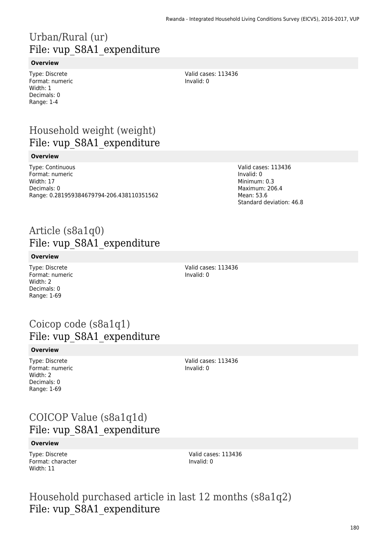# Urban/Rural (ur) File: vup\_S8A1\_expenditure

### **Overview**

Type: Discrete Format: numeric Width: 1 Decimals: 0 Range: 1-4

Valid cases: 113436 Invalid: 0

# Household weight (weight) File: vup\_S8A1\_expenditure

#### **Overview**

Type: Continuous Format: numeric Width: 17 Decimals: 0 Range: 0.281959384679794-206.438110351562 Valid cases: 113436 Invalid: 0 Minimum: 0.3 Maximum: 206.4 Mean: 53.6 Standard deviation: 46.8

# Article (s8a1q0) File: vup\_S8A1\_expenditure

#### **Overview**

Type: Discrete Format: numeric Width: 2 Decimals: 0 Range: 1-69

Valid cases: 113436 Invalid: 0

### Coicop code (s8a1q1) File: vup\_S8A1\_expenditure

### **Overview**

Type: Discrete Format: numeric Width: 2 Decimals: 0 Range: 1-69

Valid cases: 113436 Invalid: 0

# COICOP Value (s8a1q1d) File: vup S8A1 expenditure

### **Overview**

Type: Discrete Format: character Width: 11

Valid cases: 113436 Invalid: 0

Household purchased article in last 12 months (s8a1q2) File: vup\_S8A1\_expenditure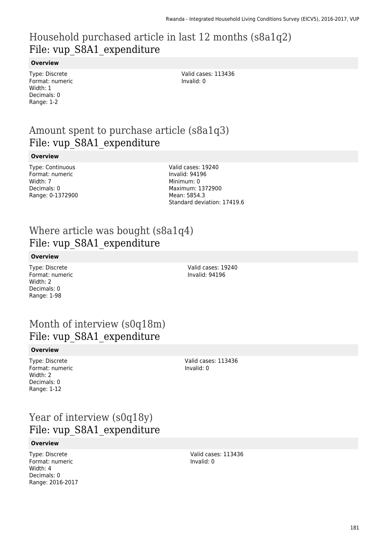# Household purchased article in last 12 months (s8a1q2) File: vup\_S8A1\_expenditure

### **Overview**

Type: Discrete Format: numeric Width: 1 Decimals: 0 Range: 1-2

Valid cases: 113436 Invalid: 0

# Amount spent to purchase article (s8a1q3) File: vup\_S8A1\_expenditure

#### **Overview**

Type: Continuous Format: numeric Width: 7 Decimals: 0 Range: 0-1372900 Valid cases: 19240 Invalid: 94196 Minimum: 0 Maximum: 1372900 Mean: 5854.3 Standard deviation: 17419.6

## Where article was bought (s8a1q4) File: vup\_S8A1\_expenditure

### **Overview**

Type: Discrete Format: numeric Width: 2 Decimals: 0 Range: 1-98

Valid cases: 19240 Invalid: 94196

## Month of interview (s0q18m) File: vup\_S8A1\_expenditure

### **Overview**

Type: Discrete Format: numeric Width: 2 Decimals: 0 Range: 1-12

Valid cases: 113436 Invalid: 0

# Year of interview (s0q18y) File: vup S8A1 expenditure

### **Overview**

Type: Discrete Format: numeric Width: 4 Decimals: 0 Range: 2016-2017 Valid cases: 113436 Invalid: 0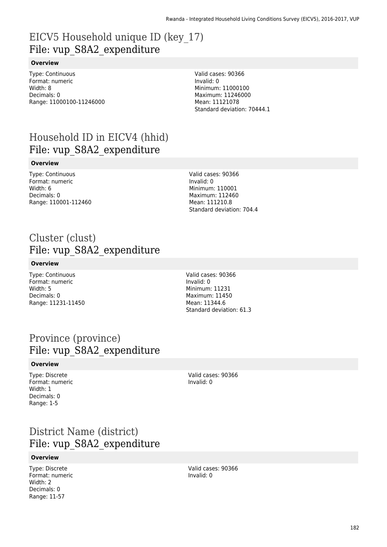# EICV5 Household unique ID (key\_17) File: vup\_S8A2\_expenditure

### **Overview**

Type: Continuous Format: numeric Width: 8 Decimals: 0 Range: 11000100-11246000 Valid cases: 90366 Invalid: 0 Minimum: 11000100 Maximum: 11246000 Mean: 11121078 Standard deviation: 70444.1

# Household ID in EICV4 (hhid) File: vup\_S8A2\_expenditure

#### **Overview**

Type: Continuous Format: numeric Width: 6 Decimals: 0 Range: 110001-112460 Valid cases: 90366 Invalid: 0 Minimum: 110001 Maximum: 112460 Mean: 111210.8 Standard deviation: 704.4

# Cluster (clust) File: vup\_S8A2\_expenditure

#### **Overview**

Type: Continuous Format: numeric Width: 5 Decimals: 0 Range: 11231-11450 Valid cases: 90366 Invalid: 0 Minimum: 11231 Maximum: 11450 Mean: 11344.6 Standard deviation: 61.3

## Province (province) File: vup\_S8A2\_expenditure

### **Overview**

Type: Discrete Format: numeric Width: 1 Decimals: 0 Range: 1-5

Valid cases: 90366 Invalid: 0

## District Name (district) File: vup\_S8A2\_expenditure

### **Overview**

Type: Discrete Format: numeric Width: 2 Decimals: 0 Range: 11-57

Valid cases: 90366 Invalid: 0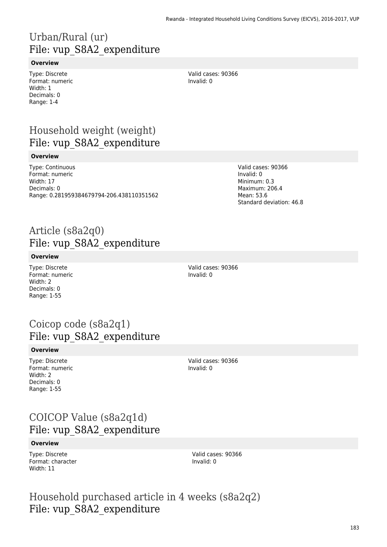# Urban/Rural (ur) File: vup\_S8A2\_expenditure

### **Overview**

Type: Discrete Format: numeric Width: 1 Decimals: 0 Range: 1-4

Valid cases: 90366 Invalid: 0

# Household weight (weight) File: vup\_S8A2\_expenditure

#### **Overview**

Type: Continuous Format: numeric Width: 17 Decimals: 0 Range: 0.281959384679794-206.438110351562 Valid cases: 90366 Invalid: 0 Minimum: 0.3 Maximum: 206.4 Mean: 53.6 Standard deviation: 46.8

## Article (s8a2q0) File: vup\_S8A2\_expenditure

### **Overview**

Type: Discrete Format: numeric Width: 2 Decimals: 0 Range: 1-55

Valid cases: 90366 Invalid: 0

## Coicop code (s8a2q1) File: vup\_S8A2\_expenditure

### **Overview**

Type: Discrete Format: numeric Width: 2 Decimals: 0 Range: 1-55

Valid cases: 90366 Invalid: 0

# COICOP Value (s8a2q1d) File: vup\_S8A2\_expenditure

### **Overview**

Type: Discrete Format: character Width: 11

Valid cases: 90366 Invalid: 0

Household purchased article in 4 weeks (s8a2q2) File: vup\_S8A2\_expenditure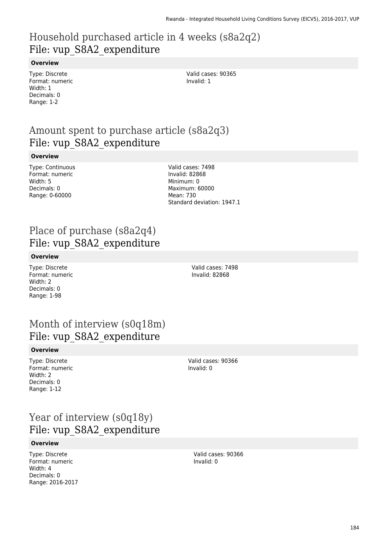# Household purchased article in 4 weeks (s8a2q2) File: vup\_S8A2\_expenditure

### **Overview**

Type: Discrete Format: numeric Width: 1 Decimals: 0 Range: 1-2

Valid cases: 90365 Invalid: 1

# Amount spent to purchase article (s8a2q3) File: vup\_S8A2\_expenditure

### **Overview**

Type: Continuous Format: numeric Width: 5 Decimals: 0 Range: 0-60000

Valid cases: 7498 Invalid: 82868 Minimum: 0 Maximum: 60000 Mean: 730 Standard deviation: 1947.1

# Place of purchase (s8a2q4) File: vup\_S8A2\_expenditure

### **Overview**

Type: Discrete Format: numeric Width: 2 Decimals: 0 Range: 1-98

Valid cases: 7498 Invalid: 82868

## Month of interview (s0q18m) File: vup\_S8A2\_expenditure

#### **Overview**

Type: Discrete Format: numeric Width: 2 Decimals: 0 Range: 1-12

Valid cases: 90366 Invalid: 0

# Year of interview (s0q18y) File: vup S8A2 expenditure

#### **Overview**

Type: Discrete Format: numeric Width: 4 Decimals: 0 Range: 2016-2017 Valid cases: 90366 Invalid: 0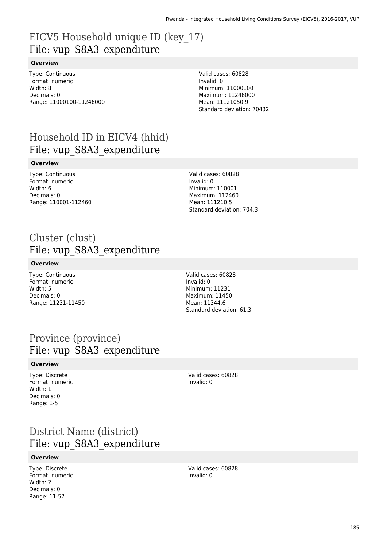# EICV5 Household unique ID (key\_17) File: vup\_S8A3\_expenditure

### **Overview**

Type: Continuous Format: numeric Width: 8 Decimals: 0 Range: 11000100-11246000 Valid cases: 60828 Invalid: 0 Minimum: 11000100 Maximum: 11246000 Mean: 11121050.9 Standard deviation: 70432

# Household ID in EICV4 (hhid) File: vup\_S8A3\_expenditure

### **Overview**

Type: Continuous Format: numeric Width: 6 Decimals: 0 Range: 110001-112460 Valid cases: 60828 Invalid: 0 Minimum: 110001 Maximum: 112460 Mean: 111210.5 Standard deviation: 704.3

# Cluster (clust) File: vup\_S8A3\_expenditure

### **Overview**

Type: Continuous Format: numeric Width: 5 Decimals: 0 Range: 11231-11450 Valid cases: 60828 Invalid: 0 Minimum: 11231 Maximum: 11450 Mean: 11344.6 Standard deviation: 61.3

# Province (province) File: vup\_S8A3\_expenditure

### **Overview**

Type: Discrete Format: numeric Width: 1 Decimals: 0 Range: 1-5

Valid cases: 60828 Invalid: 0

## District Name (district) File: vup\_S8A3\_expenditure

### **Overview**

Type: Discrete Format: numeric Width: 2 Decimals: 0 Range: 11-57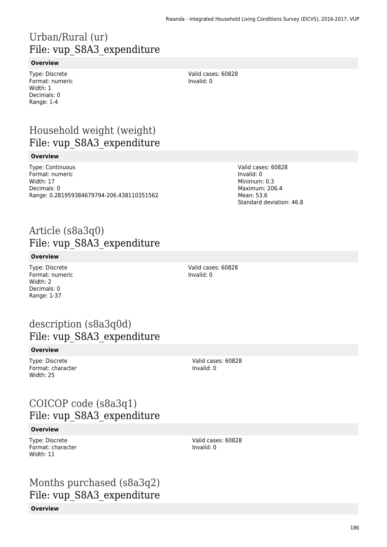# Urban/Rural (ur) File: vup\_S8A3\_expenditure

### **Overview**

Type: Discrete Format: numeric Width: 1 Decimals: 0 Range: 1-4

Valid cases: 60828 Invalid: 0

# Household weight (weight) File: vup\_S8A3\_expenditure

#### **Overview**

Type: Continuous Format: numeric Width: 17 Decimals: 0 Range: 0.281959384679794-206.438110351562 Valid cases: 60828 Invalid: 0 Minimum: 0.3 Maximum: 206.4 Mean: 53.6 Standard deviation: 46.8

## Article (s8a3q0) File: vup\_S8A3\_expenditure

### **Overview**

Type: Discrete Format: numeric Width: 2 Decimals: 0 Range: 1-37

Valid cases: 60828 Invalid: 0

### description (s8a3q0d) File: vup\_S8A3\_expenditure

### **Overview**

Type: Discrete Format: character Width: 25

Valid cases: 60828 Invalid: 0

## COICOP code (s8a3q1) File: vup\_S8A3\_expenditure

### **Overview**

Type: Discrete Format: character Width: 11

# Months purchased (s8a3q2) File: vup\_S8A3\_expenditure

#### **Overview**

Valid cases: 60828 Invalid: 0

186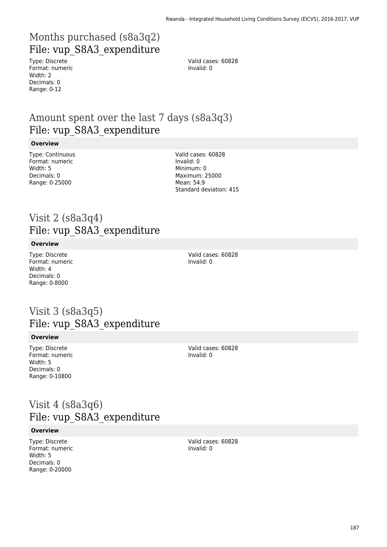# Months purchased (s8a3q2) File: vup\_S8A3\_expenditure

Type: Discrete Format: numeric Width: 2 Decimals: 0 Range: 0-12

Valid cases: 60828 Invalid: 0

# Amount spent over the last 7 days (s8a3q3) File: vup\_S8A3\_expenditure

### **Overview**

Type: Continuous Format: numeric Width: 5 Decimals: 0 Range: 0-25000

Valid cases: 60828 Invalid: 0 Minimum: 0 Maximum: 25000 Mean: 54.9 Standard deviation: 415

# Visit 2 (s8a3q4) File: vup\_S8A3\_expenditure

#### **Overview**

Type: Discrete Format: numeric Width: 4 Decimals: 0 Range: 0-8000

Valid cases: 60828 Invalid: 0

## Visit 3 (s8a3q5) File: vup\_S8A3\_expenditure

### **Overview**

Type: Discrete Format: numeric Width: 5 Decimals: 0 Range: 0-10800

Valid cases: 60828 Invalid: 0

## Visit 4 (s8a3q6) File: vup\_S8A3\_expenditure

#### **Overview**

Type: Discrete Format: numeric Width: 5 Decimals: 0 Range: 0-20000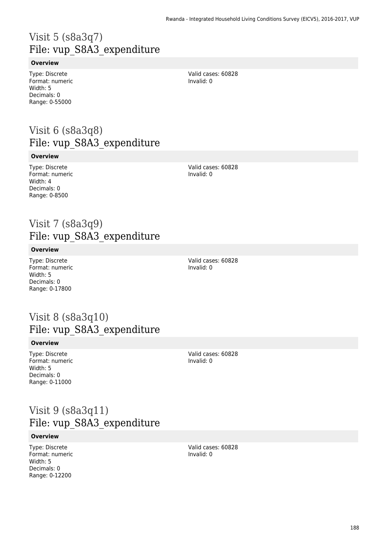# Visit 5 (s8a3q7) File: vup\_S8A3\_expenditure

### **Overview**

Type: Discrete Format: numeric Width: 5 Decimals: 0 Range: 0-55000

Valid cases: 60828 Invalid: 0

## Visit 6 (s8a3q8) File: vup\_S8A3\_expenditure

#### **Overview**

Type: Discrete Format: numeric Width: 4 Decimals: 0 Range: 0-8500

Valid cases: 60828 Invalid: 0

## Visit 7 (s8a3q9) File: vup\_S8A3\_expenditure

#### **Overview**

Type: Discrete Format: numeric Width: 5 Decimals: 0 Range: 0-17800

Valid cases: 60828 Invalid: 0

## Visit 8 (s8a3q10) File: vup\_S8A3\_expenditure

#### **Overview**

Type: Discrete Format: numeric Width: 5 Decimals: 0 Range: 0-11000

Valid cases: 60828 Invalid: 0

# Visit 9 (s8a3q11) File: vup\_S8A3\_expenditure

#### **Overview**

Type: Discrete Format: numeric Width: 5 Decimals: 0 Range: 0-12200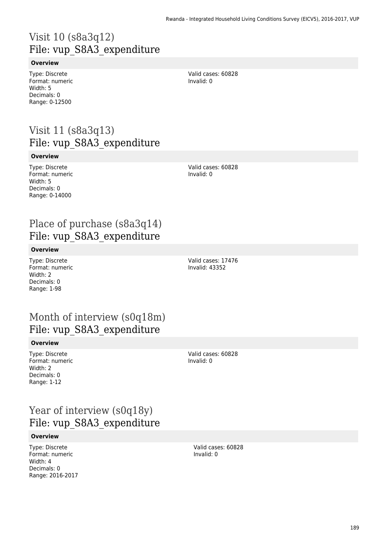# Visit 10 (s8a3q12) File: vup\_S8A3\_expenditure

### **Overview**

Type: Discrete Format: numeric Width: 5 Decimals: 0 Range: 0-12500

Valid cases: 60828 Invalid: 0

# Visit 11 (s8a3q13) File: vup\_S8A3\_expenditure

#### **Overview**

Type: Discrete Format: numeric Width: 5 Decimals: 0 Range: 0-14000

Valid cases: 60828 Invalid: 0

# Place of purchase (s8a3q14) File: vup\_S8A3\_expenditure

#### **Overview**

Type: Discrete Format: numeric Width: 2 Decimals: 0 Range: 1-98

Valid cases: 17476 Invalid: 43352

## Month of interview (s0q18m) File: vup\_S8A3\_expenditure

#### **Overview**

Type: Discrete Format: numeric Width: 2 Decimals: 0 Range: 1-12

Valid cases: 60828 Invalid: 0

## Year of interview (s0q18y) File: vup\_S8A3\_expenditure

#### **Overview**

Type: Discrete Format: numeric Width: 4 Decimals: 0 Range: 2016-2017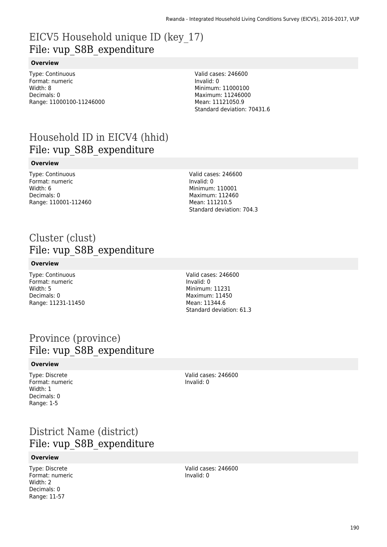# EICV5 Household unique ID (key\_17) File: vup\_S8B\_expenditure

### **Overview**

Type: Continuous Format: numeric Width: 8 Decimals: 0 Range: 11000100-11246000 Valid cases: 246600 Invalid: 0 Minimum: 11000100 Maximum: 11246000 Mean: 11121050.9 Standard deviation: 70431.6

# Household ID in EICV4 (hhid) File: vup\_S8B\_expenditure

#### **Overview**

Type: Continuous Format: numeric Width: 6 Decimals: 0 Range: 110001-112460 Valid cases: 246600 Invalid: 0 Minimum: 110001 Maximum: 112460 Mean: 111210.5 Standard deviation: 704.3

# Cluster (clust) File: vup\_S8B\_expenditure

#### **Overview**

Type: Continuous Format: numeric Width: 5 Decimals: 0 Range: 11231-11450 Valid cases: 246600 Invalid: 0 Minimum: 11231 Maximum: 11450 Mean: 11344.6 Standard deviation: 61.3

# Province (province) File: vup\_S8B\_expenditure

### **Overview**

Type: Discrete Format: numeric Width: 1 Decimals: 0 Range: 1-5

Valid cases: 246600 Invalid: 0

# District Name (district) File: vup\_S8B\_expenditure

### **Overview**

Type: Discrete Format: numeric Width: 2 Decimals: 0 Range: 11-57

Valid cases: 246600 Invalid: 0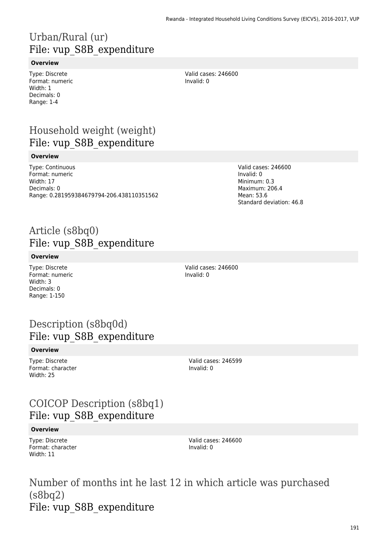# Urban/Rural (ur) File: vup\_S8B\_expenditure

### **Overview**

Type: Discrete Format: numeric Width: 1 Decimals: 0 Range: 1-4

Valid cases: 246600 Invalid: 0

# Household weight (weight) File: vup\_S8B\_expenditure

### **Overview**

Type: Continuous Format: numeric Width: 17 Decimals: 0 Range: 0.281959384679794-206.438110351562 Valid cases: 246600 Invalid: 0 Minimum: 0.3 Maximum: 206.4 Mean: 53.6 Standard deviation: 46.8

# Article (s8bq0) File: vup\_S8B\_expenditure

### **Overview**

Type: Discrete Format: numeric Width: 3 Decimals: 0 Range: 1-150

Valid cases: 246600 Invalid: 0

## Description (s8bq0d) File: vup\_S8B\_expenditure

### **Overview**

Type: Discrete Format: character Width: 25

Valid cases: 246599 Invalid: 0

# COICOP Description (s8bq1) File: vup\_S8B\_expenditure

### **Overview**

Type: Discrete Format: character Width: 11

Valid cases: 246600 Invalid: 0

Number of months int he last 12 in which article was purchased (s8bq2) File: vup\_S8B\_expenditure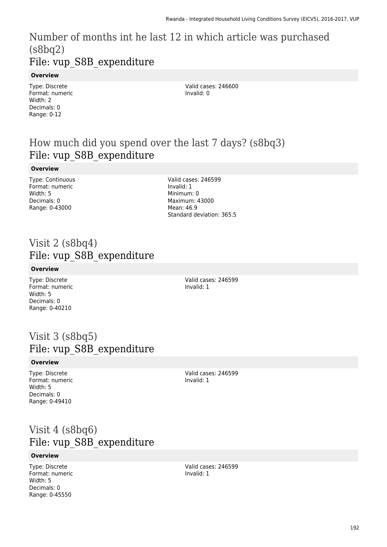Number of months int he last 12 in which article was purchased (s8bq2) File: vup\_S8B\_expenditure

### **Overview**

Type: Discrete Format: numeric Width: 2 Decimals: 0 Range: 0-12

Valid cases: 246600 Invalid: 0

# How much did you spend over the last 7 days? (s8bq3) File: vup\_S8B\_expenditure

#### **Overview**

Type: Continuous Format: numeric Width: 5 Decimals: 0 Range: 0-43000

Valid cases: 246599 Invalid: 1 Minimum: 0 Maximum: 43000 Mean: 46.9 Standard deviation: 365.5

## Visit 2 (s8bq4) File: vup\_S8B\_expenditure

#### **Overview**

Type: Discrete Format: numeric Width: 5 Decimals: 0 Range: 0-40210

Valid cases: 246599 Invalid: 1

## Visit 3 (s8bq5) File: vup\_S8B\_expenditure

#### **Overview**

Type: Discrete Format: numeric Width: 5 Decimals: 0 Range: 0-49410

Valid cases: 246599 Invalid: 1

# Visit 4 (s8bq6) File: vup\_S8B\_expenditure

#### **Overview**

Type: Discrete Format: numeric Width: 5 Decimals: 0 Range: 0-45550

Valid cases: 246599 Invalid: 1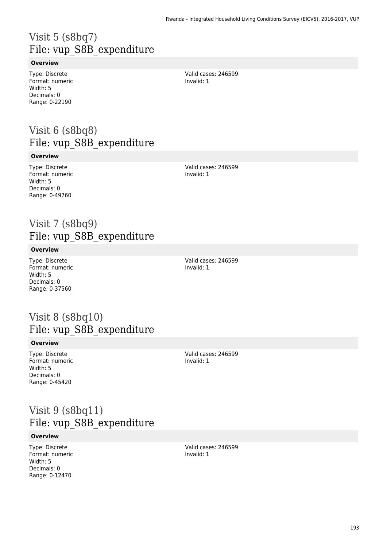## Visit 5 (s8bq7) File: vup\_S8B\_expenditure

### **Overview**

Type: Discrete Format: numeric Width: 5 Decimals: 0 Range: 0-22190

Valid cases: 246599 Invalid: 1

## Visit 6 (s8bq8) File: vup\_S8B\_expenditure

#### **Overview**

Type: Discrete Format: numeric Width: 5 Decimals: 0 Range: 0-49760

Valid cases: 246599 Invalid: 1

## Visit 7 (s8bq9) File: vup\_S8B\_expenditure

#### **Overview**

Type: Discrete Format: numeric Width: 5 Decimals: 0 Range: 0-37560

Valid cases: 246599 Invalid: 1

# Visit 8 (s8bq10) File: vup\_S8B\_expenditure

#### **Overview**

Type: Discrete Format: numeric Width: 5 Decimals: 0 Range: 0-45420

Valid cases: 246599 Invalid: 1

# Visit 9 (s8bq11) File: vup\_S8B\_expenditure

#### **Overview**

Type: Discrete Format: numeric Width: 5 Decimals: 0 Range: 0-12470

Valid cases: 246599 Invalid: 1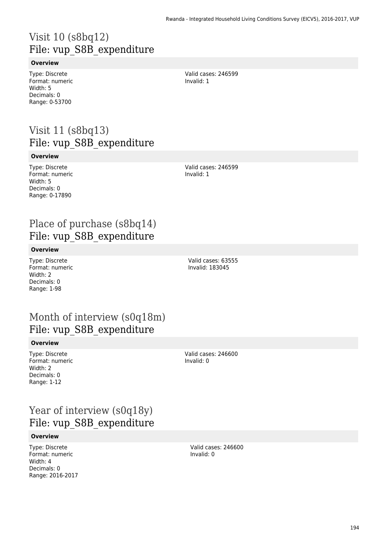# Visit 10 (s8bq12) File: vup\_S8B\_expenditure

### **Overview**

Type: Discrete Format: numeric Width: 5 Decimals: 0 Range: 0-53700

Valid cases: 246599 Invalid: 1

# Visit 11 (s8bq13) File: vup\_S8B\_expenditure

#### **Overview**

Type: Discrete Format: numeric Width: 5 Decimals: 0 Range: 0-17890

Valid cases: 246599 Invalid: 1

# Place of purchase (s8bq14) File: vup\_S8B\_expenditure

#### **Overview**

Type: Discrete Format: numeric Width: 2 Decimals: 0 Range: 1-98

Valid cases: 63555 Invalid: 183045

# Month of interview (s0q18m) File: vup\_S8B\_expenditure

### **Overview**

Type: Discrete Format: numeric Width: 2 Decimals: 0 Range: 1-12

Valid cases: 246600 Invalid: 0

## Year of interview (s0q18y) File: vup\_S8B\_expenditure

#### **Overview**

Type: Discrete Format: numeric Width: 4 Decimals: 0 Range: 2016-2017 Valid cases: 246600 Invalid: 0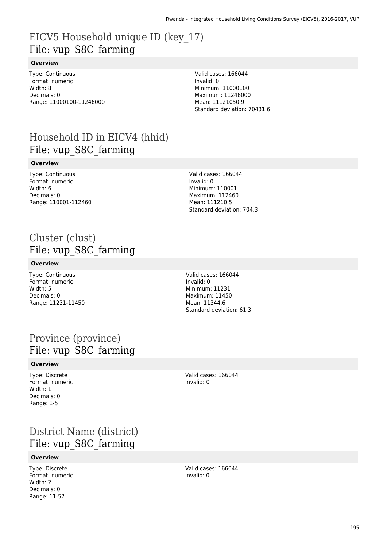# EICV5 Household unique ID (key\_17) File: vup\_S8C\_farming

### **Overview**

Type: Continuous Format: numeric Width: 8 Decimals: 0 Range: 11000100-11246000 Valid cases: 166044 Invalid: 0 Minimum: 11000100 Maximum: 11246000 Mean: 11121050.9 Standard deviation: 70431.6

# Household ID in EICV4 (hhid) File: vup\_S8C\_farming

#### **Overview**

Type: Continuous Format: numeric Width: 6 Decimals: 0 Range: 110001-112460 Valid cases: 166044 Invalid: 0 Minimum: 110001 Maximum: 112460 Mean: 111210.5 Standard deviation: 704.3

# Cluster (clust) File: vup\_S8C\_farming

#### **Overview**

Type: Continuous Format: numeric Width: 5 Decimals: 0 Range: 11231-11450

Valid cases: 166044 Invalid: 0 Minimum: 11231 Maximum: 11450 Mean: 11344.6 Standard deviation: 61.3

## Province (province) File: vup\_S8C\_farming

#### **Overview**

Type: Discrete Format: numeric Width: 1 Decimals: 0 Range: 1-5

Valid cases: 166044 Invalid: 0

# District Name (district) File: vup\_S8C\_farming

#### **Overview**

Type: Discrete Format: numeric Width: 2 Decimals: 0 Range: 11-57

Valid cases: 166044 Invalid: 0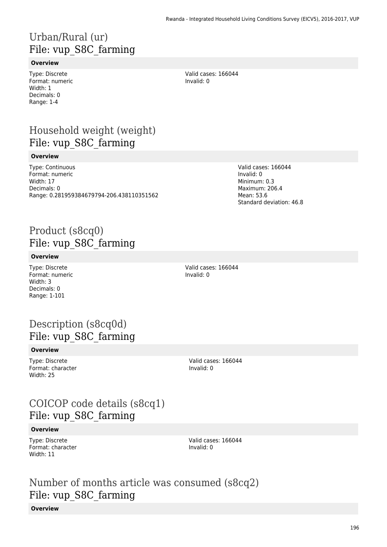# Urban/Rural (ur) File: vup\_S8C\_farming

### **Overview**

Type: Discrete Format: numeric Width: 1 Decimals: 0 Range: 1-4

Valid cases: 166044 Invalid: 0

# Household weight (weight) File: vup\_S8C\_farming

### **Overview**

Type: Continuous Format: numeric Width: 17 Decimals: 0 Range: 0.281959384679794-206.438110351562 Valid cases: 166044 Invalid: 0 Minimum: 0.3 Maximum: 206.4 Mean: 53.6 Standard deviation: 46.8

# Product (s8cq0) File: vup\_S8C\_farming

### **Overview**

Type: Discrete Format: numeric Width: 3 Decimals: 0 Range: 1-101

Valid cases: 166044 Invalid: 0

## Description (s8cq0d) File: vup\_S8C\_farming

### **Overview**

Type: Discrete Format: character Width: 25

Valid cases: 166044 Invalid: 0

# COICOP code details (s8cq1) File: vup\_S8C\_farming

### **Overview**

Type: Discrete Format: character Width: 11

Valid cases: 166044 Invalid: 0

Number of months article was consumed (s8cq2) File: vup\_S8C\_farming

**Overview**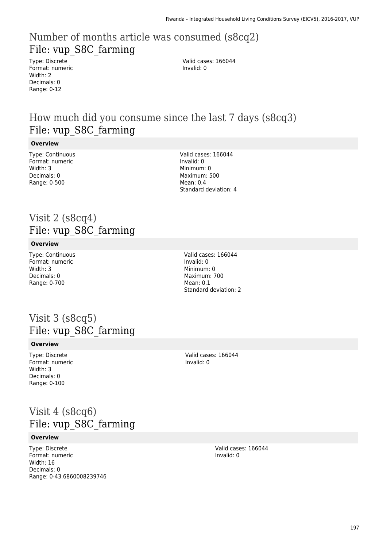# Number of months article was consumed (s8cq2) File: vup\_S8C\_farming

Type: Discrete Format: numeric Width: 2 Decimals: 0 Range: 0-12

Valid cases: 166044 Invalid: 0

# How much did you consume since the last 7 days (s8cq3) File: vup\_S8C\_farming

### **Overview**

Type: Continuous Format: numeric Width: 3 Decimals: 0 Range: 0-500

Valid cases: 166044 Invalid: 0 Minimum: 0 Maximum: 500 Mean: 0.4 Standard deviation: 4

## Visit 2 (s8cq4) File: vup\_S8C\_farming

#### **Overview**

Type: Continuous Format: numeric Width: 3 Decimals: 0 Range: 0-700

Valid cases: 166044 Invalid: 0 Minimum: 0 Maximum: 700 Mean: 0.1 Standard deviation: 2

## Visit 3 (s8cq5) File: vup\_S8C\_farming

### **Overview**

Type: Discrete Format: numeric Width: 3 Decimals: 0 Range: 0-100

Valid cases: 166044 Invalid: 0

# Visit 4 (s8cq6) File: vup\_S8C\_farming

#### **Overview**

Type: Discrete Format: numeric Width: 16 Decimals: 0 Range: 0-43.6860008239746

Valid cases: 166044 Invalid: 0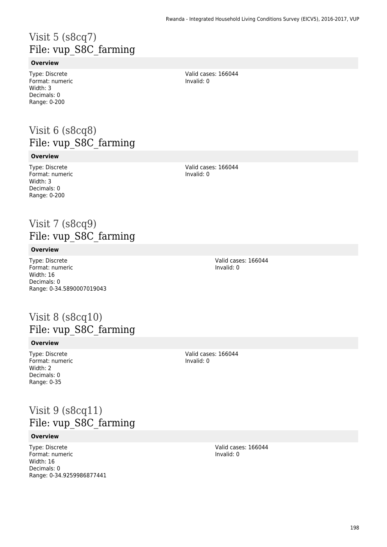## Visit 5 (s8cq7) File: vup\_S8C\_farming

### **Overview**

Type: Discrete Format: numeric Width: 3 Decimals: 0 Range: 0-200

# Visit 6 (s8cq8) File: vup\_S8C\_farming

#### **Overview**

Type: Discrete Format: numeric Width: 3 Decimals: 0 Range: 0-200

#### Valid cases: 166044 Invalid: 0

Valid cases: 166044

Invalid: 0

## Visit 7 (s8cq9) File: vup\_S8C\_farming

#### **Overview**

Type: Discrete Format: numeric Width: 16 Decimals: 0 Range: 0-34.5890007019043

# Visit 8 (s8cq10) File: vup\_S8C\_farming

#### **Overview**

Type: Discrete Format: numeric Width: 2 Decimals: 0 Range: 0-35

Valid cases: 166044 Invalid: 0

# Visit 9 (s8cq11) File: vup\_S8C\_farming

#### **Overview**

Type: Discrete Format: numeric Width: 16 Decimals: 0 Range: 0-34.9259986877441 Valid cases: 166044 Invalid: 0

Valid cases: 166044

Invalid: 0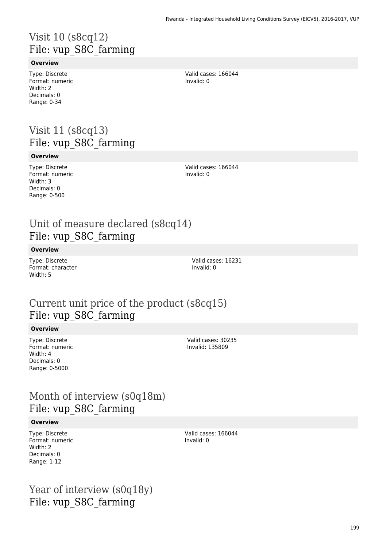# Visit 10 (s8cq12) File: vup\_S8C\_farming

### **Overview**

Type: Discrete Format: numeric Width: 2 Decimals: 0 Range: 0-34

Valid cases: 166044 Invalid: 0

# Visit 11 (s8cq13) File: vup\_S8C\_farming

#### **Overview**

Type: Discrete Format: numeric Width: 3 Decimals: 0 Range: 0-500

Valid cases: 166044 Invalid: 0

## Unit of measure declared (s8cq14) File: vup\_S8C\_farming

#### **Overview**

Type: Discrete Format: character Width: 5

Valid cases: 16231 Invalid: 0

## Current unit price of the product (s8cq15) File: vup\_S8C\_farming

#### **Overview**

Type: Discrete Format: numeric Width: 4 Decimals: 0 Range: 0-5000

Valid cases: 30235 Invalid: 135809

# Month of interview (s0q18m) File: vup\_S8C\_farming

### **Overview**

Type: Discrete Format: numeric Width: 2 Decimals: 0 Range: 1-12

Valid cases: 166044 Invalid: 0

Year of interview (s0q18y) File: vup\_S8C\_farming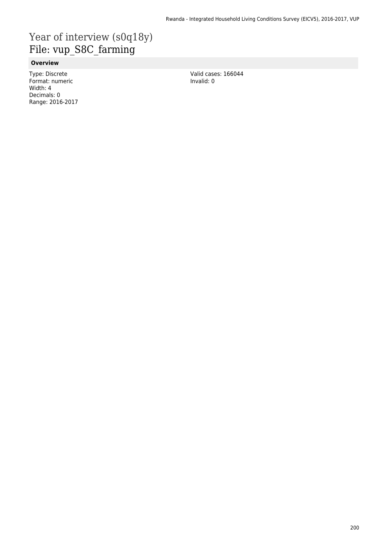# Year of interview (s0q18y) File: vup\_S8C\_farming

### **Overview**

Type: Discrete Format: numeric Width: 4 Decimals: 0 Range: 2016-2017

Valid cases: 166044 Invalid: 0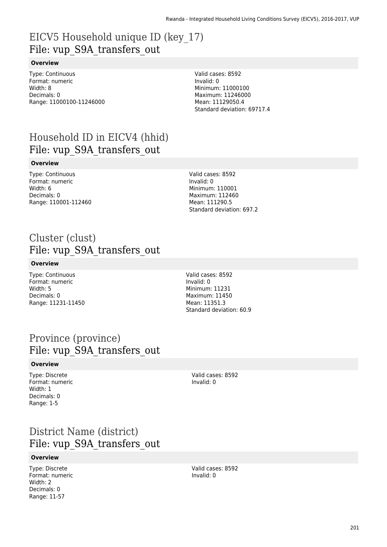# EICV5 Household unique ID (key\_17) File: vup S9A transfers out

### **Overview**

Type: Continuous Format: numeric Width: 8 Decimals: 0 Range: 11000100-11246000 Valid cases: 8592 Invalid: 0 Minimum: 11000100 Maximum: 11246000 Mean: 11129050.4 Standard deviation: 69717.4

# Household ID in EICV4 (hhid) File: vup S9A transfers out

#### **Overview**

Type: Continuous Format: numeric Width: 6 Decimals: 0 Range: 110001-112460 Valid cases: 8592 Invalid: 0 Minimum: 110001 Maximum: 112460 Mean: 111290.5 Standard deviation: 697.2

## Cluster (clust) File: vup S9A transfers out

#### **Overview**

Type: Continuous Format: numeric Width: 5 Decimals: 0 Range: 11231-11450 Valid cases: 8592 Invalid: 0 Minimum: 11231 Maximum: 11450 Mean: 11351.3 Standard deviation: 60.9

## Province (province) File: vup S9A transfers out

### **Overview**

Type: Discrete Format: numeric Width: 1 Decimals: 0 Range: 1-5

Valid cases: 8592 Invalid: 0

## District Name (district) File: vup S9A transfers out

### **Overview**

Type: Discrete Format: numeric Width: 2 Decimals: 0 Range: 11-57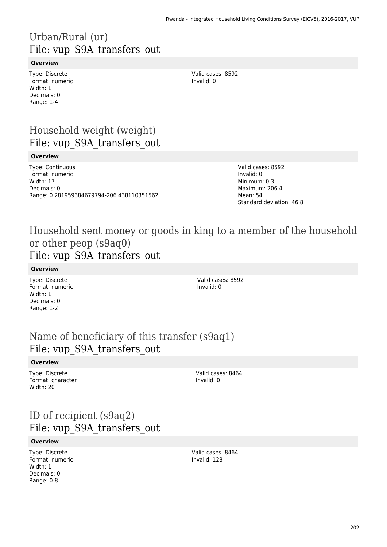# Urban/Rural (ur) File: vup S9A transfers out

### **Overview**

Type: Discrete Format: numeric Width: 1 Decimals: 0 Range: 1-4

Valid cases: 8592 Invalid: 0

# Household weight (weight) File: vup S9A transfers out

#### **Overview**

Type: Continuous Format: numeric Width: 17 Decimals: 0 Range: 0.281959384679794-206.438110351562 Valid cases: 8592 Invalid: 0 Minimum: 0.3 Maximum: 206.4 Mean: 54 Standard deviation: 46.8

Household sent money or goods in king to a member of the household or other peop (s9aq0) File: vup S9A transfers out

#### **Overview**

Type: Discrete Format: numeric Width: 1 Decimals: 0 Range: 1-2

Valid cases: 8592 Invalid: 0

## Name of beneficiary of this transfer (s9aq1) File: vup S9A transfers out

#### **Overview**

Type: Discrete Format: character Width: 20

Valid cases: 8464 Invalid: 0

### ID of recipient (s9aq2) File: vup S9A transfers out

#### **Overview**

Type: Discrete Format: numeric Width: 1 Decimals: 0 Range: 0-8

Valid cases: 8464 Invalid: 128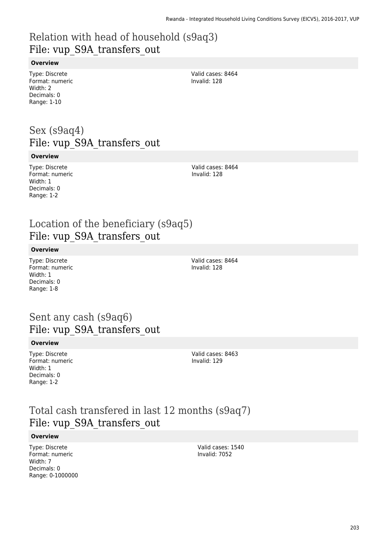# Relation with head of household (s9aq3) File: vup S9A transfers out

### **Overview**

Type: Discrete Format: numeric Width: 2 Decimals: 0 Range: 1-10

Sex (s9aq4) File: vup S9A transfers out

#### **Overview**

Type: Discrete Format: numeric Width: 1 Decimals: 0 Range: 1-2

Valid cases: 8464 Invalid: 128

Valid cases: 8464 Invalid: 128

# Location of the beneficiary (s9aq5) File: vup S9A transfers out

#### **Overview**

Type: Discrete Format: numeric Width: 1 Decimals: 0 Range: 1-8

Valid cases: 8464 Invalid: 128

## Sent any cash (s9aq6) File: vup S9A transfers out

#### **Overview**

Type: Discrete Format: numeric Width: 1 Decimals: 0 Range: 1-2

Valid cases: 8463 Invalid: 129

# Total cash transfered in last 12 months (s9aq7) File: vup S9A transfers out

#### **Overview**

Type: Discrete Format: numeric Width: 7 Decimals: 0 Range: 0-1000000 Valid cases: 1540 Invalid: 7052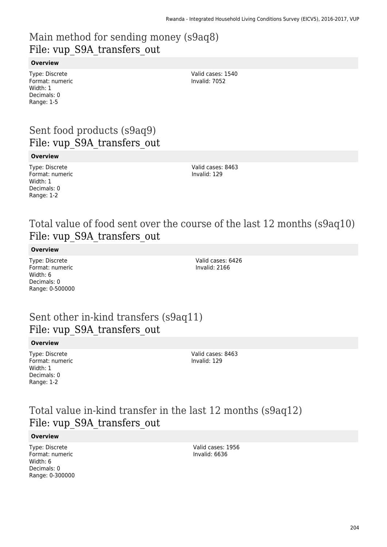# Main method for sending money (s9aq8) File: vup S9A transfers out

### **Overview**

Type: Discrete Format: numeric Width: 1 Decimals: 0 Range: 1-5

Valid cases: 1540 Invalid: 7052

# Sent food products (s9aq9) File: vup S9A transfers out

#### **Overview**

Type: Discrete Format: numeric Width: 1 Decimals: 0 Range: 1-2

Valid cases: 8463 Invalid: 129

Total value of food sent over the course of the last 12 months (s9aq10) File: vup S9A transfers out

**Overview**

Type: Discrete Format: numeric Width: 6 Decimals: 0 Range: 0-500000 Valid cases: 6426 Invalid: 2166

## Sent other in-kind transfers (s9aq11) File: vup S9A transfers out

#### **Overview**

Type: Discrete Format: numeric Width: 1 Decimals: 0 Range: 1-2

Valid cases: 8463 Invalid: 129

# Total value in-kind transfer in the last 12 months (s9aq12) File: vup S9A transfers out

#### **Overview**

Type: Discrete Format: numeric Width: 6 Decimals: 0 Range: 0-300000 Valid cases: 1956 Invalid: 6636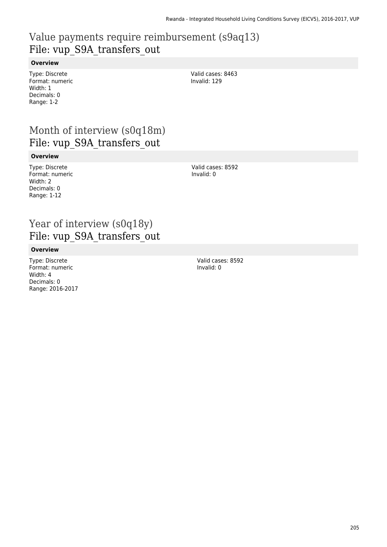# Value payments require reimbursement (s9aq13) File: vup\_S9A\_transfers\_out

### **Overview**

Type: Discrete Format: numeric Width: 1 Decimals: 0 Range: 1-2

Valid cases: 8463 Invalid: 129

# Month of interview (s0q18m) File: vup\_S9A\_transfers\_out

#### **Overview**

Type: Discrete Format: numeric Width: 2 Decimals: 0 Range: 1-12

Valid cases: 8592 Invalid: 0

# Year of interview (s0q18y) File: vup S9A transfers out

#### **Overview**

Type: Discrete Format: numeric Width: 4 Decimals: 0 Range: 2016-2017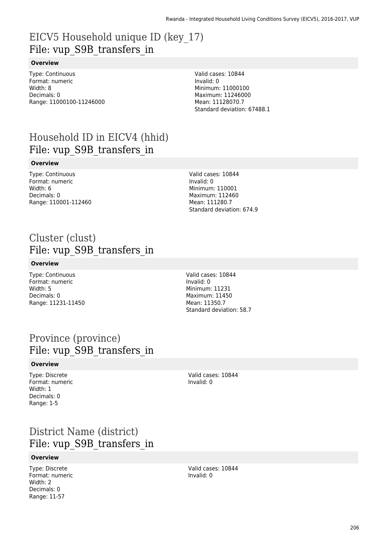# EICV5 Household unique ID (key\_17) File: vup S9B transfers in

### **Overview**

Type: Continuous Format: numeric Width: 8 Decimals: 0 Range: 11000100-11246000 Valid cases: 10844 Invalid: 0 Minimum: 11000100 Maximum: 11246000 Mean: 11128070.7 Standard deviation: 67488.1

# Household ID in EICV4 (hhid) File: vup S9B transfers in

#### **Overview**

Type: Continuous Format: numeric Width: 6 Decimals: 0 Range: 110001-112460 Valid cases: 10844 Invalid: 0 Minimum: 110001 Maximum: 112460 Mean: 111280.7 Standard deviation: 674.9

## Cluster (clust) File: vup S9B transfers in

#### **Overview**

Type: Continuous Format: numeric Width: 5 Decimals: 0 Range: 11231-11450 Valid cases: 10844 Invalid: 0 Minimum: 11231 Maximum: 11450 Mean: 11350.7 Standard deviation: 58.7

## Province (province) File: vup S9B transfers in

### **Overview**

Type: Discrete Format: numeric Width: 1 Decimals: 0 Range: 1-5

Valid cases: 10844 Invalid: 0

## District Name (district) File: vup S9B transfers in

### **Overview**

Type: Discrete Format: numeric Width: 2 Decimals: 0 Range: 11-57

Valid cases: 10844 Invalid: 0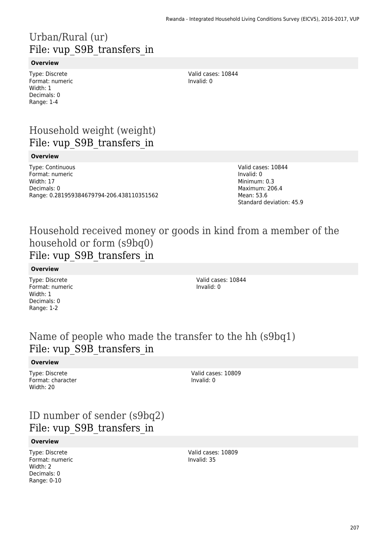# Urban/Rural (ur) File: vup S9B transfers in

### **Overview**

Type: Discrete Format: numeric Width: 1 Decimals: 0 Range: 1-4

Valid cases: 10844 Invalid: 0

# Household weight (weight) File: vup S9B transfers in

### **Overview**

Type: Continuous Format: numeric Width: 17 Decimals: 0 Range: 0.281959384679794-206.438110351562 Valid cases: 10844 Invalid: 0 Minimum: 0.3 Maximum: 206.4 Mean: 53.6 Standard deviation: 45.9

Household received money or goods in kind from a member of the household or form (s9bq0) File: vup S9B transfers in

### **Overview**

Type: Discrete Format: numeric Width: 1 Decimals: 0 Range: 1-2

Valid cases: 10844 Invalid: 0

# Name of people who made the transfer to the hh (s9bq1) File: vup S9B transfers in

### **Overview**

Type: Discrete Format: character Width: 20

Valid cases: 10809 Invalid: 0

## ID number of sender (s9bq2) File: vup S9B transfers in

### **Overview**

Type: Discrete Format: numeric Width: 2 Decimals: 0 Range: 0-10

Valid cases: 10809 Invalid: 35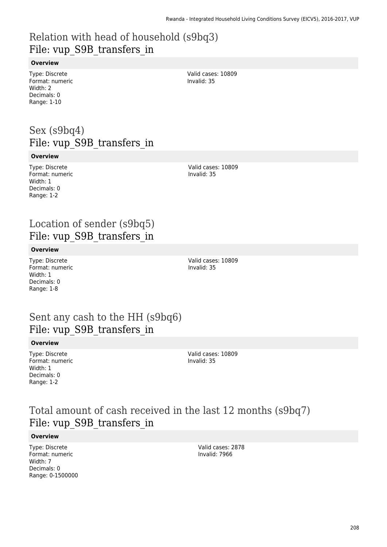# Relation with head of household (s9bq3) File: vup S9B transfers in

### **Overview**

Type: Discrete Format: numeric Width: 2 Decimals: 0 Range: 1-10

Valid cases: 10809 Invalid: 35

# Sex (s9bq4) File: vup S9B transfers in

#### **Overview**

Type: Discrete Format: numeric Width: 1 Decimals: 0 Range: 1-2

Valid cases: 10809 Invalid: 35

## Location of sender (s9bq5) File: vup S9B transfers in

#### **Overview**

Type: Discrete Format: numeric Width: 1 Decimals: 0 Range: 1-8

Valid cases: 10809 Invalid: 35

## Sent any cash to the HH (s9bq6) File: vup S9B transfers in

### **Overview**

Type: Discrete Format: numeric Width: 1 Decimals: 0 Range: 1-2

Valid cases: 10809 Invalid: 35

# Total amount of cash received in the last 12 months (s9bq7) File: vup S9B transfers in

#### **Overview**

Type: Discrete Format: numeric Width: 7 Decimals: 0 Range: 0-1500000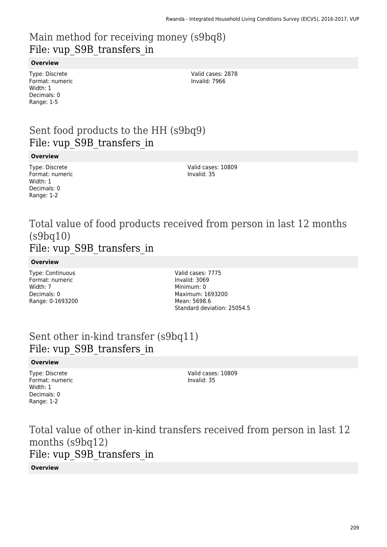# Main method for receiving money (s9bq8) File: vup S9B transfers in

### **Overview**

Type: Discrete Format: numeric Width: 1 Decimals: 0 Range: 1-5

Valid cases: 2878 Invalid: 7966

# Sent food products to the HH (s9bq9) File: vup S9B transfers in

#### **Overview**

Type: Discrete Format: numeric Width: 1 Decimals: 0 Range: 1-2

Valid cases: 10809 Invalid: 35

## Total value of food products received from person in last 12 months (s9bq10) File: vup S9B transfers in

#### **Overview**

Type: Continuous Format: numeric Width: 7 Decimals: 0 Range: 0-1693200 Valid cases: 7775 Invalid: 3069 Minimum: 0 Maximum: 1693200 Mean: 5698.6 Standard deviation: 25054.5

# Sent other in-kind transfer (s9bq11) File: vup S9B transfers in

#### **Overview**

Type: Discrete Format: numeric Width: 1 Decimals: 0 Range: 1-2

Valid cases: 10809 Invalid: 35

Total value of other in-kind transfers received from person in last 12 months (s9bq12) File: vup\_S9B\_transfers\_in

### **Overview**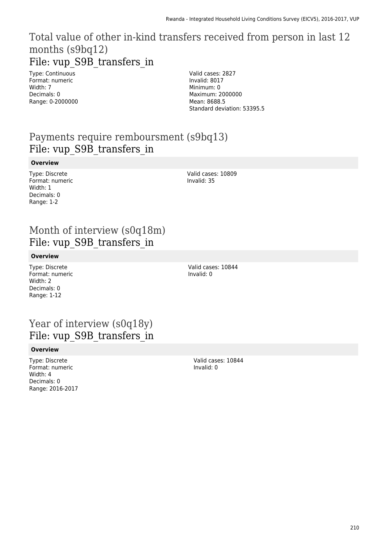# Total value of other in-kind transfers received from person in last 12 months (s9bq12) File: vup S9B transfers in

Type: Continuous Format: numeric Width: 7 Decimals: 0 Range: 0-2000000

Valid cases: 2827 Invalid: 8017 Minimum: 0 Maximum: 2000000 Mean: 8688.5 Standard deviation: 53395.5

# Payments require remboursment (s9bq13) File: vup S9B transfers in

### **Overview**

Type: Discrete Format: numeric Width: 1 Decimals: 0 Range: 1-2

Valid cases: 10809 Invalid: 35

# Month of interview (s0q18m) File: vup\_S9B\_transfers\_in

### **Overview**

Type: Discrete Format: numeric Width: 2 Decimals: 0 Range: 1-12

Valid cases: 10844 Invalid: 0

## Year of interview (s0q18y) File: vup S9B transfers in

### **Overview**

Type: Discrete Format: numeric Width: 4 Decimals: 0 Range: 2016-2017 Valid cases: 10844 Invalid: 0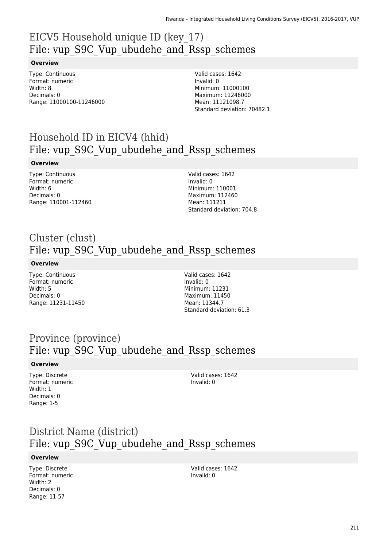# EICV5 Household unique ID (key\_17) File: vup\_S9C\_Vup\_ubudehe\_and\_Rssp\_schemes

### **Overview**

Type: Continuous Format: numeric Width: 8 Decimals: 0 Range: 11000100-11246000 Valid cases: 1642 Invalid: 0 Minimum: 11000100 Maximum: 11246000 Mean: 11121098.7 Standard deviation: 70482.1

# Household ID in EICV4 (hhid) File: vup\_S9C\_Vup\_ubudehe\_and\_Rssp\_schemes

#### **Overview**

Type: Continuous Format: numeric Width: 6 Decimals: 0 Range: 110001-112460 Valid cases: 1642 Invalid: 0 Minimum: 110001 Maximum: 112460 Mean: 111211 Standard deviation: 704.8

# Cluster (clust) File: vup\_S9C\_Vup\_ubudehe\_and\_Rssp\_schemes

### **Overview**

Type: Continuous Format: numeric Width: 5 Decimals: 0 Range: 11231-11450 Valid cases: 1642 Invalid: 0 Minimum: 11231 Maximum: 11450 Mean: 11344.7 Standard deviation: 61.3

# Province (province) File: vup S9C Vup ubudehe and Rssp schemes

### **Overview**

Type: Discrete Format: numeric Width: 1 Decimals: 0 Range: 1-5

Valid cases: 1642 Invalid: 0

# District Name (district) File: vup S9C Vup ubudehe and Rssp schemes

### **Overview**

Type: Discrete Format: numeric Width: 2 Decimals: 0 Range: 11-57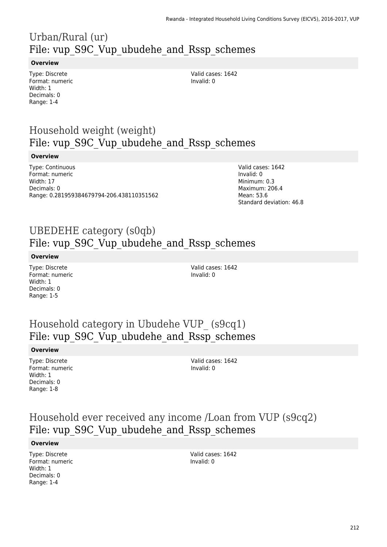# Urban/Rural (ur) File: vup\_S9C\_Vup\_ubudehe\_and\_Rssp\_schemes

### **Overview**

Type: Discrete Format: numeric Width: 1 Decimals: 0 Range: 1-4

Valid cases: 1642 Invalid: 0

# Household weight (weight) File: vup\_S9C\_Vup\_ubudehe\_and\_Rssp\_schemes

### **Overview**

Type: Continuous Format: numeric Width: 17 Decimals: 0 Range: 0.281959384679794-206.438110351562 Valid cases: 1642 Invalid: 0 Minimum: 0.3 Maximum: 206.4 Mean: 53.6 Standard deviation: 46.8

# UBEDEHE category (s0qb) File: vup\_S9C\_Vup\_ubudehe\_and\_Rssp\_schemes

### **Overview**

Type: Discrete Format: numeric Width: 1 Decimals: 0 Range: 1-5

Valid cases: 1642 Invalid: 0

## Household category in Ubudehe VUP\_ (s9cq1) File: vup\_S9C\_Vup\_ubudehe\_and\_Rssp\_schemes

### **Overview**

Type: Discrete Format: numeric Width: 1 Decimals: 0 Range: 1-8

Valid cases: 1642 Invalid: 0

# Household ever received any income /Loan from VUP (s9cq2) File: vup\_S9C\_Vup\_ubudehe\_and\_Rssp\_schemes

### **Overview**

Type: Discrete Format: numeric Width: 1 Decimals: 0 Range: 1-4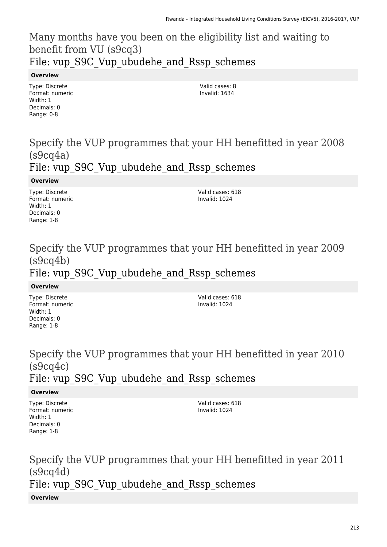## Many months have you been on the eligibility list and waiting to benefit from VU (s9cq3) File: vup\_S9C\_Vup\_ubudehe\_and\_Rssp\_schemes

### **Overview**

Type: Discrete Format: numeric Width: 1 Decimals: 0 Range: 0-8

Valid cases: 8 Invalid: 1634

## Specify the VUP programmes that your HH benefitted in year 2008  $(s9cq4a)$ File: vup S9C Vup ubudehe and Rssp schemes

**Overview**

Type: Discrete Format: numeric Width: 1 Decimals: 0 Range: 1-8

Valid cases: 618 Invalid: 1024

# Specify the VUP programmes that your HH benefitted in year 2009  $(s9cq4b)$

# File: vup S9C Vup ubudehe and Rssp schemes

### **Overview**

Type: Discrete Format: numeric Width: 1 Decimals: 0 Range: 1-8

Valid cases: 618 Invalid: 1024

## Specify the VUP programmes that your HH benefitted in year 2010 (s9cq4c) File: vup S9C Vup ubudehe and Rssp schemes

### **Overview**

Type: Discrete Format: numeric Width: 1 Decimals: 0 Range: 1-8

Valid cases: 618 Invalid: 1024

## Specify the VUP programmes that your HH benefitted in year 2011 (s9cq4d) File: vup S9C Vup ubudehe and Rssp schemes **Overview**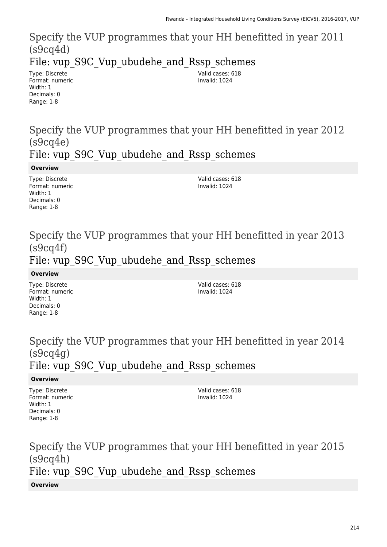## Specify the VUP programmes that your HH benefitted in year 2011 (s9cq4d) File: vup S9C Vup ubudehe and Rssp schemes

Type: Discrete Format: numeric Width: 1 Decimals: 0 Range: 1-8

Valid cases: 618 Invalid: 1024

## Specify the VUP programmes that your HH benefitted in year 2012 (s9cq4e) File: vup\_S9C\_Vup\_ubudehe\_and\_Rssp\_schemes

### **Overview**

Type: Discrete Format: numeric Width: 1 Decimals: 0 Range: 1-8

Valid cases: 618 Invalid: 1024

## Specify the VUP programmes that your HH benefitted in year 2013 (s9cq4f) File: vup S9C Vup ubudehe and Rssp schemes

**Overview**

Type: Discrete Format: numeric Width: 1 Decimals: 0 Range: 1-8

Valid cases: 618 Invalid: 1024

## Specify the VUP programmes that your HH benefitted in year 2014  $(s9cq4q)$ File: vup S9C Vup ubudehe and Rssp schemes

### **Overview**

Type: Discrete Format: numeric Width: 1 Decimals: 0 Range: 1-8

Valid cases: 618 Invalid: 1024

## Specify the VUP programmes that your HH benefitted in year 2015  $(s9cq4h)$ File: vup S9C Vup ubudehe and Rssp schemes **Overview**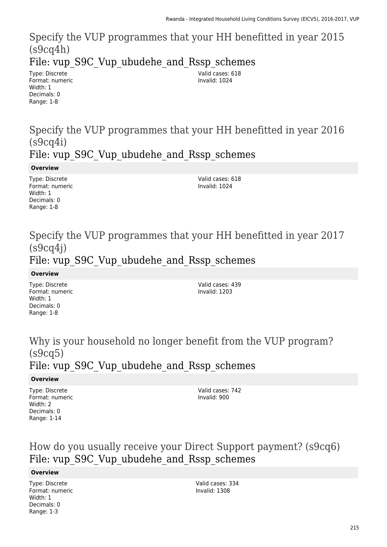## Specify the VUP programmes that your HH benefitted in year 2015 (s9cq4h) File: vup S9C Vup ubudehe and Rssp schemes

Type: Discrete Format: numeric Width: 1 Decimals: 0 Range: 1-8

Valid cases: 618 Invalid: 1024

## Specify the VUP programmes that your HH benefitted in year 2016  $(s9ca4i)$ File: vup S9C Vup ubudehe and Rssp schemes

### **Overview**

Type: Discrete Format: numeric Width: 1 Decimals: 0 Range: 1-8

Valid cases: 618 Invalid: 1024

## Specify the VUP programmes that your HH benefitted in year 2017  $(s9cq4i)$ File: vup S9C Vup ubudehe and Rssp schemes

### **Overview**

Type: Discrete Format: numeric Width: 1 Decimals: 0 Range: 1-8

Valid cases: 439 Invalid: 1203

## Why is your household no longer benefit from the VUP program? (s9cq5) File: vup S9C Vup ubudehe and Rssp schemes

### **Overview**

Type: Discrete Format: numeric Width: 2 Decimals: 0 Range: 1-14

Valid cases: 742 Invalid: 900

# How do you usually receive your Direct Support payment? (s9cq6) File: vup S9C Vup ubudehe and Rssp schemes

### **Overview**

Type: Discrete Format: numeric Width: 1 Decimals: 0 Range: 1-3

Valid cases: 334 Invalid: 1308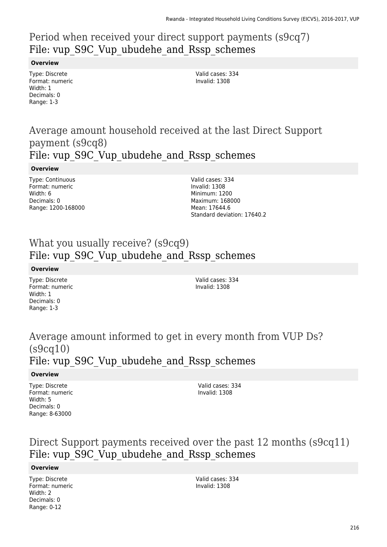# Period when received your direct support payments (s9cq7) File: vup\_S9C\_Vup\_ubudehe\_and\_Rssp\_schemes

### **Overview**

Type: Discrete Format: numeric Width: 1 Decimals: 0 Range: 1-3

Valid cases: 334 Invalid: 1308

## Average amount household received at the last Direct Support payment (s9cq8) File: vup S9C Vup ubudehe and Rssp schemes

### **Overview**

Type: Continuous Format: numeric Width: 6 Decimals: 0 Range: 1200-168000 Valid cases: 334 Invalid: 1308 Minimum: 1200 Maximum: 168000 Mean: 17644.6 Standard deviation: 17640.2

# What you usually receive? (s9cq9) File: vup S9C Vup ubudehe and Rssp schemes

### **Overview**

Type: Discrete Format: numeric Width: 1 Decimals: 0 Range: 1-3

Valid cases: 334 Invalid: 1308

## Average amount informed to get in every month from VUP Ds? (s9cq10) File: vup S9C Vup ubudehe and Rssp schemes

### **Overview**

Type: Discrete Format: numeric Width: 5 Decimals: 0 Range: 8-63000

Valid cases: 334 Invalid: 1308

# Direct Support payments received over the past 12 months (s9cq11) File: vup S9C Vup ubudehe and Rssp schemes

### **Overview**

Type: Discrete Format: numeric Width: 2 Decimals: 0 Range: 0-12

Valid cases: 334 Invalid: 1308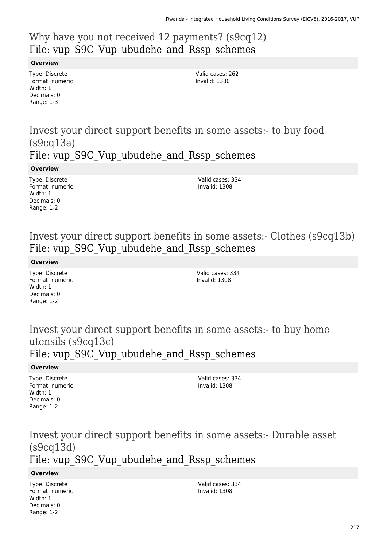## Why have you not received 12 payments? (s9cq12) File: vup\_S9C\_Vup\_ubudehe\_and\_Rssp\_schemes

### **Overview**

Type: Discrete Format: numeric Width: 1 Decimals: 0 Range: 1-3

Valid cases: 262 Invalid: 1380

### Invest your direct support benefits in some assets:- to buy food  $(s9ca13a)$ File: vup S9C Vup ubudehe and Rssp schemes

### **Overview**

Type: Discrete Format: numeric Width: 1 Decimals: 0 Range: 1-2

Valid cases: 334 Invalid: 1308

## Invest your direct support benefits in some assets:- Clothes (s9cq13b) File: vup S9C Vup ubudehe and Rssp schemes

### **Overview**

Type: Discrete Format: numeric Width: 1 Decimals: 0 Range: 1-2

Valid cases: 334 Invalid: 1308

## Invest your direct support benefits in some assets:- to buy home utensils (s9cq13c) File: vup\_S9C\_Vup\_ubudehe\_and\_Rssp\_schemes

### **Overview**

Type: Discrete Format: numeric Width: 1 Decimals: 0 Range: 1-2

Valid cases: 334 Invalid: 1308

## Invest your direct support benefits in some assets:- Durable asset (s9cq13d) File: vup S9C Vup ubudehe and Rssp schemes

### **Overview**

Type: Discrete Format: numeric Width: 1 Decimals: 0 Range: 1-2

Valid cases: 334 Invalid: 1308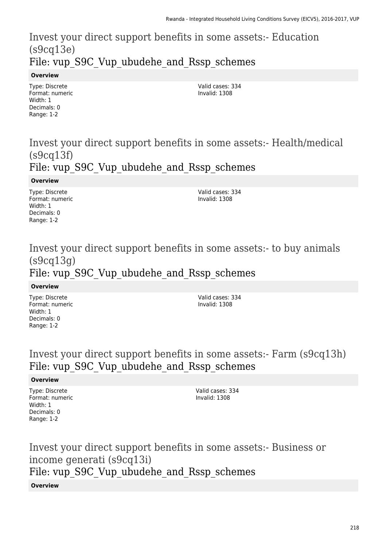## Invest your direct support benefits in some assets:- Education (s9cq13e) File: vup\_S9C\_Vup\_ubudehe\_and\_Rssp\_schemes

### **Overview**

Type: Discrete Format: numeric Width: 1 Decimals: 0 Range: 1-2

Valid cases: 334 Invalid: 1308

## Invest your direct support benefits in some assets:- Health/medical (s9cq13f) File: vup S9C Vup ubudehe and Rssp schemes

**Overview**

Type: Discrete Format: numeric Width: 1 Decimals: 0 Range: 1-2

Valid cases: 334 Invalid: 1308

## Invest your direct support benefits in some assets:- to buy animals (s9cq13g)

## File: vup\_S9C\_Vup\_ubudehe\_and\_Rssp\_schemes

### **Overview**

Type: Discrete Format: numeric Width: 1 Decimals: 0 Range: 1-2

Valid cases: 334 Invalid: 1308

## Invest your direct support benefits in some assets:- Farm (s9cq13h) File: vup S9C Vup ubudehe and Rssp schemes

### **Overview**

Type: Discrete Format: numeric Width: 1 Decimals: 0 Range: 1-2

Valid cases: 334 Invalid: 1308

Invest your direct support benefits in some assets:- Business or income generati (s9cq13i) File: vup S9C Vup ubudehe and Rssp schemes

### **Overview**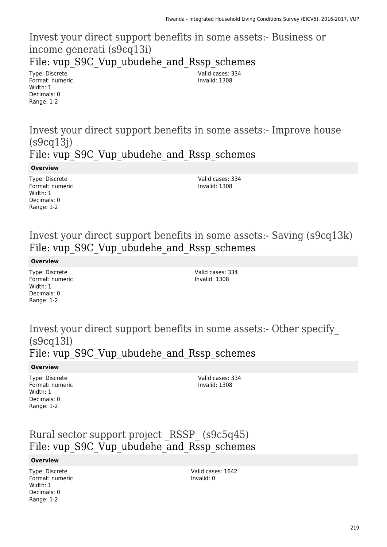### Invest your direct support benefits in some assets:- Business or income generati (s9cq13i) File: vup S9C Vup ubudehe and Rssp schemes

Type: Discrete Format: numeric Width: 1 Decimals: 0 Range: 1-2

Valid cases: 334 Invalid: 1308

### Invest your direct support benefits in some assets:- Improve house  $(s9ca13i)$ File: vup S9C Vup ubudehe and Rssp schemes

### **Overview**

Type: Discrete Format: numeric Width: 1 Decimals: 0 Range: 1-2

Valid cases: 334 Invalid: 1308

## Invest your direct support benefits in some assets:- Saving (s9cq13k) File: vup\_S9C\_Vup\_ubudehe\_and\_Rssp\_schemes

### **Overview**

Type: Discrete Format: numeric Width: 1 Decimals: 0 Range: 1-2

Valid cases: 334 Invalid: 1308

## Invest your direct support benefits in some assets:- Other specify\_ (s9cq13l)

## File: vup\_S9C\_Vup\_ubudehe\_and\_Rssp\_schemes

### **Overview**

Type: Discrete Format: numeric Width: 1 Decimals: 0 Range: 1-2

Valid cases: 334 Invalid: 1308

## Rural sector support project \_RSSP\_ (s9c5q45) File: vup\_S9C\_Vup\_ubudehe\_and\_Rssp\_schemes

### **Overview**

Type: Discrete Format: numeric Width: 1 Decimals: 0 Range: 1-2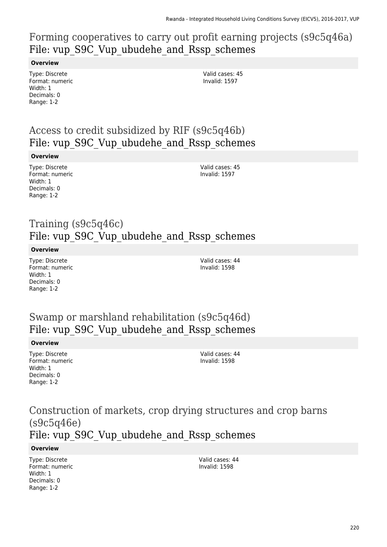## Forming cooperatives to carry out profit earning projects (s9c5q46a) File: vup\_S9C\_Vup\_ubudehe\_and\_Rssp\_schemes

### **Overview**

Type: Discrete Format: numeric Width: 1 Decimals: 0 Range: 1-2

Valid cases: 45 Invalid: 1597

## Access to credit subsidized by RIF (s9c5q46b) File: vup\_S9C\_Vup\_ubudehe\_and\_Rssp\_schemes

### **Overview**

Type: Discrete Format: numeric Width: 1 Decimals: 0 Range: 1-2

Valid cases: 45 Invalid: 1597

## Training (s9c5q46c) File: vup S9C Vup ubudehe and Rssp schemes

### **Overview**

Type: Discrete Format: numeric Width: 1 Decimals: 0 Range: 1-2

Valid cases: 44 Invalid: 1598

## Swamp or marshland rehabilitation (s9c5q46d) File: vup S9C Vup ubudehe and Rssp schemes

### **Overview**

Type: Discrete Format: numeric Width: 1 Decimals: 0 Range: 1-2

Valid cases: 44 Invalid: 1598

## Construction of markets, crop drying structures and crop barns (s9c5q46e) File: vup\_S9C\_Vup\_ubudehe\_and\_Rssp\_schemes

### **Overview**

Type: Discrete Format: numeric Width: 1 Decimals: 0 Range: 1-2

Valid cases: 44 Invalid: 1598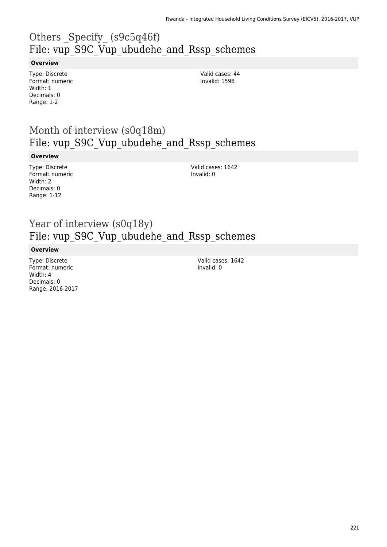## Others Specify (s9c5q46f) File: vup\_S9C\_Vup\_ubudehe\_and\_Rssp\_schemes

### **Overview**

Type: Discrete Format: numeric Width: 1 Decimals: 0 Range: 1-2

Valid cases: 44 Invalid: 1598

## Month of interview (s0q18m) File: vup\_S9C\_Vup\_ubudehe\_and\_Rssp\_schemes

#### **Overview**

Type: Discrete Format: numeric Width: 2 Decimals: 0 Range: 1-12

Valid cases: 1642 Invalid: 0

## Year of interview (s0q18y) File: vup\_S9C\_Vup\_ubudehe\_and\_Rssp\_schemes

#### **Overview**

Type: Discrete Format: numeric Width: 4 Decimals: 0 Range: 2016-2017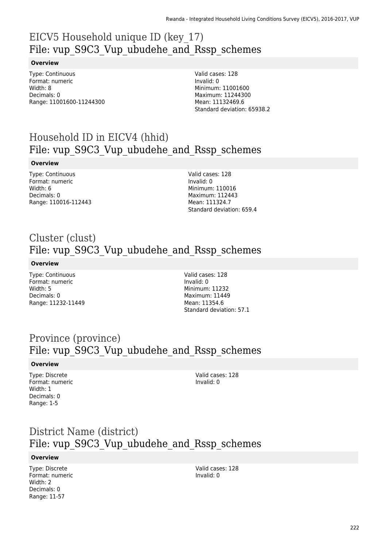## EICV5 Household unique ID (key\_17) File: vup\_S9C3\_Vup\_ubudehe\_and\_Rssp\_schemes

### **Overview**

Type: Continuous Format: numeric Width: 8 Decimals: 0 Range: 11001600-11244300 Valid cases: 128 Invalid: 0 Minimum: 11001600 Maximum: 11244300 Mean: 11132469.6 Standard deviation: 65938.2

## Household ID in EICV4 (hhid) File: vup\_S9C3\_Vup\_ubudehe\_and\_Rssp\_schemes

### **Overview**

Type: Continuous Format: numeric Width: 6 Decimals: 0 Range: 110016-112443 Valid cases: 128 Invalid: 0 Minimum: 110016 Maximum: 112443 Mean: 111324.7 Standard deviation: 659.4

## Cluster (clust) File: vup\_S9C3\_Vup\_ubudehe\_and\_Rssp\_schemes

### **Overview**

Type: Continuous Format: numeric Width: 5 Decimals: 0 Range: 11232-11449 Valid cases: 128 Invalid: 0 Minimum: 11232 Maximum: 11449 Mean: 11354.6 Standard deviation: 57.1

## Province (province) File: vup S9C3 Vup ubudehe and Rssp schemes

### **Overview**

Type: Discrete Format: numeric Width: 1 Decimals: 0 Range: 1-5

Valid cases: 128 Invalid: 0

## District Name (district) File: vup S9C3 Vup ubudehe and Rssp schemes

### **Overview**

Type: Discrete Format: numeric Width: 2 Decimals: 0 Range: 11-57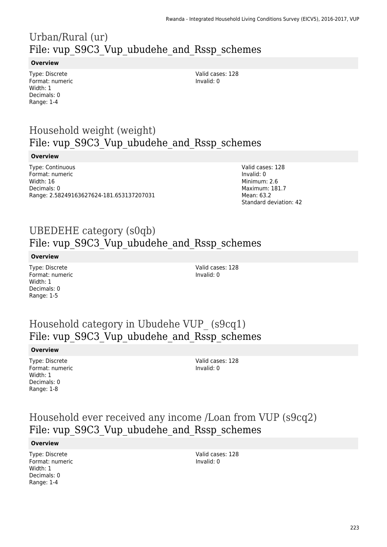## Urban/Rural (ur) File: vup\_S9C3\_Vup\_ubudehe\_and\_Rssp\_schemes

### **Overview**

Type: Discrete Format: numeric Width: 1 Decimals: 0 Range: 1-4

Valid cases: 128 Invalid: 0

## Household weight (weight) File: vup S9C3 Vup ubudehe and Rssp schemes

### **Overview**

Type: Continuous Format: numeric Width: 16 Decimals: 0 Range: 2.58249163627624-181.653137207031 Valid cases: 128 Invalid: 0 Minimum: 2.6 Maximum: 181.7 Mean: 63.2 Standard deviation: 42

## UBEDEHE category (s0qb) File: vup S9C3 Vup ubudehe and Rssp schemes

### **Overview**

Type: Discrete Format: numeric Width: 1 Decimals: 0 Range: 1-5

Valid cases: 128 Invalid: 0

## Household category in Ubudehe VUP\_ (s9cq1) File: vup S9C3 Vup ubudehe and Rssp schemes

#### **Overview**

Type: Discrete Format: numeric Width: 1 Decimals: 0 Range: 1-8

Valid cases: 128 Invalid: 0

## Household ever received any income /Loan from VUP (s9cq2) File: vup\_S9C3\_Vup\_ubudehe\_and\_Rssp\_schemes

#### **Overview**

Type: Discrete Format: numeric Width: 1 Decimals: 0 Range: 1-4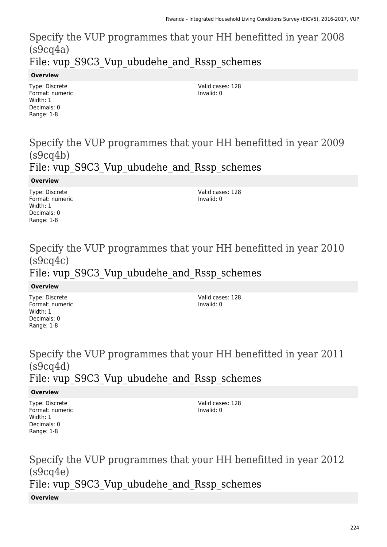## Specify the VUP programmes that your HH benefitted in year 2008 (s9cq4a) File: vup\_S9C3\_Vup\_ubudehe\_and\_Rssp\_schemes

### **Overview**

Type: Discrete Format: numeric Width: 1 Decimals: 0 Range: 1-8

Valid cases: 128 Invalid: 0

## Specify the VUP programmes that your HH benefitted in year 2009  $(s9cq4b)$ File: vup S9C3 Vup ubudehe and Rssp schemes

### **Overview**

Type: Discrete Format: numeric Width: 1 Decimals: 0 Range: 1-8

Valid cases: 128 Invalid: 0

## Specify the VUP programmes that your HH benefitted in year 2010 (s9cq4c)

## File: vup S9C3 Vup ubudehe and Rssp schemes

### **Overview**

Type: Discrete Format: numeric Width: 1 Decimals: 0 Range: 1-8

Valid cases: 128 Invalid: 0

## Specify the VUP programmes that your HH benefitted in year 2011  $(s9ca4d)$ File: vup S9C3 Vup ubudehe and Rssp schemes

### **Overview**

Type: Discrete Format: numeric Width: 1 Decimals: 0 Range: 1-8

Valid cases: 128 Invalid: 0

## Specify the VUP programmes that your HH benefitted in year 2012 (s9cq4e) File: vup S9C3 Vup ubudehe and Rssp schemes

### **Overview**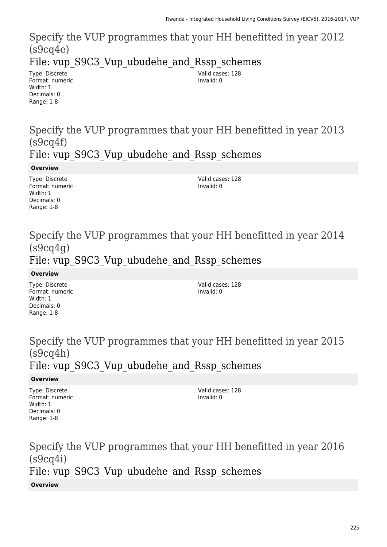## Specify the VUP programmes that your HH benefitted in year 2012 (s9cq4e) File: vup S9C3 Vup ubudehe and Rssp schemes

Type: Discrete Format: numeric Width: 1 Decimals: 0 Range: 1-8

Valid cases: 128 Invalid: 0

## Specify the VUP programmes that your HH benefitted in year 2013  $(s9ca4f)$ File: vup\_S9C3\_Vup\_ubudehe\_and\_Rssp\_schemes

### **Overview**

Type: Discrete Format: numeric Width: 1 Decimals: 0 Range: 1-8

Valid cases: 128 Invalid: 0

### Specify the VUP programmes that your HH benefitted in year 2014  $(s9cq4q)$ File: vup S9C3 Vup ubudehe and Rssp schemes

**Overview**

Type: Discrete Format: numeric Width: 1 Decimals: 0 Range: 1-8

Valid cases: 128 Invalid: 0

## Specify the VUP programmes that your HH benefitted in year 2015 (s9cq4h)

## File: vup S9C3 Vup ubudehe and Rssp schemes

### **Overview**

Type: Discrete Format: numeric Width: 1 Decimals: 0 Range: 1-8

Valid cases: 128 Invalid: 0

## Specify the VUP programmes that your HH benefitted in year 2016 (s9cq4i) File: vup S9C3 Vup ubudehe and Rssp schemes

### **Overview**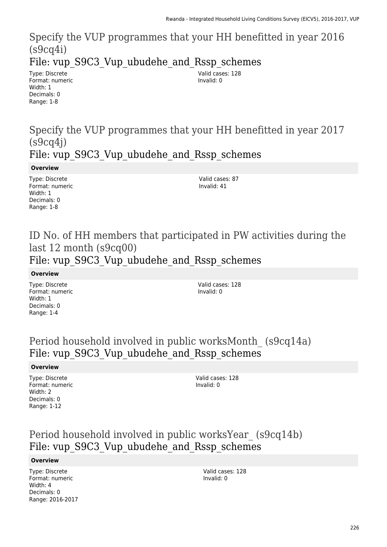## Specify the VUP programmes that your HH benefitted in year 2016 (s9cq4i) File: vup S9C3 Vup ubudehe and Rssp schemes

Type: Discrete Format: numeric Width: 1 Decimals: 0 Range: 1-8

Valid cases: 128 Invalid: 0

### Specify the VUP programmes that your HH benefitted in year 2017  $(s9ca4i)$ File: vup S9C3 Vup ubudehe and Rssp schemes

### **Overview**

Type: Discrete Format: numeric Width: 1 Decimals: 0 Range: 1-8

Valid cases: 87 Invalid: 41

## ID No. of HH members that participated in PW activities during the last 12 month (s9cq00)

## File: vup S9C3 Vup ubudehe and Rssp schemes

### **Overview**

Type: Discrete Format: numeric Width: 1 Decimals: 0 Range: 1-4

Valid cases: 128 Invalid: 0

## Period household involved in public worksMonth\_ (s9cq14a) File: vup\_S9C3\_Vup\_ubudehe\_and\_Rssp\_schemes

### **Overview**

Type: Discrete Format: numeric Width: 2 Decimals: 0 Range: 1-12

Valid cases: 128 Invalid: 0

## Period household involved in public worksYear\_ (s9cq14b) File: vup S9C3 Vup ubudehe and Rssp schemes

### **Overview**

Type: Discrete Format: numeric Width: 4 Decimals: 0 Range: 2016-2017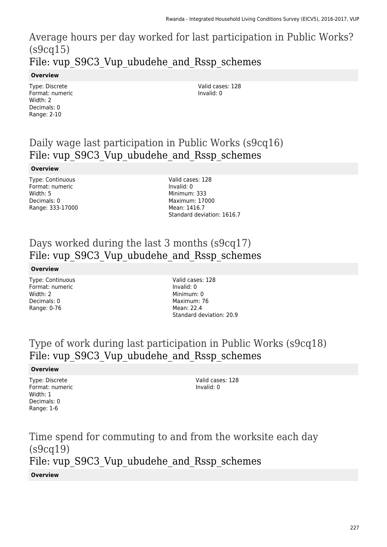Average hours per day worked for last participation in Public Works? (s9cq15) File: vup S9C3 Vup ubudehe and Rssp schemes

### **Overview**

Type: Discrete Format: numeric Width: 2 Decimals: 0 Range: 2-10

Valid cases: 128 Invalid: 0

## Daily wage last participation in Public Works (s9cq16) File: vup\_S9C3\_Vup\_ubudehe\_and\_Rssp\_schemes

#### **Overview**

Type: Continuous Format: numeric Width: 5 Decimals: 0 Range: 333-17000 Valid cases: 128 Invalid: 0 Minimum: 333 Maximum: 17000 Mean: 1416.7 Standard deviation: 1616.7

## Days worked during the last 3 months (s9cq17) File: vup S9C3 Vup ubudehe and Rssp schemes

### **Overview**

Type: Continuous Format: numeric Width: 2 Decimals: 0 Range: 0-76

Valid cases: 128 Invalid: 0 Minimum: 0 Maximum: 76 Mean: 22.4 Standard deviation: 20.9

## Type of work during last participation in Public Works (s9cq18) File: vup\_S9C3\_Vup\_ubudehe\_and\_Rssp\_schemes

### **Overview**

Type: Discrete Format: numeric Width: 1 Decimals: 0 Range: 1-6

Valid cases: 128 Invalid: 0

Time spend for commuting to and from the worksite each day (s9cq19) File: vup S9C3 Vup ubudehe and Rssp schemes **Overview**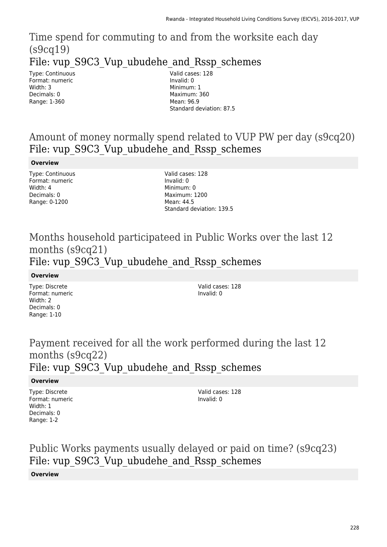## Time spend for commuting to and from the worksite each day (s9cq19) File: vup S9C3 Vup ubudehe and Rssp schemes

Type: Continuous Format: numeric Width: 3 Decimals: 0 Range: 1-360

Valid cases: 128 Invalid: 0 Minimum: 1 Maximum: 360 Mean: 96.9 Standard deviation: 87.5

## Amount of money normally spend related to VUP PW per day (s9cq20) File: vup\_S9C3\_Vup\_ubudehe\_and\_Rssp\_schemes

### **Overview**

Type: Continuous Format: numeric Width: 4 Decimals: 0 Range: 0-1200

Valid cases: 128 Invalid: 0 Minimum: 0 Maximum: 1200 Mean: 44.5 Standard deviation: 139.5

## Months household participateed in Public Works over the last 12 months (s9cq21) File: vup\_S9C3\_Vup\_ubudehe\_and\_Rssp\_schemes

### **Overview**

Type: Discrete Format: numeric Width: 2 Decimals: 0 Range: 1-10

Valid cases: 128 Invalid: 0

## Payment received for all the work performed during the last 12 months (s9cq22) File: vup S9C3 Vup ubudehe and Rssp schemes

### **Overview**

Type: Discrete Format: numeric Width: 1 Decimals: 0 Range: 1-2

Valid cases: 128 Invalid: 0

## Public Works payments usually delayed or paid on time? (s9cq23) File: vup S9C3 Vup ubudehe and Rssp schemes

### **Overview**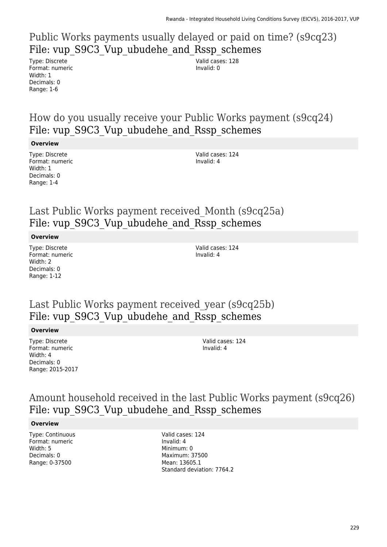## Public Works payments usually delayed or paid on time? (s9cq23) File: vup\_S9C3\_Vup\_ubudehe\_and\_Rssp\_schemes

Type: Discrete Format: numeric Width: 1 Decimals: 0 Range: 1-6

Valid cases: 128 Invalid: 0

## How do you usually receive your Public Works payment (s9cq24) File: vup\_S9C3\_Vup\_ubudehe\_and\_Rssp\_schemes

### **Overview**

Type: Discrete Format: numeric Width: 1 Decimals: 0 Range: 1-4

Valid cases: 124 Invalid: 4

## Last Public Works payment received\_Month (s9cq25a) File: vup\_S9C3\_Vup\_ubudehe\_and\_Rssp\_schemes

### **Overview**

Type: Discrete Format: numeric Width: 2 Decimals: 0 Range: 1-12

Valid cases: 124 Invalid: 4

## Last Public Works payment received year (s9cq25b) File: vup S9C3 Vup ubudehe and Rssp schemes

### **Overview**

Type: Discrete Format: numeric Width: 4 Decimals: 0 Range: 2015-2017

Valid cases: 124 Invalid: 4

## Amount household received in the last Public Works payment (s9cq26) File: vup S9C3 Vup ubudehe and Rssp schemes

### **Overview**

Type: Continuous Format: numeric Width: 5 Decimals: 0 Range: 0-37500

Valid cases: 124 Invalid: 4 Minimum: 0 Maximum: 37500 Mean: 13605.1 Standard deviation: 7764.2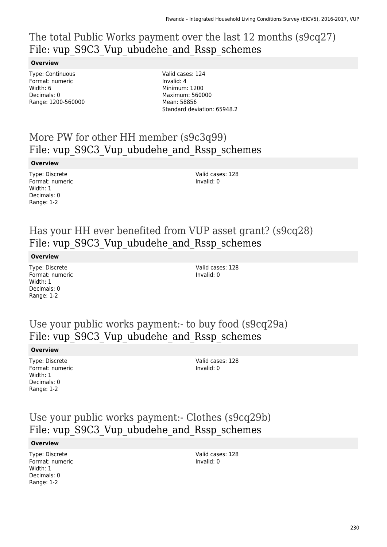## The total Public Works payment over the last 12 months (s9cq27) File: vup\_S9C3\_Vup\_ubudehe\_and\_Rssp\_schemes

### **Overview**

Type: Continuous Format: numeric Width: 6 Decimals: 0 Range: 1200-560000

Valid cases: 124 Invalid: 4 Minimum: 1200 Maximum: 560000 Mean: 58856 Standard deviation: 65948.2

## More PW for other HH member (s9c3q99) File: vup S9C3 Vup ubudehe and Rssp schemes

### **Overview**

Type: Discrete Format: numeric Width: 1 Decimals: 0 Range: 1-2

Valid cases: 128 Invalid: 0

## Has your HH ever benefited from VUP asset grant? (s9cq28) File: vup S9C3 Vup ubudehe and Rssp schemes

### **Overview**

Type: Discrete Format: numeric Width: 1 Decimals: 0 Range: 1-2

Valid cases: 128 Invalid: 0

## Use your public works payment:- to buy food (s9cq29a) File: vup S9C3 Vup ubudehe and Rssp schemes

### **Overview**

Type: Discrete Format: numeric Width: 1 Decimals: 0 Range: 1-2

Valid cases: 128 Invalid: 0

## Use your public works payment:- Clothes (s9cq29b) File: vup\_S9C3\_Vup\_ubudehe\_and\_Rssp\_schemes

### **Overview**

Type: Discrete Format: numeric Width: 1 Decimals: 0 Range: 1-2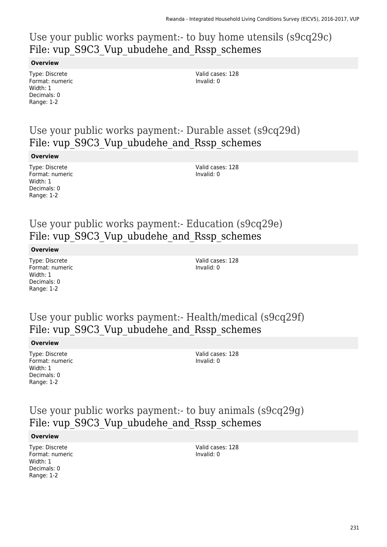## Use your public works payment:- to buy home utensils (s9cq29c) File: vup\_S9C3\_Vup\_ubudehe\_and\_Rssp\_schemes

### **Overview**

Type: Discrete Format: numeric Width: 1 Decimals: 0 Range: 1-2

Valid cases: 128 Invalid: 0

## Use your public works payment:- Durable asset (s9cq29d) File: vup\_S9C3\_Vup\_ubudehe\_and\_Rssp\_schemes

### **Overview**

Type: Discrete Format: numeric Width: 1 Decimals: 0 Range: 1-2

Valid cases: 128 Invalid: 0

## Use your public works payment:- Education (s9cq29e) File: vup S9C3 Vup ubudehe and Rssp schemes

### **Overview**

Type: Discrete Format: numeric Width: 1 Decimals: 0 Range: 1-2

Valid cases: 128 Invalid: 0

## Use your public works payment:- Health/medical (s9cq29f) File: vup S9C3 Vup ubudehe and Rssp schemes

### **Overview**

Type: Discrete Format: numeric Width: 1 Decimals: 0 Range: 1-2

Valid cases: 128 Invalid: 0

## Use your public works payment:- to buy animals (s9cq29g) File: vup S9C3 Vup ubudehe and Rssp schemes

### **Overview**

Type: Discrete Format: numeric Width: 1 Decimals: 0 Range: 1-2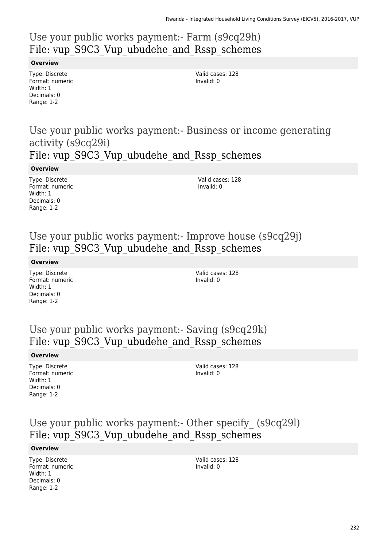## Use your public works payment:- Farm (s9cq29h) File: vup\_S9C3\_Vup\_ubudehe\_and\_Rssp\_schemes

### **Overview**

Type: Discrete Format: numeric Width: 1 Decimals: 0 Range: 1-2

Valid cases: 128 Invalid: 0

## Use your public works payment:- Business or income generating activity (s9cq29i)

## File: vup\_S9C3\_Vup\_ubudehe\_and\_Rssp\_schemes

### **Overview**

Type: Discrete Format: numeric Width: 1 Decimals: 0 Range: 1-2

Valid cases: 128 Invalid: 0

## Use your public works payment:- Improve house (s9cq29j) File: vup S9C3 Vup ubudehe and Rssp schemes

### **Overview**

Type: Discrete Format: numeric Width: 1 Decimals: 0 Range: 1-2

Valid cases: 128 Invalid: 0

## Use your public works payment:- Saving (s9cq29k) File: vup\_S9C3\_Vup\_ubudehe\_and\_Rssp\_schemes

### **Overview**

Type: Discrete Format: numeric Width: 1 Decimals: 0 Range: 1-2

Valid cases: 128 Invalid: 0

## Use your public works payment: Other specify (s9cq29l) File: vup\_S9C3\_Vup\_ubudehe\_and\_Rssp\_schemes

### **Overview**

Type: Discrete Format: numeric Width: 1 Decimals: 0 Range: 1-2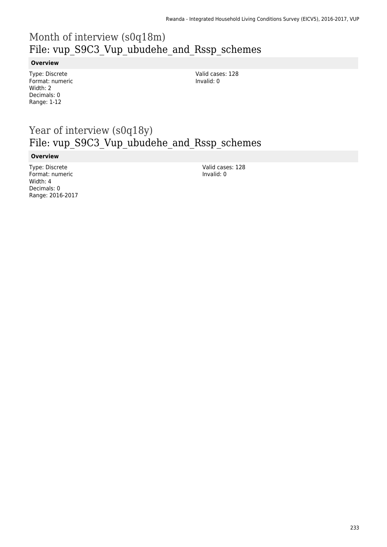## Month of interview (s0q18m) File: vup\_S9C3\_Vup\_ubudehe\_and\_Rssp\_schemes

### **Overview**

Type: Discrete Format: numeric Width: 2 Decimals: 0 Range: 1-12

Valid cases: 128 Invalid: 0

## Year of interview (s0q18y) File: vup S9C3 Vup\_ubudehe\_and\_Rssp\_schemes

#### **Overview**

Type: Discrete Format: numeric Width: 4 Decimals: 0 Range: 2016-2017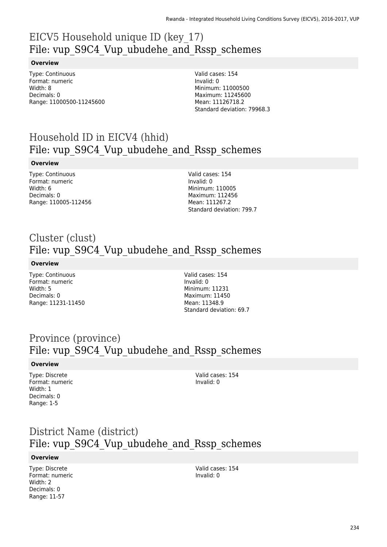## EICV5 Household unique ID (key\_17) File: vup\_S9C4\_Vup\_ubudehe\_and\_Rssp\_schemes

### **Overview**

Type: Continuous Format: numeric Width: 8 Decimals: 0 Range: 11000500-11245600 Valid cases: 154 Invalid: 0 Minimum: 11000500 Maximum: 11245600 Mean: 11126718.2 Standard deviation: 79968.3

## Household ID in EICV4 (hhid) File: vup\_S9C4\_Vup\_ubudehe\_and\_Rssp\_schemes

### **Overview**

Type: Continuous Format: numeric Width: 6 Decimals: 0 Range: 110005-112456 Valid cases: 154 Invalid: 0 Minimum: 110005 Maximum: 112456 Mean: 111267.2 Standard deviation: 799.7

## Cluster (clust) File: vup\_S9C4\_Vup\_ubudehe\_and\_Rssp\_schemes

### **Overview**

Type: Continuous Format: numeric Width: 5 Decimals: 0 Range: 11231-11450 Valid cases: 154 Invalid: 0 Minimum: 11231 Maximum: 11450 Mean: 11348.9 Standard deviation: 69.7

## Province (province) File: vup S9C4 Vup ubudehe and Rssp schemes

### **Overview**

Type: Discrete Format: numeric Width: 1 Decimals: 0 Range: 1-5

Valid cases: 154 Invalid: 0

## District Name (district) File: vup S9C4 Vup ubudehe and Rssp schemes

### **Overview**

Type: Discrete Format: numeric Width: 2 Decimals: 0 Range: 11-57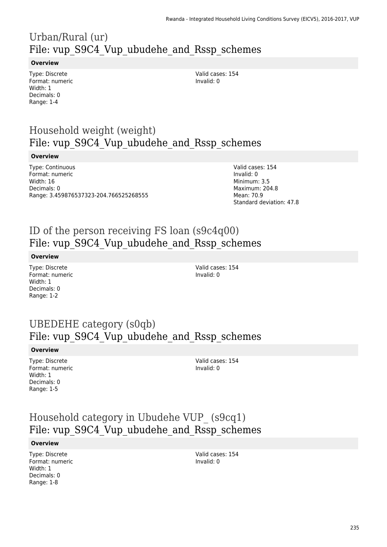## Urban/Rural (ur) File: vup\_S9C4\_Vup\_ubudehe\_and\_Rssp\_schemes

### **Overview**

Type: Discrete Format: numeric Width: 1 Decimals: 0 Range: 1-4

Valid cases: 154 Invalid: 0

## Household weight (weight) File: vup\_S9C4\_Vup\_ubudehe\_and\_Rssp\_schemes

### **Overview**

Type: Continuous Format: numeric Width: 16 Decimals: 0 Range: 3.459876537323-204.766525268555 Valid cases: 154 Invalid: 0 Minimum: 3.5 Maximum: 204.8 Mean: 70.9 Standard deviation: 47.8

## ID of the person receiving FS loan  $(s9c4q00)$ File: vup S9C4 Vup ubudehe and Rssp schemes

### **Overview**

Type: Discrete Format: numeric Width: 1 Decimals: 0 Range: 1-2

Valid cases: 154 Invalid: 0

### UBEDEHE category (s0qb) File: vup S9C4 Vup ubudehe and Rssp schemes

#### **Overview**

Type: Discrete Format: numeric Width: 1 Decimals: 0 Range: 1-5

Valid cases: 154 Invalid: 0

## Household category in Ubudehe VUP\_ (s9cq1) File: vup\_S9C4\_Vup\_ubudehe\_and\_Rssp\_schemes

#### **Overview**

Type: Discrete Format: numeric Width: 1 Decimals: 0 Range: 1-8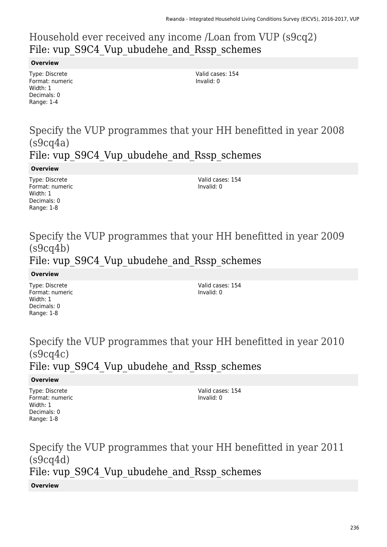## Household ever received any income /Loan from VUP (s9cq2) File: vup\_S9C4\_Vup\_ubudehe\_and\_Rssp\_schemes

### **Overview**

Type: Discrete Format: numeric Width: 1 Decimals: 0 Range: 1-4

Valid cases: 154 Invalid: 0

## Specify the VUP programmes that your HH benefitted in year 2008  $(s9ca4a)$

## File: vup\_S9C4\_Vup\_ubudehe\_and\_Rssp\_schemes

### **Overview**

Type: Discrete Format: numeric Width: 1 Decimals: 0 Range: 1-8

Valid cases: 154 Invalid: 0

# Specify the VUP programmes that your HH benefitted in year 2009 (s9cq4b)

## File: vup S9C4 Vup ubudehe and Rssp schemes

### **Overview**

Type: Discrete Format: numeric Width: 1 Decimals: 0 Range: 1-8

Valid cases: 154 Invalid: 0

## Specify the VUP programmes that your HH benefitted in year 2010 (s9cq4c) File: vup S9C4 Vup ubudehe and Rssp schemes

### **Overview**

Type: Discrete Format: numeric Width: 1 Decimals: 0 Range: 1-8

Valid cases: 154 Invalid: 0

## Specify the VUP programmes that your HH benefitted in year 2011 (s9cq4d) File: vup S9C4 Vup ubudehe and Rssp schemes

### **Overview**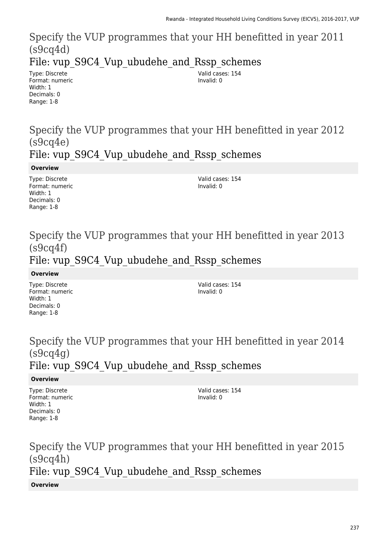## Specify the VUP programmes that your HH benefitted in year 2011 (s9cq4d) File: vup S9C4 Vup ubudehe and Rssp schemes

Type: Discrete Format: numeric Width: 1 Decimals: 0 Range: 1-8

Valid cases: 154 Invalid: 0

## Specify the VUP programmes that your HH benefitted in year 2012 (s9cq4e)

## File: vup\_S9C4\_Vup\_ubudehe\_and\_Rssp\_schemes

### **Overview**

Type: Discrete Format: numeric Width: 1 Decimals: 0 Range: 1-8

Valid cases: 154 Invalid: 0

## Specify the VUP programmes that your HH benefitted in year 2013 (s9cq4f) File: vup S9C4 Vup ubudehe and Rssp schemes

### **Overview**

Type: Discrete Format: numeric Width: 1 Decimals: 0 Range: 1-8

Valid cases: 154 Invalid: 0

## Specify the VUP programmes that your HH benefitted in year 2014  $(s9cq4q)$ File: vup S9C4 Vup ubudehe and Rssp schemes

### **Overview**

Type: Discrete Format: numeric Width: 1 Decimals: 0 Range: 1-8

Valid cases: 154 Invalid: 0

## Specify the VUP programmes that your HH benefitted in year 2015  $(s9cq4h)$ File: vup S9C4 Vup ubudehe and Rssp schemes

### **Overview**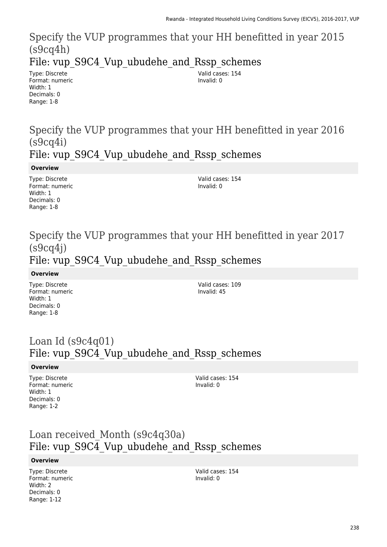## Specify the VUP programmes that your HH benefitted in year 2015 (s9cq4h) File: vup S9C4 Vup ubudehe and Rssp schemes

Type: Discrete Format: numeric Width: 1 Decimals: 0 Range: 1-8

Valid cases: 154 Invalid: 0

## Specify the VUP programmes that your HH benefitted in year 2016  $(s9ca4i)$

## File: vup\_S9C4\_Vup\_ubudehe\_and\_Rssp\_schemes

### **Overview**

Type: Discrete Format: numeric Width: 1 Decimals: 0 Range: 1-8

Valid cases: 154 Invalid: 0

## Specify the VUP programmes that your HH benefitted in year 2017 (s9cq4j) File: vup S9C4 Vup ubudehe and Rssp schemes

### **Overview**

Type: Discrete Format: numeric Width: 1 Decimals: 0 Range: 1-8

Valid cases: 109 Invalid: 45

## Loan Id  $(s9c4q01)$ File: vup\_S9C4\_Vup\_ubudehe\_and\_Rssp\_schemes

### **Overview**

Type: Discrete Format: numeric Width: 1 Decimals: 0 Range: 1-2

Valid cases: 154 Invalid: 0

## Loan received Month (s9c4q30a) File: vup\_S9C4\_Vup\_ubudehe\_and\_Rssp\_schemes

### **Overview**

Type: Discrete Format: numeric Width: 2 Decimals: 0 Range: 1-12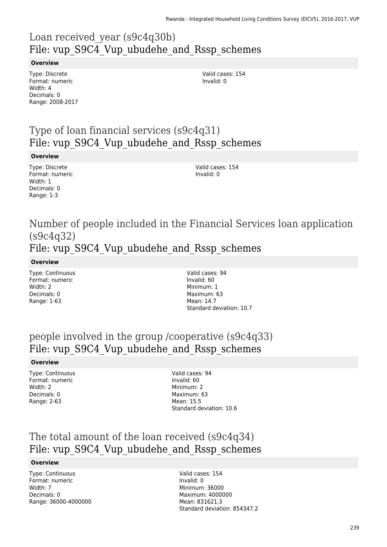## Loan received year (s9c4q30b) File: vup\_S9C4\_Vup\_ubudehe\_and\_Rssp\_schemes

### **Overview**

Type: Discrete Format: numeric Width: 4 Decimals: 0 Range: 2008-2017 Valid cases: 154 Invalid: 0

## Type of loan financial services (s9c4q31) File: vup\_S9C4\_Vup\_ubudehe\_and\_Rssp\_schemes

### **Overview**

Type: Discrete Format: numeric Width: 1 Decimals: 0 Range: 1-3

Valid cases: 154 Invalid: 0

## Number of people included in the Financial Services loan application (s9c4q32)

## File: vup S9C4 Vup ubudehe and Rssp schemes

### **Overview**

Type: Continuous Format: numeric Width: 2 Decimals: 0 Range: 1-63

Valid cases: 94 Invalid: 60 Minimum: 1 Maximum: 63 Mean: 14.7 Standard deviation: 10.7

## people involved in the group /cooperative (s9c4q33) File: vup S9C4 Vup ubudehe and Rssp schemes

### **Overview**

Type: Continuous Format: numeric Width: 2 Decimals: 0 Range: 2-63

Valid cases: 94 Invalid: 60 Minimum: 2 Maximum: 63 Mean: 15.5 Standard deviation: 10.6

## The total amount of the loan received (s9c4q34) File: vup\_S9C4\_Vup\_ubudehe\_and\_Rssp\_schemes

### **Overview**

Type: Continuous Format: numeric Width: 7 Decimals: 0 Range: 36000-4000000 Valid cases: 154 Invalid: 0 Minimum: 36000 Maximum: 4000000 Mean: 831621.3 Standard deviation: 854347.2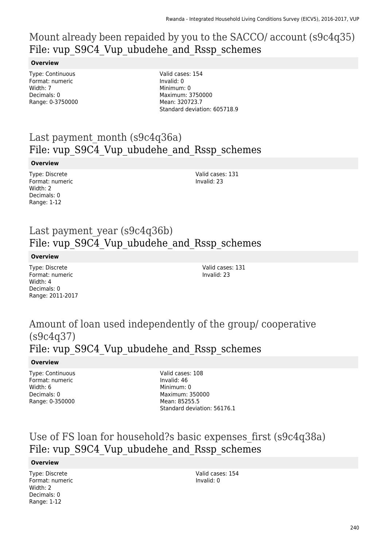## Mount already been repaided by you to the SACCO/ account (s9c4q35) File: vup\_S9C4\_Vup\_ubudehe\_and\_Rssp\_schemes

### **Overview**

Type: Continuous Format: numeric Width: 7 Decimals: 0 Range: 0-3750000 Valid cases: 154 Invalid: 0 Minimum: 0 Maximum: 3750000 Mean: 320723.7 Standard deviation: 605718.9

## Last payment month (s9c4q36a) File: vup\_S9C4\_Vup\_ubudehe\_and\_Rssp\_schemes

### **Overview**

Type: Discrete Format: numeric Width: 2 Decimals: 0 Range: 1-12

Valid cases: 131 Invalid: 23

## Last payment year (s9c4q36b) File: vup S9C4 Vup ubudehe and Rssp schemes

### **Overview**

Type: Discrete Format: numeric Width: 4 Decimals: 0 Range: 2011-2017 Valid cases: 131 Invalid: 23

## Amount of loan used independently of the group/ cooperative (s9c4q37) File: vup S9C4 Vup ubudehe and Rssp schemes

### **Overview**

Type: Continuous Format: numeric Width: 6 Decimals: 0 Range: 0-350000

Valid cases: 108 Invalid: 46 Minimum: 0 Maximum: 350000 Mean: 85255.5 Standard deviation: 56176.1

## Use of FS loan for household?s basic expenses\_first (s9c4q38a) File: vup\_S9C4\_Vup\_ubudehe\_and\_Rssp\_schemes

### **Overview**

Type: Discrete Format: numeric Width: 2 Decimals: 0 Range: 1-12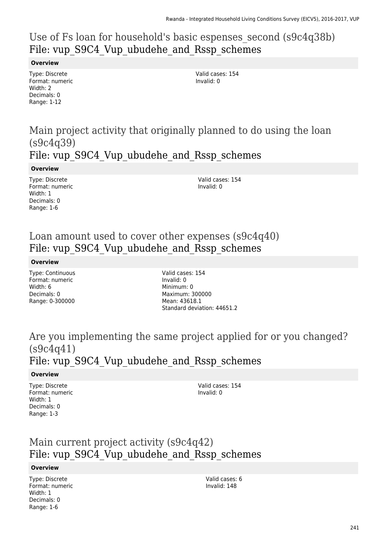## Use of Fs loan for household's basic espenses second (s9c4q38b) File: vup\_S9C4\_Vup\_ubudehe\_and\_Rssp\_schemes

### **Overview**

Type: Discrete Format: numeric Width: 2 Decimals: 0 Range: 1-12

Valid cases: 154 Invalid: 0

## Main project activity that originally planned to do using the loan (s9c4q39)

## File: vup\_S9C4\_Vup\_ubudehe\_and\_Rssp\_schemes

### **Overview**

Type: Discrete Format: numeric Width: 1 Decimals: 0 Range: 1-6

Valid cases: 154 Invalid: 0

## Loan amount used to cover other expenses (s9c4q40) File: vup\_S9C4\_Vup\_ubudehe\_and\_Rssp\_schemes

### **Overview**

Type: Continuous Format: numeric Width: 6 Decimals: 0 Range: 0-300000

Valid cases: 154 Invalid: 0 Minimum: 0 Maximum: 300000 Mean: 43618.1 Standard deviation: 44651.2

## Are you implementing the same project applied for or you changed? (s9c4q41)

## File: vup S9C4 Vup ubudehe and Rssp schemes

### **Overview**

Type: Discrete Format: numeric Width: 1 Decimals: 0 Range: 1-3

Valid cases: 154 Invalid: 0

## Main current project activity (s9c4q42) File: vup S9C4 Vup ubudehe and Rssp schemes

### **Overview**

Type: Discrete Format: numeric Width: 1 Decimals: 0 Range: 1-6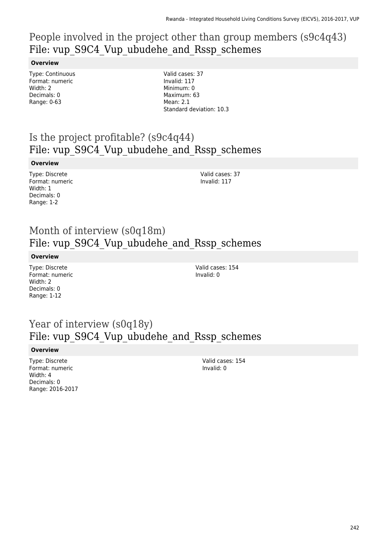## People involved in the project other than group members (s9c4q43) File: vup\_S9C4\_Vup\_ubudehe\_and\_Rssp\_schemes

### **Overview**

Type: Continuous Format: numeric Width: 2 Decimals: 0 Range: 0-63

Valid cases: 37 Invalid: 117 Minimum: 0 Maximum: 63 Mean: 2.1 Standard deviation: 10.3

## Is the project profitable? (s9c4q44) File: vup\_S9C4\_Vup\_ubudehe\_and\_Rssp\_schemes

### **Overview**

Type: Discrete Format: numeric Width: 1 Decimals: 0 Range: 1-2

Valid cases: 37 Invalid: 117

## Month of interview (s0q18m) File: vup\_S9C4\_Vup\_ubudehe\_and\_Rssp\_schemes

### **Overview**

Type: Discrete Format: numeric Width: 2 Decimals: 0 Range: 1-12

Valid cases: 154 Invalid: 0

### Year of interview (s0q18y) File: vup S9C4 Vup ubudehe and Rssp schemes

### **Overview**

Type: Discrete Format: numeric Width: 4 Decimals: 0 Range: 2016-2017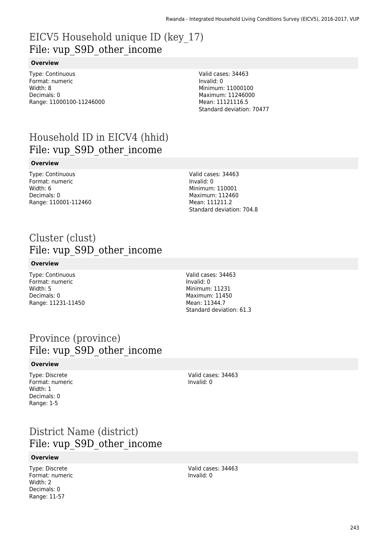## EICV5 Household unique ID (key\_17) File: vup\_S9D\_other\_income

### **Overview**

Type: Continuous Format: numeric Width: 8 Decimals: 0 Range: 11000100-11246000 Valid cases: 34463 Invalid: 0 Minimum: 11000100 Maximum: 11246000 Mean: 11121116.5 Standard deviation: 70477

## Household ID in EICV4 (hhid) File: vup\_S9D\_other\_income

### **Overview**

Type: Continuous Format: numeric Width: 6 Decimals: 0 Range: 110001-112460 Valid cases: 34463 Invalid: 0 Minimum: 110001 Maximum: 112460 Mean: 111211.2 Standard deviation: 704.8

## Cluster (clust) File: vup S9D other income

### **Overview**

Type: Continuous Format: numeric Width: 5 Decimals: 0 Range: 11231-11450 Valid cases: 34463 Invalid: 0 Minimum: 11231 Maximum: 11450 Mean: 11344.7 Standard deviation: 61.3

## Province (province) File: vup S9D other income

### **Overview**

Type: Discrete Format: numeric Width: 1 Decimals: 0 Range: 1-5

Valid cases: 34463 Invalid: 0

## District Name (district) File: vup S9D other income

### **Overview**

Type: Discrete Format: numeric Width: 2 Decimals: 0 Range: 11-57

Valid cases: 34463 Invalid: 0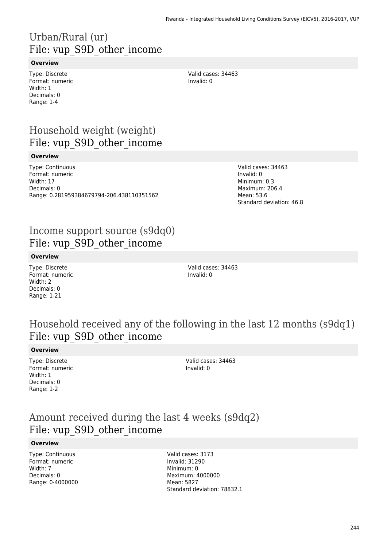## Urban/Rural (ur) File: vup\_S9D\_other\_income

### **Overview**

Type: Discrete Format: numeric Width: 1 Decimals: 0 Range: 1-4

Valid cases: 34463 Invalid: 0

## Household weight (weight) File: vup\_S9D\_other\_income

### **Overview**

Type: Continuous Format: numeric Width: 17 Decimals: 0 Range: 0.281959384679794-206.438110351562 Valid cases: 34463 Invalid: 0 Minimum: 0.3 Maximum: 206.4 Mean: 53.6 Standard deviation: 46.8

## Income support source (s9dq0) File: vup\_S9D\_other\_income

### **Overview**

Type: Discrete Format: numeric Width: 2 Decimals: 0 Range: 1-21

Valid cases: 34463 Invalid: 0

## Household received any of the following in the last 12 months (s9dq1) File: vup S9D other income

### **Overview**

Type: Discrete Format: numeric Width: 1 Decimals: 0 Range: 1-2

Valid cases: 34463 Invalid: 0

## Amount received during the last 4 weeks (s9dq2) File: vup S9D other income

### **Overview**

Type: Continuous Format: numeric Width: 7 Decimals: 0 Range: 0-4000000 Valid cases: 3173 Invalid: 31290 Minimum: 0 Maximum: 4000000 Mean: 5827 Standard deviation: 78832.1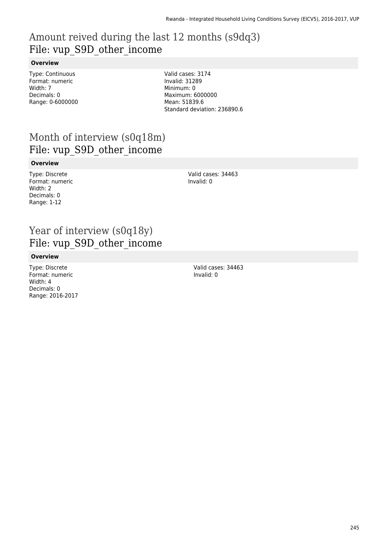## Amount reived during the last 12 months (s9dq3) File: vup\_S9D\_other\_income

### **Overview**

Type: Continuous Format: numeric Width: 7 Decimals: 0 Range: 0-6000000

Valid cases: 3174 Invalid: 31289 Minimum: 0 Maximum: 6000000 Mean: 51839.6 Standard deviation: 236890.6

## Month of interview (s0q18m) File: vup\_S9D\_other\_income

### **Overview**

Type: Discrete Format: numeric Width: 2 Decimals: 0 Range: 1-12

Valid cases: 34463 Invalid: 0

## Year of interview (s0q18y) File: vup\_S9D\_other\_income

### **Overview**

Type: Discrete Format: numeric Width: 4 Decimals: 0 Range: 2016-2017

Valid cases: 34463 Invalid: 0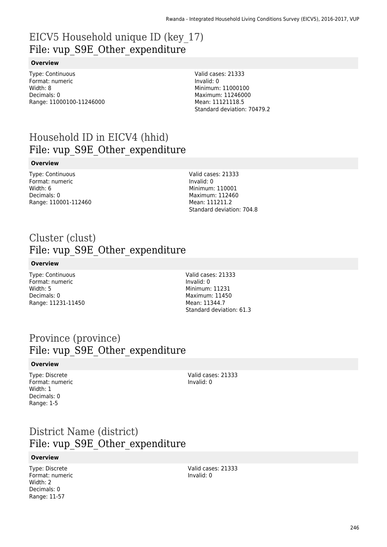## EICV5 Household unique ID (key\_17) File: vup S9E Other expenditure

### **Overview**

Type: Continuous Format: numeric Width: 8 Decimals: 0 Range: 11000100-11246000 Valid cases: 21333 Invalid: 0 Minimum: 11000100 Maximum: 11246000 Mean: 11121118.5 Standard deviation: 70479.2

## Household ID in EICV4 (hhid) File: vup S9E Other expenditure

### **Overview**

Type: Continuous Format: numeric Width: 6 Decimals: 0 Range: 110001-112460 Valid cases: 21333 Invalid: 0 Minimum: 110001 Maximum: 112460 Mean: 111211.2 Standard deviation: 704.8

## Cluster (clust) File: vup S9E Other expenditure

### **Overview**

Type: Continuous Format: numeric Width: 5 Decimals: 0 Range: 11231-11450

Valid cases: 21333 Invalid: 0 Minimum: 11231 Maximum: 11450 Mean: 11344.7 Standard deviation: 61.3

## Province (province) File: vup S9E Other expenditure

### **Overview**

Type: Discrete Format: numeric Width: 1 Decimals: 0 Range: 1-5

Valid cases: 21333 Invalid: 0

## District Name (district) File: vup S9E Other expenditure

### **Overview**

Type: Discrete Format: numeric Width: 2 Decimals: 0 Range: 11-57

Valid cases: 21333 Invalid: 0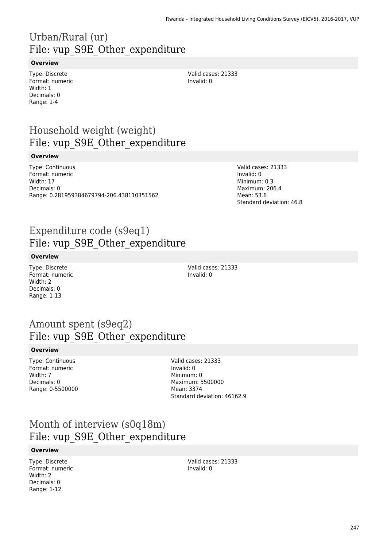## Urban/Rural (ur) File: vup S9E Other expenditure

### **Overview**

Type: Discrete Format: numeric Width: 1 Decimals: 0 Range: 1-4

Valid cases: 21333 Invalid: 0

## Household weight (weight) File: vup S9E Other expenditure

### **Overview**

Type: Continuous Format: numeric Width: 17 Decimals: 0 Range: 0.281959384679794-206.438110351562 Valid cases: 21333 Invalid: 0 Minimum: 0.3 Maximum: 206.4 Mean: 53.6 Standard deviation: 46.8

## Expenditure code (s9eq1) File: vup S9E Other expenditure

### **Overview**

Type: Discrete Format: numeric Width: 2 Decimals: 0 Range: 1-13

Valid cases: 21333 Invalid: 0

### Amount spent (s9eq2) File: vup S9E Other expenditure

#### **Overview**

Type: Continuous Format: numeric Width: 7 Decimals: 0 Range: 0-5500000 Valid cases: 21333 Invalid: 0 Minimum: 0 Maximum: 5500000 Mean: 3374 Standard deviation: 46162.9

## Month of interview (s0q18m) File: vup S9E Other expenditure

### **Overview**

Type: Discrete Format: numeric Width: 2 Decimals: 0 Range: 1-12

Valid cases: 21333 Invalid: 0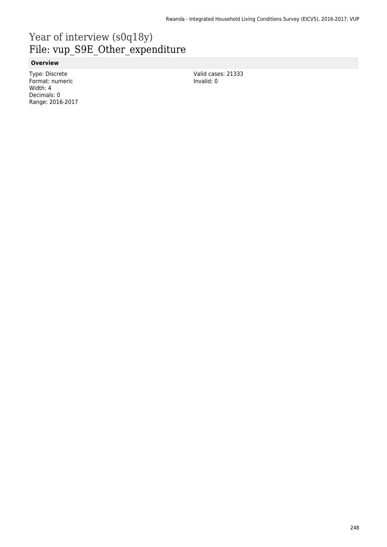## Year of interview (s0q18y) File: vup\_S9E\_Other\_expenditure

### **Overview**

Type: Discrete Format: numeric Width: 4 Decimals: 0 Range: 2016-2017 Valid cases: 21333 Invalid: 0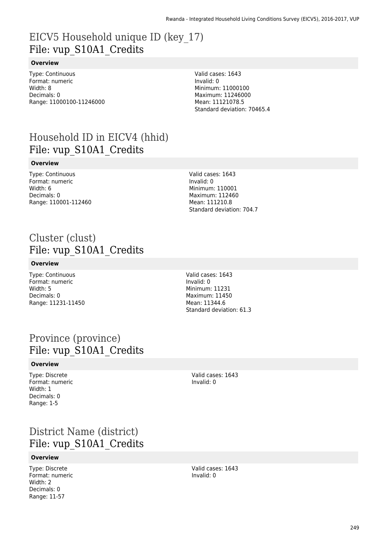## EICV5 Household unique ID (key\_17) File: vup\_S10A1\_Credits

### **Overview**

Type: Continuous Format: numeric Width: 8 Decimals: 0 Range: 11000100-11246000 Valid cases: 1643 Invalid: 0 Minimum: 11000100 Maximum: 11246000 Mean: 11121078.5 Standard deviation: 70465.4

## Household ID in EICV4 (hhid) File: vup\_S10A1\_Credits

### **Overview**

Type: Continuous Format: numeric Width: 6 Decimals: 0 Range: 110001-112460 Valid cases: 1643 Invalid: 0 Minimum: 110001 Maximum: 112460 Mean: 111210.8 Standard deviation: 704.7

## Cluster (clust) File: vup\_S10A1\_Credits

### **Overview**

Type: Continuous Format: numeric Width: 5 Decimals: 0 Range: 11231-11450 Valid cases: 1643 Invalid: 0 Minimum: 11231 Maximum: 11450 Mean: 11344.6 Standard deviation: 61.3

## Province (province) File: vup\_S10A1\_Credits

### **Overview**

Type: Discrete Format: numeric Width: 1 Decimals: 0 Range: 1-5

Valid cases: 1643 Invalid: 0

## District Name (district) File: vup\_S10A1\_Credits

### **Overview**

Type: Discrete Format: numeric Width: 2 Decimals: 0 Range: 11-57

Valid cases: 1643 Invalid: 0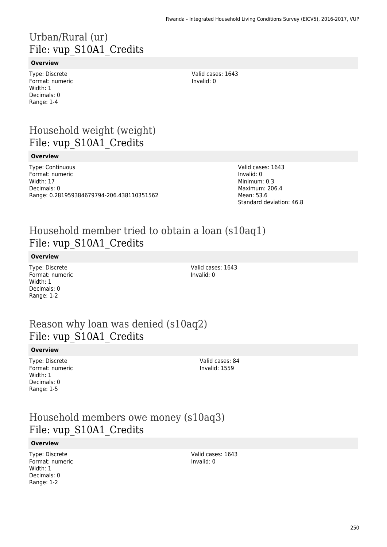## Urban/Rural (ur) File: vup\_S10A1\_Credits

### **Overview**

Type: Discrete Format: numeric Width: 1 Decimals: 0 Range: 1-4

Valid cases: 1643 Invalid: 0

## Household weight (weight) File: vup\_S10A1\_Credits

### **Overview**

Type: Continuous Format: numeric Width: 17 Decimals: 0 Range: 0.281959384679794-206.438110351562 Valid cases: 1643 Invalid: 0 Minimum: 0.3 Maximum: 206.4 Mean: 53.6 Standard deviation: 46.8

## Household member tried to obtain a loan (s10aq1) File: vup\_S10A1\_Credits

### **Overview**

Type: Discrete Format: numeric Width: 1 Decimals: 0 Range: 1-2

Valid cases: 1643 Invalid: 0

## Reason why loan was denied (s10aq2) File: vup\_S10A1\_Credits

#### **Overview**

Type: Discrete Format: numeric Width: 1 Decimals: 0 Range: 1-5

Valid cases: 84 Invalid: 1559

## Household members owe money (s10aq3) File: vup\_S10A1\_Credits

#### **Overview**

Type: Discrete Format: numeric Width: 1 Decimals: 0 Range: 1-2

Valid cases: 1643 Invalid: 0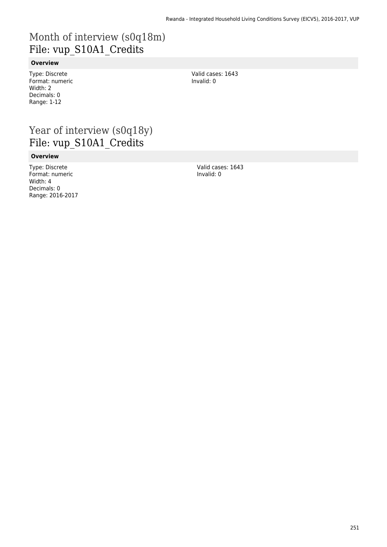## Month of interview (s0q18m) File: vup\_S10A1\_Credits

### **Overview**

Type: Discrete Format: numeric Width: 2 Decimals: 0 Range: 1-12

Valid cases: 1643 Invalid: 0

## Year of interview (s0q18y) File: vup\_S10A1\_Credits

### **Overview**

Type: Discrete Format: numeric Width: 4 Decimals: 0 Range: 2016-2017 Valid cases: 1643 Invalid: 0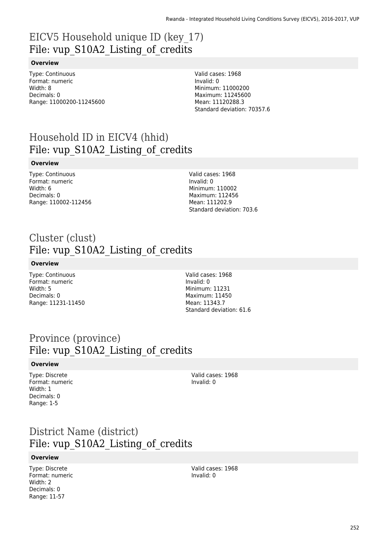## EICV5 Household unique ID (key\_17) File: vup S10A2 Listing of credits

### **Overview**

Type: Continuous Format: numeric Width: 8 Decimals: 0 Range: 11000200-11245600 Valid cases: 1968 Invalid: 0 Minimum: 11000200 Maximum: 11245600 Mean: 11120288.3 Standard deviation: 70357.6

## Household ID in EICV4 (hhid) File: vup S10A2 Listing of credits

### **Overview**

Type: Continuous Format: numeric Width: 6 Decimals: 0 Range: 110002-112456

Valid cases: 1968 Invalid: 0 Minimum: 110002 Maximum: 112456 Mean: 111202.9 Standard deviation: 703.6

## Cluster (clust) File: vup S10A2 Listing of credits

### **Overview**

Type: Continuous Format: numeric Width: 5 Decimals: 0 Range: 11231-11450 Valid cases: 1968 Invalid: 0 Minimum: 11231 Maximum: 11450 Mean: 11343.7 Standard deviation: 61.6

## Province (province) File: vup S10A2 Listing of credits

### **Overview**

Type: Discrete Format: numeric Width: 1 Decimals: 0 Range: 1-5

Valid cases: 1968 Invalid: 0

## District Name (district) File: vup S10A2 Listing of credits

### **Overview**

Type: Discrete Format: numeric Width: 2 Decimals: 0 Range: 11-57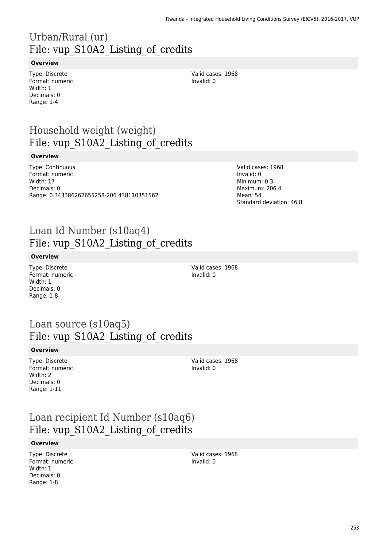# Urban/Rural (ur) File: vup S10A2 Listing of credits

### **Overview**

Type: Discrete Format: numeric Width: 1 Decimals: 0 Range: 1-4

Valid cases: 1968 Invalid: 0

### Household weight (weight) File: vup S10A2 Listing of credits

#### **Overview**

Type: Continuous Format: numeric Width: 17 Decimals: 0 Range: 0.343386262655258-206.438110351562

Valid cases: 1968 Invalid: 0 Minimum: 0.3 Maximum: 206.4 Mean: 54 Standard deviation: 46.8

### Loan Id Number (s10aq4) File: vup S10A2 Listing of credits

### **Overview**

Type: Discrete Format: numeric Width: 1 Decimals: 0 Range: 1-8

Valid cases: 1968 Invalid: 0

### Loan source (s10aq5) File: vup S10A2 Listing of credits

#### **Overview**

Type: Discrete Format: numeric Width: 2 Decimals: 0 Range: 1-11

Valid cases: 1968 Invalid: 0

## Loan recipient Id Number (s10aq6) File: vup S10A2 Listing of credits

#### **Overview**

Type: Discrete Format: numeric Width: 1 Decimals: 0 Range: 1-8

Valid cases: 1968 Invalid: 0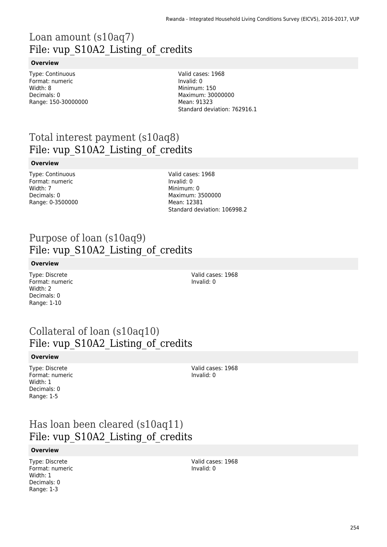## Loan amount (s10aq7) File: vup S10A2 Listing of credits

### **Overview**

Type: Continuous Format: numeric Width: 8 Decimals: 0 Range: 150-30000000

Valid cases: 1968 Invalid: 0 Minimum: 150 Maximum: 30000000 Mean: 91323 Standard deviation: 762916.1

# Total interest payment (s10aq8) File: vup S10A2 Listing of credits

### **Overview**

Type: Continuous Format: numeric Width: 7 Decimals: 0 Range: 0-3500000 Valid cases: 1968 Invalid: 0 Minimum: 0 Maximum: 3500000 Mean: 12381 Standard deviation: 106998.2

## Purpose of loan (s10aq9) File: vup\_S10A2\_Listing\_of\_credits

### **Overview**

Type: Discrete Format: numeric Width: 2 Decimals: 0 Range: 1-10

Valid cases: 1968 Invalid: 0

## Collateral of loan (s10aq10) File: vup S10A2 Listing of credits

### **Overview**

Type: Discrete Format: numeric Width: 1 Decimals: 0 Range: 1-5

Valid cases: 1968 Invalid: 0

### Has loan been cleared (s10aq11) File: vup S10A2 Listing of credits

### **Overview**

Type: Discrete Format: numeric Width: 1 Decimals: 0 Range: 1-3

Valid cases: 1968 Invalid: 0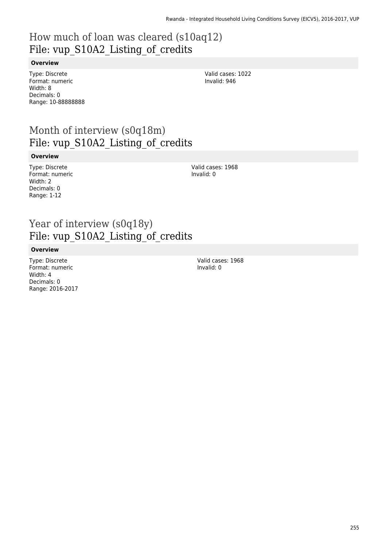# How much of loan was cleared (s10aq12) File: vup\_S10A2\_Listing\_of\_credits

### **Overview**

Type: Discrete Format: numeric Width: 8 Decimals: 0 Range: 10-88888888 Valid cases: 1022 Invalid: 946

## Month of interview (s0q18m) File: vup\_S10A2\_Listing\_of\_credits

#### **Overview**

Type: Discrete Format: numeric Width: 2 Decimals: 0 Range: 1-12

Valid cases: 1968 Invalid: 0

### Year of interview (s0q18y) File: vup\_S10A2\_Listing\_of\_credits

#### **Overview**

Type: Discrete Format: numeric Width: 4 Decimals: 0 Range: 2016-2017

Valid cases: 1968 Invalid: 0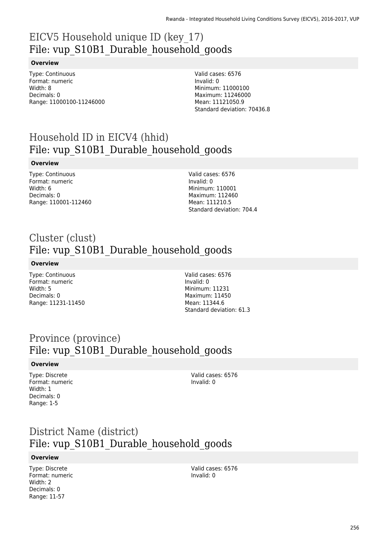# EICV5 Household unique ID (key\_17) File: vup\_S10B1\_Durable\_household\_goods

#### **Overview**

Type: Continuous Format: numeric Width: 8 Decimals: 0 Range: 11000100-11246000 Valid cases: 6576 Invalid: 0 Minimum: 11000100 Maximum: 11246000 Mean: 11121050.9 Standard deviation: 70436.8

# Household ID in EICV4 (hhid) File: vup\_S10B1\_Durable\_household\_goods

#### **Overview**

Type: Continuous Format: numeric Width: 6 Decimals: 0 Range: 110001-112460 Valid cases: 6576 Invalid: 0 Minimum: 110001 Maximum: 112460 Mean: 111210.5 Standard deviation: 704.4

## Cluster (clust) File: vup S10B1 Durable household goods

### **Overview**

Type: Continuous Format: numeric Width: 5 Decimals: 0 Range: 11231-11450 Valid cases: 6576 Invalid: 0 Minimum: 11231 Maximum: 11450 Mean: 11344.6 Standard deviation: 61.3

# Province (province) File: vup\_S10B1\_Durable\_household\_goods

### **Overview**

Type: Discrete Format: numeric Width: 1 Decimals: 0 Range: 1-5

Valid cases: 6576 Invalid: 0

### District Name (district) File: vup\_S10B1\_Durable\_household\_goods

### **Overview**

Type: Discrete Format: numeric Width: 2 Decimals: 0 Range: 11-57

Valid cases: 6576 Invalid: 0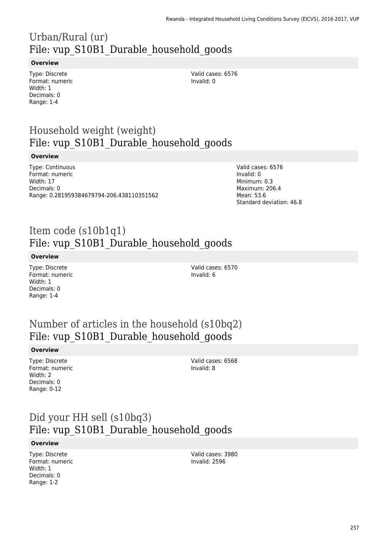# Urban/Rural (ur) File: vup\_S10B1\_Durable\_household\_goods

### **Overview**

Type: Discrete Format: numeric Width: 1 Decimals: 0 Range: 1-4

Valid cases: 6576 Invalid: 0

## Household weight (weight) File: vup\_S10B1\_Durable\_household\_goods

### **Overview**

Type: Continuous Format: numeric Width: 17 Decimals: 0 Range: 0.281959384679794-206.438110351562 Valid cases: 6576 Invalid: 0 Minimum: 0.3 Maximum: 206.4 Mean: 53.6 Standard deviation: 46.8

# Item code (s10b1q1) File: vup\_S10B1\_Durable\_household\_goods

### **Overview**

Type: Discrete Format: numeric Width: 1 Decimals: 0 Range: 1-4

Valid cases: 6570 Invalid: 6

# Number of articles in the household (s10bq2) File: vup\_S10B1\_Durable\_household\_goods

### **Overview**

Type: Discrete Format: numeric Width: 2 Decimals: 0 Range: 0-12

Valid cases: 6568 Invalid: 8

## Did your HH sell (s10bq3) File: vup S10B1 Durable household goods

#### **Overview**

Type: Discrete Format: numeric Width: 1 Decimals: 0 Range: 1-2

Valid cases: 3980 Invalid: 2596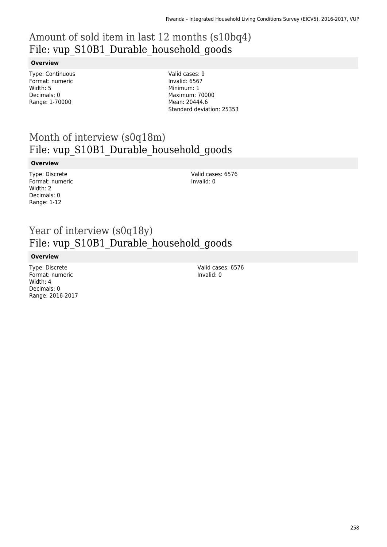# Amount of sold item in last 12 months (s10bq4) File: vup\_S10B1\_Durable\_household\_goods

### **Overview**

Type: Continuous Format: numeric Width: 5 Decimals: 0 Range: 1-70000

Valid cases: 9 Invalid: 6567 Minimum: 1 Maximum: 70000 Mean: 20444.6 Standard deviation: 25353

# Month of interview (s0q18m) File: vup\_S10B1\_Durable\_household\_goods

### **Overview**

Type: Discrete Format: numeric Width: 2 Decimals: 0 Range: 1-12

Valid cases: 6576 Invalid: 0

### Year of interview (s0q18y) File: vup\_S10B1\_Durable\_household\_goods

### **Overview**

Type: Discrete Format: numeric Width: 4 Decimals: 0 Range: 2016-2017

Valid cases: 6576 Invalid: 0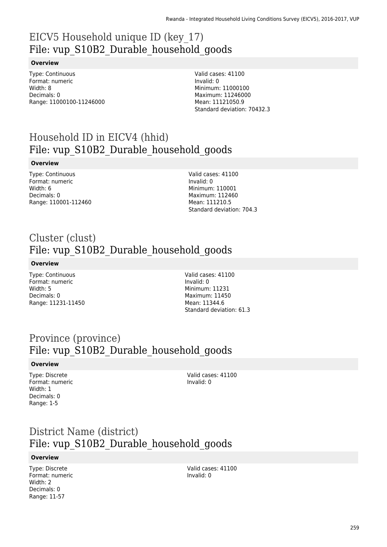# EICV5 Household unique ID (key\_17) File: vup\_S10B2\_Durable\_household\_goods

#### **Overview**

Type: Continuous Format: numeric Width: 8 Decimals: 0 Range: 11000100-11246000 Valid cases: 41100 Invalid: 0 Minimum: 11000100 Maximum: 11246000 Mean: 11121050.9 Standard deviation: 70432.3

# Household ID in EICV4 (hhid) File: vup\_S10B2\_Durable\_household\_goods

#### **Overview**

Type: Continuous Format: numeric Width: 6 Decimals: 0 Range: 110001-112460 Valid cases: 41100 Invalid: 0 Minimum: 110001 Maximum: 112460 Mean: 111210.5 Standard deviation: 704.3

## Cluster (clust) File: vup\_S10B2\_Durable\_household\_goods

### **Overview**

Type: Continuous Format: numeric Width: 5 Decimals: 0 Range: 11231-11450 Valid cases: 41100 Invalid: 0 Minimum: 11231 Maximum: 11450 Mean: 11344.6 Standard deviation: 61.3

## Province (province) File: vup\_S10B2\_Durable\_household\_goods

### **Overview**

Type: Discrete Format: numeric Width: 1 Decimals: 0 Range: 1-5

Valid cases: 41100 Invalid: 0

### District Name (district) File: vup\_S10B2\_Durable\_household\_goods

### **Overview**

Type: Discrete Format: numeric Width: 2 Decimals: 0 Range: 11-57

Valid cases: 41100 Invalid: 0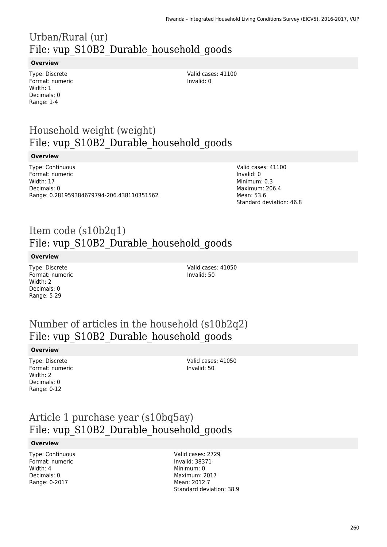# Urban/Rural (ur) File: vup\_S10B2\_Durable\_household\_goods

### **Overview**

Type: Discrete Format: numeric Width: 1 Decimals: 0 Range: 1-4

Valid cases: 41100 Invalid: 0

## Household weight (weight) File: vup\_S10B2\_Durable\_household\_goods

### **Overview**

Type: Continuous Format: numeric Width: 17 Decimals: 0 Range: 0.281959384679794-206.438110351562 Valid cases: 41100 Invalid: 0 Minimum: 0.3 Maximum: 206.4 Mean: 53.6 Standard deviation: 46.8

## Item code (s10b2q1) File: vup\_S10B2\_Durable\_household\_goods

### **Overview**

Type: Discrete Format: numeric Width: 2 Decimals: 0 Range: 5-29

Valid cases: 41050 Invalid: 50

# Number of articles in the household (s10b2q2) File: vup\_S10B2\_Durable\_household\_goods

### **Overview**

Type: Discrete Format: numeric Width: 2 Decimals: 0 Range: 0-12

Valid cases: 41050 Invalid: 50

## Article 1 purchase year (s10bq5ay) File: vup\_S10B2\_Durable\_household\_goods

### **Overview**

Type: Continuous Format: numeric Width: 4 Decimals: 0 Range: 0-2017

Valid cases: 2729 Invalid: 38371 Minimum: 0 Maximum: 2017 Mean: 2012.7 Standard deviation: 38.9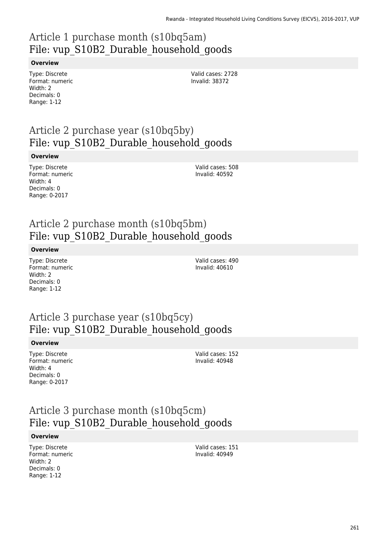# Article 1 purchase month (s10bq5am) File: vup\_S10B2\_Durable\_household\_goods

### **Overview**

Type: Discrete Format: numeric Width: 2 Decimals: 0 Range: 1-12

Valid cases: 2728 Invalid: 38372

# Article 2 purchase year (s10bq5by) File: vup\_S10B2\_Durable\_household\_goods

#### **Overview**

Type: Discrete Format: numeric Width: 4 Decimals: 0 Range: 0-2017

Valid cases: 508 Invalid: 40592

# Article 2 purchase month (s10bq5bm) File: vup S10B2 Durable household goods

#### **Overview**

Type: Discrete Format: numeric Width: 2 Decimals: 0 Range: 1-12

Valid cases: 490 Invalid: 40610

### Article 3 purchase year (s10bq5cy) File: vup\_S10B2\_Durable\_household\_goods

### **Overview**

Type: Discrete Format: numeric Width: 4 Decimals: 0 Range: 0-2017

Valid cases: 152 Invalid: 40948

### Article 3 purchase month (s10bq5cm) File: vup\_S10B2\_Durable\_household\_goods

### **Overview**

Type: Discrete Format: numeric Width: 2 Decimals: 0 Range: 1-12

Valid cases: 151 Invalid: 40949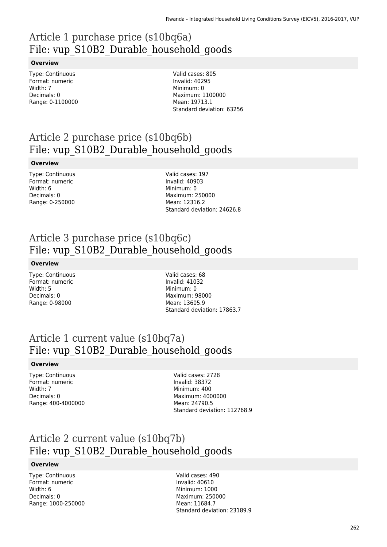# Article 1 purchase price (s10bq6a) File: vup\_S10B2\_Durable\_household\_goods

### **Overview**

Type: Continuous Format: numeric Width: 7 Decimals: 0 Range: 0-1100000 Valid cases: 805 Invalid: 40295 Minimum: 0 Maximum: 1100000 Mean: 19713.1 Standard deviation: 63256

# Article 2 purchase price (s10bq6b) File: vup\_S10B2\_Durable\_household\_goods

### **Overview**

Type: Continuous Format: numeric Width: 6 Decimals: 0 Range: 0-250000

Valid cases: 197 Invalid: 40903 Minimum: 0 Maximum: 250000 Mean: 12316.2 Standard deviation: 24626.8

# Article 3 purchase price (s10bq6c) File: vup\_S10B2\_Durable\_household\_goods

### **Overview**

Type: Continuous Format: numeric Width: 5 Decimals: 0 Range: 0-98000

Valid cases: 68 Invalid: 41032 Minimum: 0 Maximum: 98000 Mean: 13605.9 Standard deviation: 17863.7

## Article 1 current value (s10bq7a) File: vup\_S10B2\_Durable\_household\_goods

### **Overview**

Type: Continuous Format: numeric Width: 7 Decimals: 0 Range: 400-4000000

Valid cases: 2728 Invalid: 38372 Minimum: 400 Maximum: 4000000 Mean: 24790.5 Standard deviation: 112768.9

## Article 2 current value (s10bq7b) File: vup\_S10B2\_Durable\_household\_goods

### **Overview**

Type: Continuous Format: numeric Width: 6 Decimals: 0 Range: 1000-250000 Valid cases: 490 Invalid: 40610 Minimum: 1000 Maximum: 250000 Mean: 11684.7 Standard deviation: 23189.9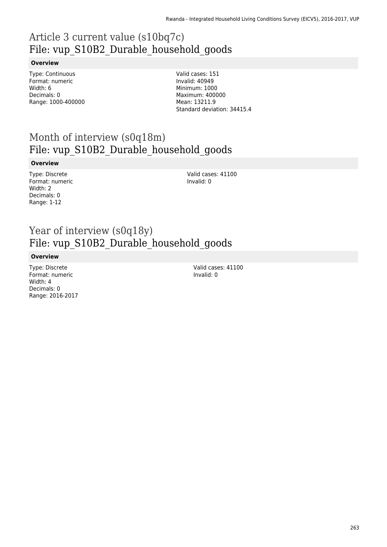# Article 3 current value (s10bq7c) File: vup\_S10B2\_Durable\_household\_goods

### **Overview**

Type: Continuous Format: numeric Width: 6 Decimals: 0 Range: 1000-400000 Valid cases: 151 Invalid: 40949 Minimum: 1000 Maximum: 400000 Mean: 13211.9 Standard deviation: 34415.4

## Month of interview (s0q18m) File: vup\_S10B2\_Durable\_household\_goods

#### **Overview**

Type: Discrete Format: numeric Width: 2 Decimals: 0 Range: 1-12

Valid cases: 41100 Invalid: 0

### Year of interview (s0q18y) File: vup\_S10B2\_Durable\_household\_goods

#### **Overview**

Type: Discrete Format: numeric Width: 4 Decimals: 0 Range: 2016-2017 Valid cases: 41100 Invalid: 0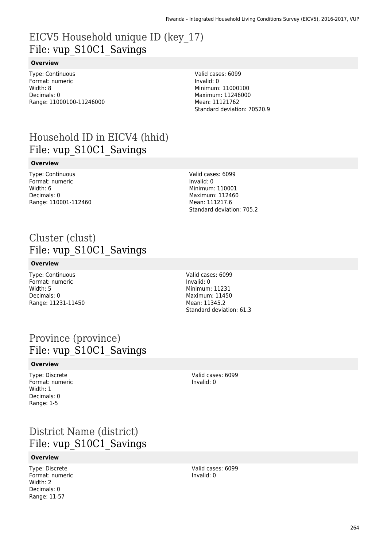# EICV5 Household unique ID (key\_17) File: vup\_S10C1\_Savings

### **Overview**

Type: Continuous Format: numeric Width: 8 Decimals: 0 Range: 11000100-11246000 Valid cases: 6099 Invalid: 0 Minimum: 11000100 Maximum: 11246000 Mean: 11121762 Standard deviation: 70520.9

# Household ID in EICV4 (hhid) File: vup\_S10C1\_Savings

#### **Overview**

Type: Continuous Format: numeric Width: 6 Decimals: 0 Range: 110001-112460 Valid cases: 6099 Invalid: 0 Minimum: 110001 Maximum: 112460 Mean: 111217.6 Standard deviation: 705.2

## Cluster (clust) File: vup\_S10C1\_Savings

#### **Overview**

Type: Continuous Format: numeric Width: 5 Decimals: 0 Range: 11231-11450 Valid cases: 6099 Invalid: 0 Minimum: 11231 Maximum: 11450 Mean: 11345.2 Standard deviation: 61.3

### Province (province) File: vup\_S10C1\_Savings

### **Overview**

Type: Discrete Format: numeric Width: 1 Decimals: 0 Range: 1-5

Valid cases: 6099 Invalid: 0

## District Name (district) File: vup\_S10C1\_Savings

### **Overview**

Type: Discrete Format: numeric Width: 2 Decimals: 0 Range: 11-57

Valid cases: 6099 Invalid: 0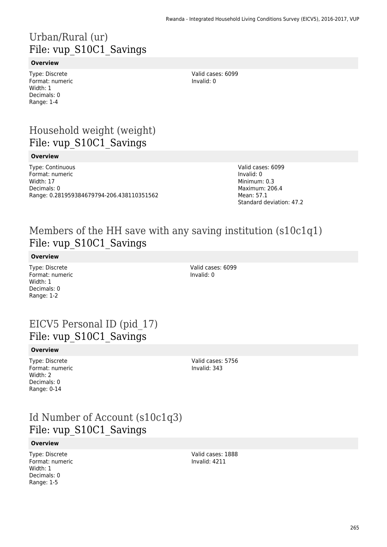# Urban/Rural (ur) File: vup\_S10C1\_Savings

### **Overview**

Type: Discrete Format: numeric Width: 1 Decimals: 0 Range: 1-4

Valid cases: 6099 Invalid: 0

# Household weight (weight) File: vup\_S10C1\_Savings

### **Overview**

Type: Continuous Format: numeric Width: 17 Decimals: 0 Range: 0.281959384679794-206.438110351562 Valid cases: 6099 Invalid: 0 Minimum: 0.3 Maximum: 206.4 Mean: 57.1 Standard deviation: 47.2

# Members of the HH save with any saving institution (s10c1q1) File: vup\_S10C1\_Savings

### **Overview**

Type: Discrete Format: numeric Width: 1 Decimals: 0 Range: 1-2

Valid cases: 6099 Invalid: 0

## EICV5 Personal ID (pid\_17) File: vup\_S10C1\_Savings

### **Overview**

Type: Discrete Format: numeric Width: 2 Decimals: 0 Range: 0-14

Valid cases: 5756 Invalid: 343

# Id Number of Account (s10c1q3) File: vup\_S10C1\_Savings

### **Overview**

Type: Discrete Format: numeric Width: 1 Decimals: 0 Range: 1-5

Valid cases: 1888 Invalid: 4211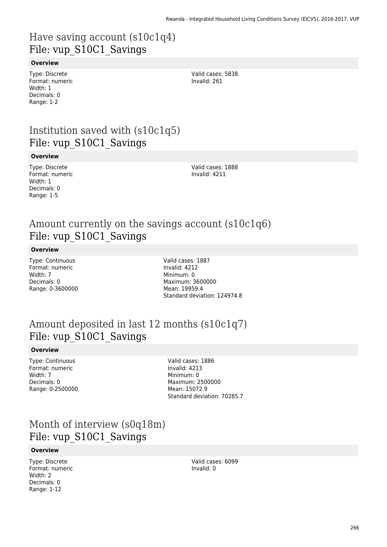## Have saving account (s10c1q4) File: vup\_S10C1\_Savings

### **Overview**

Type: Discrete Format: numeric Width: 1 Decimals: 0 Range: 1-2

Valid cases: 5838 Invalid: 261

## Institution saved with (s10c1q5) File: vup\_S10C1\_Savings

#### **Overview**

Type: Discrete Format: numeric Width: 1 Decimals: 0 Range: 1-5

Valid cases: 1888 Invalid: 4211

## Amount currently on the savings account (s10c1q6) File: vup\_S10C1\_Savings

#### **Overview**

Type: Continuous Format: numeric Width: 7 Decimals: 0 Range: 0-3600000

Valid cases: 1887 Invalid: 4212 Minimum: 0 Maximum: 3600000 Mean: 19959.4 Standard deviation: 124974.8

# Amount deposited in last 12 months (s10c1q7) File: vup\_S10C1\_Savings

#### **Overview**

Type: Continuous Format: numeric Width: 7 Decimals: 0 Range: 0-2500000

Valid cases: 1886 Invalid: 4213 Minimum: 0 Maximum: 2500000 Mean: 15072.9 Standard deviation: 70285.7

## Month of interview (s0q18m) File: vup\_S10C1\_Savings

#### **Overview**

Type: Discrete Format: numeric Width: 2 Decimals: 0 Range: 1-12

Valid cases: 6099 Invalid: 0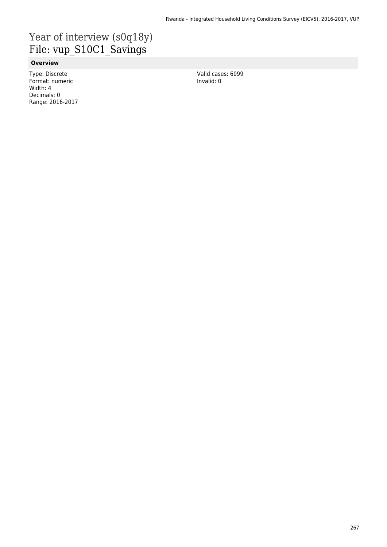# Year of interview (s0q18y) File: vup\_S10C1\_Savings

### **Overview**

Type: Discrete Format: numeric Width: 4 Decimals: 0 Range: 2016-2017 Valid cases: 6099 Invalid: 0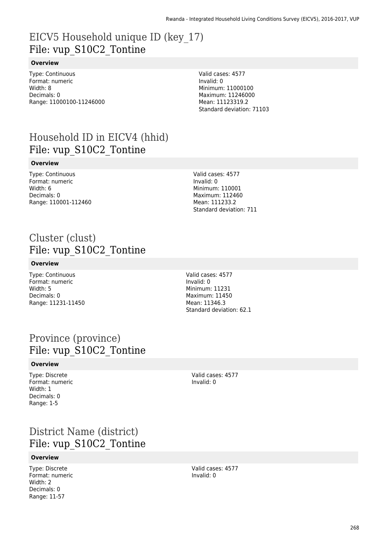# EICV5 Household unique ID (key\_17) File: vup\_S10C2\_Tontine

### **Overview**

Type: Continuous Format: numeric Width: 8 Decimals: 0 Range: 11000100-11246000 Valid cases: 4577 Invalid: 0 Minimum: 11000100 Maximum: 11246000 Mean: 11123319.2 Standard deviation: 71103

# Household ID in EICV4 (hhid) File: vup\_S10C2\_Tontine

#### **Overview**

Type: Continuous Format: numeric Width: 6 Decimals: 0 Range: 110001-112460 Valid cases: 4577 Invalid: 0 Minimum: 110001 Maximum: 112460 Mean: 111233.2 Standard deviation: 711

### Cluster (clust) File: vup\_S10C2\_Tontine

#### **Overview**

Type: Continuous Format: numeric Width: 5 Decimals: 0 Range: 11231-11450 Valid cases: 4577 Invalid: 0 Minimum: 11231 Maximum: 11450 Mean: 11346.3 Standard deviation: 62.1

### Province (province) File: vup\_S10C2\_Tontine

### **Overview**

Type: Discrete Format: numeric Width: 1 Decimals: 0 Range: 1-5

Valid cases: 4577 Invalid: 0

## District Name (district) File: vup\_S10C2\_Tontine

### **Overview**

Type: Discrete Format: numeric Width: 2 Decimals: 0 Range: 11-57

Valid cases: 4577 Invalid: 0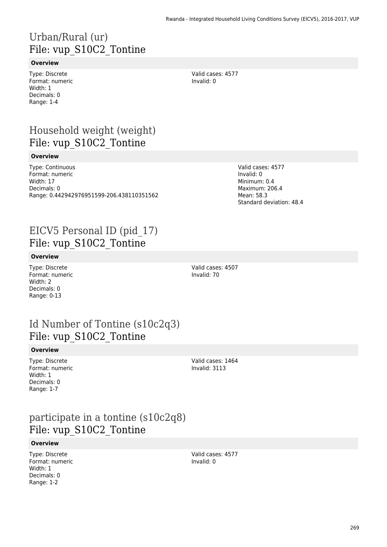# Urban/Rural (ur) File: vup\_S10C2\_Tontine

### **Overview**

Type: Discrete Format: numeric Width: 1 Decimals: 0 Range: 1-4

Valid cases: 4577 Invalid: 0

# Household weight (weight) File: vup\_S10C2\_Tontine

### **Overview**

Type: Continuous Format: numeric Width: 17 Decimals: 0 Range: 0.442942976951599-206.438110351562 Valid cases: 4577 Invalid: 0 Minimum: 0.4 Maximum: 206.4 Mean: 58.3 Standard deviation: 48.4

# EICV5 Personal ID (pid\_17) File: vup\_S10C2\_Tontine

### **Overview**

Type: Discrete Format: numeric Width: 2 Decimals: 0 Range: 0-13

Valid cases: 4507 Invalid: 70

## Id Number of Tontine (s10c2q3) File: vup\_S10C2\_Tontine

### **Overview**

Type: Discrete Format: numeric Width: 1 Decimals: 0 Range: 1-7

Valid cases: 1464 Invalid: 3113

# participate in a tontine (s10c2q8) File: vup\_S10C2\_Tontine

### **Overview**

Type: Discrete Format: numeric Width: 1 Decimals: 0 Range: 1-2

Valid cases: 4577 Invalid: 0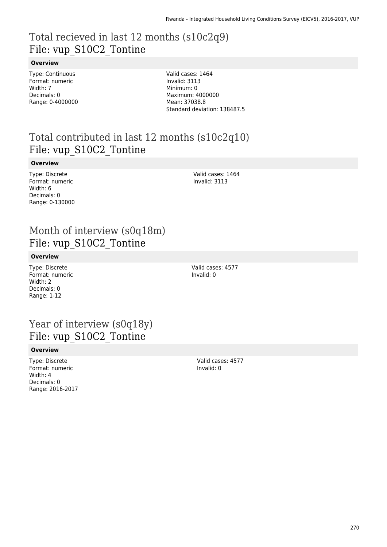# Total recieved in last 12 months (s10c2q9) File: vup\_S10C2\_Tontine

### **Overview**

Type: Continuous Format: numeric Width: 7 Decimals: 0 Range: 0-4000000 Valid cases: 1464 Invalid: 3113 Minimum: 0 Maximum: 4000000 Mean: 37038.8 Standard deviation: 138487.5

# Total contributed in last 12 months (s10c2q10) File: vup\_S10C2\_Tontine

#### **Overview**

Type: Discrete Format: numeric Width: 6 Decimals: 0 Range: 0-130000 Valid cases: 1464 Invalid: 3113

## Month of interview (s0q18m) File: vup\_S10C2\_Tontine

### **Overview**

Type: Discrete Format: numeric Width: 2 Decimals: 0 Range: 1-12

Valid cases: 4577 Invalid: 0

### Year of interview (s0q18y) File: vup\_S10C2\_Tontine

#### **Overview**

Type: Discrete Format: numeric Width: 4 Decimals: 0 Range: 2016-2017 Valid cases: 4577 Invalid: 0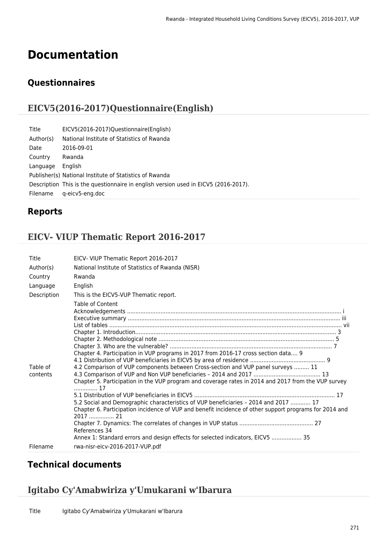# **Documentation**

### **Questionnaires**

### **EICV5(2016-2017)Questionnaire(English)**

| Title     | EICV5(2016-2017)Questionnaire(English)                                              |
|-----------|-------------------------------------------------------------------------------------|
| Author(s) | National Institute of Statistics of Rwanda                                          |
| Date      | 2016-09-01                                                                          |
| Country   | Rwanda                                                                              |
| Language  | English                                                                             |
|           | Publisher(s) National Institute of Statistics of Rwanda                             |
|           | Description This is the questionnaire in english version used in EICV5 (2016-2017). |
| Filename  | g-eicy5-eng.doc                                                                     |

### **Reports**

### **EICV- VIUP Thematic Report 2016-2017**

| Title                | EICV- VIUP Thematic Report 2016-2017                                                                                                                                                                                                                                                                                                                                                                                                                                                                            |
|----------------------|-----------------------------------------------------------------------------------------------------------------------------------------------------------------------------------------------------------------------------------------------------------------------------------------------------------------------------------------------------------------------------------------------------------------------------------------------------------------------------------------------------------------|
| Author(s)            | National Institute of Statistics of Rwanda (NISR)                                                                                                                                                                                                                                                                                                                                                                                                                                                               |
| Country              | Rwanda                                                                                                                                                                                                                                                                                                                                                                                                                                                                                                          |
| Language             | English                                                                                                                                                                                                                                                                                                                                                                                                                                                                                                         |
| Description          | This is the EICV5-VUP Thematic report.                                                                                                                                                                                                                                                                                                                                                                                                                                                                          |
|                      | Table of Content<br>Chapter 4. Participation in VUP programs in 2017 from 2016-17 cross section data 9                                                                                                                                                                                                                                                                                                                                                                                                          |
| Table of<br>contents | 4.2 Comparison of VUP components between Cross-section and VUP panel surveys  11<br>Chapter 5. Participation in the VUP program and coverage rates in 2014 and 2017 from the VUP survey<br>. 17<br>5.2 Social and Demographic characteristics of VUP beneficiaries - 2014 and 2017  17<br>Chapter 6. Participation incidence of VUP and benefit incidence of other support programs for 2014 and<br>2017  21<br>References 34<br>Annex 1: Standard errors and design effects for selected indicators, EICV5  35 |
| Filename             | rwa-nisr-eicv-2016-2017-VUP.pdf                                                                                                                                                                                                                                                                                                                                                                                                                                                                                 |

### **Technical documents**

### **Igitabo Cy'Amabwiriza y'Umukarani w'Ibarura**